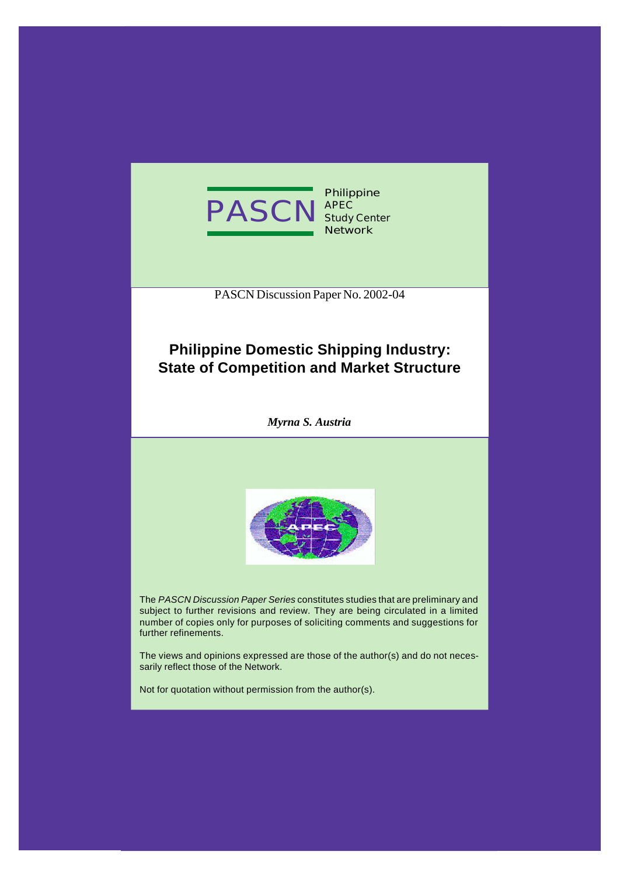

**Philippine APEC Study Center Network**

PASCN Discussion Paper No. 2002-04

### **Philippine Domestic Shipping Industry: State of Competition and Market Structure**

*Myrna S. Austria*



The *PASCN Discussion Paper Series* constitutes studies that are preliminary and subject to further revisions and review. They are being circulated in a limited number of copies only for purposes of soliciting comments and suggestions for further refinements.

The views and opinions expressed are those of the author(s) and do not necessarily reflect those of the Network.

Not for quotation without permission from the author(s).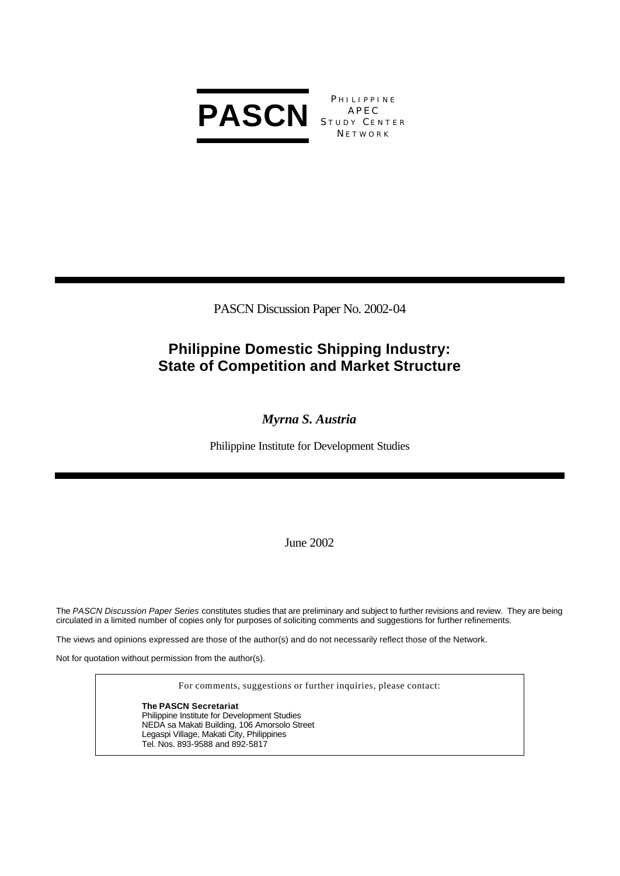

**PHILIPPINE** STUDY CENTER **NETWORK** 

PASCN Discussion Paper No. 2002-04

# **Philippine Domestic Shipping Industry: State of Competition and Market Structure**

*Myrna S. Austria*

Philippine Institute for Development Studies

June 2002

The *PASCN Discussion Paper Series* constitutes studies that are preliminary and subject to further revisions and review. They are being circulated in a limited number of copies only for purposes of soliciting comments and suggestions for further refinements.

The views and opinions expressed are those of the author(s) and do not necessarily reflect those of the Network.

Not for quotation without permission from the author(s).

For comments, suggestions or further inquiries, please contact:

**The PASCN Secretariat** Philippine Institute for Development Studies NEDA sa Makati Building, 106 Amorsolo Street Legaspi Village, Makati City, Philippines Tel. Nos. 893-9588 and 892-5817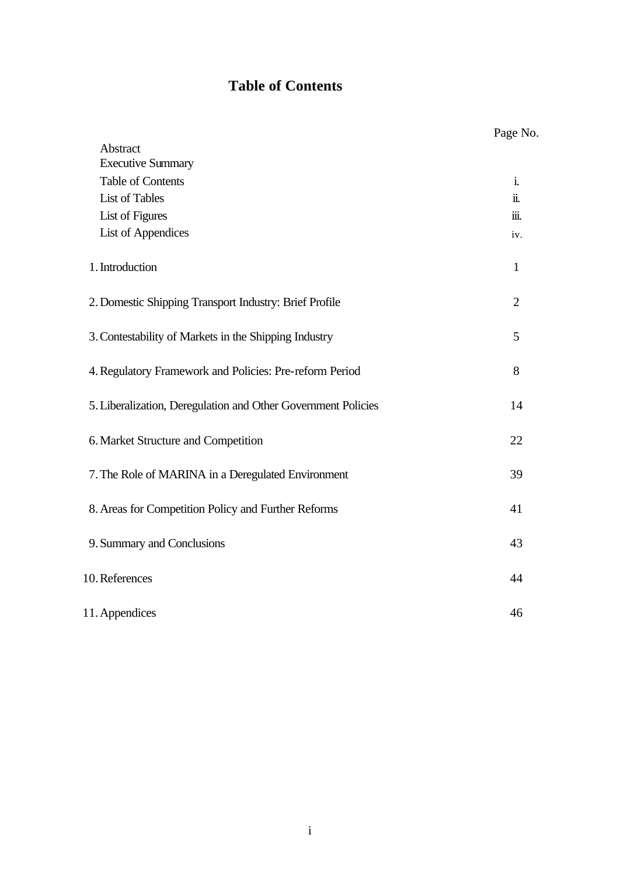### **Table of Contents**

|                                                               | Page iv        |
|---------------------------------------------------------------|----------------|
| Abstract                                                      |                |
| <b>Executive Summary</b>                                      |                |
| Table of Contents                                             | i.             |
| <b>List of Tables</b>                                         | ii.            |
| List of Figures                                               | iii.           |
| <b>List of Appendices</b>                                     | iv.            |
| 1. Introduction                                               | $\mathbf{1}$   |
| 2. Domestic Shipping Transport Industry: Brief Profile        | $\overline{2}$ |
| 3. Contestability of Markets in the Shipping Industry         | 5              |
| 4. Regulatory Framework and Policies: Pre-reform Period       | 8              |
| 5. Liberalization, Deregulation and Other Government Policies | 14             |
| 6. Market Structure and Competition                           | 22             |
| 7. The Role of MARINA in a Deregulated Environment            | 39             |
| 8. Areas for Competition Policy and Further Reforms           | 41             |
| 9. Summary and Conclusions                                    | 43             |
| 10. References                                                | 44             |
| 11. Appendices                                                | 46             |

Page No.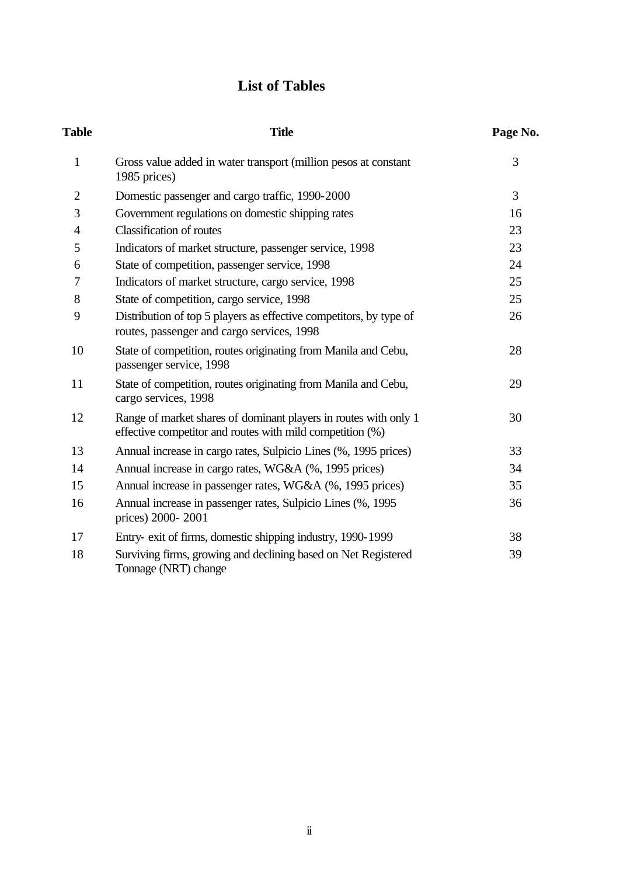# **List of Tables**

| <b>Table</b>   | <b>Title</b>                                                                                                                  | Page No. |
|----------------|-------------------------------------------------------------------------------------------------------------------------------|----------|
| $\mathbf{1}$   | Gross value added in water transport (million pesos at constant<br>1985 prices)                                               | 3        |
| $\overline{2}$ | Domestic passenger and cargo traffic, 1990-2000                                                                               | 3        |
| 3              | Government regulations on domestic shipping rates                                                                             | 16       |
| $\overline{4}$ | <b>Classification of routes</b>                                                                                               | 23       |
| 5              | Indicators of market structure, passenger service, 1998                                                                       | 23       |
| 6              | State of competition, passenger service, 1998                                                                                 | 24       |
| 7              | Indicators of market structure, cargo service, 1998                                                                           | 25       |
| 8              | State of competition, cargo service, 1998                                                                                     | 25       |
| 9              | Distribution of top 5 players as effective competitors, by type of<br>routes, passenger and cargo services, 1998              | 26       |
| 10             | State of competition, routes originating from Manila and Cebu,<br>passenger service, 1998                                     | 28       |
| 11             | State of competition, routes originating from Manila and Cebu,<br>cargo services, 1998                                        | 29       |
| 12             | Range of market shares of dominant players in routes with only 1<br>effective competitor and routes with mild competition (%) | 30       |
| 13             | Annual increase in cargo rates, Sulpicio Lines (%, 1995 prices)                                                               | 33       |
| 14             | Annual increase in cargo rates, WG&A (%, 1995 prices)                                                                         | 34       |
| 15             | Annual increase in passenger rates, WG&A (%, 1995 prices)                                                                     | 35       |
| 16             | Annual increase in passenger rates, Sulpicio Lines (%, 1995<br>prices) 2000-2001                                              | 36       |
| 17             | Entry- exit of firms, domestic shipping industry, 1990-1999                                                                   | 38       |
| 18             | Surviving firms, growing and declining based on Net Registered<br>Tonnage (NRT) change                                        | 39       |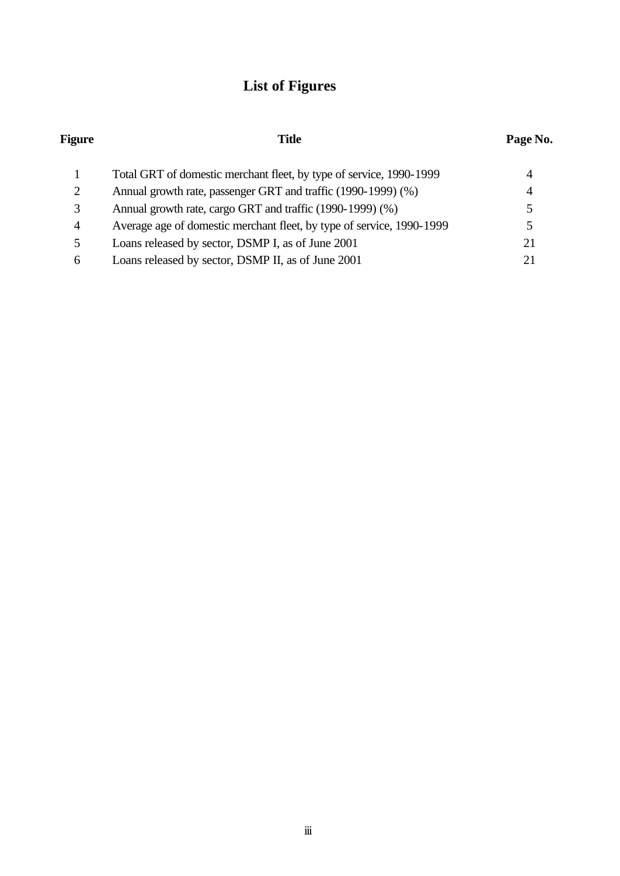# **List of Figures**

| <b>Figure</b> | <b>Title</b>                                                          | Page No. |  |
|---------------|-----------------------------------------------------------------------|----------|--|
|               | Total GRT of domestic merchant fleet, by type of service, 1990-1999   | 4        |  |
| 2             | Annual growth rate, passenger GRT and traffic (1990-1999) (%)         | 4        |  |
| 3             | Annual growth rate, cargo GRT and traffic (1990-1999) (%)             |          |  |
| 4             | Average age of domestic merchant fleet, by type of service, 1990-1999 |          |  |
| 5             | Loans released by sector, DSMP I, as of June 2001                     | 21       |  |
| 6             | Loans released by sector, DSMP II, as of June 2001                    |          |  |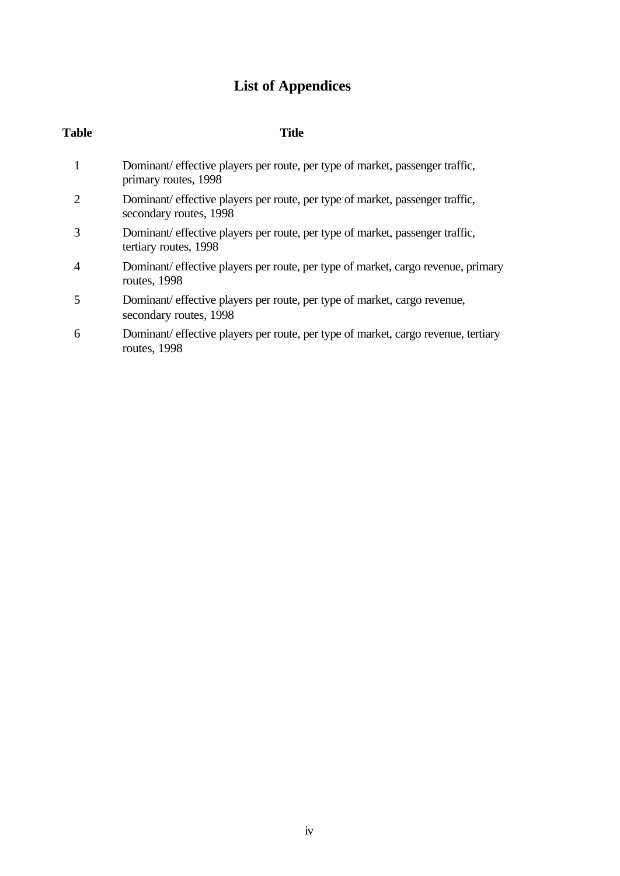# **List of Appendices**

| <b>Table</b> | <b>Title</b>                                                                                            |
|--------------|---------------------------------------------------------------------------------------------------------|
| $\mathbf{1}$ | Dominant/ effective players per route, per type of market, passenger traffic,<br>primary routes, 1998   |
| 2            | Dominant/ effective players per route, per type of market, passenger traffic,<br>secondary routes, 1998 |
| 3            | Dominant/ effective players per route, per type of market, passenger traffic,<br>tertiary routes, 1998  |
| 4            | Dominant/ effective players per route, per type of market, cargo revenue, primary<br>routes, 1998       |
| 5            | Dominant/ effective players per route, per type of market, cargo revenue,<br>secondary routes, 1998     |
| 6            | Dominant/ effective players per route, per type of market, cargo revenue, tertiary<br>routes, 1998      |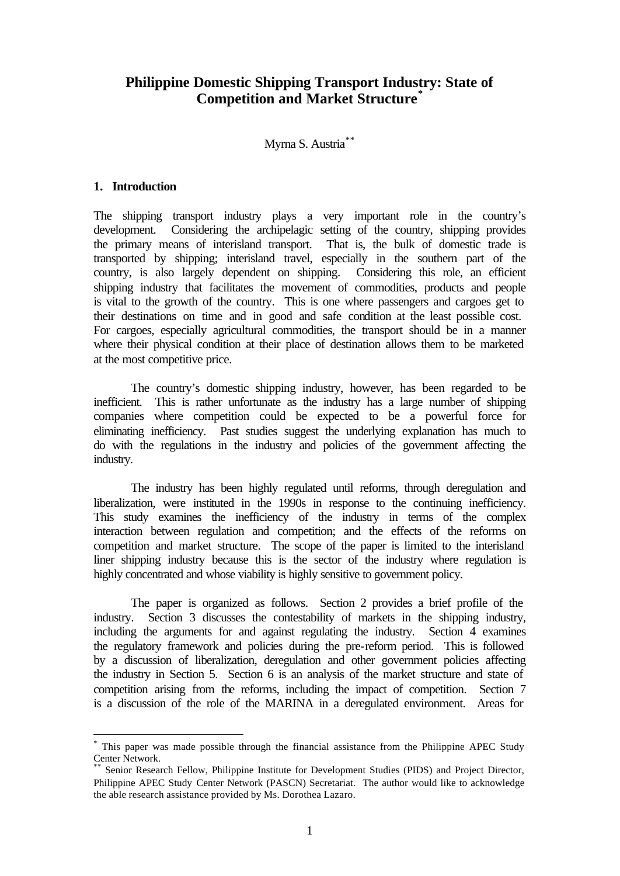### **Philippine Domestic Shipping Transport Industry: State of Competition and Market Structure\***

Myrna S. Austria<sup>\*\*</sup>

#### **1. Introduction**

l

The shipping transport industry plays a very important role in the country's development. Considering the archipelagic setting of the country, shipping provides the primary means of interisland transport. That is, the bulk of domestic trade is transported by shipping; interisland travel, especially in the southern part of the country, is also largely dependent on shipping. Considering this role, an efficient shipping industry that facilitates the movement of commodities, products and people is vital to the growth of the country. This is one where passengers and cargoes get to their destinations on time and in good and safe condition at the least possible cost. For cargoes, especially agricultural commodities, the transport should be in a manner where their physical condition at their place of destination allows them to be marketed at the most competitive price.

The country's domestic shipping industry, however, has been regarded to be inefficient. This is rather unfortunate as the industry has a large number of shipping companies where competition could be expected to be a powerful force for eliminating inefficiency. Past studies suggest the underlying explanation has much to do with the regulations in the industry and policies of the government affecting the industry.

The industry has been highly regulated until reforms, through deregulation and liberalization, were instituted in the 1990s in response to the continuing inefficiency. This study examines the inefficiency of the industry in terms of the complex interaction between regulation and competition; and the effects of the reforms on competition and market structure. The scope of the paper is limited to the interisland liner shipping industry because this is the sector of the industry where regulation is highly concentrated and whose viability is highly sensitive to government policy.

The paper is organized as follows. Section 2 provides a brief profile of the industry. Section 3 discusses the contestability of markets in the shipping industry, including the arguments for and against regulating the industry. Section 4 examines the regulatory framework and policies during the pre-reform period. This is followed by a discussion of liberalization, deregulation and other government policies affecting the industry in Section 5. Section 6 is an analysis of the market structure and state of competition arising from the reforms, including the impact of competition. Section 7 is a discussion of the role of the MARINA in a deregulated environment. Areas for

<sup>\*</sup> This paper was made possible through the financial assistance from the Philippine APEC Study Center Network.

Senior Research Fellow, Philippine Institute for Development Studies (PIDS) and Project Director, Philippine APEC Study Center Network (PASCN) Secretariat. The author would like to acknowledge the able research assistance provided by Ms. Dorothea Lazaro.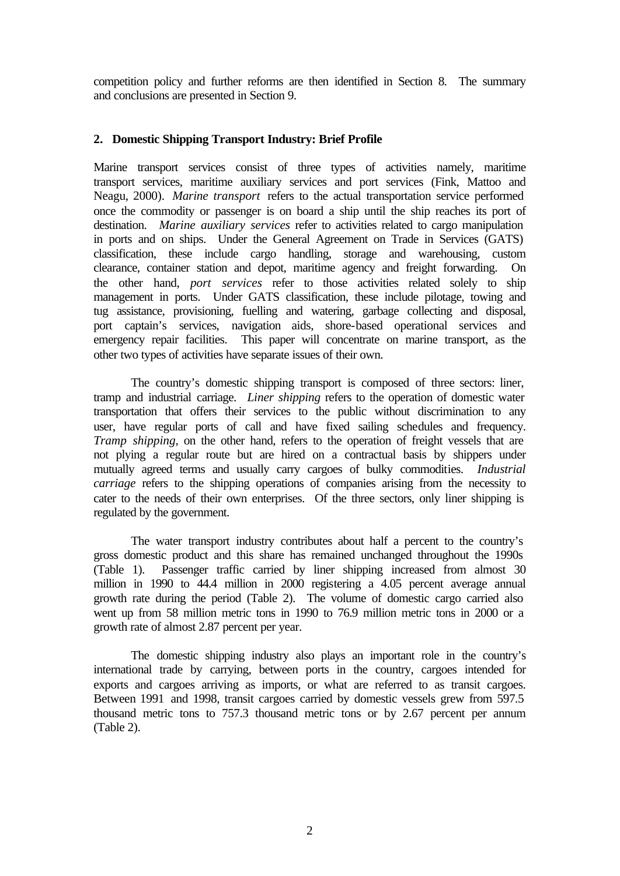competition policy and further reforms are then identified in Section 8. The summary and conclusions are presented in Section 9.

### **2. Domestic Shipping Transport Industry: Brief Profile**

Marine transport services consist of three types of activities namely, maritime transport services, maritime auxiliary services and port services (Fink, Mattoo and Neagu, 2000). *Marine transport* refers to the actual transportation service performed once the commodity or passenger is on board a ship until the ship reaches its port of destination. *Marine auxiliary services* refer to activities related to cargo manipulation in ports and on ships. Under the General Agreement on Trade in Services (GATS) classification, these include cargo handling, storage and warehousing, custom clearance, container station and depot, maritime agency and freight forwarding. On the other hand, *port services* refer to those activities related solely to ship management in ports. Under GATS classification, these include pilotage, towing and tug assistance, provisioning, fuelling and watering, garbage collecting and disposal, port captain's services, navigation aids, shore-based operational services and emergency repair facilities. This paper will concentrate on marine transport, as the other two types of activities have separate issues of their own.

The country's domestic shipping transport is composed of three sectors: liner, tramp and industrial carriage. *Liner shipping* refers to the operation of domestic water transportation that offers their services to the public without discrimination to any user, have regular ports of call and have fixed sailing schedules and frequency. *Tramp shipping*, on the other hand, refers to the operation of freight vessels that are not plying a regular route but are hired on a contractual basis by shippers under mutually agreed terms and usually carry cargoes of bulky commodities. *Industrial carriage* refers to the shipping operations of companies arising from the necessity to cater to the needs of their own enterprises. Of the three sectors, only liner shipping is regulated by the government.

The water transport industry contributes about half a percent to the country's gross domestic product and this share has remained unchanged throughout the 1990s (Table 1). Passenger traffic carried by liner shipping increased from almost 30 million in 1990 to 44.4 million in 2000 registering a 4.05 percent average annual growth rate during the period (Table 2). The volume of domestic cargo carried also went up from 58 million metric tons in 1990 to 76.9 million metric tons in 2000 or a growth rate of almost 2.87 percent per year.

The domestic shipping industry also plays an important role in the country's international trade by carrying, between ports in the country, cargoes intended for exports and cargoes arriving as imports, or what are referred to as transit cargoes. Between 1991 and 1998, transit cargoes carried by domestic vessels grew from 597.5 thousand metric tons to 757.3 thousand metric tons or by 2.67 percent per annum (Table 2).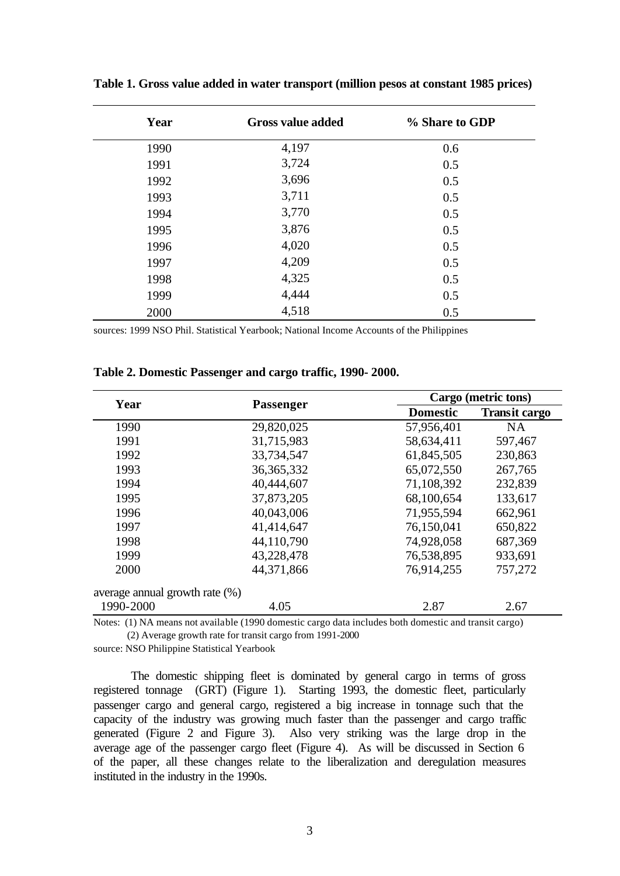| Year | <b>Gross value added</b> | % Share to GDP |
|------|--------------------------|----------------|
| 1990 | 4,197                    | 0.6            |
| 1991 | 3,724                    | 0.5            |
| 1992 | 3,696                    | 0.5            |
| 1993 | 3,711                    | 0.5            |
| 1994 | 3,770                    | 0.5            |
| 1995 | 3,876                    | 0.5            |
| 1996 | 4,020                    | 0.5            |
| 1997 | 4,209                    | 0.5            |
| 1998 | 4,325                    | 0.5            |
| 1999 | 4,444                    | 0.5            |
| 2000 | 4,518                    | 0.5            |

**Table 1. Gross value added in water transport (million pesos at constant 1985 prices)**

sources: 1999 NSO Phil. Statistical Yearbook; National Income Accounts of the Philippines

| Year                              | <b>Passenger</b> |                 | Cargo (metric tons)  |  |  |  |
|-----------------------------------|------------------|-----------------|----------------------|--|--|--|
|                                   |                  | <b>Domestic</b> | <b>Transit cargo</b> |  |  |  |
| 1990                              | 29,820,025       | 57,956,401      | <b>NA</b>            |  |  |  |
| 1991                              | 31,715,983       | 58,634,411      | 597,467              |  |  |  |
| 1992                              | 33,734,547       | 61,845,505      | 230,863              |  |  |  |
| 1993                              | 36, 365, 332     | 65,072,550      | 267,765              |  |  |  |
| 1994                              | 40,444,607       | 71,108,392      | 232,839              |  |  |  |
| 1995                              | 37,873,205       | 68,100,654      | 133,617              |  |  |  |
| 1996                              | 40,043,006       | 71,955,594      | 662,961              |  |  |  |
| 1997                              | 41,414,647       | 76,150,041      | 650,822              |  |  |  |
| 1998                              | 44,110,790       | 74,928,058      | 687,369              |  |  |  |
| 1999                              | 43,228,478       | 76,538,895      | 933,691              |  |  |  |
| 2000                              | 44,371,866       | 76,914,255      | 757,272              |  |  |  |
| average annual growth rate $(\%)$ |                  |                 |                      |  |  |  |
| 1990-2000                         | 4.05             | 2.87            | 2.67                 |  |  |  |

**Table 2. Domestic Passenger and cargo traffic, 1990- 2000.**

Notes: (1) NA means not available (1990 domestic cargo data includes both domestic and transit cargo) (2) Average growth rate for transit cargo from 1991-2000

source: NSO Philippine Statistical Yearbook

The domestic shipping fleet is dominated by general cargo in terms of gross registered tonnage (GRT) (Figure 1). Starting 1993, the domestic fleet, particularly passenger cargo and general cargo, registered a big increase in tonnage such that the capacity of the industry was growing much faster than the passenger and cargo traffic generated (Figure 2 and Figure 3). Also very striking was the large drop in the average age of the passenger cargo fleet (Figure 4). As will be discussed in Section 6 of the paper, all these changes relate to the liberalization and deregulation measures instituted in the industry in the 1990s.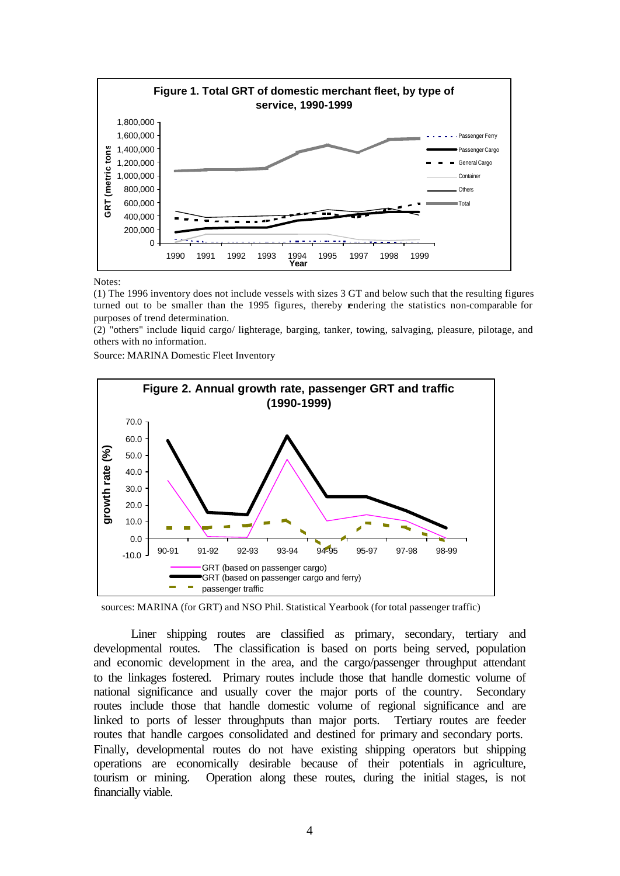

Notes:

(1) The 1996 inventory does not include vessels with sizes 3 GT and below such that the resulting figures turned out to be smaller than the 1995 figures, thereby rendering the statistics non-comparable for purposes of trend determination.

(2) "others" include liquid cargo/ lighterage, barging, tanker, towing, salvaging, pleasure, pilotage, and others with no information.

Source: MARINA Domestic Fleet Inventory



sources: MARINA (for GRT) and NSO Phil. Statistical Yearbook (for total passenger traffic)

Liner shipping routes are classified as primary, secondary, tertiary and developmental routes. The classification is based on ports being served, population and economic development in the area, and the cargo/passenger throughput attendant to the linkages fostered. Primary routes include those that handle domestic volume of national significance and usually cover the major ports of the country. Secondary routes include those that handle domestic volume of regional significance and are linked to ports of lesser throughputs than major ports. Tertiary routes are feeder routes that handle cargoes consolidated and destined for primary and secondary ports. Finally, developmental routes do not have existing shipping operators but shipping operations are economically desirable because of their potentials in agriculture, tourism or mining. Operation along these routes, during the initial stages, is not financially viable.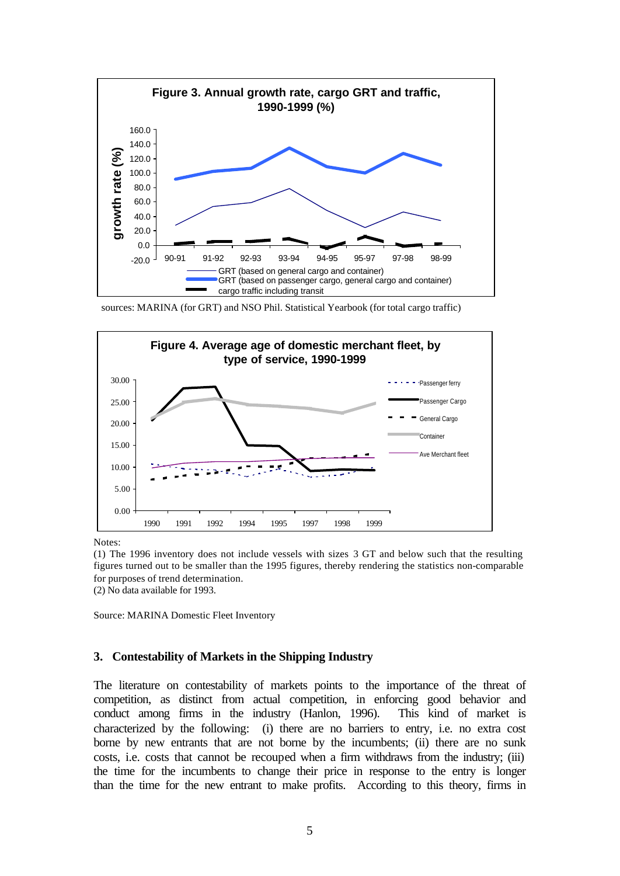

sources: MARINA (for GRT) and NSO Phil. Statistical Yearbook (for total cargo traffic)



Notes:

(1) The 1996 inventory does not include vessels with sizes 3 GT and below such that the resulting figures turned out to be smaller than the 1995 figures, thereby rendering the statistics non-comparable for purposes of trend determination.

(2) No data available for 1993.

Source: MARINA Domestic Fleet Inventory

### **3. Contestability of Markets in the Shipping Industry**

The literature on contestability of markets points to the importance of the threat of competition, as distinct from actual competition, in enforcing good behavior and conduct among firms in the industry (Hanlon, 1996). This kind of market is characterized by the following: (i) there are no barriers to entry, i.e. no extra cost borne by new entrants that are not borne by the incumbents; (ii) there are no sunk costs, i.e. costs that cannot be recouped when a firm withdraws from the industry; (iii) the time for the incumbents to change their price in response to the entry is longer than the time for the new entrant to make profits. According to this theory, firms in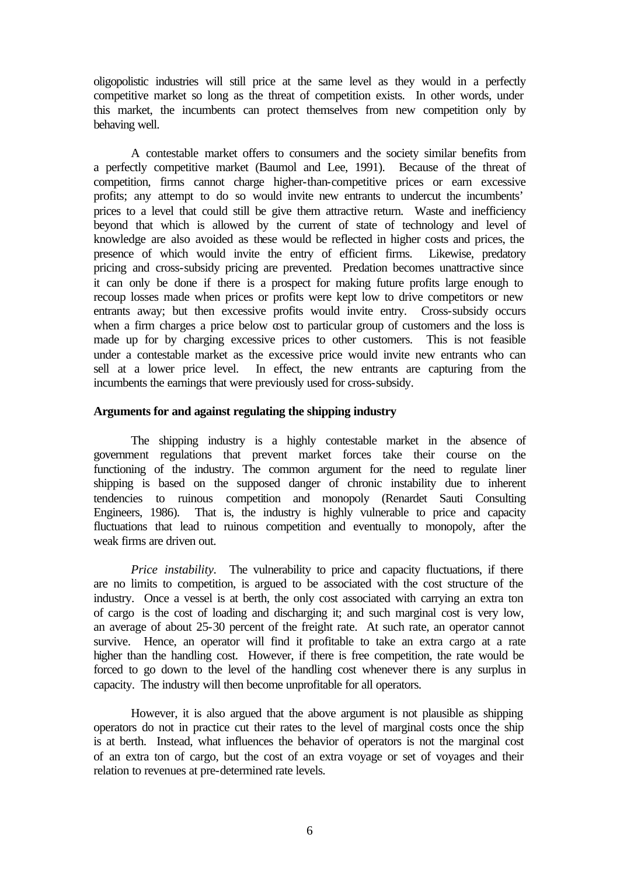oligopolistic industries will still price at the same level as they would in a perfectly competitive market so long as the threat of competition exists. In other words, under this market, the incumbents can protect themselves from new competition only by behaving well.

A contestable market offers to consumers and the society similar benefits from a perfectly competitive market (Baumol and Lee, 1991). Because of the threat of competition, firms cannot charge higher-than-competitive prices or earn excessive profits; any attempt to do so would invite new entrants to undercut the incumbents' prices to a level that could still be give them attractive return. Waste and inefficiency beyond that which is allowed by the current of state of technology and level of knowledge are also avoided as these would be reflected in higher costs and prices, the presence of which would invite the entry of efficient firms. Likewise, predatory pricing and cross-subsidy pricing are prevented. Predation becomes unattractive since it can only be done if there is a prospect for making future profits large enough to recoup losses made when prices or profits were kept low to drive competitors or new entrants away; but then excessive profits would invite entry. Cross-subsidy occurs when a firm charges a price below cost to particular group of customers and the loss is made up for by charging excessive prices to other customers. This is not feasible under a contestable market as the excessive price would invite new entrants who can sell at a lower price level. In effect, the new entrants are capturing from the incumbents the earnings that were previously used for cross-subsidy.

#### **Arguments for and against regulating the shipping industry**

The shipping industry is a highly contestable market in the absence of government regulations that prevent market forces take their course on the functioning of the industry. The common argument for the need to regulate liner shipping is based on the supposed danger of chronic instability due to inherent tendencies to ruinous competition and monopoly (Renardet Sauti Consulting Engineers, 1986). That is, the industry is highly vulnerable to price and capacity fluctuations that lead to ruinous competition and eventually to monopoly, after the weak firms are driven out.

*Price instability*. The vulnerability to price and capacity fluctuations, if there are no limits to competition, is argued to be associated with the cost structure of the industry. Once a vessel is at berth, the only cost associated with carrying an extra ton of cargo is the cost of loading and discharging it; and such marginal cost is very low, an average of about 25-30 percent of the freight rate. At such rate, an operator cannot survive. Hence, an operator will find it profitable to take an extra cargo at a rate higher than the handling cost. However, if there is free competition, the rate would be forced to go down to the level of the handling cost whenever there is any surplus in capacity. The industry will then become unprofitable for all operators.

However, it is also argued that the above argument is not plausible as shipping operators do not in practice cut their rates to the level of marginal costs once the ship is at berth. Instead, what influences the behavior of operators is not the marginal cost of an extra ton of cargo, but the cost of an extra voyage or set of voyages and their relation to revenues at pre-determined rate levels.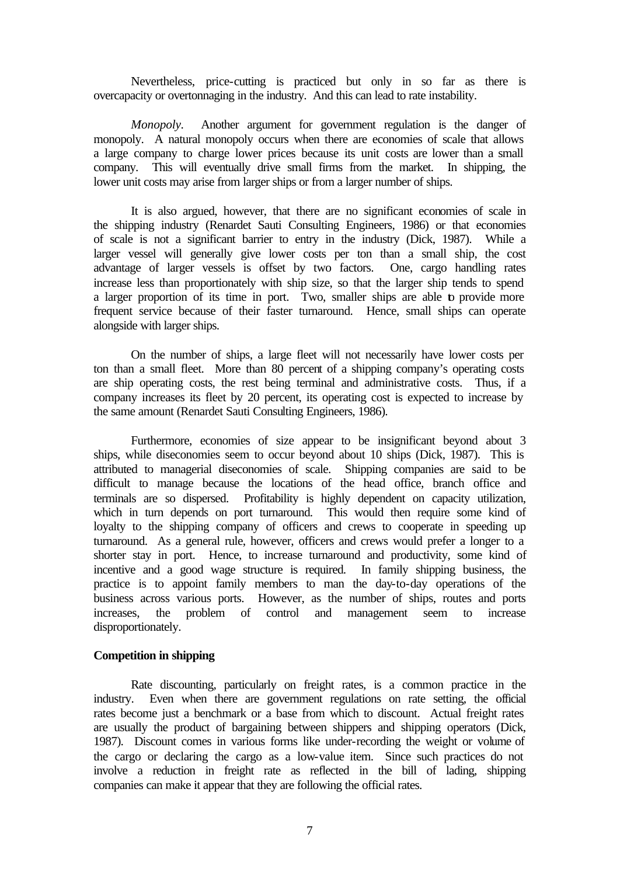Nevertheless, price-cutting is practiced but only in so far as there is overcapacity or overtonnaging in the industry. And this can lead to rate instability.

*Monopoly.* Another argument for government regulation is the danger of monopoly. A natural monopoly occurs when there are economies of scale that allows a large company to charge lower prices because its unit costs are lower than a small company. This will eventually drive small firms from the market. In shipping, the lower unit costs may arise from larger ships or from a larger number of ships.

It is also argued, however, that there are no significant economies of scale in the shipping industry (Renardet Sauti Consulting Engineers, 1986) or that economies of scale is not a significant barrier to entry in the industry (Dick, 1987). While a larger vessel will generally give lower costs per ton than a small ship, the cost advantage of larger vessels is offset by two factors. One, cargo handling rates increase less than proportionately with ship size, so that the larger ship tends to spend a larger proportion of its time in port. Two, smaller ships are able to provide more frequent service because of their faster turnaround. Hence, small ships can operate alongside with larger ships.

On the number of ships, a large fleet will not necessarily have lower costs per ton than a small fleet. More than 80 percent of a shipping company's operating costs are ship operating costs, the rest being terminal and administrative costs. Thus, if a company increases its fleet by 20 percent, its operating cost is expected to increase by the same amount (Renardet Sauti Consulting Engineers, 1986).

Furthermore, economies of size appear to be insignificant beyond about 3 ships, while diseconomies seem to occur beyond about 10 ships (Dick, 1987). This is attributed to managerial diseconomies of scale. Shipping companies are said to be difficult to manage because the locations of the head office, branch office and terminals are so dispersed. Profitability is highly dependent on capacity utilization, which in turn depends on port turnaround. This would then require some kind of loyalty to the shipping company of officers and crews to cooperate in speeding up turnaround. As a general rule, however, officers and crews would prefer a longer to a shorter stay in port. Hence, to increase turnaround and productivity, some kind of incentive and a good wage structure is required. In family shipping business, the practice is to appoint family members to man the day-to-day operations of the business across various ports. However, as the number of ships, routes and ports increases, the problem of control and management seem to increase disproportionately.

#### **Competition in shipping**

Rate discounting, particularly on freight rates, is a common practice in the industry. Even when there are government regulations on rate setting, the official rates become just a benchmark or a base from which to discount. Actual freight rates are usually the product of bargaining between shippers and shipping operators (Dick, 1987). Discount comes in various forms like under-recording the weight or volume of the cargo or declaring the cargo as a low-value item. Since such practices do not involve a reduction in freight rate as reflected in the bill of lading, shipping companies can make it appear that they are following the official rates.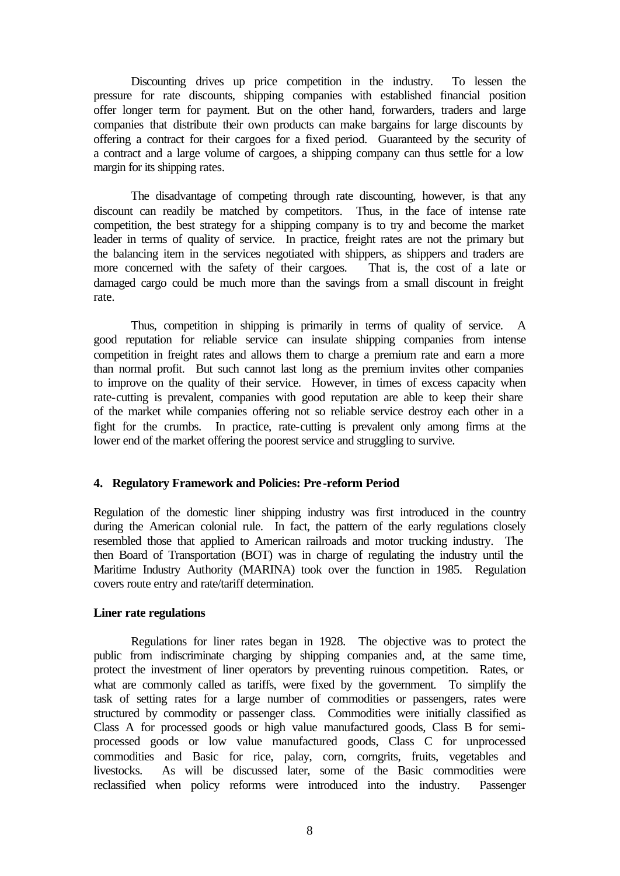Discounting drives up price competition in the industry. To lessen the pressure for rate discounts, shipping companies with established financial position offer longer term for payment. But on the other hand, forwarders, traders and large companies that distribute their own products can make bargains for large discounts by offering a contract for their cargoes for a fixed period. Guaranteed by the security of a contract and a large volume of cargoes, a shipping company can thus settle for a low margin for its shipping rates.

The disadvantage of competing through rate discounting, however, is that any discount can readily be matched by competitors. Thus, in the face of intense rate competition, the best strategy for a shipping company is to try and become the market leader in terms of quality of service. In practice, freight rates are not the primary but the balancing item in the services negotiated with shippers, as shippers and traders are more concerned with the safety of their cargoes. That is, the cost of a late or damaged cargo could be much more than the savings from a small discount in freight rate.

Thus, competition in shipping is primarily in terms of quality of service. A good reputation for reliable service can insulate shipping companies from intense competition in freight rates and allows them to charge a premium rate and earn a more than normal profit. But such cannot last long as the premium invites other companies to improve on the quality of their service. However, in times of excess capacity when rate-cutting is prevalent, companies with good reputation are able to keep their share of the market while companies offering not so reliable service destroy each other in a fight for the crumbs. In practice, rate-cutting is prevalent only among firms at the lower end of the market offering the poorest service and struggling to survive.

#### **4. Regulatory Framework and Policies: Pre-reform Period**

Regulation of the domestic liner shipping industry was first introduced in the country during the American colonial rule. In fact, the pattern of the early regulations closely resembled those that applied to American railroads and motor trucking industry. The then Board of Transportation (BOT) was in charge of regulating the industry until the Maritime Industry Authority (MARINA) took over the function in 1985. Regulation covers route entry and rate/tariff determination.

#### **Liner rate regulations**

Regulations for liner rates began in 1928. The objective was to protect the public from indiscriminate charging by shipping companies and, at the same time, protect the investment of liner operators by preventing ruinous competition. Rates, or what are commonly called as tariffs, were fixed by the government. To simplify the task of setting rates for a large number of commodities or passengers, rates were structured by commodity or passenger class. Commodities were initially classified as Class A for processed goods or high value manufactured goods, Class B for semiprocessed goods or low value manufactured goods, Class C for unprocessed commodities and Basic for rice, palay, corn, corngrits, fruits, vegetables and livestocks. As will be discussed later, some of the Basic commodities were reclassified when policy reforms were introduced into the industry. Passenger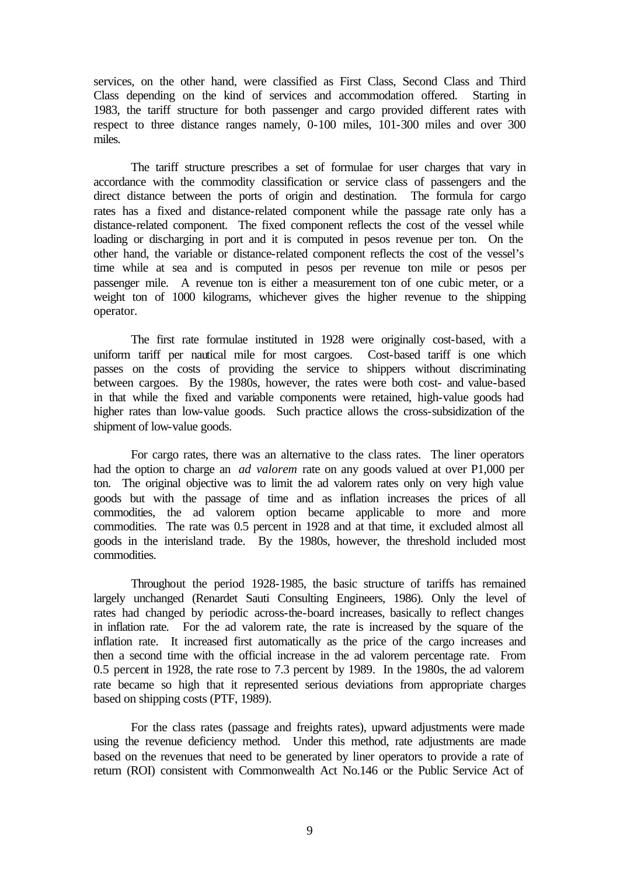services, on the other hand, were classified as First Class, Second Class and Third Class depending on the kind of services and accommodation offered. Starting in 1983, the tariff structure for both passenger and cargo provided different rates with respect to three distance ranges namely, 0-100 miles, 101-300 miles and over 300 miles.

The tariff structure prescribes a set of formulae for user charges that vary in accordance with the commodity classification or service class of passengers and the direct distance between the ports of origin and destination. The formula for cargo rates has a fixed and distance-related component while the passage rate only has a distance-related component. The fixed component reflects the cost of the vessel while loading or discharging in port and it is computed in pesos revenue per ton. On the other hand, the variable or distance-related component reflects the cost of the vessel's time while at sea and is computed in pesos per revenue ton mile or pesos per passenger mile. A revenue ton is either a measurement ton of one cubic meter, or a weight ton of 1000 kilograms, whichever gives the higher revenue to the shipping operator.

The first rate formulae instituted in 1928 were originally cost-based, with a uniform tariff per nautical mile for most cargoes. Cost-based tariff is one which passes on the costs of providing the service to shippers without discriminating between cargoes. By the 1980s, however, the rates were both cost- and value-based in that while the fixed and variable components were retained, high-value goods had higher rates than low-value goods. Such practice allows the cross-subsidization of the shipment of low-value goods.

For cargo rates, there was an alternative to the class rates. The liner operators had the option to charge an *ad valorem* rate on any goods valued at over P1,000 per ton. The original objective was to limit the ad valorem rates only on very high value goods but with the passage of time and as inflation increases the prices of all commodities, the ad valorem option became applicable to more and more commodities. The rate was 0.5 percent in 1928 and at that time, it excluded almost all goods in the interisland trade. By the 1980s, however, the threshold included most commodities.

Throughout the period 1928-1985, the basic structure of tariffs has remained largely unchanged (Renardet Sauti Consulting Engineers, 1986). Only the level of rates had changed by periodic across-the-board increases, basically to reflect changes in inflation rate. For the ad valorem rate, the rate is increased by the square of the inflation rate. It increased first automatically as the price of the cargo increases and then a second time with the official increase in the ad valorem percentage rate. From 0.5 percent in 1928, the rate rose to 7.3 percent by 1989. In the 1980s, the ad valorem rate became so high that it represented serious deviations from appropriate charges based on shipping costs (PTF, 1989).

For the class rates (passage and freights rates), upward adjustments were made using the revenue deficiency method. Under this method, rate adjustments are made based on the revenues that need to be generated by liner operators to provide a rate of return (ROI) consistent with Commonwealth Act No.146 or the Public Service Act of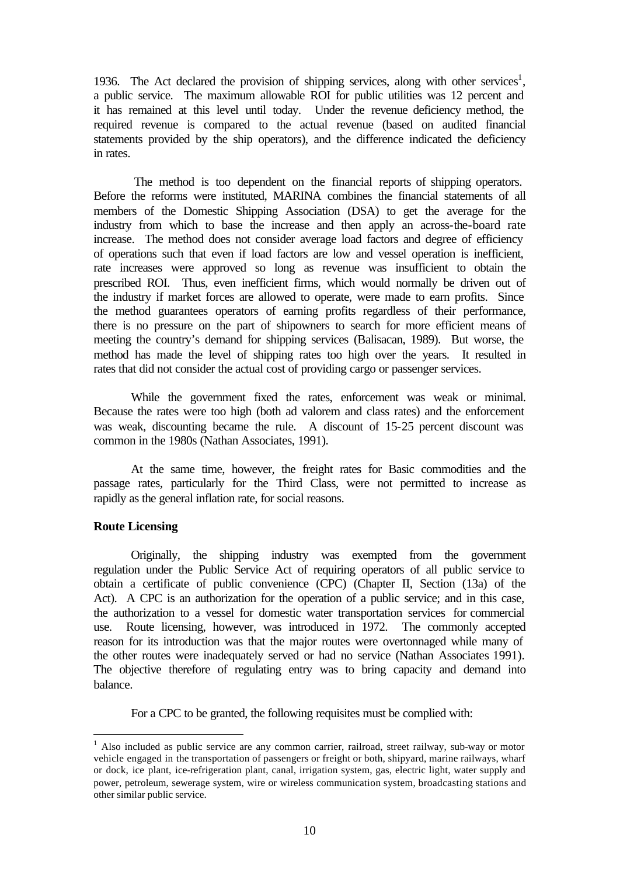1936. The Act declared the provision of shipping services, along with other services<sup>1</sup>, a public service. The maximum allowable ROI for public utilities was 12 percent and it has remained at this level until today. Under the revenue deficiency method, the required revenue is compared to the actual revenue (based on audited financial statements provided by the ship operators), and the difference indicated the deficiency in rates.

 The method is too dependent on the financial reports of shipping operators. Before the reforms were instituted, MARINA combines the financial statements of all members of the Domestic Shipping Association (DSA) to get the average for the industry from which to base the increase and then apply an across-the-board rate increase. The method does not consider average load factors and degree of efficiency of operations such that even if load factors are low and vessel operation is inefficient, rate increases were approved so long as revenue was insufficient to obtain the prescribed ROI. Thus, even inefficient firms, which would normally be driven out of the industry if market forces are allowed to operate, were made to earn profits. Since the method guarantees operators of earning profits regardless of their performance, there is no pressure on the part of shipowners to search for more efficient means of meeting the country's demand for shipping services (Balisacan, 1989). But worse, the method has made the level of shipping rates too high over the years. It resulted in rates that did not consider the actual cost of providing cargo or passenger services.

While the government fixed the rates, enforcement was weak or minimal. Because the rates were too high (both ad valorem and class rates) and the enforcement was weak, discounting became the rule. A discount of 15-25 percent discount was common in the 1980s (Nathan Associates, 1991).

At the same time, however, the freight rates for Basic commodities and the passage rates, particularly for the Third Class, were not permitted to increase as rapidly as the general inflation rate, for social reasons.

### **Route Licensing**

l

Originally, the shipping industry was exempted from the government regulation under the Public Service Act of requiring operators of all public service to obtain a certificate of public convenience (CPC) (Chapter II, Section (13a) of the Act). A CPC is an authorization for the operation of a public service; and in this case, the authorization to a vessel for domestic water transportation services for commercial use. Route licensing, however, was introduced in 1972. The commonly accepted reason for its introduction was that the major routes were overtonnaged while many of the other routes were inadequately served or had no service (Nathan Associates 1991). The objective therefore of regulating entry was to bring capacity and demand into balance.

For a CPC to be granted, the following requisites must be complied with:

<sup>&</sup>lt;sup>1</sup> Also included as public service are any common carrier, railroad, street railway, sub-way or motor vehicle engaged in the transportation of passengers or freight or both, shipyard, marine railways, wharf or dock, ice plant, ice-refrigeration plant, canal, irrigation system, gas, electric light, water supply and power, petroleum, sewerage system, wire or wireless communication system, broadcasting stations and other similar public service.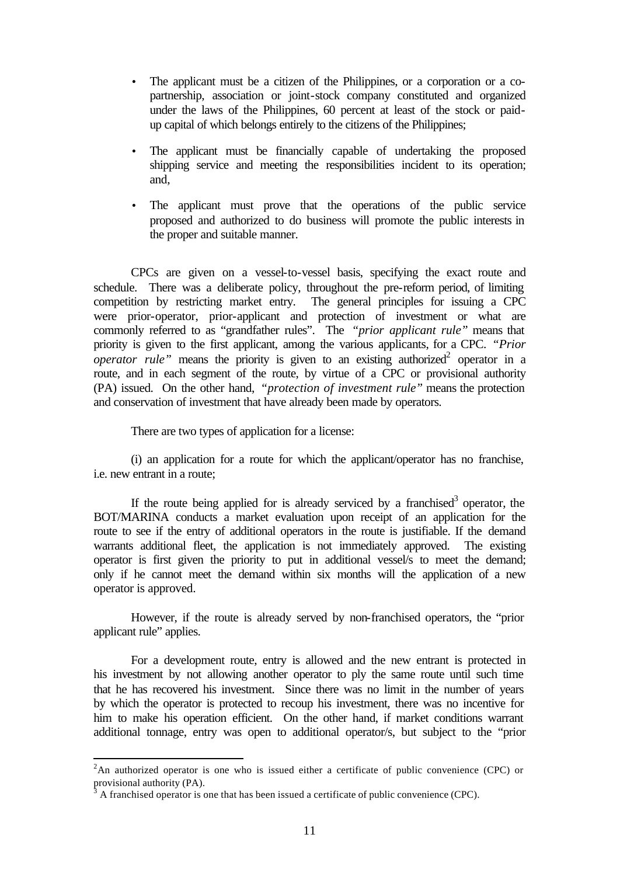- The applicant must be a citizen of the Philippines, or a corporation or a copartnership, association or joint-stock company constituted and organized under the laws of the Philippines, 60 percent at least of the stock or paidup capital of which belongs entirely to the citizens of the Philippines;
- The applicant must be financially capable of undertaking the proposed shipping service and meeting the responsibilities incident to its operation; and,
- The applicant must prove that the operations of the public service proposed and authorized to do business will promote the public interests in the proper and suitable manner.

CPCs are given on a vessel-to-vessel basis, specifying the exact route and schedule. There was a deliberate policy, throughout the pre-reform period, of limiting competition by restricting market entry. The general principles for issuing a CPC were prior-operator, prior-applicant and protection of investment or what are commonly referred to as "grandfather rules". The *"prior applicant rule"* means that priority is given to the first applicant, among the various applicants, for a CPC. *"Prior operator rule*" means the priority is given to an existing authorized<sup>2</sup> operator in a route, and in each segment of the route, by virtue of a CPC or provisional authority (PA) issued. On the other hand, *"protection of investment rule"* means the protection and conservation of investment that have already been made by operators.

There are two types of application for a license:

(i) an application for a route for which the applicant/operator has no franchise, i.e. new entrant in a route;

If the route being applied for is already serviced by a franchised<sup>3</sup> operator, the BOT/MARINA conducts a market evaluation upon receipt of an application for the route to see if the entry of additional operators in the route is justifiable. If the demand warrants additional fleet, the application is not immediately approved. The existing operator is first given the priority to put in additional vessel/s to meet the demand; only if he cannot meet the demand within six months will the application of a new operator is approved.

However, if the route is already served by non-franchised operators, the "prior applicant rule" applies.

For a development route, entry is allowed and the new entrant is protected in his investment by not allowing another operator to ply the same route until such time that he has recovered his investment. Since there was no limit in the number of years by which the operator is protected to recoup his investment, there was no incentive for him to make his operation efficient. On the other hand, if market conditions warrant additional tonnage, entry was open to additional operator/s, but subject to the "prior

l

 ${}^{2}$ An authorized operator is one who is issued either a certificate of public convenience (CPC) or provisional authority (PA).<br> $\frac{3}{4}$  A franchised energies is a

A franchised operator is one that has been issued a certificate of public convenience (CPC).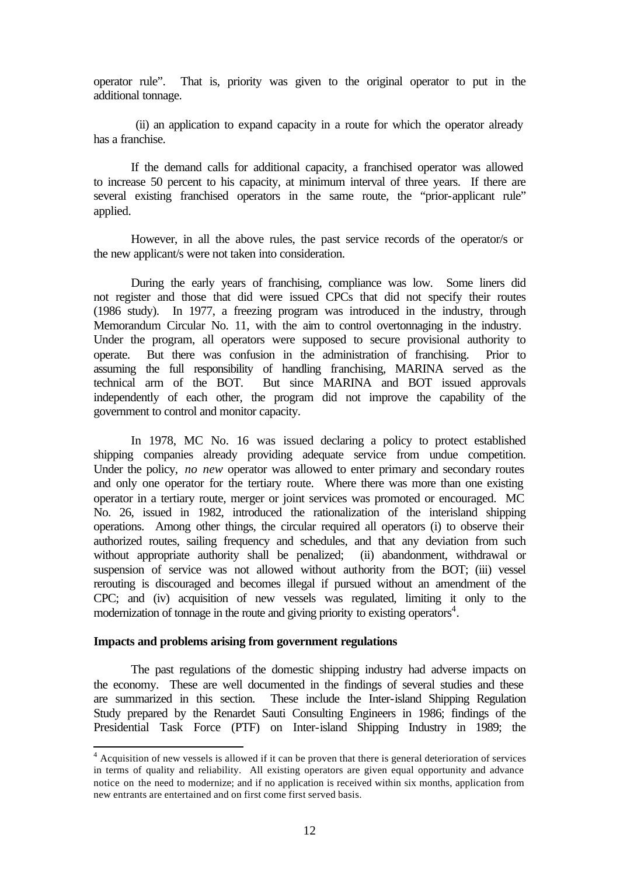operator rule". That is, priority was given to the original operator to put in the additional tonnage.

 (ii) an application to expand capacity in a route for which the operator already has a franchise.

If the demand calls for additional capacity, a franchised operator was allowed to increase 50 percent to his capacity, at minimum interval of three years. If there are several existing franchised operators in the same route, the "prior-applicant rule" applied.

However, in all the above rules, the past service records of the operator/s or the new applicant/s were not taken into consideration.

During the early years of franchising, compliance was low. Some liners did not register and those that did were issued CPCs that did not specify their routes (1986 study). In 1977, a freezing program was introduced in the industry, through Memorandum Circular No. 11, with the aim to control overtonnaging in the industry. Under the program, all operators were supposed to secure provisional authority to operate. But there was confusion in the administration of franchising. Prior to assuming the full responsibility of handling franchising, MARINA served as the technical arm of the BOT. But since MARINA and BOT issued approvals independently of each other, the program did not improve the capability of the government to control and monitor capacity.

In 1978, MC No. 16 was issued declaring a policy to protect established shipping companies already providing adequate service from undue competition. Under the policy, *no new* operator was allowed to enter primary and secondary routes and only one operator for the tertiary route. Where there was more than one existing operator in a tertiary route, merger or joint services was promoted or encouraged. MC No. 26, issued in 1982, introduced the rationalization of the interisland shipping operations. Among other things, the circular required all operators (i) to observe their authorized routes, sailing frequency and schedules, and that any deviation from such without appropriate authority shall be penalized; (ii) abandonment, withdrawal or suspension of service was not allowed without authority from the BOT; (iii) vessel rerouting is discouraged and becomes illegal if pursued without an amendment of the CPC; and (iv) acquisition of new vessels was regulated, limiting it only to the modernization of tonnage in the route and giving priority to existing operators<sup>4</sup>.

#### **Impacts and problems arising from government regulations**

l

The past regulations of the domestic shipping industry had adverse impacts on the economy. These are well documented in the findings of several studies and these are summarized in this section. These include the Inter-island Shipping Regulation Study prepared by the Renardet Sauti Consulting Engineers in 1986; findings of the Presidential Task Force (PTF) on Inter-island Shipping Industry in 1989; the

<sup>&</sup>lt;sup>4</sup> Acquisition of new vessels is allowed if it can be proven that there is general deterioration of services in terms of quality and reliability. All existing operators are given equal opportunity and advance notice on the need to modernize; and if no application is received within six months, application from new entrants are entertained and on first come first served basis.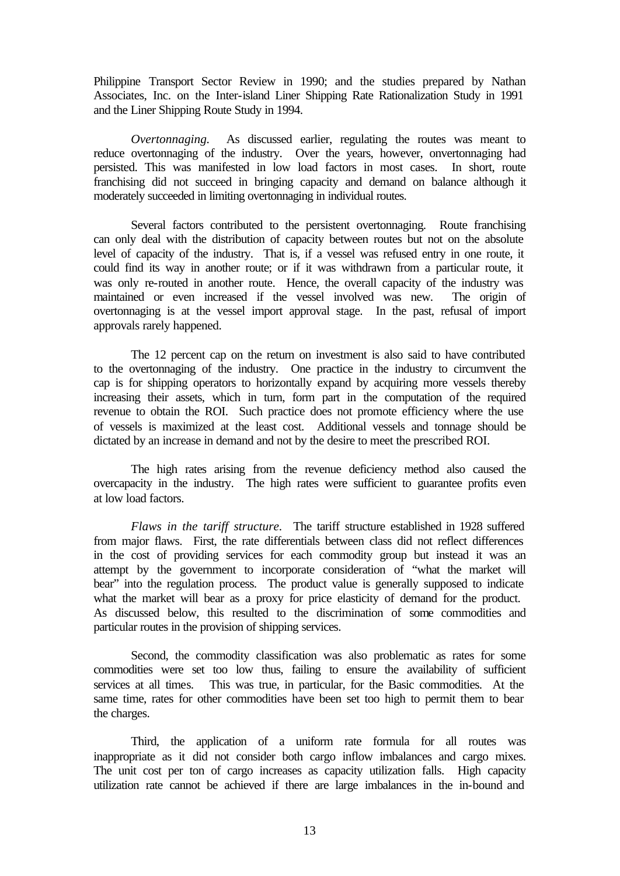Philippine Transport Sector Review in 1990; and the studies prepared by Nathan Associates, Inc. on the Inter-island Liner Shipping Rate Rationalization Study in 1991 and the Liner Shipping Route Study in 1994.

*Overtonnaging.* As discussed earlier, regulating the routes was meant to reduce overtonnaging of the industry. Over the years, however, onvertonnaging had persisted. This was manifested in low load factors in most cases. In short, route franchising did not succeed in bringing capacity and demand on balance although it moderately succeeded in limiting overtonnaging in individual routes.

Several factors contributed to the persistent overtonnaging. Route franchising can only deal with the distribution of capacity between routes but not on the absolute level of capacity of the industry. That is, if a vessel was refused entry in one route, it could find its way in another route; or if it was withdrawn from a particular route, it was only re-routed in another route. Hence, the overall capacity of the industry was maintained or even increased if the vessel involved was new. The origin of overtonnaging is at the vessel import approval stage. In the past, refusal of import approvals rarely happened.

The 12 percent cap on the return on investment is also said to have contributed to the overtonnaging of the industry. One practice in the industry to circumvent the cap is for shipping operators to horizontally expand by acquiring more vessels thereby increasing their assets, which in turn, form part in the computation of the required revenue to obtain the ROI. Such practice does not promote efficiency where the use of vessels is maximized at the least cost. Additional vessels and tonnage should be dictated by an increase in demand and not by the desire to meet the prescribed ROI.

The high rates arising from the revenue deficiency method also caused the overcapacity in the industry. The high rates were sufficient to guarantee profits even at low load factors.

*Flaws in the tariff structure.* The tariff structure established in 1928 suffered from major flaws. First, the rate differentials between class did not reflect differences in the cost of providing services for each commodity group but instead it was an attempt by the government to incorporate consideration of "what the market will bear" into the regulation process. The product value is generally supposed to indicate what the market will bear as a proxy for price elasticity of demand for the product. As discussed below, this resulted to the discrimination of some commodities and particular routes in the provision of shipping services.

Second, the commodity classification was also problematic as rates for some commodities were set too low thus, failing to ensure the availability of sufficient services at all times. This was true, in particular, for the Basic commodities. At the same time, rates for other commodities have been set too high to permit them to bear the charges.

Third, the application of a uniform rate formula for all routes was inappropriate as it did not consider both cargo inflow imbalances and cargo mixes. The unit cost per ton of cargo increases as capacity utilization falls. High capacity utilization rate cannot be achieved if there are large imbalances in the in-bound and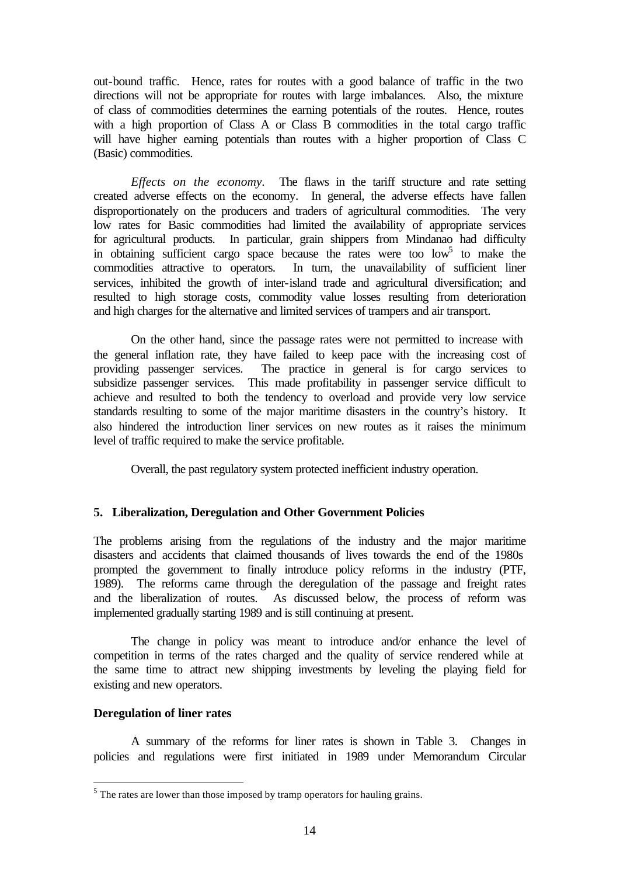out-bound traffic. Hence, rates for routes with a good balance of traffic in the two directions will not be appropriate for routes with large imbalances. Also, the mixture of class of commodities determines the earning potentials of the routes. Hence, routes with a high proportion of Class A or Class B commodities in the total cargo traffic will have higher earning potentials than routes with a higher proportion of Class C (Basic) commodities.

*Effects on the economy.* The flaws in the tariff structure and rate setting created adverse effects on the economy. In general, the adverse effects have fallen disproportionately on the producers and traders of agricultural commodities. The very low rates for Basic commodities had limited the availability of appropriate services for agricultural products. In particular, grain shippers from Mindanao had difficulty in obtaining sufficient cargo space because the rates were too  $\text{low}^5$  to make the commodities attractive to operators. In turn, the unavailability of sufficient liner services, inhibited the growth of inter-island trade and agricultural diversification; and resulted to high storage costs, commodity value losses resulting from deterioration and high charges for the alternative and limited services of trampers and air transport.

On the other hand, since the passage rates were not permitted to increase with the general inflation rate, they have failed to keep pace with the increasing cost of providing passenger services. The practice in general is for cargo services to subsidize passenger services. This made profitability in passenger service difficult to achieve and resulted to both the tendency to overload and provide very low service standards resulting to some of the major maritime disasters in the country's history. It also hindered the introduction liner services on new routes as it raises the minimum level of traffic required to make the service profitable.

Overall, the past regulatory system protected inefficient industry operation.

### **5. Liberalization, Deregulation and Other Government Policies**

The problems arising from the regulations of the industry and the major maritime disasters and accidents that claimed thousands of lives towards the end of the 1980s prompted the government to finally introduce policy reforms in the industry (PTF, 1989). The reforms came through the deregulation of the passage and freight rates and the liberalization of routes. As discussed below, the process of reform was implemented gradually starting 1989 and is still continuing at present.

The change in policy was meant to introduce and/or enhance the level of competition in terms of the rates charged and the quality of service rendered while at the same time to attract new shipping investments by leveling the playing field for existing and new operators.

#### **Deregulation of liner rates**

l

A summary of the reforms for liner rates is shown in Table 3. Changes in policies and regulations were first initiated in 1989 under Memorandum Circular

 $<sup>5</sup>$  The rates are lower than those imposed by tramp operators for hauling grains.</sup>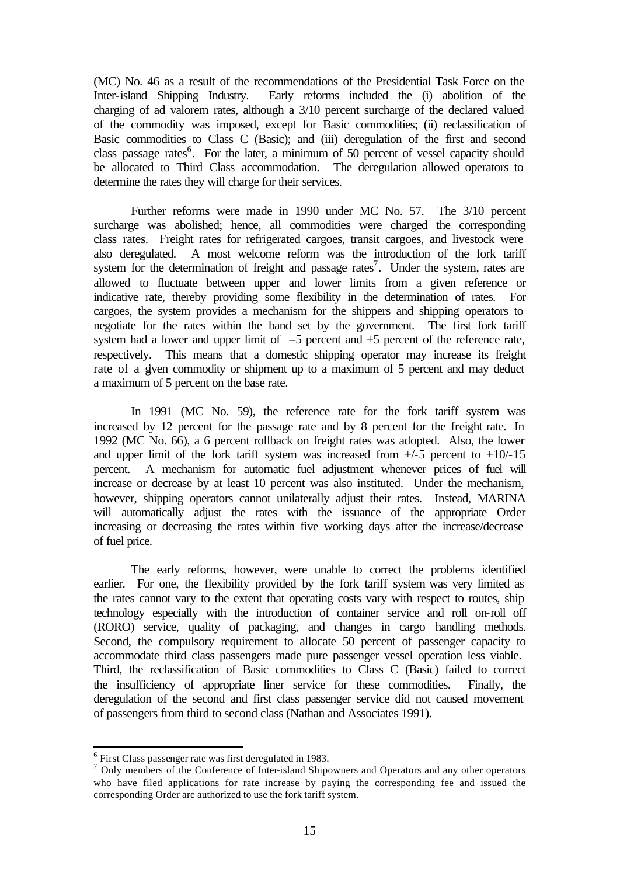(MC) No. 46 as a result of the recommendations of the Presidential Task Force on the Inter-island Shipping Industry. Early reforms included the (i) abolition of the charging of ad valorem rates, although a 3/10 percent surcharge of the declared valued of the commodity was imposed, except for Basic commodities; (ii) reclassification of Basic commodities to Class C (Basic); and (iii) deregulation of the first and second class passage rates<sup>6</sup>. For the later, a minimum of 50 percent of vessel capacity should be allocated to Third Class accommodation. The deregulation allowed operators to determine the rates they will charge for their services.

Further reforms were made in 1990 under MC No. 57. The 3/10 percent surcharge was abolished; hence, all commodities were charged the corresponding class rates. Freight rates for refrigerated cargoes, transit cargoes, and livestock were also deregulated. A most welcome reform was the introduction of the fork tariff system for the determination of freight and passage rates<sup>7</sup>. Under the system, rates are allowed to fluctuate between upper and lower limits from a given reference or indicative rate, thereby providing some flexibility in the determination of rates. For cargoes, the system provides a mechanism for the shippers and shipping operators to negotiate for the rates within the band set by the government. The first fork tariff system had a lower and upper limit of  $-5$  percent and  $+5$  percent of the reference rate, respectively. This means that a domestic shipping operator may increase its freight rate of a given commodity or shipment up to a maximum of 5 percent and may deduct a maximum of 5 percent on the base rate.

In 1991 (MC No. 59), the reference rate for the fork tariff system was increased by 12 percent for the passage rate and by 8 percent for the freight rate. In 1992 (MC No. 66), a 6 percent rollback on freight rates was adopted. Also, the lower and upper limit of the fork tariff system was increased from  $+/-5$  percent to  $+10/-15$ percent. A mechanism for automatic fuel adjustment whenever prices of fuel will increase or decrease by at least 10 percent was also instituted. Under the mechanism, however, shipping operators cannot unilaterally adjust their rates. Instead, MARINA will automatically adjust the rates with the issuance of the appropriate Order increasing or decreasing the rates within five working days after the increase/decrease of fuel price.

The early reforms, however, were unable to correct the problems identified earlier. For one, the flexibility provided by the fork tariff system was very limited as the rates cannot vary to the extent that operating costs vary with respect to routes, ship technology especially with the introduction of container service and roll on-roll off (RORO) service, quality of packaging, and changes in cargo handling methods. Second, the compulsory requirement to allocate 50 percent of passenger capacity to accommodate third class passengers made pure passenger vessel operation less viable. Third, the reclassification of Basic commodities to Class C (Basic) failed to correct the insufficiency of appropriate liner service for these commodities. Finally, the deregulation of the second and first class passenger service did not caused movement of passengers from third to second class (Nathan and Associates 1991).

l

<sup>&</sup>lt;sup>6</sup> First Class passenger rate was first deregulated in 1983.

<sup>&</sup>lt;sup>7</sup> Only members of the Conference of Inter-island Shipowners and Operators and any other operators who have filed applications for rate increase by paying the corresponding fee and issued the corresponding Order are authorized to use the fork tariff system.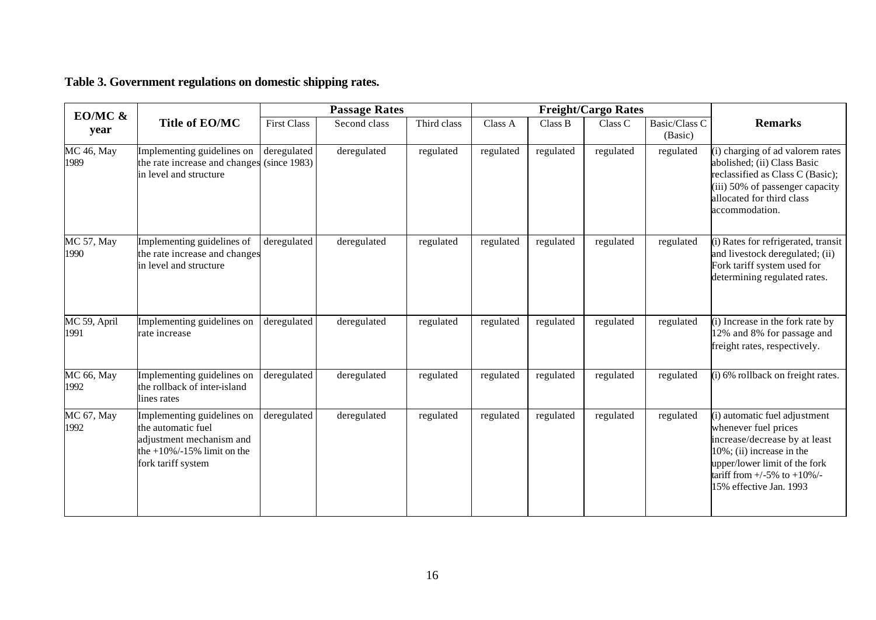| EO/MC $\&$                |                                                                                                                                      | <b>Passage Rates</b>        |              |             | <b>Freight/Cargo Rates</b> |           |           |                          |                                                                                                                                                                                                                          |
|---------------------------|--------------------------------------------------------------------------------------------------------------------------------------|-----------------------------|--------------|-------------|----------------------------|-----------|-----------|--------------------------|--------------------------------------------------------------------------------------------------------------------------------------------------------------------------------------------------------------------------|
| year                      | Title of EO/MC                                                                                                                       | <b>First Class</b>          | Second class | Third class | Class A                    | Class B   | Class C   | Basic/Class C<br>(Basic) | <b>Remarks</b>                                                                                                                                                                                                           |
| <b>MC</b> 46, May<br>1989 | Implementing guidelines on<br>the rate increase and changes<br>in level and structure                                                | deregulated<br>(since 1983) | deregulated  | regulated   | regulated                  | regulated | regulated | regulated                | (i) charging of ad valorem rates<br>abolished; (ii) Class Basic<br>reclassified as Class C (Basic);<br>(iii) 50% of passenger capacity<br>allocated for third class<br>accommodation.                                    |
| MC 57, May<br>1990        | Implementing guidelines of<br>the rate increase and changes<br>in level and structure                                                | deregulated                 | deregulated  | regulated   | regulated                  | regulated | regulated | regulated                | (i) Rates for refrigerated, transit<br>and livestock deregulated; (ii)<br>Fork tariff system used for<br>determining regulated rates.                                                                                    |
| MC 59, April<br>1991      | Implementing guidelines on<br>rate increase                                                                                          | deregulated                 | deregulated  | regulated   | regulated                  | regulated | regulated | regulated                | (i) Increase in the fork rate by<br>12% and 8% for passage and<br>freight rates, respectively.                                                                                                                           |
| <b>MC 66, May</b><br>1992 | Implementing guidelines on<br>the rollback of inter-island<br>lines rates                                                            | deregulated                 | deregulated  | regulated   | regulated                  | regulated | regulated | regulated                | (i) 6% rollback on freight rates.                                                                                                                                                                                        |
| MC 67, May<br>1992        | Implementing guidelines on<br>the automatic fuel<br>adjustment mechanism and<br>the $+10\%$ /-15% limit on the<br>fork tariff system | deregulated                 | deregulated  | regulated   | regulated                  | regulated | regulated | regulated                | (i) automatic fuel adjustment<br>whenever fuel prices<br>increase/decrease by at least<br>$10\%$ ; (ii) increase in the<br>upper/lower limit of the fork<br>tariff from $+/-5\%$ to $+10\%/-$<br>15% effective Jan. 1993 |

### **Table 3. Government regulations on domestic shipping rates.**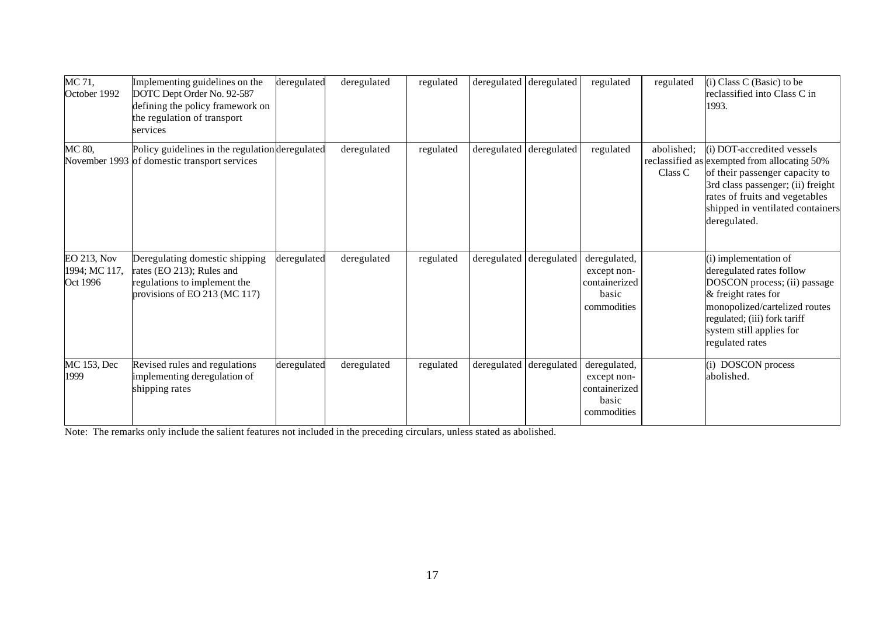| MC 71,<br>October 1992                   | Implementing guidelines on the<br>DOTC Dept Order No. 92-587<br>defining the policy framework on<br>the regulation of transport<br>services | deregulated | deregulated | regulated | deregulated deregulated | regulated                                                            | regulated             | (i) Class C (Basic) to be<br>reclassified into Class C in<br>1993.                                                                                                                                                                        |
|------------------------------------------|---------------------------------------------------------------------------------------------------------------------------------------------|-------------|-------------|-----------|-------------------------|----------------------------------------------------------------------|-----------------------|-------------------------------------------------------------------------------------------------------------------------------------------------------------------------------------------------------------------------------------------|
| MC 80,                                   | Policy guidelines in the regulation deregulated<br>November 1993 of domestic transport services                                             |             | deregulated | regulated | deregulated deregulated | regulated                                                            | abolished;<br>Class C | $(i)$ DOT-accredited vessels<br>reclassified as exempted from allocating 50%<br>of their passenger capacity to<br>3rd class passenger; (ii) freight<br>rates of fruits and vegetables<br>shipped in ventilated containers<br>deregulated. |
| EO 213, Nov<br>1994; MC 117,<br>Oct 1996 | Deregulating domestic shipping<br>rates (EO 213); Rules and<br>regulations to implement the<br>provisions of EO 213 (MC 117)                | deregulated | deregulated | regulated | deregulated deregulated | deregulated,<br>except non-<br>containerized<br>hasic<br>commodities |                       | (i) implementation of<br>deregulated rates follow<br>DOSCON process; (ii) passage<br>& freight rates for<br>monopolized/cartelized routes<br>regulated; (iii) fork tariff<br>system still applies for<br>regulated rates                  |
| MC 153, Dec<br>1999                      | Revised rules and regulations<br>implementing deregulation of<br>shipping rates                                                             | deregulated | deregulated | regulated | deregulated deregulated | deregulated,<br>except non-<br>containerized<br>basic<br>commodities |                       | (i) DOSCON process<br>abolished.                                                                                                                                                                                                          |

Note: The remarks only include the salient features not included in the preceding circulars, unless stated as abolished.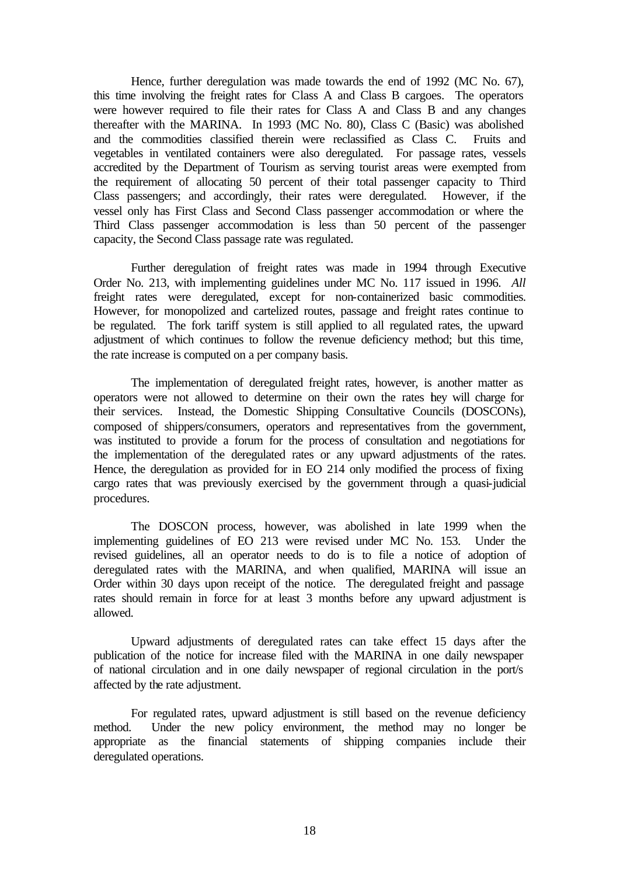Hence, further deregulation was made towards the end of 1992 (MC No. 67), this time involving the freight rates for Class A and Class B cargoes. The operators were however required to file their rates for Class A and Class B and any changes thereafter with the MARINA. In 1993 (MC No. 80), Class C (Basic) was abolished and the commodities classified therein were reclassified as Class C. Fruits and vegetables in ventilated containers were also deregulated. For passage rates, vessels accredited by the Department of Tourism as serving tourist areas were exempted from the requirement of allocating 50 percent of their total passenger capacity to Third Class passengers; and accordingly, their rates were deregulated. However, if the vessel only has First Class and Second Class passenger accommodation or where the Third Class passenger accommodation is less than 50 percent of the passenger capacity, the Second Class passage rate was regulated.

Further deregulation of freight rates was made in 1994 through Executive Order No. 213, with implementing guidelines under MC No. 117 issued in 1996. *All* freight rates were deregulated, except for non-containerized basic commodities. However, for monopolized and cartelized routes, passage and freight rates continue to be regulated. The fork tariff system is still applied to all regulated rates, the upward adjustment of which continues to follow the revenue deficiency method; but this time, the rate increase is computed on a per company basis.

The implementation of deregulated freight rates, however, is another matter as operators were not allowed to determine on their own the rates they will charge for their services. Instead, the Domestic Shipping Consultative Councils (DOSCONs), composed of shippers/consumers, operators and representatives from the government, was instituted to provide a forum for the process of consultation and negotiations for the implementation of the deregulated rates or any upward adjustments of the rates. Hence, the deregulation as provided for in EO 214 only modified the process of fixing cargo rates that was previously exercised by the government through a quasi-judicial procedures.

The DOSCON process, however, was abolished in late 1999 when the implementing guidelines of EO 213 were revised under MC No. 153. Under the revised guidelines, all an operator needs to do is to file a notice of adoption of deregulated rates with the MARINA, and when qualified, MARINA will issue an Order within 30 days upon receipt of the notice. The deregulated freight and passage rates should remain in force for at least 3 months before any upward adjustment is allowed.

Upward adjustments of deregulated rates can take effect 15 days after the publication of the notice for increase filed with the MARINA in one daily newspaper of national circulation and in one daily newspaper of regional circulation in the port/s affected by the rate adjustment.

For regulated rates, upward adjustment is still based on the revenue deficiency method. Under the new policy environment, the method may no longer be appropriate as the financial statements of shipping companies include their deregulated operations.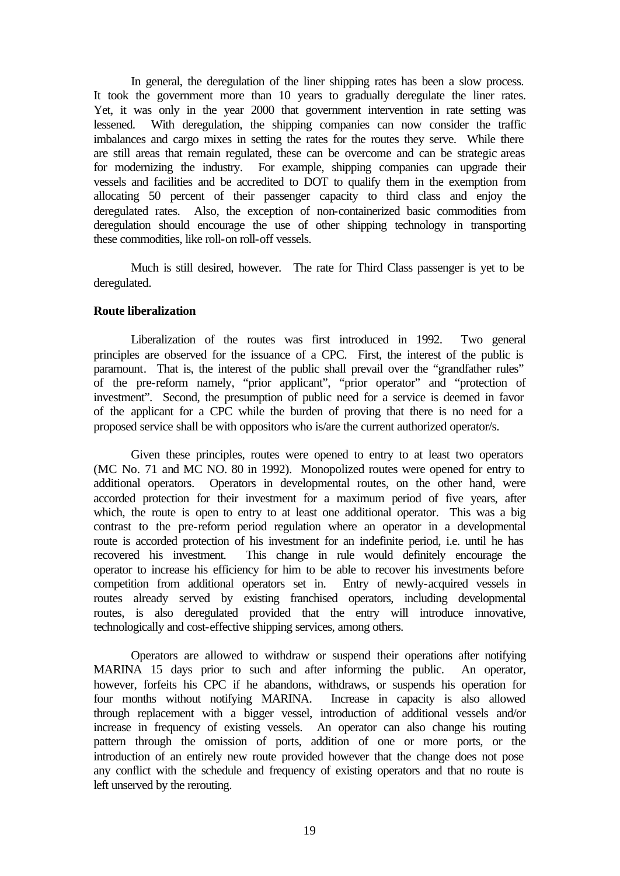In general, the deregulation of the liner shipping rates has been a slow process. It took the government more than 10 years to gradually deregulate the liner rates. Yet, it was only in the year 2000 that government intervention in rate setting was lessened. With deregulation, the shipping companies can now consider the traffic imbalances and cargo mixes in setting the rates for the routes they serve. While there are still areas that remain regulated, these can be overcome and can be strategic areas for modernizing the industry. For example, shipping companies can upgrade their vessels and facilities and be accredited to DOT to qualify them in the exemption from allocating 50 percent of their passenger capacity to third class and enjoy the deregulated rates. Also, the exception of non-containerized basic commodities from deregulation should encourage the use of other shipping technology in transporting these commodities, like roll-on roll-off vessels.

Much is still desired, however. The rate for Third Class passenger is yet to be deregulated.

#### **Route liberalization**

Liberalization of the routes was first introduced in 1992. Two general principles are observed for the issuance of a CPC. First, the interest of the public is paramount. That is, the interest of the public shall prevail over the "grandfather rules" of the pre-reform namely, "prior applicant", "prior operator" and "protection of investment". Second, the presumption of public need for a service is deemed in favor of the applicant for a CPC while the burden of proving that there is no need for a proposed service shall be with oppositors who is/are the current authorized operator/s.

Given these principles, routes were opened to entry to at least two operators (MC No. 71 and MC NO. 80 in 1992). Monopolized routes were opened for entry to additional operators. Operators in developmental routes, on the other hand, were accorded protection for their investment for a maximum period of five years, after which, the route is open to entry to at least one additional operator. This was a big contrast to the pre-reform period regulation where an operator in a developmental route is accorded protection of his investment for an indefinite period, i.e. until he has recovered his investment. This change in rule would definitely encourage the operator to increase his efficiency for him to be able to recover his investments before competition from additional operators set in. Entry of newly-acquired vessels in routes already served by existing franchised operators, including developmental routes, is also deregulated provided that the entry will introduce innovative, technologically and cost-effective shipping services, among others.

Operators are allowed to withdraw or suspend their operations after notifying MARINA 15 days prior to such and after informing the public. An operator, however, forfeits his CPC if he abandons, withdraws, or suspends his operation for four months without notifying MARINA. Increase in capacity is also allowed through replacement with a bigger vessel, introduction of additional vessels and/or increase in frequency of existing vessels. An operator can also change his routing pattern through the omission of ports, addition of one or more ports, or the introduction of an entirely new route provided however that the change does not pose any conflict with the schedule and frequency of existing operators and that no route is left unserved by the rerouting.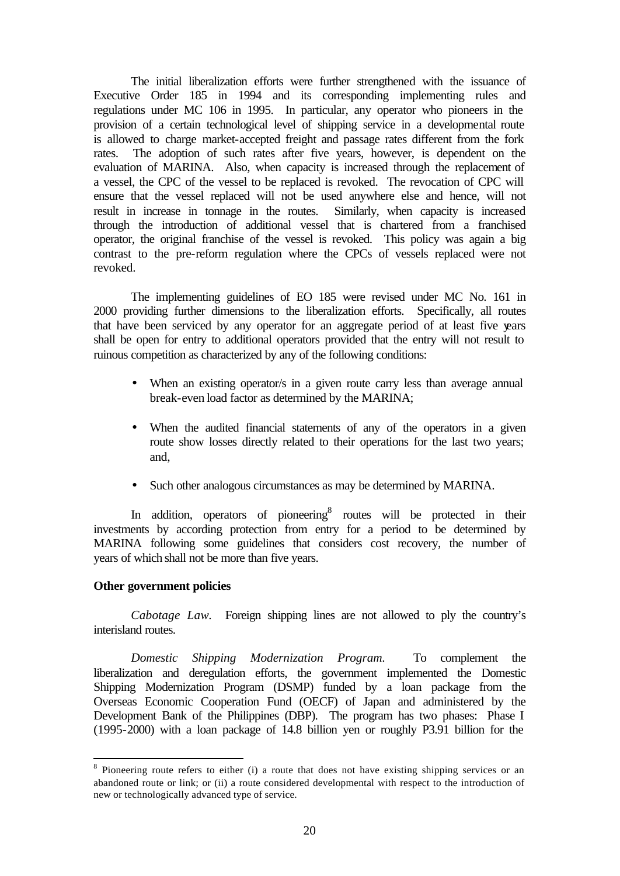The initial liberalization efforts were further strengthened with the issuance of Executive Order 185 in 1994 and its corresponding implementing rules and regulations under MC 106 in 1995. In particular, any operator who pioneers in the provision of a certain technological level of shipping service in a developmental route is allowed to charge market-accepted freight and passage rates different from the fork rates. The adoption of such rates after five years, however, is dependent on the evaluation of MARINA. Also, when capacity is increased through the replacement of a vessel, the CPC of the vessel to be replaced is revoked. The revocation of CPC will ensure that the vessel replaced will not be used anywhere else and hence, will not result in increase in tonnage in the routes. Similarly, when capacity is increased through the introduction of additional vessel that is chartered from a franchised operator, the original franchise of the vessel is revoked. This policy was again a big contrast to the pre-reform regulation where the CPCs of vessels replaced were not revoked.

The implementing guidelines of EO 185 were revised under MC No. 161 in 2000 providing further dimensions to the liberalization efforts. Specifically, all routes that have been serviced by any operator for an aggregate period of at least five years shall be open for entry to additional operators provided that the entry will not result to ruinous competition as characterized by any of the following conditions:

- When an existing operator/s in a given route carry less than average annual break-even load factor as determined by the MARINA;
- When the audited financial statements of any of the operators in a given route show losses directly related to their operations for the last two years; and,
- Such other analogous circumstances as may be determined by MARINA.

In addition, operators of pioneering<sup>8</sup> routes will be protected in their investments by according protection from entry for a period to be determined by MARINA following some guidelines that considers cost recovery, the number of years of which shall not be more than five years.

#### **Other government policies**

l

*Cabotage Law.* Foreign shipping lines are not allowed to ply the country's interisland routes.

*Domestic Shipping Modernization Program.* To complement the liberalization and deregulation efforts, the government implemented the Domestic Shipping Modernization Program (DSMP) funded by a loan package from the Overseas Economic Cooperation Fund (OECF) of Japan and administered by the Development Bank of the Philippines (DBP). The program has two phases: Phase I (1995-2000) with a loan package of 14.8 billion yen or roughly P3.91 billion for the

<sup>&</sup>lt;sup>8</sup> Pioneering route refers to either (i) a route that does not have existing shipping services or an abandoned route or link; or (ii) a route considered developmental with respect to the introduction of new or technologically advanced type of service.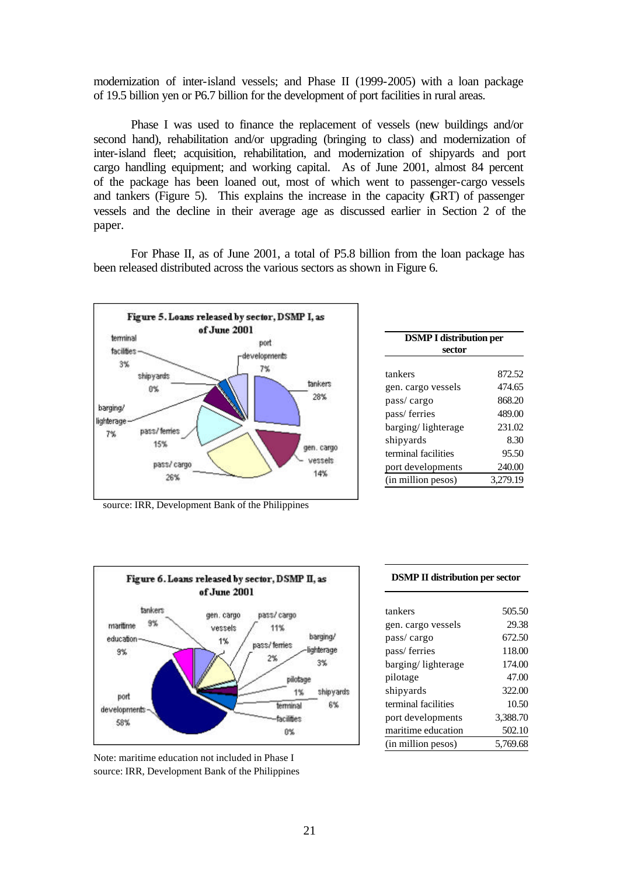modernization of inter-island vessels; and Phase II (1999-2005) with a loan package of 19.5 billion yen or P6.7 billion for the development of port facilities in rural areas.

Phase I was used to finance the replacement of vessels (new buildings and/or second hand), rehabilitation and/or upgrading (bringing to class) and modernization of inter-island fleet; acquisition, rehabilitation, and modernization of shipyards and port cargo handling equipment; and working capital. As of June 2001, almost 84 percent of the package has been loaned out, most of which went to passenger-cargo vessels and tankers (Figure 5). This explains the increase in the capacity (GRT) of passenger vessels and the decline in their average age as discussed earlier in Section 2 of the paper.

For Phase II, as of June 2001, a total of P5.8 billion from the loan package has been released distributed across the various sectors as shown in Figure 6.



| <b>DSMP I distribution per</b> |          |  |  |  |
|--------------------------------|----------|--|--|--|
| sector                         |          |  |  |  |
| tankers                        | 872.52   |  |  |  |
| gen. cargo vessels             | 474.65   |  |  |  |
| pass/cargo                     | 868.20   |  |  |  |
| pass/ferries                   | 489.00   |  |  |  |
| barging/lighterage             | 231.02   |  |  |  |
| shipyards                      | 8.30     |  |  |  |
| terminal facilities            | 95.50    |  |  |  |
| port developments              | 240.00   |  |  |  |
| (in million pesos)             | 3,279.19 |  |  |  |
|                                |          |  |  |  |

source: IRR, Development Bank of the Philippines





#### **DSMP II distribution per sector**

| tankers             | 505.50   |
|---------------------|----------|
| gen. cargo vessels  | 29.38    |
| pass/cargo          | 672.50   |
| pass/ferries        | 118.00   |
| barging/lighterage  | 174.00   |
| pilotage            | 47.00    |
| shipyards           | 322.00   |
| terminal facilities | 10.50    |
| port developments   | 3,388.70 |
| maritime education  | 502.10   |
| (in million pesos)  | 5.769.68 |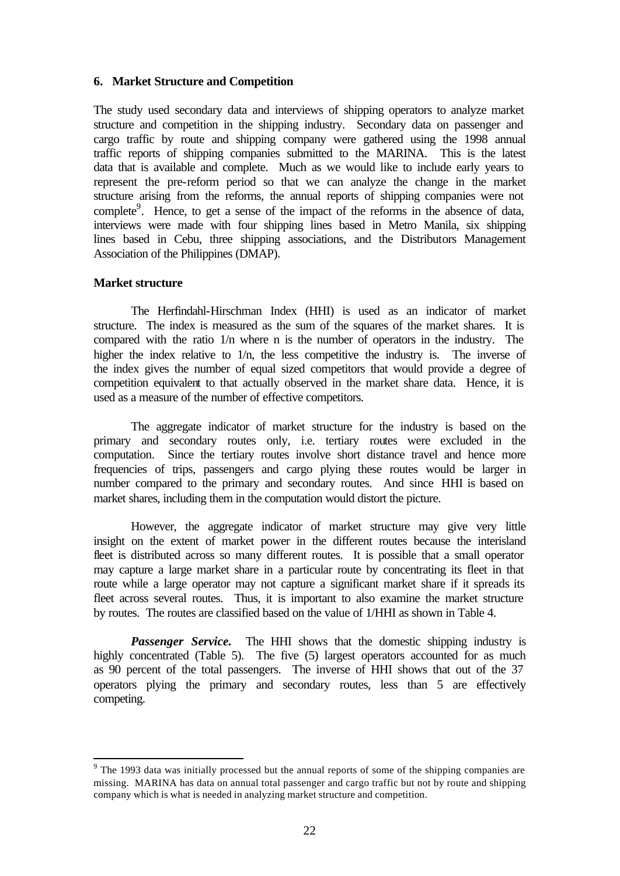#### **6. Market Structure and Competition**

The study used secondary data and interviews of shipping operators to analyze market structure and competition in the shipping industry. Secondary data on passenger and cargo traffic by route and shipping company were gathered using the 1998 annual traffic reports of shipping companies submitted to the MARINA. This is the latest data that is available and complete. Much as we would like to include early years to represent the pre-reform period so that we can analyze the change in the market structure arising from the reforms, the annual reports of shipping companies were not complete<sup>9</sup>. Hence, to get a sense of the impact of the reforms in the absence of data, interviews were made with four shipping lines based in Metro Manila, six shipping lines based in Cebu, three shipping associations, and the Distributors Management Association of the Philippines (DMAP).

#### **Market structure**

l

The Herfindahl-Hirschman Index (HHI) is used as an indicator of market structure. The index is measured as the sum of the squares of the market shares. It is compared with the ratio 1/n where n is the number of operators in the industry. The higher the index relative to  $1/n$ , the less competitive the industry is. The inverse of the index gives the number of equal sized competitors that would provide a degree of competition equivalent to that actually observed in the market share data. Hence, it is used as a measure of the number of effective competitors.

The aggregate indicator of market structure for the industry is based on the primary and secondary routes only, i.e. tertiary routes were excluded in the computation. Since the tertiary routes involve short distance travel and hence more frequencies of trips, passengers and cargo plying these routes would be larger in number compared to the primary and secondary routes. And since HHI is based on market shares, including them in the computation would distort the picture.

However, the aggregate indicator of market structure may give very little insight on the extent of market power in the different routes because the interisland fleet is distributed across so many different routes. It is possible that a small operator may capture a large market share in a particular route by concentrating its fleet in that route while a large operator may not capture a significant market share if it spreads its fleet across several routes. Thus, it is important to also examine the market structure by routes. The routes are classified based on the value of 1/HHI as shown in Table 4.

*Passenger Service.* The HHI shows that the domestic shipping industry is highly concentrated (Table 5). The five (5) largest operators accounted for as much as 90 percent of the total passengers. The inverse of HHI shows that out of the 37 operators plying the primary and secondary routes, less than 5 are effectively competing.

<sup>&</sup>lt;sup>9</sup> The 1993 data was initially processed but the annual reports of some of the shipping companies are missing. MARINA has data on annual total passenger and cargo traffic but not by route and shipping company which is what is needed in analyzing market structure and competition.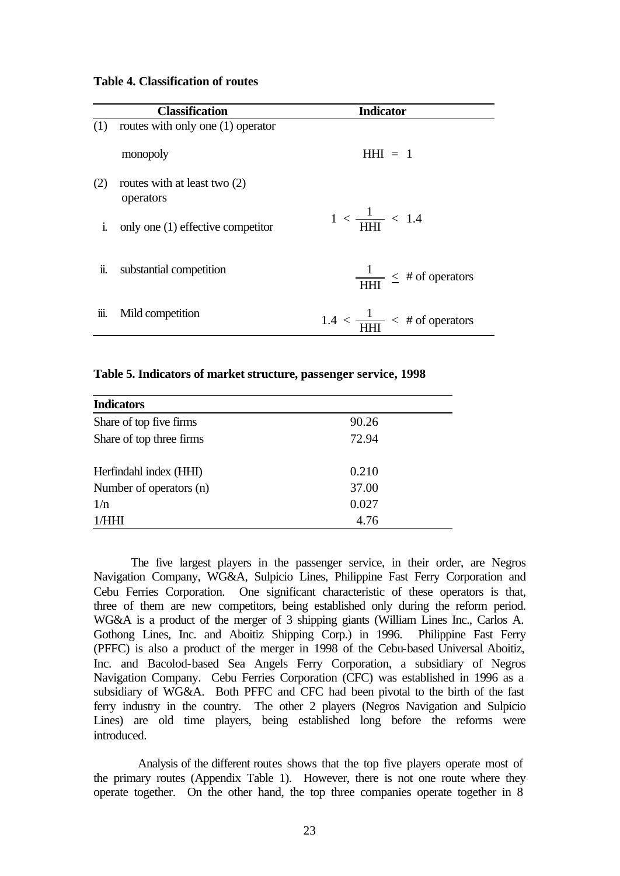|              | <b>Classification</b>                       | <b>Indicator</b>                                   |
|--------------|---------------------------------------------|----------------------------------------------------|
| (1)          | routes with only one (1) operator           |                                                    |
|              | monopoly                                    | $HHI = 1$                                          |
| (2)          | routes with at least two $(2)$<br>operators |                                                    |
| <sup>i</sup> | only one (1) effective competitor           | $1 < \frac{1}{\text{HHI}} < 1.4$                   |
| Ïl.          | substantial competition                     | $\frac{1}{\text{HHI}} \leq # \text{ of operators}$ |
| 111.         | Mild competition                            | $1.4 < \frac{1}{\text{H}} < 4$ of operators        |

#### **Table 5. Indicators of market structure, passenger service, 1998**

| <b>Indicators</b>        |       |
|--------------------------|-------|
| Share of top five firms  | 90.26 |
| Share of top three firms | 72.94 |
| Herfindahl index (HHI)   | 0.210 |
| Number of operators (n)  | 37.00 |
| 1/n                      | 0.027 |
| 1/HHI                    | 4.76  |

The five largest players in the passenger service, in their order, are Negros Navigation Company, WG&A, Sulpicio Lines, Philippine Fast Ferry Corporation and Cebu Ferries Corporation. One significant characteristic of these operators is that, three of them are new competitors, being established only during the reform period. WG&A is a product of the merger of 3 shipping giants (William Lines Inc., Carlos A. Gothong Lines, Inc. and Aboitiz Shipping Corp.) in 1996. Philippine Fast Ferry (PFFC) is also a product of the merger in 1998 of the Cebu-based Universal Aboitiz, Inc. and Bacolod-based Sea Angels Ferry Corporation, a subsidiary of Negros Navigation Company. Cebu Ferries Corporation (CFC) was established in 1996 as a subsidiary of WG&A. Both PFFC and CFC had been pivotal to the birth of the fast ferry industry in the country. The other 2 players (Negros Navigation and Sulpicio Lines) are old time players, being established long before the reforms were introduced.

 Analysis of the different routes shows that the top five players operate most of the primary routes (Appendix Table 1). However, there is not one route where they operate together. On the other hand, the top three companies operate together in 8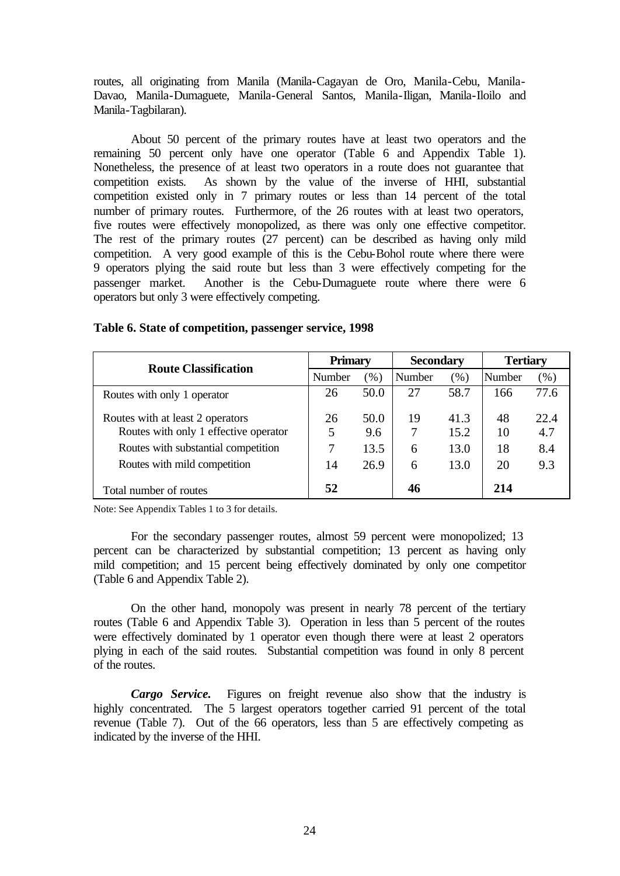routes, all originating from Manila (Manila-Cagayan de Oro, Manila-Cebu, Manila-Davao, Manila-Dumaguete, Manila-General Santos, Manila-Iligan, Manila-Iloilo and Manila-Tagbilaran).

About 50 percent of the primary routes have at least two operators and the remaining 50 percent only have one operator (Table 6 and Appendix Table 1). Nonetheless, the presence of at least two operators in a route does not guarantee that competition exists. As shown by the value of the inverse of HHI, substantial competition existed only in 7 primary routes or less than 14 percent of the total number of primary routes. Furthermore, of the 26 routes with at least two operators, five routes were effectively monopolized, as there was only one effective competitor. The rest of the primary routes (27 percent) can be described as having only mild competition. A very good example of this is the Cebu-Bohol route where there were 9 operators plying the said route but less than 3 were effectively competing for the passenger market. Another is the Cebu-Dumaguete route where there were 6 operators but only 3 were effectively competing.

| <b>Route Classification</b>           | <b>Primary</b> |        | <b>Secondary</b> |         | <b>Tertiary</b> |      |
|---------------------------------------|----------------|--------|------------------|---------|-----------------|------|
|                                       | Number         | $(\%)$ | Number           | $(\% )$ | Number          | (%)  |
| Routes with only 1 operator           | 26             | 50.0   | 27               | 58.7    | 166             | 77.6 |
| Routes with at least 2 operators      | 26             | 50.0   | 19               | 41.3    | 48              | 22.4 |
| Routes with only 1 effective operator | 5              | 9.6    | 7                | 15.2    | 10              | 4.7  |
| Routes with substantial competition   | 7              | 13.5   | 6                | 13.0    | 18              | 8.4  |
| Routes with mild competition          | 14             | 26.9   | 6                | 13.0    | 20              | 9.3  |
| Total number of routes                | 52             |        | 46               |         | 214             |      |

#### **Table 6. State of competition, passenger service, 1998**

Note: See Appendix Tables 1 to 3 for details.

For the secondary passenger routes, almost 59 percent were monopolized; 13 percent can be characterized by substantial competition; 13 percent as having only mild competition; and 15 percent being effectively dominated by only one competitor (Table 6 and Appendix Table 2).

On the other hand, monopoly was present in nearly 78 percent of the tertiary routes (Table 6 and Appendix Table 3). Operation in less than 5 percent of the routes were effectively dominated by 1 operator even though there were at least 2 operators plying in each of the said routes. Substantial competition was found in only 8 percent of the routes.

*Cargo Service.* Figures on freight revenue also show that the industry is highly concentrated. The 5 largest operators together carried 91 percent of the total revenue (Table 7). Out of the 66 operators, less than 5 are effectively competing as indicated by the inverse of the HHI.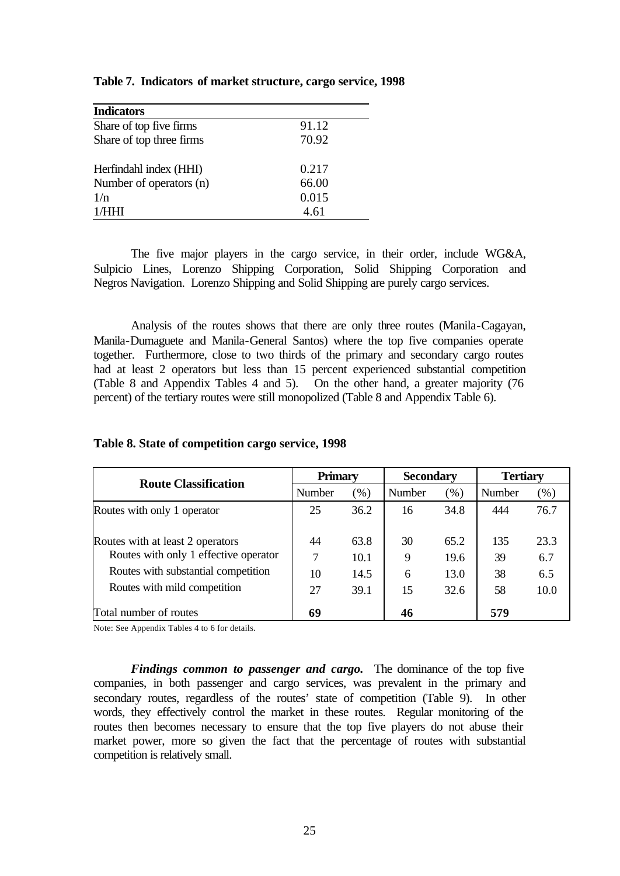| <b>Indicators</b>        |       |
|--------------------------|-------|
| Share of top five firms  | 91.12 |
| Share of top three firms | 70.92 |
| Herfindahl index (HHI)   | 0.217 |
| Number of operators (n)  | 66.00 |
| 1/n                      | 0.015 |
| 1/HHI                    | 4.61  |

**Table 7. Indicators of market structure, cargo service, 1998**

The five major players in the cargo service, in their order, include WG&A, Sulpicio Lines, Lorenzo Shipping Corporation, Solid Shipping Corporation and Negros Navigation. Lorenzo Shipping and Solid Shipping are purely cargo services.

Analysis of the routes shows that there are only three routes (Manila-Cagayan, Manila-Dumaguete and Manila-General Santos) where the top five companies operate together. Furthermore, close to two thirds of the primary and secondary cargo routes had at least 2 operators but less than 15 percent experienced substantial competition (Table 8 and Appendix Tables 4 and 5). On the other hand, a greater majority (76 percent) of the tertiary routes were still monopolized (Table 8 and Appendix Table 6).

| <b>Route Classification</b>           | <b>Primary</b> |      | <b>Secondary</b> |      | <b>Tertiary</b> |        |
|---------------------------------------|----------------|------|------------------|------|-----------------|--------|
|                                       | Number         | (%)  | Number           | (%)  | Number          | $(\%)$ |
| Routes with only 1 operator           | 25             | 36.2 | 16               | 34.8 | 444             | 76.7   |
| Routes with at least 2 operators      | 44             | 63.8 | 30               | 65.2 | 135             | 23.3   |
| Routes with only 1 effective operator |                | 10.1 | 9                | 19.6 | 39              | 6.7    |
| Routes with substantial competition   | 10             | 14.5 | 6                | 13.0 | 38              | 6.5    |
| Routes with mild competition          | 27             | 39.1 | 15               | 32.6 | 58              | 10.0   |
| Total number of routes                | 69             |      | 46               |      | 579             |        |

**Table 8. State of competition cargo service, 1998**

Note: See Appendix Tables 4 to 6 for details.

*Findings common to passenger and cargo.* The dominance of the top five companies, in both passenger and cargo services, was prevalent in the primary and secondary routes, regardless of the routes' state of competition (Table 9). In other words, they effectively control the market in these routes. Regular monitoring of the routes then becomes necessary to ensure that the top five players do not abuse their market power, more so given the fact that the percentage of routes with substantial competition is relatively small.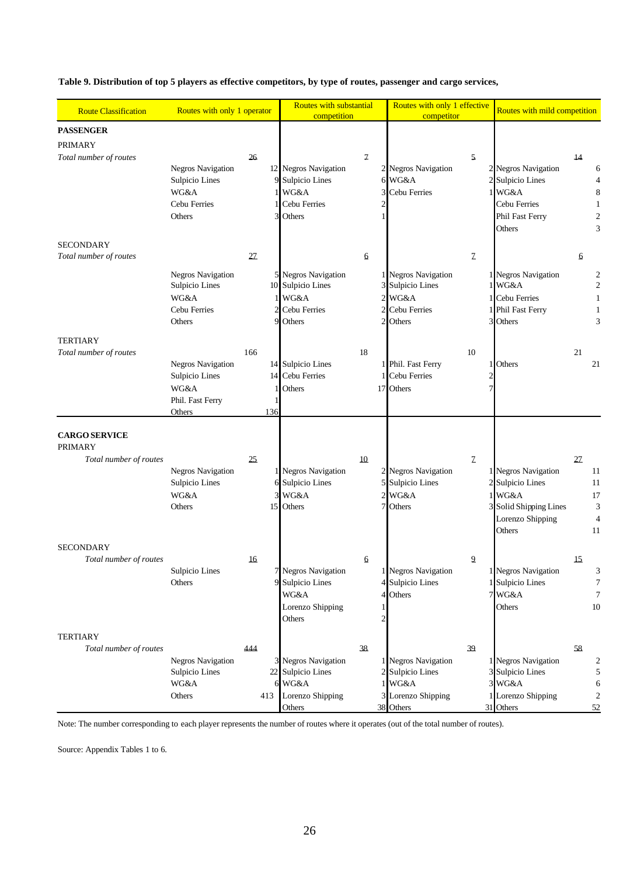**Table 9. Distribution of top 5 players as effective competitors, by type of routes, passenger and cargo services,** 

| <b>Route Classification</b>            | Routes with only 1 operator                |     | Routes with substantial                       |                | Routes with only 1 effective            |                | Routes with mild competition  |    |                      |
|----------------------------------------|--------------------------------------------|-----|-----------------------------------------------|----------------|-----------------------------------------|----------------|-------------------------------|----|----------------------|
|                                        |                                            |     | competition                                   |                | competitor                              |                |                               |    |                      |
| <b>PASSENGER</b>                       |                                            |     |                                               |                |                                         |                |                               |    |                      |
| <b>PRIMARY</b>                         |                                            |     |                                               |                |                                         |                |                               |    |                      |
| Total number of routes                 |                                            | 26  |                                               | $\mathcal I$   |                                         | 5.             |                               | 14 |                      |
|                                        | <b>Negros Navigation</b>                   |     | 12 Negros Navigation                          |                | 2 Negros Navigation                     |                | 2 Negros Navigation           |    | 6                    |
|                                        | Sulpicio Lines                             |     | Sulpicio Lines                                |                | 6 WG&A                                  |                | 2 Sulpicio Lines              |    | $\overline{4}$       |
|                                        | WG&A                                       |     | <b>WG&amp;A</b>                               | 3              | Cebu Ferries                            |                | $1$ WG&A                      |    | 8                    |
|                                        | Cebu Ferries                               |     | Cebu Ferries                                  | $\overline{c}$ |                                         |                | Cebu Ferries                  |    | 1                    |
|                                        | Others                                     |     | Others                                        |                |                                         |                | Phil Fast Ferry<br>Others     |    | $\overline{c}$<br>3  |
| <b>SECONDARY</b>                       |                                            |     |                                               |                |                                         |                |                               |    |                      |
| Total number of routes                 |                                            | 27  |                                               | 6              |                                         | $\mathcal{I}$  |                               | 6  |                      |
|                                        |                                            |     |                                               |                |                                         |                |                               |    |                      |
|                                        | <b>Negros Navigation</b><br>Sulpicio Lines |     | <b>Negros Navigation</b><br>10 Sulpicio Lines |                | 1 Negros Navigation<br>3 Sulpicio Lines |                | 1 Negros Navigation<br>1 WG&A |    | 2<br>$\mathfrak{2}$  |
|                                        | <b>WG&amp;A</b>                            |     | WG&A                                          |                | 2 WG&A                                  |                | 1 Cebu Ferries                |    |                      |
|                                        | Cebu Ferries                               |     | Cebu Ferries                                  |                | 2 Cebu Ferries                          |                | 1 Phil Fast Ferry             |    | 1                    |
|                                        | Others                                     | Ç   | Others                                        |                | 2 Others                                |                | 3 Others                      |    | 3                    |
| <b>TERTIARY</b>                        |                                            |     |                                               |                |                                         |                |                               |    |                      |
| Total number of routes                 |                                            | 166 |                                               | 18             |                                         | 10             |                               | 21 |                      |
|                                        | <b>Negros Navigation</b>                   |     | 14 Sulpicio Lines                             |                | 1 Phil. Fast Ferry                      |                | 1 Others                      |    | 21                   |
|                                        | Sulpicio Lines                             |     | 14 Cebu Ferries                               |                | 1 Cebu Ferries                          |                |                               |    |                      |
|                                        | <b>WG&amp;A</b>                            |     | Others                                        |                | 17 Others                               |                |                               |    |                      |
|                                        | Phil. Fast Ferry                           |     |                                               |                |                                         |                |                               |    |                      |
|                                        | Others                                     | 136 |                                               |                |                                         |                |                               |    |                      |
| <b>CARGO SERVICE</b><br><b>PRIMARY</b> |                                            |     |                                               |                |                                         |                |                               |    |                      |
| Total number of routes                 |                                            | 25  |                                               | 10             |                                         | $\mathcal I$   |                               | 27 |                      |
|                                        | <b>Negros Navigation</b>                   |     | <b>Negros Navigation</b>                      |                | 2 Negros Navigation                     |                | 1 Negros Navigation           |    | 11                   |
|                                        | Sulpicio Lines                             |     | Sulpicio Lines                                |                | 5 Sulpicio Lines                        |                | 2 Sulpicio Lines              |    | 11                   |
|                                        | WG&A<br>Others                             |     | WG&A                                          |                | $2$ WG&A<br>7 Others                    |                | $1$ WG&A                      |    | 17                   |
|                                        |                                            | 15  | Others                                        |                |                                         |                | 3 Solid Shipping Lines        |    | 3                    |
|                                        |                                            |     |                                               |                |                                         |                | Lorenzo Shipping<br>Others    |    | $\overline{4}$<br>11 |
| <b>SECONDARY</b>                       |                                            |     |                                               |                |                                         |                |                               |    |                      |
| Total number of routes                 |                                            | 16  |                                               | 6              |                                         | $\overline{a}$ |                               | 15 |                      |
|                                        | Sulpicio Lines                             |     | 7 Negros Navigation                           |                | 1 Negros Navigation                     |                | 1 Negros Navigation           |    | 3                    |
|                                        | Others                                     |     | Sulpicio Lines                                |                | 4 Sulpicio Lines                        |                | 1 Sulpicio Lines              |    | 7                    |
|                                        |                                            |     | WG&A                                          |                | 4 Others                                |                | 7 WG&A                        |    | 7                    |
|                                        |                                            |     | Lorenzo Shipping                              |                |                                         |                | Others                        |    | 10                   |
|                                        |                                            |     | Others                                        |                |                                         |                |                               |    |                      |
| <b>TERTIARY</b>                        |                                            |     |                                               |                |                                         |                |                               |    |                      |
| Total number of routes                 |                                            | 444 |                                               | 38             |                                         | 39             |                               | 58 |                      |
|                                        | <b>Negros Navigation</b>                   |     | <b>Negros Navigation</b>                      |                | 1 Negros Navigation                     |                | 1 Negros Navigation           |    | 2                    |
|                                        | Sulpicio Lines                             | 22  | Sulpicio Lines                                |                | 2 Sulpicio Lines                        |                | 3 Sulpicio Lines              |    | 5                    |
|                                        | WG&A                                       |     | 6 WG&A                                        |                | 1 WG&A                                  |                | 3 WG&A                        |    | 6                    |
|                                        | Others                                     | 413 | Lorenzo Shipping                              |                | 3 Lorenzo Shipping                      |                | 1 Lorenzo Shipping            |    | $\mathfrak{2}$       |
|                                        |                                            |     | Others                                        |                | 38 Others                               |                | 31 Others                     |    | 52                   |

Note: The number corresponding to each player represents the number of routes where it operates (out of the total number of routes).

Source: Appendix Tables 1 to 6.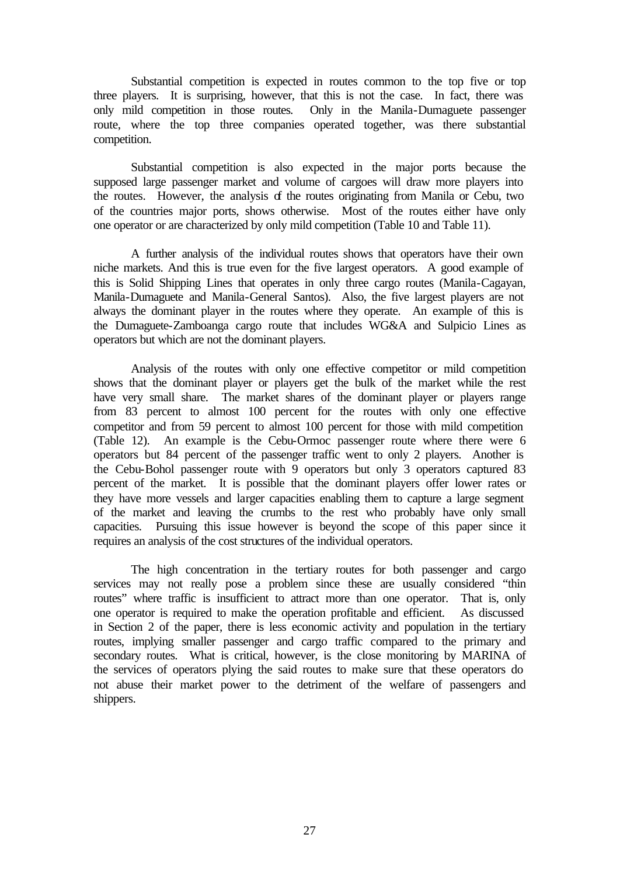Substantial competition is expected in routes common to the top five or top three players. It is surprising, however, that this is not the case. In fact, there was only mild competition in those routes. Only in the Manila-Dumaguete passenger route, where the top three companies operated together, was there substantial competition.

Substantial competition is also expected in the major ports because the supposed large passenger market and volume of cargoes will draw more players into the routes. However, the analysis of the routes originating from Manila or Cebu, two of the countries major ports, shows otherwise. Most of the routes either have only one operator or are characterized by only mild competition (Table 10 and Table 11).

A further analysis of the individual routes shows that operators have their own niche markets. And this is true even for the five largest operators. A good example of this is Solid Shipping Lines that operates in only three cargo routes (Manila-Cagayan, Manila-Dumaguete and Manila-General Santos). Also, the five largest players are not always the dominant player in the routes where they operate. An example of this is the Dumaguete-Zamboanga cargo route that includes WG&A and Sulpicio Lines as operators but which are not the dominant players.

Analysis of the routes with only one effective competitor or mild competition shows that the dominant player or players get the bulk of the market while the rest have very small share. The market shares of the dominant player or players range from 83 percent to almost 100 percent for the routes with only one effective competitor and from 59 percent to almost 100 percent for those with mild competition (Table 12). An example is the Cebu-Ormoc passenger route where there were 6 operators but 84 percent of the passenger traffic went to only 2 players. Another is the Cebu-Bohol passenger route with 9 operators but only 3 operators captured 83 percent of the market. It is possible that the dominant players offer lower rates or they have more vessels and larger capacities enabling them to capture a large segment of the market and leaving the crumbs to the rest who probably have only small capacities. Pursuing this issue however is beyond the scope of this paper since it requires an analysis of the cost structures of the individual operators.

The high concentration in the tertiary routes for both passenger and cargo services may not really pose a problem since these are usually considered "thin routes" where traffic is insufficient to attract more than one operator. That is, only one operator is required to make the operation profitable and efficient. As discussed in Section 2 of the paper, there is less economic activity and population in the tertiary routes, implying smaller passenger and cargo traffic compared to the primary and secondary routes. What is critical, however, is the close monitoring by MARINA of the services of operators plying the said routes to make sure that these operators do not abuse their market power to the detriment of the welfare of passengers and shippers.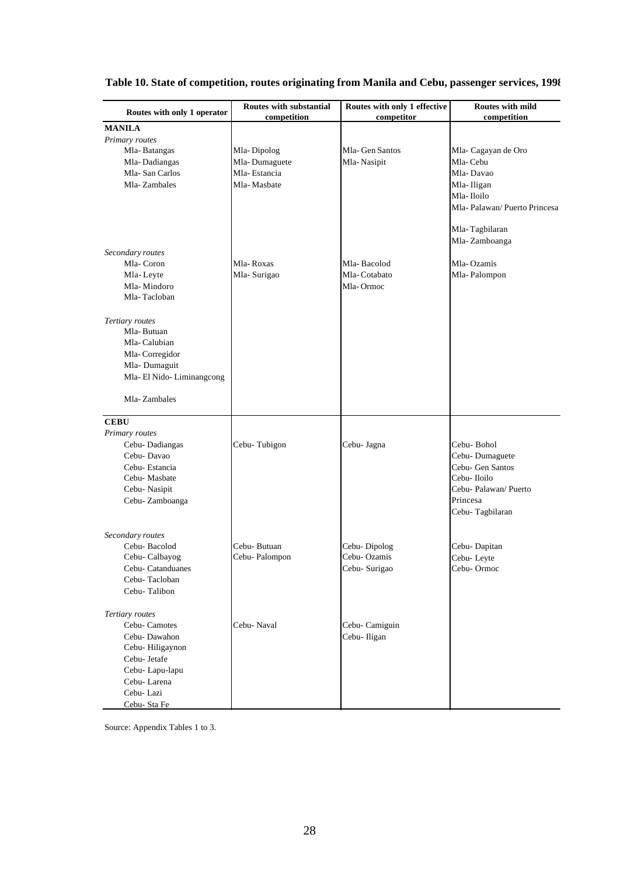| Routes with only 1 operator | Routes with substantial<br>competition | Routes with only 1 effective<br>competitor | <b>Routes with mild</b><br>competition |
|-----------------------------|----------------------------------------|--------------------------------------------|----------------------------------------|
| <b>MANILA</b>               |                                        |                                            |                                        |
| Primary routes              |                                        |                                            |                                        |
| Mla-Batangas                | Mla-Dipolog                            | Mla-Gen Santos                             | Mla-Cagayan de Oro                     |
| Mla-Dadiangas               | Mla-Dumaguete                          | Mla-Nasipit                                | Mla-Cebu                               |
| Mla-San Carlos              | Mla-Estancia                           |                                            | Mla-Davao                              |
| Mla-Zambales                | Mla-Masbate                            |                                            | Mla-Iligan                             |
|                             |                                        |                                            | Mla-Iloilo                             |
|                             |                                        |                                            | Mla-Palawan/Puerto Princesa            |
|                             |                                        |                                            | Mla-Tagbilaran                         |
|                             |                                        |                                            | Mla-Zamboanga                          |
| Secondary routes            |                                        |                                            |                                        |
| Mla-Coron                   | Mla-Roxas                              | Mla-Bacolod                                | Mla-Ozamis                             |
| Mla-Leyte                   | Mla-Surigao                            | Mla-Cotabato                               | Mla-Palompon                           |
| Mla-Mindoro                 |                                        | Mla-Ormoc                                  |                                        |
| Mla-Tacloban                |                                        |                                            |                                        |
| Tertiary routes             |                                        |                                            |                                        |
| Mla-Butuan                  |                                        |                                            |                                        |
| Mla-Calubian                |                                        |                                            |                                        |
| Mla-Corregidor              |                                        |                                            |                                        |
| Mla-Dumaguit                |                                        |                                            |                                        |
| Mla-El Nido-Liminangcong    |                                        |                                            |                                        |
|                             |                                        |                                            |                                        |
| Mla-Zambales                |                                        |                                            |                                        |
| <b>CEBU</b>                 |                                        |                                            |                                        |
| Primary routes              |                                        |                                            |                                        |
| Cebu-Dadiangas              | Cebu-Tubigon                           | Cebu- Jagna                                | Cebu- Bohol                            |
| Cebu-Davao                  |                                        |                                            | Cebu-Dumaguete                         |
| Cebu-Estancia               |                                        |                                            | Cebu- Gen Santos                       |
| Cebu- Masbate               |                                        |                                            | Cebu- Iloilo                           |
| Cebu- Nasipit               |                                        |                                            | Cebu- Palawan/ Puerto                  |
| Cebu- Zamboanga             |                                        |                                            | Princesa                               |
|                             |                                        |                                            | Cebu-Tagbilaran                        |
| Secondary routes            |                                        |                                            |                                        |
| Cebu-Bacolod                | Cebu- Butuan                           | Cebu-Dipolog                               | Cebu-Dapitan                           |
| Cebu- Calbayog              | Cebu-Palompon                          | Cebu-Ozamis                                | Cebu-Leyte                             |
| Cebu- Catanduanes           |                                        | Cebu- Surigao                              | Cebu-Ormoc                             |
| Cebu-Tacloban               |                                        |                                            |                                        |
| Cebu-Talibon                |                                        |                                            |                                        |
|                             |                                        |                                            |                                        |
| Tertiary routes             |                                        |                                            |                                        |
| Cebu-Camotes                | Cebu-Naval                             | Cebu- Camiguin                             |                                        |
| Cebu-Dawahon                |                                        | Cebu- Iligan                               |                                        |
| Cebu-Hiligaynon             |                                        |                                            |                                        |
| Cebu- Jetafe                |                                        |                                            |                                        |
| Cebu-Lapu-lapu              |                                        |                                            |                                        |
| Cebu-Larena                 |                                        |                                            |                                        |
| Cebu-Lazi                   |                                        |                                            |                                        |
| Cebu- Sta Fe                |                                        |                                            |                                        |

### **Table 10. State of competition, routes originating from Manila and Cebu, passenger services, 1998**

Source: Appendix Tables 1 to 3.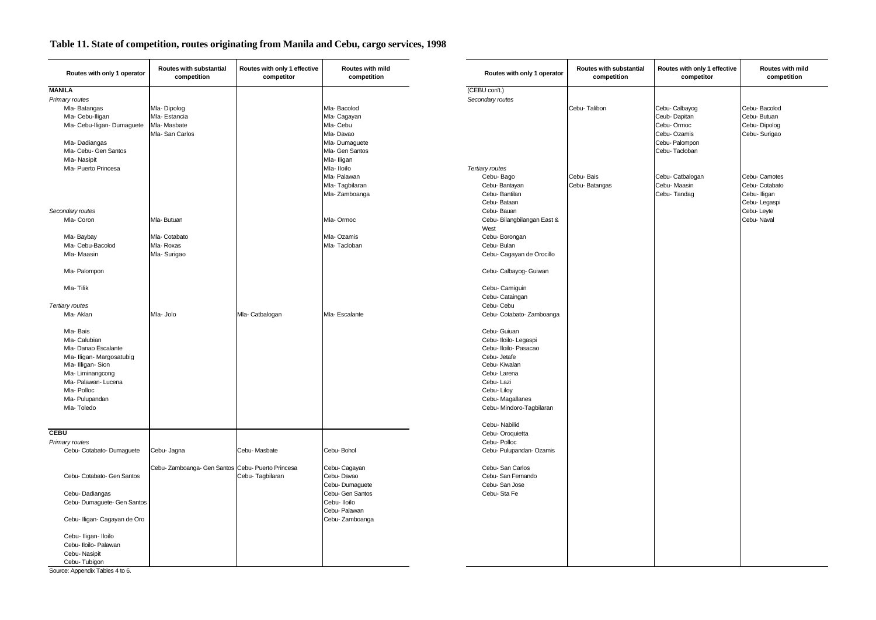| Routes with only 1 operator  | Routes with substantial<br>competition            | Routes with only 1 effective<br>competitor | Routes with mild<br>competition | Routes with only 1 operator | Routes with substantial<br>competition | Routes with only 1 effective<br>competitor | Routes <sup>®</sup><br>comp |
|------------------------------|---------------------------------------------------|--------------------------------------------|---------------------------------|-----------------------------|----------------------------------------|--------------------------------------------|-----------------------------|
| <b>MANILA</b>                |                                                   |                                            |                                 | (CEBU con't.)               |                                        |                                            |                             |
| Primary routes               |                                                   |                                            |                                 | Secondary routes            |                                        |                                            |                             |
| Mla-Batangas                 | Mla-Dipolog                                       |                                            | Mla-Bacolod                     |                             | Cebu-Talibon                           | Cebu-Calbayog                              | Cebu-Bacolod                |
| Mla- Cebu-Iligan             | Mla-Estancia                                      |                                            | Mla-Cagayan                     |                             |                                        | Ceub-Dapitan                               | Cebu-Butuan                 |
| Mla- Cebu-Iligan- Dumaguete  | Mla-Masbate                                       |                                            | Mla- Cebu                       |                             |                                        | Cebu-Ormoc                                 | Cebu-Dipolog                |
|                              | Mla-San Carlos                                    |                                            | Mla-Davao                       |                             |                                        | Cebu-Ozamis                                | Cebu- Surigao               |
| Mla-Dadiangas                |                                                   |                                            | Mla-Dumaguete                   |                             |                                        | Cebu- Palompon                             |                             |
| Mla- Cebu- Gen Santos        |                                                   |                                            | Mla- Gen Santos                 |                             |                                        | Cebu-Tacloban                              |                             |
| Mla-Nasipit                  |                                                   |                                            | Mla- Iligan                     |                             |                                        |                                            |                             |
| Mla- Puerto Princesa         |                                                   |                                            | Mla- Iloilo                     | Tertiary routes             |                                        |                                            |                             |
|                              |                                                   |                                            | Mla- Palawan                    | Cebu-Bago                   | Cebu-Bais                              | Cebu- Catbalogan                           | Cebu- Camotes               |
|                              |                                                   |                                            | Mla-Tagbilaran                  | Cebu-Bantayan               | Cebu-Batangas                          | Cebu-Maasin                                | Cebu-Cotabato               |
|                              |                                                   |                                            | Mla-Zamboanga                   | Cebu-Bantilan               |                                        | Cebu-Tandag                                | Cebu-Iligan                 |
|                              |                                                   |                                            |                                 | Cebu-Bataan                 |                                        |                                            | Cebu-Legaspi                |
| Secondary routes             |                                                   |                                            |                                 | Cebu-Bauan                  |                                        |                                            | Cebu-Leyte                  |
| Mla-Coron                    | Mla-Butuan                                        |                                            | Mla-Ormoc                       | Cebu- Bilangbilangan East & |                                        |                                            | Cebu-Naval                  |
|                              |                                                   |                                            |                                 | West                        |                                        |                                            |                             |
| Mla-Baybay                   | Mla-Cotabato                                      |                                            | Mla-Ozamis                      | Cebu-Borongan               |                                        |                                            |                             |
| Mla- Cebu-Bacolod            | Mla-Roxas                                         |                                            | Mla-Tacloban                    | Cebu- Bulan                 |                                        |                                            |                             |
| Mla-Maasin                   | Mla-Surigao                                       |                                            |                                 | Cebu- Cagayan de Orocillo   |                                        |                                            |                             |
| Mla-Palompon                 |                                                   |                                            |                                 | Cebu- Calbayog- Guiwan      |                                        |                                            |                             |
| Mla-Tilik                    |                                                   |                                            |                                 | Cebu-Camiguin               |                                        |                                            |                             |
|                              |                                                   |                                            |                                 | Cebu-Cataingan              |                                        |                                            |                             |
| Tertiary routes              |                                                   |                                            |                                 | Cebu- Cebu                  |                                        |                                            |                             |
| Mla- Aklan                   | Mla- Jolo                                         | Mla- Catbalogan                            | Mla- Escalante                  | Cebu- Cotabato- Zamboanga   |                                        |                                            |                             |
| Mla-Bais                     |                                                   |                                            |                                 | Cebu- Guiuan                |                                        |                                            |                             |
| Mla-Calubian                 |                                                   |                                            |                                 | Cebu- Iloilo- Legaspi       |                                        |                                            |                             |
| Mla-Danao Escalante          |                                                   |                                            |                                 | Cebu- Iloilo- Pasacao       |                                        |                                            |                             |
| Mla- Iligan- Margosatubig    |                                                   |                                            |                                 | Cebu- Jetafe                |                                        |                                            |                             |
| Mla- Illigan- Sion           |                                                   |                                            |                                 | Cebu-Kiwalan                |                                        |                                            |                             |
| Mla-Liminangcong             |                                                   |                                            |                                 | Cebu-Larena                 |                                        |                                            |                             |
| Mla-Palawan-Lucena           |                                                   |                                            |                                 | Cebu-Lazi                   |                                        |                                            |                             |
| Mla-Polloc                   |                                                   |                                            |                                 | Cebu-Liloy                  |                                        |                                            |                             |
| Mla- Pulupandan              |                                                   |                                            |                                 | Cebu-Magallanes             |                                        |                                            |                             |
| Mla-Toledo                   |                                                   |                                            |                                 | Cebu- Mindoro-Tagbilaran    |                                        |                                            |                             |
|                              |                                                   |                                            |                                 | Cebu-Nabilid                |                                        |                                            |                             |
| <b>CEBU</b>                  |                                                   |                                            |                                 | Cebu-Oroquietta             |                                        |                                            |                             |
| Primary routes               |                                                   |                                            |                                 | Cebu-Polloc                 |                                        |                                            |                             |
| Cebu- Cotabato- Dumaguete    | Cebu- Jagna                                       | Cebu-Masbate                               | Cebu-Bohol                      | Cebu- Pulupandan- Ozamis    |                                        |                                            |                             |
|                              | Cebu- Zamboanga- Gen Santos Cebu- Puerto Princesa |                                            | Cebu- Cagayan                   | Cebu-San Carlos             |                                        |                                            |                             |
| Cebu- Cotabato- Gen Santos   |                                                   | Cebu-Tagbilaran                            | Cebu-Davao                      | Cebu-San Fernando           |                                        |                                            |                             |
|                              |                                                   |                                            | Cebu-Dumaguete                  | Cebu-San Jose               |                                        |                                            |                             |
| Cebu-Dadiangas               |                                                   |                                            | Cebu- Gen Santos                | Cebu-Sta Fe                 |                                        |                                            |                             |
| Cebu- Dumaguete- Gen Santos  |                                                   |                                            | Cebu-Iloilo                     |                             |                                        |                                            |                             |
|                              |                                                   |                                            | Cebu- Palawan                   |                             |                                        |                                            |                             |
| Cebu- Iligan- Cagayan de Oro |                                                   |                                            | Cebu- Zamboanga                 |                             |                                        |                                            |                             |
| Cebu- Iligan- Iloilo         |                                                   |                                            |                                 |                             |                                        |                                            |                             |
| Cebu- Iloilo- Palawan        |                                                   |                                            |                                 |                             |                                        |                                            |                             |
| Cebu-Nasipit                 |                                                   |                                            |                                 |                             |                                        |                                            |                             |
| Cebu-Tubigon                 |                                                   |                                            |                                 |                             |                                        |                                            |                             |

**Routes with mild competition**

#### **Table 11. State of competition, routes originating from Manila and Cebu, cargo services, 1998**

Source: Appendix Tables 4 to 6.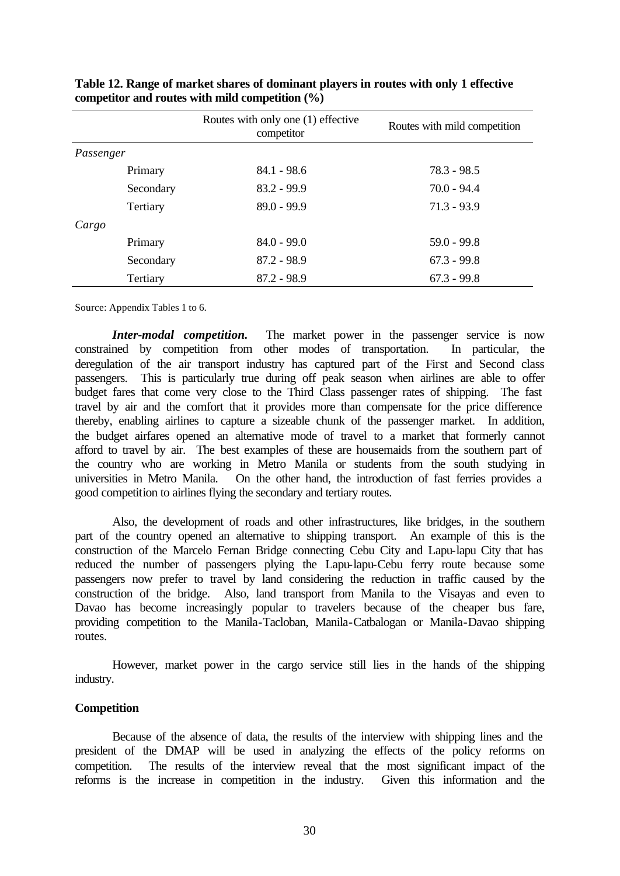|           |           | Routes with only one (1) effective<br>competitor | Routes with mild competition |
|-----------|-----------|--------------------------------------------------|------------------------------|
| Passenger |           |                                                  |                              |
|           | Primary   | $84.1 - 98.6$                                    | 78.3 - 98.5                  |
|           | Secondary | $83.2 - 99.9$                                    | $70.0 - 94.4$                |
|           | Tertiary  | $89.0 - 99.9$                                    | $71.3 - 93.9$                |
| Cargo     |           |                                                  |                              |
|           | Primary   | $84.0 - 99.0$                                    | $59.0 - 99.8$                |
|           | Secondary | $87.2 - 98.9$                                    | $67.3 - 99.8$                |
|           | Tertiary  | $87.2 - 98.9$                                    | $67.3 - 99.8$                |

**Table 12. Range of market shares of dominant players in routes with only 1 effective competitor and routes with mild competition (%)**

Source: Appendix Tables 1 to 6.

*Inter-modal competition.* The market power in the passenger service is now constrained by competition from other modes of transportation. In particular, the deregulation of the air transport industry has captured part of the First and Second class passengers. This is particularly true during off peak season when airlines are able to offer budget fares that come very close to the Third Class passenger rates of shipping. The fast travel by air and the comfort that it provides more than compensate for the price difference thereby, enabling airlines to capture a sizeable chunk of the passenger market. In addition, the budget airfares opened an alternative mode of travel to a market that formerly cannot afford to travel by air. The best examples of these are housemaids from the southern part of the country who are working in Metro Manila or students from the south studying in universities in Metro Manila. On the other hand, the introduction of fast ferries provides a good competition to airlines flying the secondary and tertiary routes.

Also, the development of roads and other infrastructures, like bridges, in the southern part of the country opened an alternative to shipping transport. An example of this is the construction of the Marcelo Fernan Bridge connecting Cebu City and Lapu-lapu City that has reduced the number of passengers plying the Lapu-lapu-Cebu ferry route because some passengers now prefer to travel by land considering the reduction in traffic caused by the construction of the bridge. Also, land transport from Manila to the Visayas and even to Davao has become increasingly popular to travelers because of the cheaper bus fare, providing competition to the Manila-Tacloban, Manila-Catbalogan or Manila-Davao shipping routes.

However, market power in the cargo service still lies in the hands of the shipping industry.

#### **Competition**

Because of the absence of data, the results of the interview with shipping lines and the president of the DMAP will be used in analyzing the effects of the policy reforms on competition. The results of the interview reveal that the most significant impact of the reforms is the increase in competition in the industry. Given this information and the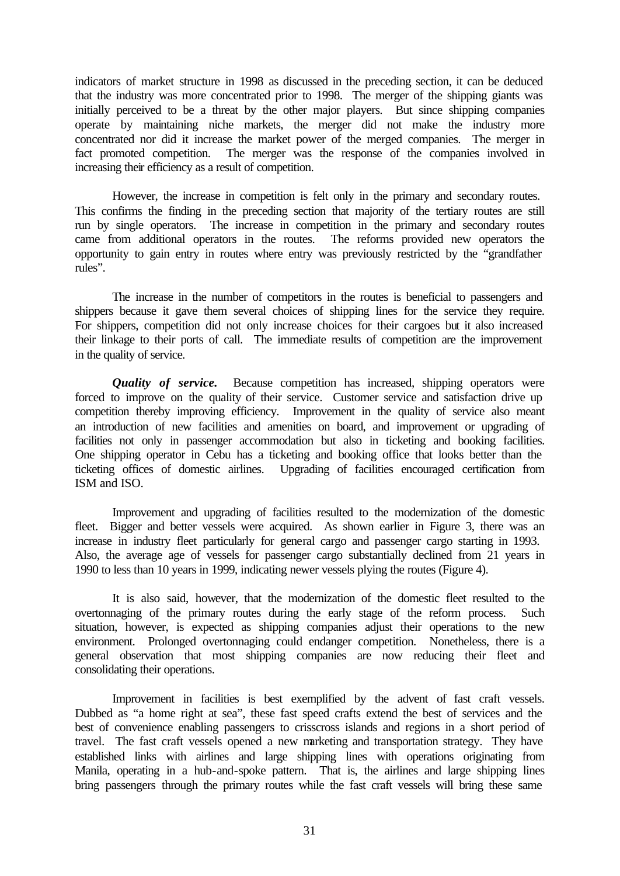indicators of market structure in 1998 as discussed in the preceding section, it can be deduced that the industry was more concentrated prior to 1998. The merger of the shipping giants was initially perceived to be a threat by the other major players. But since shipping companies operate by maintaining niche markets, the merger did not make the industry more concentrated nor did it increase the market power of the merged companies. The merger in fact promoted competition. The merger was the response of the companies involved in increasing their efficiency as a result of competition.

However, the increase in competition is felt only in the primary and secondary routes. This confirms the finding in the preceding section that majority of the tertiary routes are still run by single operators. The increase in competition in the primary and secondary routes came from additional operators in the routes. The reforms provided new operators the opportunity to gain entry in routes where entry was previously restricted by the "grandfather rules".

The increase in the number of competitors in the routes is beneficial to passengers and shippers because it gave them several choices of shipping lines for the service they require. For shippers, competition did not only increase choices for their cargoes but it also increased their linkage to their ports of call. The immediate results of competition are the improvement in the quality of service.

*Quality of service*. Because competition has increased, shipping operators were forced to improve on the quality of their service. Customer service and satisfaction drive up competition thereby improving efficiency. Improvement in the quality of service also meant an introduction of new facilities and amenities on board, and improvement or upgrading of facilities not only in passenger accommodation but also in ticketing and booking facilities. One shipping operator in Cebu has a ticketing and booking office that looks better than the ticketing offices of domestic airlines. Upgrading of facilities encouraged certification from ISM and ISO.

Improvement and upgrading of facilities resulted to the modernization of the domestic fleet. Bigger and better vessels were acquired. As shown earlier in Figure 3, there was an increase in industry fleet particularly for general cargo and passenger cargo starting in 1993. Also, the average age of vessels for passenger cargo substantially declined from 21 years in 1990 to less than 10 years in 1999, indicating newer vessels plying the routes (Figure 4).

It is also said, however, that the modernization of the domestic fleet resulted to the overtonnaging of the primary routes during the early stage of the reform process. Such situation, however, is expected as shipping companies adjust their operations to the new environment. Prolonged overtonnaging could endanger competition. Nonetheless, there is a general observation that most shipping companies are now reducing their fleet and consolidating their operations.

Improvement in facilities is best exemplified by the advent of fast craft vessels. Dubbed as "a home right at sea", these fast speed crafts extend the best of services and the best of convenience enabling passengers to crisscross islands and regions in a short period of travel. The fast craft vessels opened a new marketing and transportation strategy. They have established links with airlines and large shipping lines with operations originating from Manila, operating in a hub-and-spoke pattern. That is, the airlines and large shipping lines bring passengers through the primary routes while the fast craft vessels will bring these same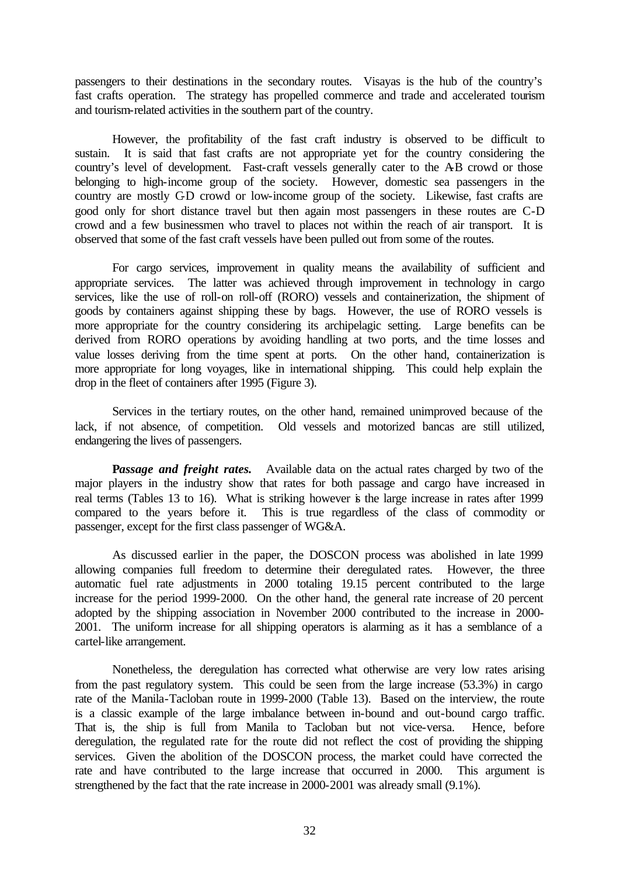passengers to their destinations in the secondary routes. Visayas is the hub of the country's fast crafts operation. The strategy has propelled commerce and trade and accelerated tourism and tourism-related activities in the southern part of the country.

However, the profitability of the fast craft industry is observed to be difficult to sustain. It is said that fast crafts are not appropriate yet for the country considering the country's level of development. Fast-craft vessels generally cater to the AB crowd or those belonging to high-income group of the society. However, domestic sea passengers in the country are mostly C-D crowd or low-income group of the society. Likewise, fast crafts are good only for short distance travel but then again most passengers in these routes are C-D crowd and a few businessmen who travel to places not within the reach of air transport. It is observed that some of the fast craft vessels have been pulled out from some of the routes.

For cargo services, improvement in quality means the availability of sufficient and appropriate services. The latter was achieved through improvement in technology in cargo services, like the use of roll-on roll-off (RORO) vessels and containerization, the shipment of goods by containers against shipping these by bags. However, the use of RORO vessels is more appropriate for the country considering its archipelagic setting. Large benefits can be derived from RORO operations by avoiding handling at two ports, and the time losses and value losses deriving from the time spent at ports. On the other hand, containerization is more appropriate for long voyages, like in international shipping. This could help explain the drop in the fleet of containers after 1995 (Figure 3).

Services in the tertiary routes, on the other hand, remained unimproved because of the lack, if not absence, of competition. Old vessels and motorized bancas are still utilized, endangering the lives of passengers.

**P***assage and freight rates.* Available data on the actual rates charged by two of the major players in the industry show that rates for both passage and cargo have increased in real terms (Tables 13 to 16). What is striking however is the large increase in rates after 1999 compared to the years before it. This is true regardless of the class of commodity or passenger, except for the first class passenger of WG&A.

As discussed earlier in the paper, the DOSCON process was abolished in late 1999 allowing companies full freedom to determine their deregulated rates. However, the three automatic fuel rate adjustments in 2000 totaling 19.15 percent contributed to the large increase for the period 1999-2000. On the other hand, the general rate increase of 20 percent adopted by the shipping association in November 2000 contributed to the increase in 2000- 2001. The uniform increase for all shipping operators is alarming as it has a semblance of a cartel-like arrangement.

Nonetheless, the deregulation has corrected what otherwise are very low rates arising from the past regulatory system. This could be seen from the large increase (53.3%) in cargo rate of the Manila-Tacloban route in 1999-2000 (Table 13). Based on the interview, the route is a classic example of the large imbalance between in-bound and out-bound cargo traffic. That is, the ship is full from Manila to Tacloban but not vice-versa. Hence, before deregulation, the regulated rate for the route did not reflect the cost of providing the shipping services. Given the abolition of the DOSCON process, the market could have corrected the rate and have contributed to the large increase that occurred in 2000. This argument is strengthened by the fact that the rate increase in 2000-2001 was already small (9.1%).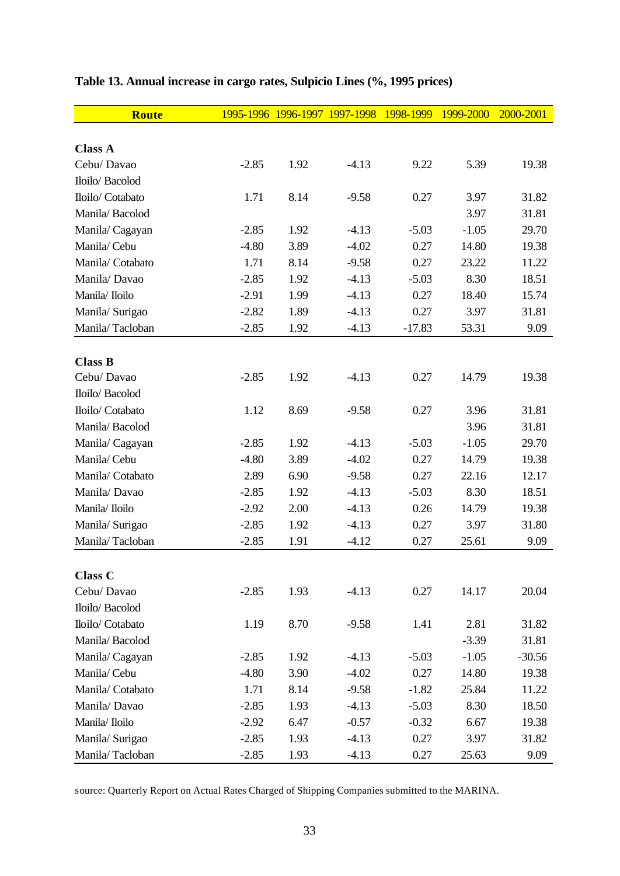| <b>Route</b>     |         | 1995-1996 1996-1997 1997-1998 |         | 1998-1999 | 1999-2000 | 2000-2001 |
|------------------|---------|-------------------------------|---------|-----------|-----------|-----------|
|                  |         |                               |         |           |           |           |
| <b>Class A</b>   |         |                               |         |           |           |           |
| Cebu/ Davao      | $-2.85$ | 1.92                          | $-4.13$ | 9.22      | 5.39      | 19.38     |
| Iloilo/ Bacolod  |         |                               |         |           |           |           |
| Iloilo/ Cotabato | 1.71    | 8.14                          | $-9.58$ | 0.27      | 3.97      | 31.82     |
| Manila/Bacolod   |         |                               |         |           | 3.97      | 31.81     |
| Manila/Cagayan   | $-2.85$ | 1.92                          | $-4.13$ | $-5.03$   | $-1.05$   | 29.70     |
| Manila/Cebu      | $-4.80$ | 3.89                          | $-4.02$ | 0.27      | 14.80     | 19.38     |
| Manila/Cotabato  | 1.71    | 8.14                          | $-9.58$ | 0.27      | 23.22     | 11.22     |
| Manila/Davao     | $-2.85$ | 1.92                          | $-4.13$ | $-5.03$   | 8.30      | 18.51     |
| Manila/Iloilo    | $-2.91$ | 1.99                          | $-4.13$ | 0.27      | 18.40     | 15.74     |
| Manila/ Surigao  | $-2.82$ | 1.89                          | $-4.13$ | 0.27      | 3.97      | 31.81     |
| Manila/Tacloban  | $-2.85$ | 1.92                          | $-4.13$ | $-17.83$  | 53.31     | 9.09      |
|                  |         |                               |         |           |           |           |
| <b>Class B</b>   |         |                               |         |           |           |           |
| Cebu/ Davao      | $-2.85$ | 1.92                          | $-4.13$ | 0.27      | 14.79     | 19.38     |
| Iloilo/ Bacolod  |         |                               |         |           |           |           |
| Iloilo/ Cotabato | 1.12    | 8.69                          | $-9.58$ | 0.27      | 3.96      | 31.81     |
| Manila/Bacolod   |         |                               |         |           | 3.96      | 31.81     |
| Manila/ Cagayan  | $-2.85$ | 1.92                          | $-4.13$ | $-5.03$   | $-1.05$   | 29.70     |
| Manila/Cebu      | $-4.80$ | 3.89                          | $-4.02$ | 0.27      | 14.79     | 19.38     |
| Manila/Cotabato  | 2.89    | 6.90                          | $-9.58$ | 0.27      | 22.16     | 12.17     |
| Manila/Davao     | $-2.85$ | 1.92                          | $-4.13$ | $-5.03$   | 8.30      | 18.51     |
| Manila/Iloilo    | $-2.92$ | 2.00                          | $-4.13$ | 0.26      | 14.79     | 19.38     |
| Manila/ Surigao  | $-2.85$ | 1.92                          | $-4.13$ | 0.27      | 3.97      | 31.80     |
| Manila/Tacloban  | $-2.85$ | 1.91                          | $-4.12$ | 0.27      | 25.61     | 9.09      |
|                  |         |                               |         |           |           |           |
| Class C          |         |                               |         |           |           |           |
| Cebu/ Davao      | $-2.85$ | 1.93                          | $-4.13$ | 0.27      | 14.17     | 20.04     |
| Iloilo/ Bacolod  |         |                               |         |           |           |           |
| Iloilo/ Cotabato | 1.19    | 8.70                          | $-9.58$ | 1.41      | 2.81      | 31.82     |
| Manila/Bacolod   |         |                               |         |           | $-3.39$   | 31.81     |
| Manila/Cagayan   | $-2.85$ | 1.92                          | $-4.13$ | $-5.03$   | $-1.05$   | $-30.56$  |
| Manila/Cebu      | $-4.80$ | 3.90                          | $-4.02$ | 0.27      | 14.80     | 19.38     |
| Manila/Cotabato  | 1.71    | 8.14                          | $-9.58$ | $-1.82$   | 25.84     | 11.22     |
| Manila/Davao     | $-2.85$ | 1.93                          | $-4.13$ | $-5.03$   | 8.30      | 18.50     |
| Manila/Iloilo    | $-2.92$ | 6.47                          | $-0.57$ | $-0.32$   | 6.67      | 19.38     |
| Manila/ Surigao  | $-2.85$ | 1.93                          | $-4.13$ | 0.27      | 3.97      | 31.82     |
| Manila/Tacloban  | $-2.85$ | 1.93                          | $-4.13$ | 0.27      | 25.63     | 9.09      |

## **Table 13. Annual increase in cargo rates, Sulpicio Lines (%, 1995 prices)**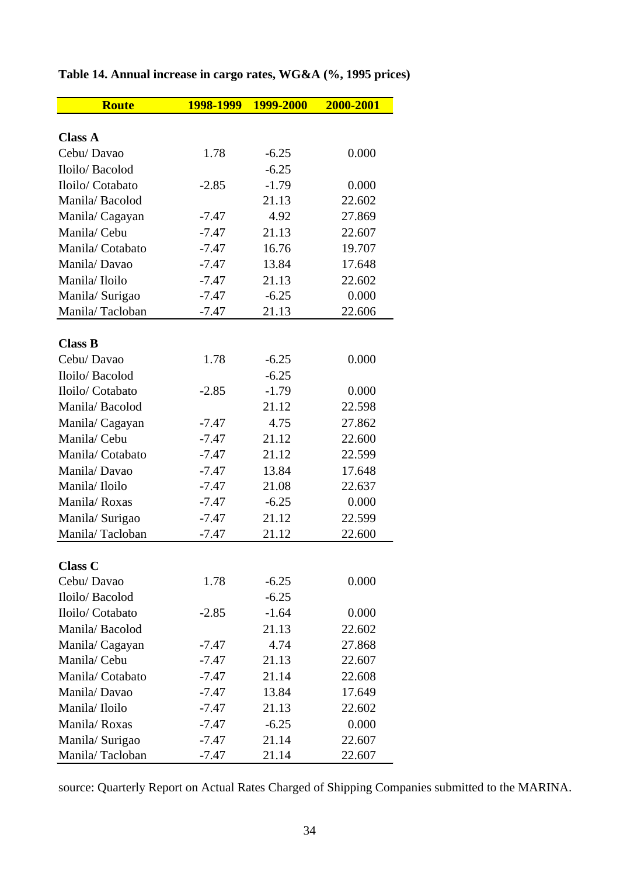| <b>Route</b>     | 1998-1999 | 1999-2000 | 2000-2001 |
|------------------|-----------|-----------|-----------|
|                  |           |           |           |
| <b>Class A</b>   |           |           |           |
| Cebu/Davao       | 1.78      | $-6.25$   | 0.000     |
| Iloilo/Bacolod   |           | $-6.25$   |           |
| Iloilo/ Cotabato | $-2.85$   | $-1.79$   | 0.000     |
| Manila/Bacolod   |           | 21.13     | 22.602    |
| Manila/Cagayan   | $-7.47$   | 4.92      | 27.869    |
| Manila/Cebu      | $-7.47$   | 21.13     | 22.607    |
| Manila/Cotabato  | $-7.47$   | 16.76     | 19.707    |
| Manila/Davao     | $-7.47$   | 13.84     | 17.648    |
| Manila/Iloilo    | $-7.47$   | 21.13     | 22.602    |
| Manila/ Surigao  | $-7.47$   | $-6.25$   | 0.000     |
| Manila/Tacloban  | $-7.47$   | 21.13     | 22.606    |
|                  |           |           |           |
| <b>Class B</b>   |           |           |           |
| Cebu/Davao       | 1.78      | $-6.25$   | 0.000     |
| Iloilo/Bacolod   |           | $-6.25$   |           |
| Iloilo/ Cotabato | $-2.85$   | $-1.79$   | 0.000     |
| Manila/Bacolod   |           | 21.12     | 22.598    |
| Manila/Cagayan   | $-7.47$   | 4.75      | 27.862    |
| Manila/Cebu      | $-7.47$   | 21.12     | 22.600    |
| Manila/Cotabato  | $-7.47$   | 21.12     | 22.599    |
| Manila/Davao     | $-7.47$   | 13.84     | 17.648    |
| Manila/Iloilo    | $-7.47$   | 21.08     | 22.637    |
| Manila/Roxas     | $-7.47$   | $-6.25$   | 0.000     |
| Manila/ Surigao  | $-7.47$   | 21.12     | 22.599    |
| Manila/Tacloban  | $-7.47$   | 21.12     | 22.600    |
|                  |           |           |           |
| <b>Class C</b>   |           |           |           |
| Cebu/ Davao      | 1.78      | $-6.25$   | 0.000     |
| Iloilo/Bacolod   |           | $-6.25$   |           |
| Iloilo/ Cotabato | $-2.85$   | $-1.64$   | 0.000     |
| Manila/Bacolod   |           | 21.13     | 22.602    |
| Manila/Cagayan   | $-7.47$   | 4.74      | 27.868    |
| Manila/Cebu      | $-7.47$   | 21.13     | 22.607    |
| Manila/Cotabato  | $-7.47$   | 21.14     | 22.608    |
| Manila/Davao     | $-7.47$   | 13.84     | 17.649    |
| Manila/Iloilo    | $-7.47$   | 21.13     | 22.602    |
| Manila/Roxas     | $-7.47$   | $-6.25$   | 0.000     |
| Manila/ Surigao  | $-7.47$   | 21.14     | 22.607    |
| Manila/Tacloban  | $-7.47$   | 21.14     | 22.607    |

## **Table 14. Annual increase in cargo rates, WG&A (%, 1995 prices)**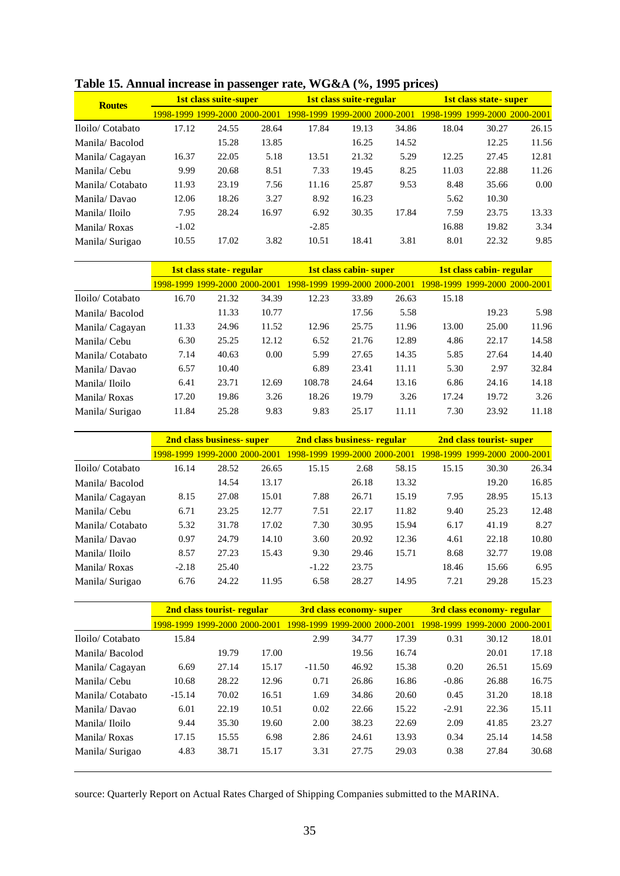| <b>Routes</b>    |         | <b>1st class suite-super</b>  |       |         | <b>1st class suite-regular</b>       |       |       | 1st class state - super       |       |  |
|------------------|---------|-------------------------------|-------|---------|--------------------------------------|-------|-------|-------------------------------|-------|--|
|                  |         | 1998-1999 1999-2000 2000-2001 |       |         | <u>1998-1999-1999-2000-2000-2001</u> |       |       | 1998-1999 1999-2000 2000-2001 |       |  |
| Iloilo/ Cotabato | 17.12   | 24.55                         | 28.64 | 17.84   | 19.13                                | 34.86 | 18.04 | 30.27                         | 26.15 |  |
| Manila/Bacolod   |         | 15.28                         | 13.85 |         | 16.25                                | 14.52 |       | 12.25                         | 11.56 |  |
| Manila/Cagayan   | 16.37   | 22.05                         | 5.18  | 13.51   | 21.32                                | 5.29  | 12.25 | 27.45                         | 12.81 |  |
| Manila/Cebu      | 9.99    | 20.68                         | 8.51  | 7.33    | 19.45                                | 8.25  | 11.03 | 22.88                         | 11.26 |  |
| Manila/Cotabato  | 11.93   | 23.19                         | 7.56  | 11.16   | 25.87                                | 9.53  | 8.48  | 35.66                         | 0.00  |  |
| Manila/Davao     | 12.06   | 18.26                         | 3.27  | 8.92    | 16.23                                |       | 5.62  | 10.30                         |       |  |
| Manila/ Iloilo   | 7.95    | 28.24                         | 16.97 | 6.92    | 30.35                                | 17.84 | 7.59  | 23.75                         | 13.33 |  |
| Manila/Roxas     | $-1.02$ |                               |       | $-2.85$ |                                      |       | 16.88 | 19.82                         | 3.34  |  |
| Manila/Surigao   | 10.55   | 17.02                         | 3.82  | 10.51   | 18.41                                | 3.81  | 8.01  | 22.32                         | 9.85  |  |

**Table 15. Annual increase in passenger rate, WG&A (%, 1995 prices)**

|                  | 1st class state-regular       |       |       |                               | 1st class cabin-super |       |       | 1st class cabin-regular       |       |  |
|------------------|-------------------------------|-------|-------|-------------------------------|-----------------------|-------|-------|-------------------------------|-------|--|
|                  | 1998-1999 1999-2000 2000-2001 |       |       | 1998-1999 1999-2000 2000-2001 |                       |       |       | 1998-1999 1999-2000 2000-2001 |       |  |
| Iloilo/ Cotabato | 16.70                         | 21.32 | 34.39 | 12.23                         | 33.89                 | 26.63 | 15.18 |                               |       |  |
| Manila/Bacolod   |                               | 11.33 | 10.77 |                               | 17.56                 | 5.58  |       | 19.23                         | 5.98  |  |
| Manila/Cagayan   | 11.33                         | 24.96 | 11.52 | 12.96                         | 25.75                 | 11.96 | 13.00 | 25.00                         | 11.96 |  |
| Manila/ Cebu     | 6.30                          | 25.25 | 12.12 | 6.52                          | 21.76                 | 12.89 | 4.86  | 22.17                         | 14.58 |  |
| Manila/Cotabato  | 7.14                          | 40.63 | 0.00  | 5.99                          | 27.65                 | 14.35 | 5.85  | 27.64                         | 14.40 |  |
| Manila/Davao     | 6.57                          | 10.40 |       | 6.89                          | 23.41                 | 11.11 | 5.30  | 2.97                          | 32.84 |  |
| Manila/Iloilo    | 6.41                          | 23.71 | 12.69 | 108.78                        | 24.64                 | 13.16 | 6.86  | 24.16                         | 14.18 |  |
| Manila/Roxas     | 17.20                         | 19.86 | 3.26  | 18.26                         | 19.79                 | 3.26  | 17.24 | 19.72                         | 3.26  |  |
| Manila/Surigao   | 11.84                         | 25.28 | 9.83  | 9.83                          | 25.17                 | 11.11 | 7.30  | 23.92                         | 11.18 |  |

|                  | 2nd class business-super |                               |       | 2nd class business-regular    |       |       | 2nd class tourist-super       |       |       |
|------------------|--------------------------|-------------------------------|-------|-------------------------------|-------|-------|-------------------------------|-------|-------|
|                  |                          | 1998-1999 1999-2000 2000-2001 |       | 1998-1999 1999-2000 2000-2001 |       |       | 1998-1999 1999-2000 2000-2001 |       |       |
| Iloilo/ Cotabato | 16.14                    | 28.52                         | 26.65 | 15.15                         | 2.68  | 58.15 | 15.15                         | 30.30 | 26.34 |
| Manila/Bacolod   |                          | 14.54                         | 13.17 |                               | 26.18 | 13.32 |                               | 19.20 | 16.85 |
| Manila/Cagayan   | 8.15                     | 27.08                         | 15.01 | 7.88                          | 26.71 | 15.19 | 7.95                          | 28.95 | 15.13 |
| Manila/Cebu      | 6.71                     | 23.25                         | 12.77 | 7.51                          | 22.17 | 11.82 | 9.40                          | 25.23 | 12.48 |
| Manila/Cotabato  | 5.32                     | 31.78                         | 17.02 | 7.30                          | 30.95 | 15.94 | 6.17                          | 41.19 | 8.27  |
| Manila/Davao     | 0.97                     | 24.79                         | 14.10 | 3.60                          | 20.92 | 12.36 | 4.61                          | 22.18 | 10.80 |
| Manila/Iloilo    | 8.57                     | 27.23                         | 15.43 | 9.30                          | 29.46 | 15.71 | 8.68                          | 32.77 | 19.08 |
| Manila/Roxas     | $-2.18$                  | 25.40                         |       | $-1.22$                       | 23.75 |       | 18.46                         | 15.66 | 6.95  |
| Manila/Surigao   | 6.76                     | 24.22                         | 11.95 | 6.58                          | 28.27 | 14.95 | 7.21                          | 29.28 | 15.23 |

|                  | 2nd class tourist-regular     |       |       | 3rd class economy-super       |       |       | 3rd class economy- regular |                     |       |
|------------------|-------------------------------|-------|-------|-------------------------------|-------|-------|----------------------------|---------------------|-------|
|                  | 1998-1999 1999-2000 2000-2001 |       |       | 1998-1999 1999-2000 2000-2001 |       |       | 1998-1999                  | 1999-2000 2000-2001 |       |
| Iloilo/ Cotabato | 15.84                         |       |       | 2.99                          | 34.77 | 17.39 | 0.31                       | 30.12               | 18.01 |
| Manila/Bacolod   |                               | 19.79 | 17.00 |                               | 19.56 | 16.74 |                            | 20.01               | 17.18 |
| Manila/Cagayan   | 6.69                          | 27.14 | 15.17 | $-11.50$                      | 46.92 | 15.38 | 0.20                       | 26.51               | 15.69 |
| Manila/Cebu      | 10.68                         | 28.22 | 12.96 | 0.71                          | 26.86 | 16.86 | $-0.86$                    | 26.88               | 16.75 |
| Manila/Cotabato  | $-15.14$                      | 70.02 | 16.51 | 1.69                          | 34.86 | 20.60 | 0.45                       | 31.20               | 18.18 |
| Manila/Davao     | 6.01                          | 22.19 | 10.51 | 0.02                          | 22.66 | 15.22 | $-2.91$                    | 22.36               | 15.11 |
| Manila/Iloilo    | 9.44                          | 35.30 | 19.60 | 2.00                          | 38.23 | 22.69 | 2.09                       | 41.85               | 23.27 |
| Manila/Roxas     | 17.15                         | 15.55 | 6.98  | 2.86                          | 24.61 | 13.93 | 0.34                       | 25.14               | 14.58 |
| Manila/Surigao   | 4.83                          | 38.71 | 15.17 | 3.31                          | 27.75 | 29.03 | 0.38                       | 27.84               | 30.68 |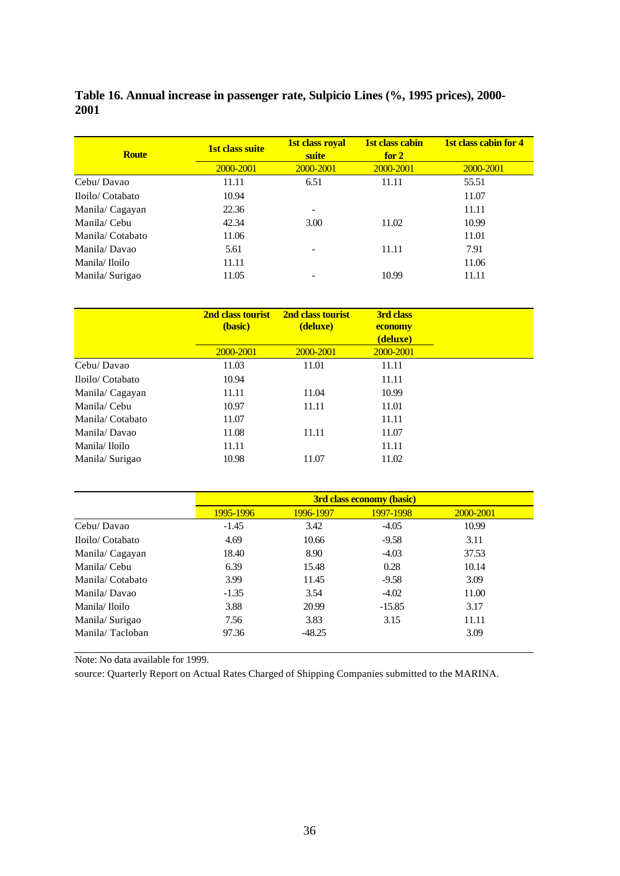### **Table 16. Annual increase in passenger rate, Sulpicio Lines (%, 1995 prices), 2000- 2001**

| <b>Route</b>    | <b>1st class suite</b> | 1st class royal<br>suite | 1st class cabin<br>for $2$ | 1st class cabin for 4 |
|-----------------|------------------------|--------------------------|----------------------------|-----------------------|
|                 | 2000-2001              | 2000-2001                | 2000-2001                  | 2000-2001             |
| Cebu/Davao      | 11.11                  | 6.51                     | 11.11                      | 55.51                 |
| Iloilo/Cotabato | 10.94                  |                          |                            | 11.07                 |
| Manila/Cagayan  | 22.36                  |                          |                            | 11.11                 |
| Manila/ Cebu    | 42.34                  | 3.00                     | 11.02                      | 10.99                 |
| Manila/Cotabato | 11.06                  |                          |                            | 11.01                 |
| Manila/Davao    | 5.61                   |                          | 11.11                      | 7.91                  |
| Manila/Iloilo   | 11.11                  |                          |                            | 11.06                 |
| Manila/Surigao  | 11.05                  |                          | 10.99                      | 11.11                 |

|                 | 2nd class tourist<br>(basic) | 2nd class tourist<br>(deluxe) | 3rd class<br>economy<br>(deluxe) |
|-----------------|------------------------------|-------------------------------|----------------------------------|
|                 | 2000-2001                    | 2000-2001                     | 2000-2001                        |
| Cebu/Davao      | 11.03                        | 11.01                         | 11.11                            |
| Iloilo/Cotabato | 10.94                        |                               | 11.11                            |
| Manila/Cagayan  | 11.11                        | 11.04                         | 10.99                            |
| Manila/ Cebu    | 10.97                        | 11.11                         | 11.01                            |
| Manila/Cotabato | 11.07                        |                               | 11.11                            |
| Manila/Davao    | 11.08                        | 11.11                         | 11.07                            |
| Manila/Iloilo   | 11.11                        |                               | 11.11                            |
| Manila/Surigao  | 10.98                        | 11.07                         | 11.02                            |

|                 |           | <b>3rd class economy (basic)</b> |           |           |  |  |  |
|-----------------|-----------|----------------------------------|-----------|-----------|--|--|--|
|                 | 1995-1996 | 1996-1997                        | 1997-1998 | 2000-2001 |  |  |  |
| Cebu/Davao      | $-1.45$   | 3.42                             | $-4.05$   | 10.99     |  |  |  |
| Iloilo/Cotabato | 4.69      | 10.66                            | $-9.58$   | 3.11      |  |  |  |
| Manila/Cagayan  | 18.40     | 8.90                             | $-4.03$   | 37.53     |  |  |  |
| Manila/ Cebu    | 6.39      | 15.48                            | 0.28      | 10.14     |  |  |  |
| Manila/Cotabato | 3.99      | 11.45                            | $-9.58$   | 3.09      |  |  |  |
| Manila/Davao    | $-1.35$   | 3.54                             | $-4.02$   | 11.00     |  |  |  |
| Manila/ Iloilo  | 3.88      | 20.99                            | $-15.85$  | 3.17      |  |  |  |
| Manila/Surigao  | 7.56      | 3.83                             | 3.15      | 11.11     |  |  |  |
| Manila/Tacloban | 97.36     | $-48.25$                         |           | 3.09      |  |  |  |

Note: No data available for 1999.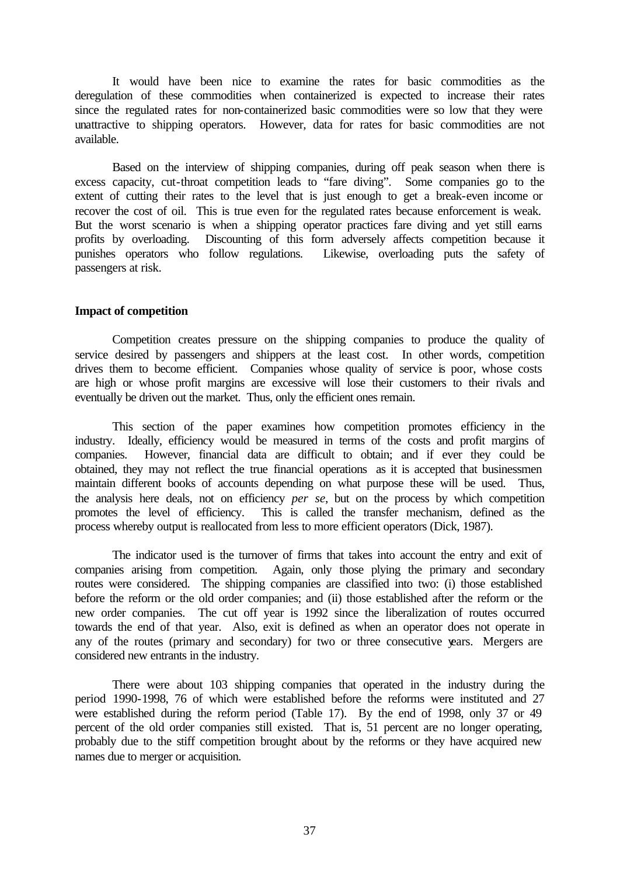It would have been nice to examine the rates for basic commodities as the deregulation of these commodities when containerized is expected to increase their rates since the regulated rates for non-containerized basic commodities were so low that they were unattractive to shipping operators. However, data for rates for basic commodities are not available.

Based on the interview of shipping companies, during off peak season when there is excess capacity, cut-throat competition leads to "fare diving". Some companies go to the extent of cutting their rates to the level that is just enough to get a break-even income or recover the cost of oil. This is true even for the regulated rates because enforcement is weak. But the worst scenario is when a shipping operator practices fare diving and yet still earns profits by overloading. Discounting of this form adversely affects competition because it punishes operators who follow regulations. Likewise, overloading puts the safety of passengers at risk.

#### **Impact of competition**

Competition creates pressure on the shipping companies to produce the quality of service desired by passengers and shippers at the least cost. In other words, competition drives them to become efficient. Companies whose quality of service is poor, whose costs are high or whose profit margins are excessive will lose their customers to their rivals and eventually be driven out the market. Thus, only the efficient ones remain.

This section of the paper examines how competition promotes efficiency in the industry. Ideally, efficiency would be measured in terms of the costs and profit margins of companies. However, financial data are difficult to obtain; and if ever they could be obtained, they may not reflect the true financial operations as it is accepted that businessmen maintain different books of accounts depending on what purpose these will be used. Thus, the analysis here deals, not on efficiency *per se*, but on the process by which competition promotes the level of efficiency. This is called the transfer mechanism, defined as the process whereby output is reallocated from less to more efficient operators (Dick, 1987).

The indicator used is the turnover of firms that takes into account the entry and exit of companies arising from competition. Again, only those plying the primary and secondary routes were considered. The shipping companies are classified into two: (i) those established before the reform or the old order companies; and (ii) those established after the reform or the new order companies. The cut off year is 1992 since the liberalization of routes occurred towards the end of that year. Also, exit is defined as when an operator does not operate in any of the routes (primary and secondary) for two or three consecutive years. Mergers are considered new entrants in the industry.

There were about 103 shipping companies that operated in the industry during the period 1990-1998, 76 of which were established before the reforms were instituted and 27 were established during the reform period (Table 17). By the end of 1998, only 37 or 49 percent of the old order companies still existed. That is, 51 percent are no longer operating, probably due to the stiff competition brought about by the reforms or they have acquired new names due to merger or acquisition.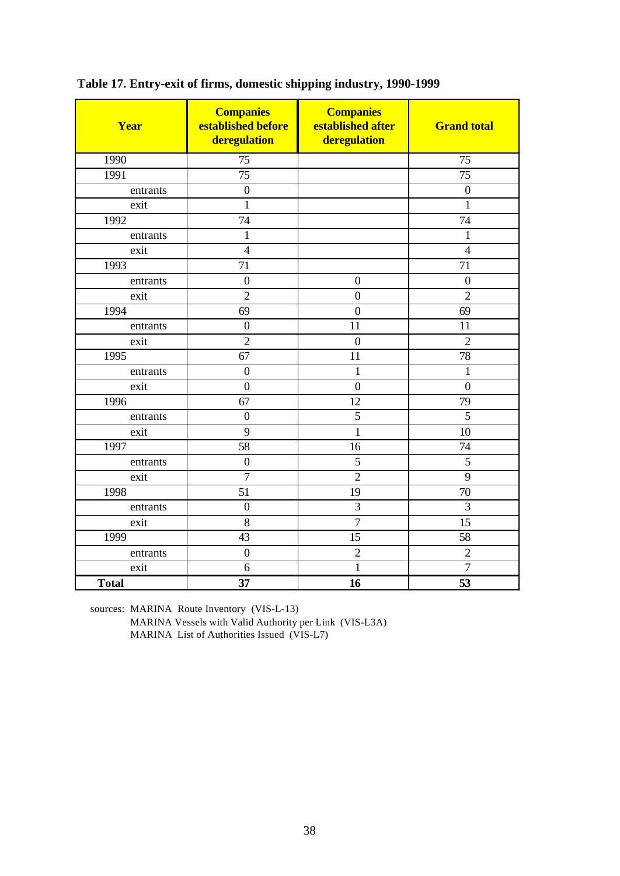| Year         | <b>Companies</b><br>established before<br>deregulation | <b>Companies</b><br>established after<br>deregulation | <b>Grand total</b> |
|--------------|--------------------------------------------------------|-------------------------------------------------------|--------------------|
| 1990         | $\overline{75}$                                        |                                                       | $\overline{75}$    |
| 1991         | $\overline{75}$                                        |                                                       | 75                 |
| entrants     | $\boldsymbol{0}$                                       |                                                       | $\boldsymbol{0}$   |
| exit         | $\mathbf{1}$                                           |                                                       | $\mathbf{1}$       |
| 1992         | 74                                                     |                                                       | 74                 |
| entrants     | $\mathbf{1}$                                           |                                                       | $\mathbf{1}$       |
| exit         | $\overline{4}$                                         |                                                       | $\overline{4}$     |
| 1993         | 71                                                     |                                                       | 71                 |
| entrants     | $\boldsymbol{0}$                                       | $\mathbf{0}$                                          | $\boldsymbol{0}$   |
| exit         | $\overline{2}$                                         | $\overline{0}$                                        | $\overline{2}$     |
| 1994         | 69                                                     | $\overline{0}$                                        | 69                 |
| entrants     | $\overline{0}$                                         | 11                                                    | 11                 |
| exit         | $\overline{2}$                                         | $\overline{0}$                                        | $\overline{2}$     |
| 1995         | 67                                                     | 11                                                    | 78                 |
| entrants     | $\boldsymbol{0}$                                       | $\mathbf{1}$                                          | $\mathbf{1}$       |
| exit         | $\boldsymbol{0}$                                       | $\overline{0}$                                        | $\overline{0}$     |
| 1996         | 67                                                     | $\overline{12}$                                       | 79                 |
| entrants     | $\boldsymbol{0}$                                       | 5                                                     | $\overline{5}$     |
| exit         | $\overline{9}$                                         | $\mathbf{1}$                                          | 10                 |
| 1997         | 58                                                     | 16                                                    | 74                 |
| entrants     | $\mathbf{0}$                                           | 5                                                     | 5                  |
| exit         | $\overline{7}$                                         | $\overline{2}$                                        | 9                  |
| 1998         | 51                                                     | 19                                                    | 70                 |
| entrants     | $\boldsymbol{0}$                                       | 3                                                     | 3                  |
| exit         | $8\,$                                                  | $\boldsymbol{7}$                                      | 15                 |
| 1999         | 43                                                     | 15                                                    | 58                 |
| entrants     | $\mathbf{0}$                                           | $\overline{2}$                                        | $\overline{2}$     |
| exit         | 6                                                      | $\mathbf{1}$                                          | $\overline{7}$     |
| <b>Total</b> | 37                                                     | 16                                                    | 53                 |

**Table 17. Entry-exit of firms, domestic shipping industry, 1990-1999**

sources: MARINA Route Inventory (VIS-L-13)

MARINA Vessels with Valid Authority per Link (VIS-L3A) MARINA List of Authorities Issued (VIS-L7)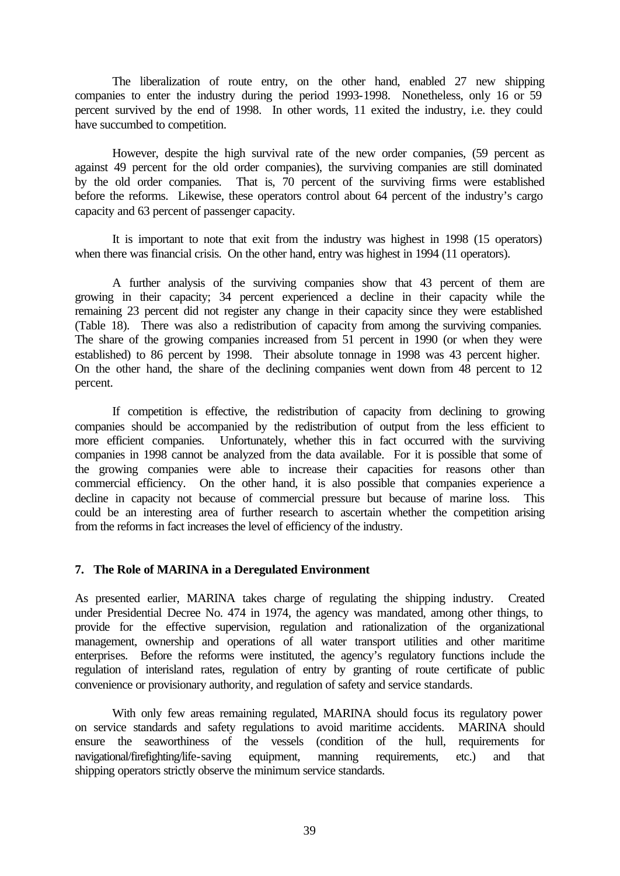The liberalization of route entry, on the other hand, enabled 27 new shipping companies to enter the industry during the period 1993-1998. Nonetheless, only 16 or 59 percent survived by the end of 1998. In other words, 11 exited the industry, i.e. they could have succumbed to competition.

However, despite the high survival rate of the new order companies, (59 percent as against 49 percent for the old order companies), the surviving companies are still dominated by the old order companies. That is, 70 percent of the surviving firms were established before the reforms. Likewise, these operators control about 64 percent of the industry's cargo capacity and 63 percent of passenger capacity.

It is important to note that exit from the industry was highest in 1998 (15 operators) when there was financial crisis. On the other hand, entry was highest in 1994 (11 operators).

A further analysis of the surviving companies show that 43 percent of them are growing in their capacity; 34 percent experienced a decline in their capacity while the remaining 23 percent did not register any change in their capacity since they were established (Table 18). There was also a redistribution of capacity from among the surviving companies. The share of the growing companies increased from 51 percent in 1990 (or when they were established) to 86 percent by 1998. Their absolute tonnage in 1998 was 43 percent higher. On the other hand, the share of the declining companies went down from 48 percent to 12 percent.

If competition is effective, the redistribution of capacity from declining to growing companies should be accompanied by the redistribution of output from the less efficient to more efficient companies. Unfortunately, whether this in fact occurred with the surviving companies in 1998 cannot be analyzed from the data available. For it is possible that some of the growing companies were able to increase their capacities for reasons other than commercial efficiency. On the other hand, it is also possible that companies experience a decline in capacity not because of commercial pressure but because of marine loss. This could be an interesting area of further research to ascertain whether the competition arising from the reforms in fact increases the level of efficiency of the industry.

#### **7. The Role of MARINA in a Deregulated Environment**

As presented earlier, MARINA takes charge of regulating the shipping industry. Created under Presidential Decree No. 474 in 1974, the agency was mandated, among other things, to provide for the effective supervision, regulation and rationalization of the organizational management, ownership and operations of all water transport utilities and other maritime enterprises. Before the reforms were instituted, the agency's regulatory functions include the regulation of interisland rates, regulation of entry by granting of route certificate of public convenience or provisionary authority, and regulation of safety and service standards.

With only few areas remaining regulated, MARINA should focus its regulatory power on service standards and safety regulations to avoid maritime accidents. MARINA should ensure the seaworthiness of the vessels (condition of the hull, requirements for navigational/firefighting/life-saving equipment, manning requirements, etc.) and that shipping operators strictly observe the minimum service standards.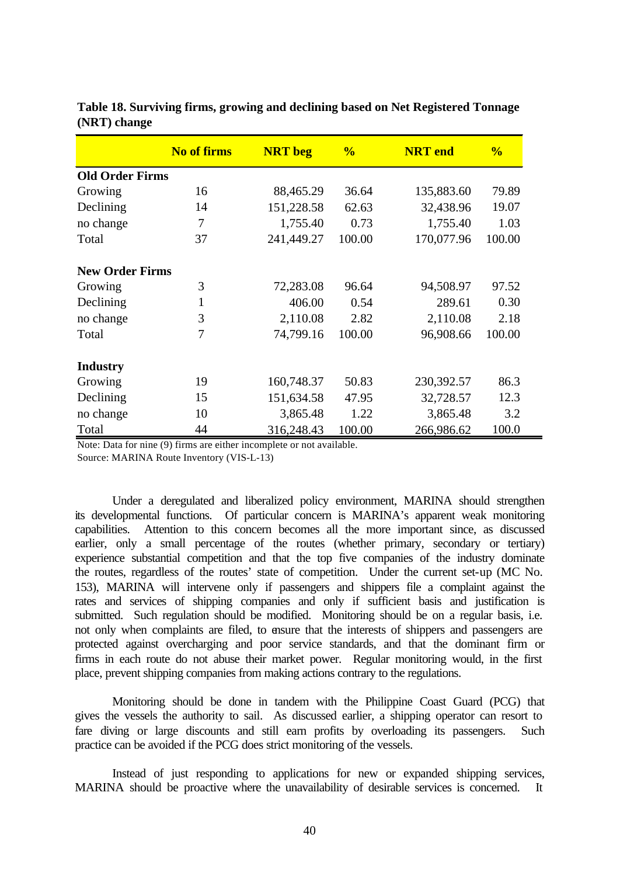|                        | <b>No of firms</b> | <b>NRT</b> beg | $\frac{0}{0}$ | <b>NRT</b> end | $\frac{0}{6}$ |
|------------------------|--------------------|----------------|---------------|----------------|---------------|
| <b>Old Order Firms</b> |                    |                |               |                |               |
| Growing                | 16                 | 88,465.29      | 36.64         | 135,883.60     | 79.89         |
| Declining              | 14                 | 151,228.58     | 62.63         | 32,438.96      | 19.07         |
| no change              | 7                  | 1,755.40       | 0.73          | 1,755.40       | 1.03          |
| Total                  | 37                 | 241,449.27     | 100.00        | 170,077.96     | 100.00        |
| <b>New Order Firms</b> |                    |                |               |                |               |
| Growing                | 3                  | 72,283.08      | 96.64         | 94,508.97      | 97.52         |
| Declining              | $\mathbf{1}$       | 406.00         | 0.54          | 289.61         | 0.30          |
| no change              | 3                  | 2,110.08       | 2.82          | 2,110.08       | 2.18          |
| Total                  | 7                  | 74,799.16      | 100.00        | 96,908.66      | 100.00        |
| <b>Industry</b>        |                    |                |               |                |               |
| Growing                | 19                 | 160,748.37     | 50.83         | 230,392.57     | 86.3          |
| Declining              | 15                 | 151,634.58     | 47.95         | 32,728.57      | 12.3          |
| no change              | 10                 | 3,865.48       | 1.22          | 3,865.48       | 3.2           |
| Total                  | 44                 | 316,248.43     | 100.00        | 266,986.62     | 100.0         |

**Table 18. Surviving firms, growing and declining based on Net Registered Tonnage (NRT) change**

Note: Data for nine (9) firms are either incomplete or not available. Source: MARINA Route Inventory (VIS-L-13)

Under a deregulated and liberalized policy environment, MARINA should strengthen its developmental functions. Of particular concern is MARINA's apparent weak monitoring capabilities. Attention to this concern becomes all the more important since, as discussed earlier, only a small percentage of the routes (whether primary, secondary or tertiary) experience substantial competition and that the top five companies of the industry dominate the routes, regardless of the routes' state of competition. Under the current set-up (MC No. 153), MARINA will intervene only if passengers and shippers file a complaint against the rates and services of shipping companies and only if sufficient basis and justification is submitted. Such regulation should be modified. Monitoring should be on a regular basis, i.e. not only when complaints are filed, to ensure that the interests of shippers and passengers are protected against overcharging and poor service standards, and that the dominant firm or firms in each route do not abuse their market power. Regular monitoring would, in the first place, prevent shipping companies from making actions contrary to the regulations.

Monitoring should be done in tandem with the Philippine Coast Guard (PCG) that gives the vessels the authority to sail. As discussed earlier, a shipping operator can resort to fare diving or large discounts and still earn profits by overloading its passengers. Such practice can be avoided if the PCG does strict monitoring of the vessels.

Instead of just responding to applications for new or expanded shipping services, MARINA should be proactive where the unavailability of desirable services is concerned. It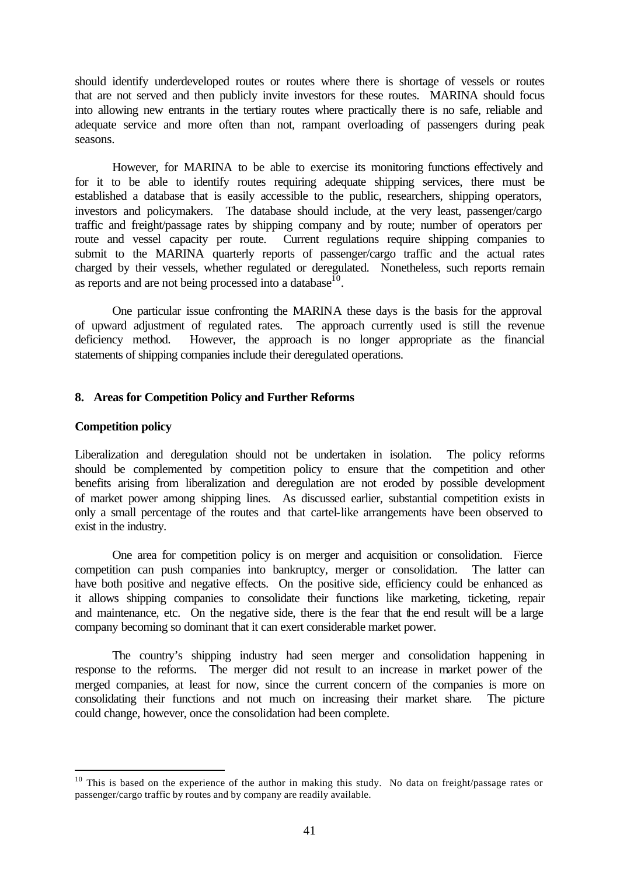should identify underdeveloped routes or routes where there is shortage of vessels or routes that are not served and then publicly invite investors for these routes. MARINA should focus into allowing new entrants in the tertiary routes where practically there is no safe, reliable and adequate service and more often than not, rampant overloading of passengers during peak seasons.

However, for MARINA to be able to exercise its monitoring functions effectively and for it to be able to identify routes requiring adequate shipping services, there must be established a database that is easily accessible to the public, researchers, shipping operators, investors and policymakers. The database should include, at the very least, passenger/cargo traffic and freight/passage rates by shipping company and by route; number of operators per route and vessel capacity per route. Current regulations require shipping companies to submit to the MARINA quarterly reports of passenger/cargo traffic and the actual rates charged by their vessels, whether regulated or deregulated. Nonetheless, such reports remain as reports and are not being processed into a database<sup>10</sup>.

One particular issue confronting the MARINA these days is the basis for the approval of upward adjustment of regulated rates. The approach currently used is still the revenue deficiency method. However, the approach is no longer appropriate as the financial statements of shipping companies include their deregulated operations.

#### **8. Areas for Competition Policy and Further Reforms**

#### **Competition policy**

l

Liberalization and deregulation should not be undertaken in isolation. The policy reforms should be complemented by competition policy to ensure that the competition and other benefits arising from liberalization and deregulation are not eroded by possible development of market power among shipping lines. As discussed earlier, substantial competition exists in only a small percentage of the routes and that cartel-like arrangements have been observed to exist in the industry.

One area for competition policy is on merger and acquisition or consolidation. Fierce competition can push companies into bankruptcy, merger or consolidation. The latter can have both positive and negative effects. On the positive side, efficiency could be enhanced as it allows shipping companies to consolidate their functions like marketing, ticketing, repair and maintenance, etc. On the negative side, there is the fear that the end result will be a large company becoming so dominant that it can exert considerable market power.

The country's shipping industry had seen merger and consolidation happening in response to the reforms. The merger did not result to an increase in market power of the merged companies, at least for now, since the current concern of the companies is more on consolidating their functions and not much on increasing their market share. The picture could change, however, once the consolidation had been complete.

<sup>&</sup>lt;sup>10</sup> This is based on the experience of the author in making this study. No data on freight/passage rates or passenger/cargo traffic by routes and by company are readily available.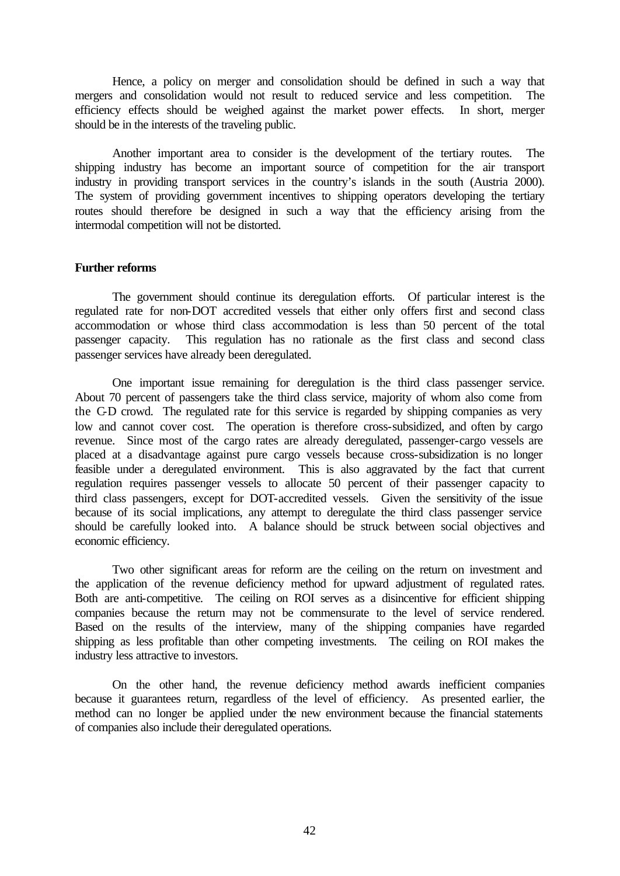Hence, a policy on merger and consolidation should be defined in such a way that mergers and consolidation would not result to reduced service and less competition. The efficiency effects should be weighed against the market power effects. In short, merger should be in the interests of the traveling public.

Another important area to consider is the development of the tertiary routes. The shipping industry has become an important source of competition for the air transport industry in providing transport services in the country's islands in the south (Austria 2000). The system of providing government incentives to shipping operators developing the tertiary routes should therefore be designed in such a way that the efficiency arising from the intermodal competition will not be distorted.

#### **Further reforms**

The government should continue its deregulation efforts. Of particular interest is the regulated rate for non-DOT accredited vessels that either only offers first and second class accommodation or whose third class accommodation is less than 50 percent of the total passenger capacity. This regulation has no rationale as the first class and second class passenger services have already been deregulated.

One important issue remaining for deregulation is the third class passenger service. About 70 percent of passengers take the third class service, majority of whom also come from the C-D crowd. The regulated rate for this service is regarded by shipping companies as very low and cannot cover cost. The operation is therefore cross-subsidized, and often by cargo revenue. Since most of the cargo rates are already deregulated, passenger-cargo vessels are placed at a disadvantage against pure cargo vessels because cross-subsidization is no longer feasible under a deregulated environment. This is also aggravated by the fact that current regulation requires passenger vessels to allocate 50 percent of their passenger capacity to third class passengers, except for DOT-accredited vessels. Given the sensitivity of the issue because of its social implications, any attempt to deregulate the third class passenger service should be carefully looked into. A balance should be struck between social objectives and economic efficiency.

Two other significant areas for reform are the ceiling on the return on investment and the application of the revenue deficiency method for upward adjustment of regulated rates. Both are anti-competitive. The ceiling on ROI serves as a disincentive for efficient shipping companies because the return may not be commensurate to the level of service rendered. Based on the results of the interview, many of the shipping companies have regarded shipping as less profitable than other competing investments. The ceiling on ROI makes the industry less attractive to investors.

On the other hand, the revenue deficiency method awards inefficient companies because it guarantees return, regardless of the level of efficiency. As presented earlier, the method can no longer be applied under the new environment because the financial statements of companies also include their deregulated operations.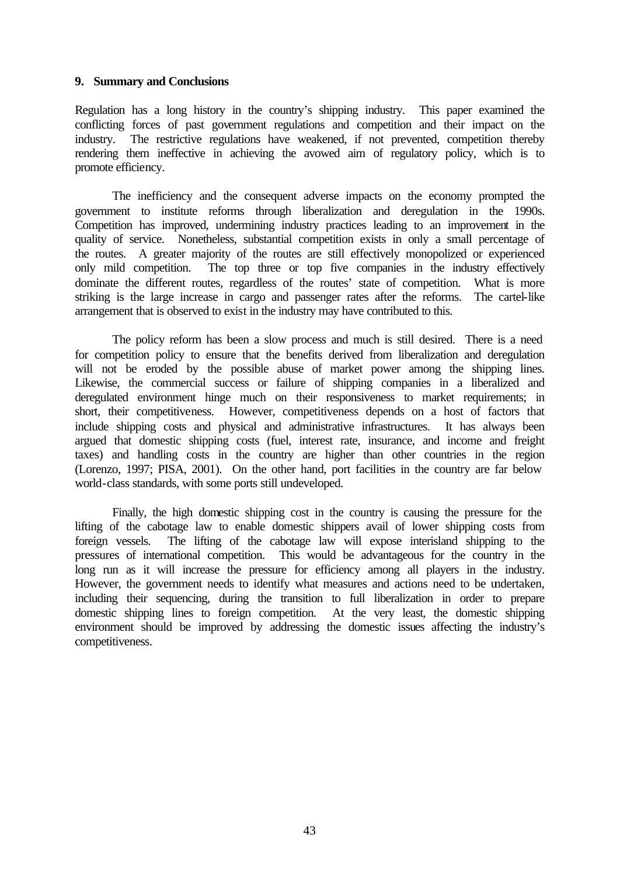#### **9. Summary and Conclusions**

Regulation has a long history in the country's shipping industry. This paper examined the conflicting forces of past government regulations and competition and their impact on the industry. The restrictive regulations have weakened, if not prevented, competition thereby rendering them ineffective in achieving the avowed aim of regulatory policy, which is to promote efficiency.

The inefficiency and the consequent adverse impacts on the economy prompted the government to institute reforms through liberalization and deregulation in the 1990s. Competition has improved, undermining industry practices leading to an improvement in the quality of service. Nonetheless, substantial competition exists in only a small percentage of the routes. A greater majority of the routes are still effectively monopolized or experienced only mild competition. The top three or top five companies in the industry effectively dominate the different routes, regardless of the routes' state of competition. What is more striking is the large increase in cargo and passenger rates after the reforms. The cartel-like arrangement that is observed to exist in the industry may have contributed to this.

The policy reform has been a slow process and much is still desired. There is a need for competition policy to ensure that the benefits derived from liberalization and deregulation will not be eroded by the possible abuse of market power among the shipping lines. Likewise, the commercial success or failure of shipping companies in a liberalized and deregulated environment hinge much on their responsiveness to market requirements; in short, their competitiveness. However, competitiveness depends on a host of factors that include shipping costs and physical and administrative infrastructures. It has always been argued that domestic shipping costs (fuel, interest rate, insurance, and income and freight taxes) and handling costs in the country are higher than other countries in the region (Lorenzo, 1997; PISA, 2001). On the other hand, port facilities in the country are far below world-class standards, with some ports still undeveloped.

Finally, the high domestic shipping cost in the country is causing the pressure for the lifting of the cabotage law to enable domestic shippers avail of lower shipping costs from foreign vessels. The lifting of the cabotage law will expose interisland shipping to the pressures of international competition. This would be advantageous for the country in the long run as it will increase the pressure for efficiency among all players in the industry. However, the government needs to identify what measures and actions need to be undertaken, including their sequencing, during the transition to full liberalization in order to prepare domestic shipping lines to foreign competition. At the very least, the domestic shipping environment should be improved by addressing the domestic issues affecting the industry's competitiveness.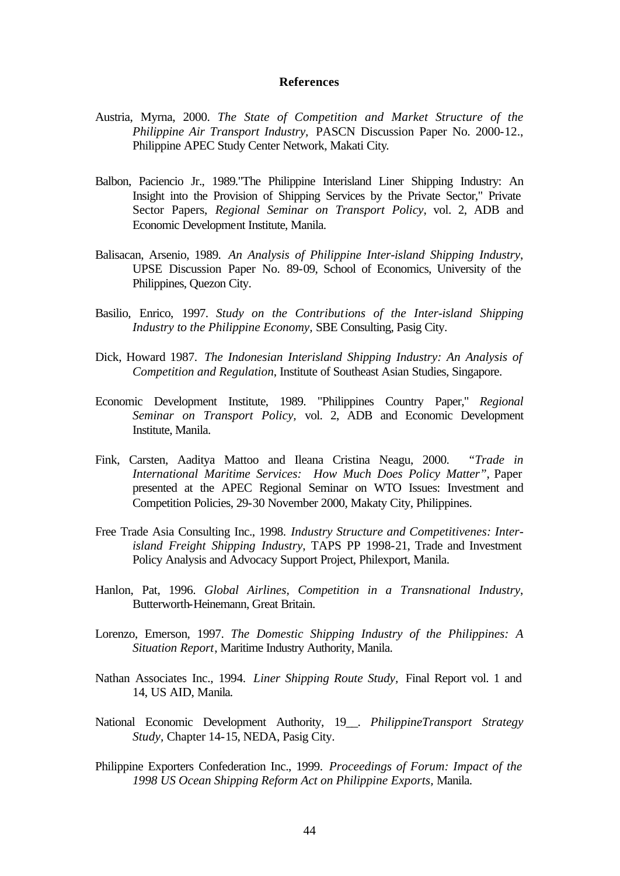#### **References**

- Austria, Myrna, 2000. *The State of Competition and Market Structure of the Philippine Air Transport Industry,* PASCN Discussion Paper No. 2000-12., Philippine APEC Study Center Network, Makati City.
- Balbon, Paciencio Jr., 1989."The Philippine Interisland Liner Shipping Industry: An Insight into the Provision of Shipping Services by the Private Sector," Private Sector Papers, *Regional Seminar on Transport Policy*, vol. 2, ADB and Economic Development Institute, Manila.
- Balisacan, Arsenio, 1989. *An Analysis of Philippine Inter-island Shipping Industry*, UPSE Discussion Paper No. 89-09, School of Economics, University of the Philippines, Quezon City.
- Basilio, Enrico, 1997. *Study on the Contributions of the Inter-island Shipping Industry to the Philippine Economy,* SBE Consulting, Pasig City.
- Dick, Howard 1987. *The Indonesian Interisland Shipping Industry: An Analysis of Competition and Regulation*, Institute of Southeast Asian Studies, Singapore.
- Economic Development Institute, 1989. "Philippines Country Paper," *Regional Seminar on Transport Policy,* vol. 2, ADB and Economic Development Institute, Manila.
- Fink, Carsten, Aaditya Mattoo and Ileana Cristina Neagu, 2000. *"Trade in International Maritime Services: How Much Does Policy Matter"*, Paper presented at the APEC Regional Seminar on WTO Issues: Investment and Competition Policies, 29-30 November 2000, Makaty City, Philippines.
- Free Trade Asia Consulting Inc., 1998. *Industry Structure and Competitivenes: Interisland Freight Shipping Industry*, TAPS PP 1998-21, Trade and Investment Policy Analysis and Advocacy Support Project, Philexport, Manila.
- Hanlon, Pat, 1996. *Global Airlines, Competition in a Transnational Industry*, Butterworth-Heinemann, Great Britain.
- Lorenzo, Emerson, 1997. *The Domestic Shipping Industry of the Philippines: A Situation Report*, Maritime Industry Authority, Manila.
- Nathan Associates Inc., 1994. *Liner Shipping Route Study,* Final Report vol. 1 and 14, US AID, Manila.
- National Economic Development Authority, 19\_\_. *PhilippineTransport Strategy Study,* Chapter 14-15, NEDA, Pasig City.
- Philippine Exporters Confederation Inc., 1999. *Proceedings of Forum: Impact of the 1998 US Ocean Shipping Reform Act on Philippine Exports,* Manila.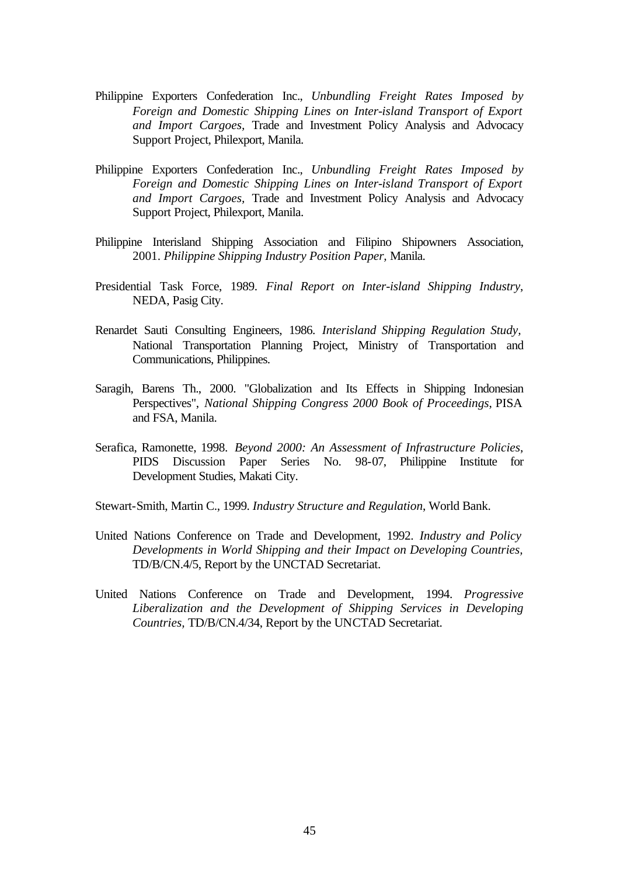- Philippine Exporters Confederation Inc., *Unbundling Freight Rates Imposed by Foreign and Domestic Shipping Lines on Inter-island Transport of Export and Import Cargoes,* Trade and Investment Policy Analysis and Advocacy Support Project, Philexport, Manila.
- Philippine Exporters Confederation Inc., *Unbundling Freight Rates Imposed by Foreign and Domestic Shipping Lines on Inter-island Transport of Export and Import Cargoes,* Trade and Investment Policy Analysis and Advocacy Support Project, Philexport, Manila.
- Philippine Interisland Shipping Association and Filipino Shipowners Association, 2001. *Philippine Shipping Industry Position Paper,* Manila.
- Presidential Task Force, 1989. *Final Report on Inter-island Shipping Industry*, NEDA, Pasig City.
- Renardet Sauti Consulting Engineers, 1986. *Interisland Shipping Regulation Study,*  National Transportation Planning Project, Ministry of Transportation and Communications, Philippines.
- Saragih, Barens Th., 2000. "Globalization and Its Effects in Shipping Indonesian Perspectives", *National Shipping Congress 2000 Book of Proceedings*, PISA and FSA, Manila.
- Serafica, Ramonette, 1998. *Beyond 2000: An Assessment of Infrastructure Policies*, PIDS Discussion Paper Series No. 98-07, Philippine Institute for Development Studies, Makati City.
- Stewart-Smith, Martin C., 1999. *Industry Structure and Regulation*, World Bank.
- United Nations Conference on Trade and Development, 1992. *Industry and Policy Developments in World Shipping and their Impact on Developing Countries,*  TD/B/CN.4/5, Report by the UNCTAD Secretariat.
- United Nations Conference on Trade and Development, 1994. *Progressive Liberalization and the Development of Shipping Services in Developing Countries,* TD/B/CN.4/34, Report by the UNCTAD Secretariat.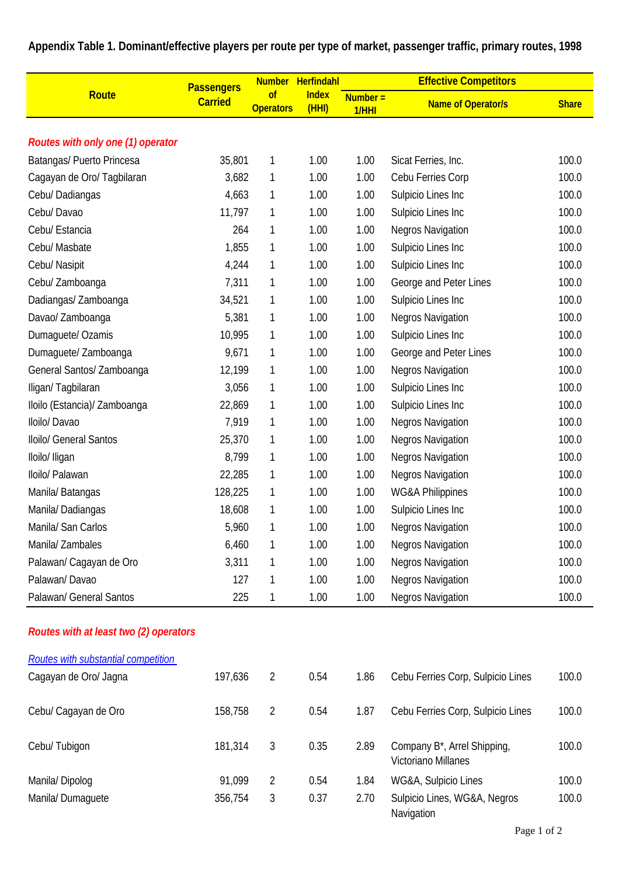| Appendix Table 1. Dominant/effective players per route per type of market, passenger traffic, primary routes, 1998 |  |  |  |  |
|--------------------------------------------------------------------------------------------------------------------|--|--|--|--|
|--------------------------------------------------------------------------------------------------------------------|--|--|--|--|

|                                        | <b>Passengers</b> | <b>Number</b>          | Herfindahl           | <b>Effective Competitors</b> |                                                    |              |  |
|----------------------------------------|-------------------|------------------------|----------------------|------------------------------|----------------------------------------------------|--------------|--|
| Route                                  | <b>Carried</b>    | of<br><b>Operators</b> | <b>Index</b><br>(HH) | $Number =$<br>1/HHI          | <b>Name of Operator/s</b>                          | <b>Share</b> |  |
| Routes with only one (1) operator      |                   |                        |                      |                              |                                                    |              |  |
| Batangas/ Puerto Princesa              | 35,801            | 1                      | 1.00                 | 1.00                         | Sicat Ferries, Inc.                                | 100.0        |  |
| Cagayan de Oro/ Tagbilaran             | 3,682             | 1                      | 1.00                 | 1.00                         | Cebu Ferries Corp                                  | 100.0        |  |
| Cebu/ Dadiangas                        | 4,663             | 1                      | 1.00                 | 1.00                         | Sulpicio Lines Inc                                 | 100.0        |  |
| Cebu/Davao                             | 11,797            | 1                      | 1.00                 | 1.00                         | Sulpicio Lines Inc                                 | 100.0        |  |
| Cebu/ Estancia                         | 264               | 1                      | 1.00                 | 1.00                         | <b>Negros Navigation</b>                           | 100.0        |  |
| Cebu/ Masbate                          | 1,855             | 1                      | 1.00                 | 1.00                         | Sulpicio Lines Inc                                 | 100.0        |  |
| Cebu/ Nasipit                          | 4,244             | 1                      | 1.00                 | 1.00                         | Sulpicio Lines Inc                                 | 100.0        |  |
| Cebu/ Zamboanga                        | 7,311             | 1                      | 1.00                 | 1.00                         | George and Peter Lines                             | 100.0        |  |
| Dadiangas/ Zamboanga                   | 34,521            | 1                      | 1.00                 | 1.00                         | Sulpicio Lines Inc                                 | 100.0        |  |
| Davao/ Zamboanga                       | 5,381             | 1                      | 1.00                 | 1.00                         | <b>Negros Navigation</b>                           | 100.0        |  |
| Dumaguete/ Ozamis                      | 10,995            | 1                      | 1.00                 | 1.00                         | Sulpicio Lines Inc                                 | 100.0        |  |
| Dumaquete/ Zamboanga                   | 9,671             | 1                      | 1.00                 | 1.00                         | George and Peter Lines                             | 100.0        |  |
| General Santos/ Zamboanga              | 12,199            | 1                      | 1.00                 | 1.00                         | <b>Negros Navigation</b>                           | 100.0        |  |
| Iligan/Tagbilaran                      | 3,056             | 1                      | 1.00                 | 1.00                         | Sulpicio Lines Inc                                 | 100.0        |  |
| Iloilo (Estancia)/ Zamboanga           | 22,869            | 1                      | 1.00                 | 1.00                         | Sulpicio Lines Inc                                 | 100.0        |  |
| Iloilo/ Davao                          | 7,919             | 1                      | 1.00                 | 1.00                         | <b>Negros Navigation</b>                           | 100.0        |  |
| Iloilo/ General Santos                 | 25,370            | 1                      | 1.00                 | 1.00                         | <b>Negros Navigation</b>                           | 100.0        |  |
| Iloilo/ Iligan                         | 8,799             | 1                      | 1.00                 | 1.00                         | <b>Negros Navigation</b>                           | 100.0        |  |
| Iloilo/ Palawan                        | 22,285            | 1                      | 1.00                 | 1.00                         | <b>Negros Navigation</b>                           | 100.0        |  |
| Manila/ Batangas                       | 128,225           | 1                      | 1.00                 | 1.00                         | <b>WG&amp;A Philippines</b>                        | 100.0        |  |
| Manila/Dadiangas                       | 18,608            | 1                      | 1.00                 | 1.00                         | Sulpicio Lines Inc                                 | 100.0        |  |
| Manila/ San Carlos                     | 5,960             | 1                      | 1.00                 | 1.00                         | <b>Negros Navigation</b>                           | 100.0        |  |
| Manila/ Zambales                       | 6,460             | 1                      | 1.00                 | 1.00                         | <b>Negros Navigation</b>                           | 100.0        |  |
| Palawan/ Cagayan de Oro                | 3,311             | 1                      | 1.00                 | 1.00                         | <b>Negros Navigation</b>                           | 100.0        |  |
| Palawan/Davao                          | 127               | 1                      | 1.00                 | 1.00                         | <b>Negros Navigation</b>                           | 100.0        |  |
| Palawan/ General Santos                | 225               | 1                      | 1.00                 | 1.00                         | <b>Negros Navigation</b>                           | 100.0        |  |
| Routes with at least two (2) operators |                   |                        |                      |                              |                                                    |              |  |
| Routes with substantial competition    |                   |                        |                      |                              |                                                    |              |  |
| Cagayan de Oro/ Jagna                  | 197,636           | $\overline{2}$         | 0.54                 | 1.86                         | Cebu Ferries Corp, Sulpicio Lines                  | 100.0        |  |
| Cebu/ Cagayan de Oro                   | 158,758           | $\overline{2}$         | 0.54                 | 1.87                         | Cebu Ferries Corp, Sulpicio Lines                  | 100.0        |  |
| Cebu/ Tubigon                          | 181,314           | $\mathfrak{Z}$         | 0.35                 | 2.89                         | Company B*, Arrel Shipping,<br>Victoriano Millanes | 100.0        |  |
| Manila/Dipolog                         | 91,099            | $\overline{2}$         | 0.54                 | 1.84                         | WG&A, Sulpicio Lines                               | 100.0        |  |
| Manila/Dumaguete                       | 356,754           | 3                      | 0.37                 | 2.70                         | Sulpicio Lines, WG&A, Negros<br>Navigation         | 100.0        |  |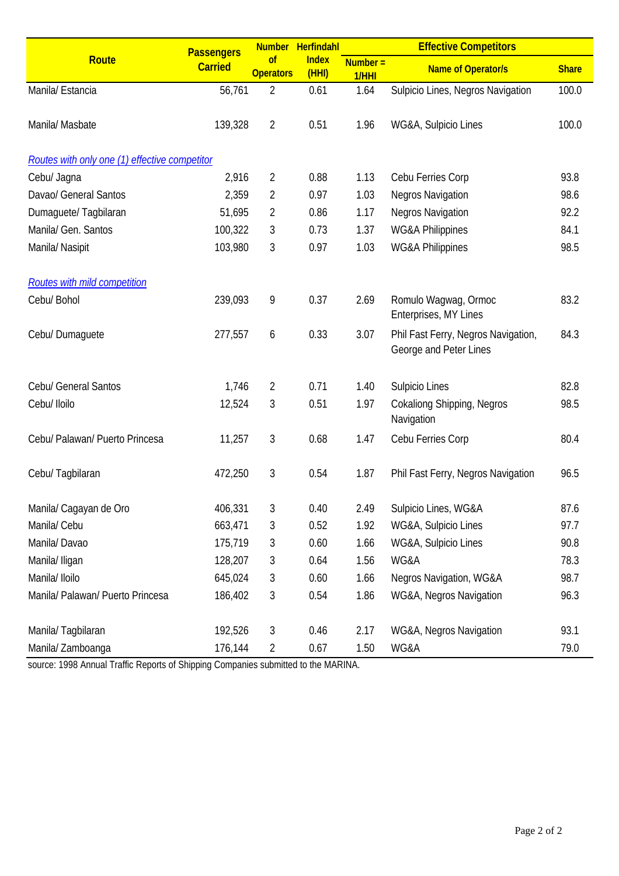|                                               | <b>Passengers</b> |                        | Number Herfindahl     | <b>Effective Competitors</b> |                                                               |              |  |  |
|-----------------------------------------------|-------------------|------------------------|-----------------------|------------------------------|---------------------------------------------------------------|--------------|--|--|
| <b>Route</b>                                  | <b>Carried</b>    | of<br><b>Operators</b> | <b>Index</b><br>(HHI) | $Number =$<br>1/HHI          | <b>Name of Operator/s</b>                                     | <b>Share</b> |  |  |
| Manila/ Estancia                              | 56,761            | $\overline{2}$         | 0.61                  | 1.64                         | Sulpicio Lines, Negros Navigation                             | 100.0        |  |  |
| Manila/ Masbate                               | 139,328           | $\overline{2}$         | 0.51                  | 1.96                         | WG&A, Sulpicio Lines                                          | 100.0        |  |  |
| Routes with only one (1) effective competitor |                   |                        |                       |                              |                                                               |              |  |  |
| Cebu/ Jagna                                   | 2,916             | $\overline{2}$         | 0.88                  | 1.13                         | Cebu Ferries Corp                                             | 93.8         |  |  |
| Davao/ General Santos                         | 2,359             | $\overline{2}$         | 0.97                  | 1.03                         | <b>Negros Navigation</b>                                      | 98.6         |  |  |
| Dumaguete/Tagbilaran                          | 51,695            | $\overline{2}$         | 0.86                  | 1.17                         | Negros Navigation                                             | 92.2         |  |  |
| Manila/ Gen. Santos                           | 100,322           | 3                      | 0.73                  | 1.37                         | <b>WG&amp;A Philippines</b>                                   | 84.1         |  |  |
| Manila/ Nasipit                               | 103,980           | 3                      | 0.97                  | 1.03                         | <b>WG&amp;A Philippines</b>                                   | 98.5         |  |  |
| Routes with mild competition                  |                   |                        |                       |                              |                                                               |              |  |  |
| Cebu/ Bohol                                   | 239,093           | 9                      | 0.37                  | 2.69                         | Romulo Wagwag, Ormoc<br>Enterprises, MY Lines                 | 83.2         |  |  |
| Cebu/ Dumaguete                               | 277,557           | 6                      | 0.33                  | 3.07                         | Phil Fast Ferry, Negros Navigation,<br>George and Peter Lines | 84.3         |  |  |
| Cebu/ General Santos                          | 1,746             | $\overline{2}$         | 0.71                  | 1.40                         | Sulpicio Lines                                                | 82.8         |  |  |
| Cebu/ Iloilo                                  | 12,524            | 3                      | 0.51                  | 1.97                         | <b>Cokaliong Shipping, Negros</b><br>Navigation               | 98.5         |  |  |
| Cebu/ Palawan/ Puerto Princesa                | 11,257            | 3                      | 0.68                  | 1.47                         | Cebu Ferries Corp                                             | 80.4         |  |  |
| Cebu/ Tagbilaran                              | 472,250           | 3                      | 0.54                  | 1.87                         | Phil Fast Ferry, Negros Navigation                            | 96.5         |  |  |
| Manila/ Cagayan de Oro                        | 406,331           | 3                      | 0.40                  | 2.49                         | Sulpicio Lines, WG&A                                          | 87.6         |  |  |
| Manila/ Cebu                                  | 663,471           | 3                      | 0.52                  | 1.92                         | WG&A, Sulpicio Lines                                          | 97.7         |  |  |
| Manila/Davao                                  | 175,719           | 3                      | 0.60                  | 1.66                         | WG&A, Sulpicio Lines                                          | 90.8         |  |  |
| Manila/ Iligan                                | 128,207           | 3                      | 0.64                  | 1.56                         | WG&A                                                          | 78.3         |  |  |
| Manila/ Iloilo                                | 645,024           | 3                      | 0.60                  | 1.66                         | Negros Navigation, WG&A                                       | 98.7         |  |  |
| Manila/ Palawan/ Puerto Princesa              | 186,402           | 3                      | 0.54                  | 1.86                         | WG&A, Negros Navigation                                       | 96.3         |  |  |
| Manila/Tagbilaran                             | 192,526           | 3                      | 0.46                  | 2.17                         | WG&A, Negros Navigation                                       | 93.1         |  |  |
| Manila/ Zamboanga                             | 176,144           | $\overline{2}$         | 0.67                  | 1.50                         | WG&A                                                          | 79.0         |  |  |

source: 1998 Annual Traffic Reports of Shipping Companies submitted to the MARINA.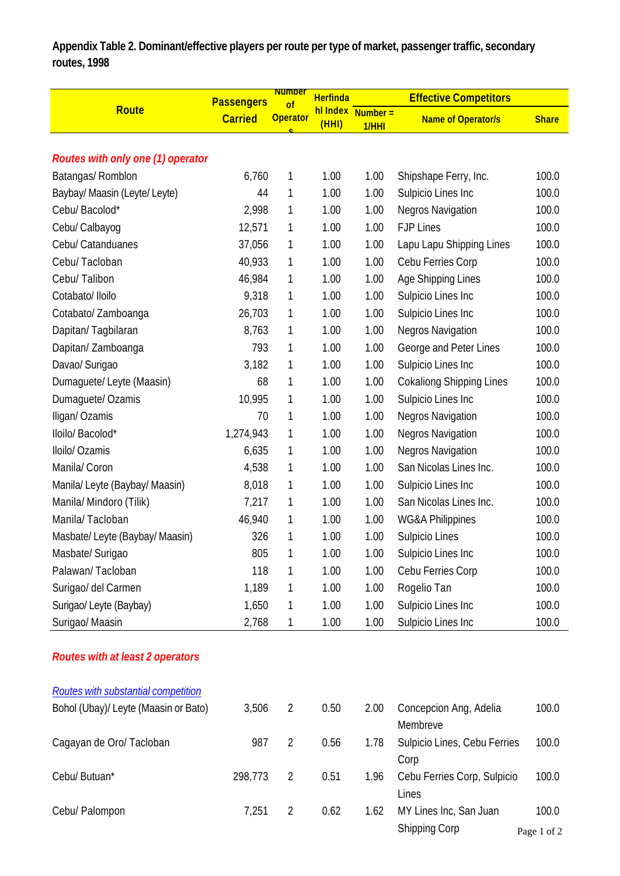**Appendix Table 2. Dominant/effective players per route per type of market, passenger traffic, secondary routes, 1998**

|                                          | <b>Passengers</b> | <b>Number</b><br><sub>of</sub> | <b>Herfinda</b>   |                     | <b>Effective Competitors</b>    |              |
|------------------------------------------|-------------------|--------------------------------|-------------------|---------------------|---------------------------------|--------------|
| <b>Route</b>                             | <b>Carried</b>    | <b>Operator</b>                | hl Index<br>(HHI) | $Number =$<br>1/HHI | <b>Name of Operator/s</b>       | <b>Share</b> |
|                                          |                   |                                |                   |                     |                                 |              |
| <b>Routes with only one (1) operator</b> |                   |                                |                   |                     |                                 |              |
| Batangas/ Romblon                        | 6,760             | 1                              | 1.00              | 1.00                | Shipshape Ferry, Inc.           | 100.0        |
| Baybay/ Maasin (Leyte/ Leyte)            | 44                | 1                              | 1.00              | 1.00                | Sulpicio Lines Inc              | 100.0        |
| Cebu/ Bacolod*                           | 2,998             | 1                              | 1.00              | 1.00                | Negros Navigation               | 100.0        |
| Cebu/ Calbayog                           | 12,571            | 1                              | 1.00              | 1.00                | <b>FJP Lines</b>                | 100.0        |
| Cebu/ Catanduanes                        | 37,056            | 1                              | 1.00              | 1.00                | Lapu Lapu Shipping Lines        | 100.0        |
| Cebu/Tacloban                            | 40,933            | 1                              | 1.00              | 1.00                | Cebu Ferries Corp               | 100.0        |
| Cebu/ Talibon                            | 46,984            | 1                              | 1.00              | 1.00                | Age Shipping Lines              | 100.0        |
| Cotabato/ Iloilo                         | 9,318             | 1                              | 1.00              | 1.00                | Sulpicio Lines Inc              | 100.0        |
| Cotabato/ Zamboanga                      | 26,703            | 1                              | 1.00              | 1.00                | Sulpicio Lines Inc              | 100.0        |
| Dapitan/Tagbilaran                       | 8,763             | 1                              | 1.00              | 1.00                | <b>Negros Navigation</b>        | 100.0        |
| Dapitan/ Zamboanga                       | 793               | 1                              | 1.00              | 1.00                | George and Peter Lines          | 100.0        |
| Davao/ Surigao                           | 3,182             | 1                              | 1.00              | 1.00                | Sulpicio Lines Inc              | 100.0        |
| Dumaguete/ Leyte (Maasin)                | 68                | 1                              | 1.00              | 1.00                | <b>Cokaliong Shipping Lines</b> | 100.0        |
| Dumaguete/ Ozamis                        | 10,995            | 1                              | 1.00              | 1.00                | Sulpicio Lines Inc              | 100.0        |
| Iligan/Ozamis                            | 70                | 1                              | 1.00              | 1.00                | <b>Negros Navigation</b>        | 100.0        |
| lloilo/ Bacolod*                         | 1,274,943         | 1                              | 1.00              | 1.00                | <b>Negros Navigation</b>        | 100.0        |
| Iloilo/ Ozamis                           | 6,635             | 1                              | 1.00              | 1.00                | <b>Negros Navigation</b>        | 100.0        |
| Manila/ Coron                            | 4,538             | 1                              | 1.00              | 1.00                | San Nicolas Lines Inc.          | 100.0        |
| Manila/ Leyte (Baybay/ Maasin)           | 8,018             | 1                              | 1.00              | 1.00                | Sulpicio Lines Inc              | 100.0        |
| Manila/ Mindoro (Tilik)                  | 7,217             | 1                              | 1.00              | 1.00                | San Nicolas Lines Inc.          | 100.0        |
| Manila/Tacloban                          | 46,940            | 1                              | 1.00              | 1.00                | <b>WG&amp;A Philippines</b>     | 100.0        |
| Masbate/ Leyte (Baybay/ Maasin)          | 326               | 1                              | 1.00              | 1.00                | Sulpicio Lines                  | 100.0        |
| Masbate/ Surigao                         | 805               | 1                              | 1.00              | 1.00                | Sulpicio Lines Inc              | 100.0        |
| Palawan/Tacloban                         | 118               | 1                              | 1.00              | 1.00                | Cebu Ferries Corp               | 100.0        |
| Surigao/ del Carmen                      | 1,189             | 1                              | 1.00              | 1.00                | Rogelio Tan                     | 100.0        |
| Surigao/ Leyte (Baybay)                  | 1,650             | 1                              | 1.00              | 1.00                | Sulpicio Lines Inc              | 100.0        |
| Surigao/ Maasin                          | 2,768             | 1                              | 1.00              | 1.00                | Sulpicio Lines Inc              | 100.0        |

## *Routes with at least 2 operators*

| <b>Routes with substantial competition</b> |         |   |      |      |                              |             |
|--------------------------------------------|---------|---|------|------|------------------------------|-------------|
| Bohol (Ubay)/ Leyte (Maasin or Bato)       | 3,506   | 2 | 0.50 | 2.00 | Concepcion Ang, Adelia       | 100.0       |
|                                            |         |   |      |      | Membreve                     |             |
| Cagayan de Oro/ Tacloban                   | 987     |   | 0.56 | 1.78 | Sulpicio Lines, Cebu Ferries | 100.0       |
|                                            |         |   |      |      | Corp                         |             |
| Cebu/ Butuan*                              | 298,773 | 2 | 0.51 | 1.96 | Cebu Ferries Corp, Sulpicio  | 100.0       |
|                                            |         |   |      |      | Lines                        |             |
| Cebu/ Palompon                             | 7,251   |   | 0.62 | 1.62 | MY Lines Inc, San Juan       | 100.0       |
|                                            |         |   |      |      | Shipping Corp                | Page 1 of 2 |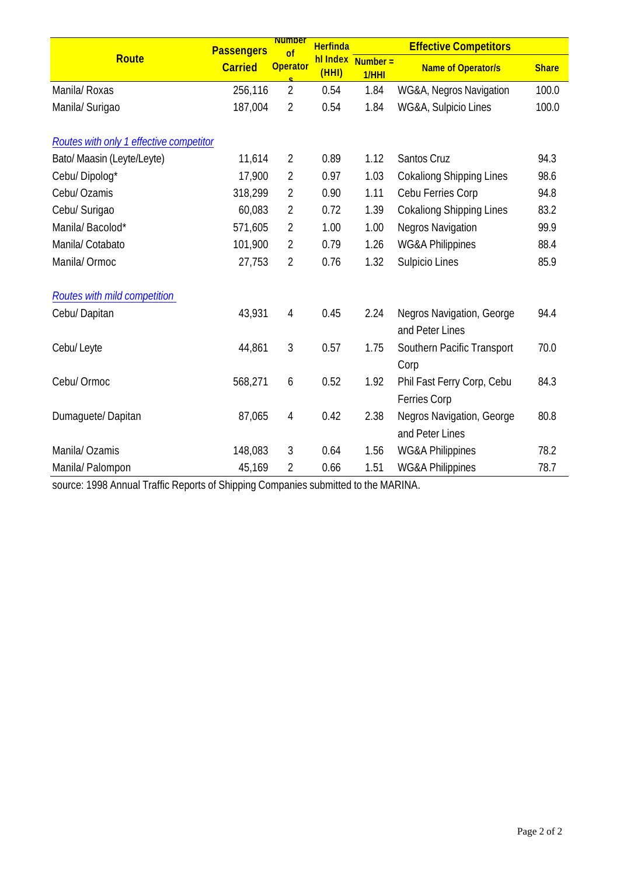|                                         | <b>Passengers</b> | <b>Number</b><br>$\overline{of}$ | <b>Herfinda</b> |                            | <b>Effective Competitors</b>                 |              |
|-----------------------------------------|-------------------|----------------------------------|-----------------|----------------------------|----------------------------------------------|--------------|
| <b>Route</b>                            | <b>Carried</b>    | <b>Operator</b>                  | (HHI)           | hl Index Number =<br>1/HHI | <b>Name of Operator/s</b>                    | <b>Share</b> |
| Manila/ Roxas                           | 256,116           | $\overline{2}$                   | 0.54            | 1.84                       | WG&A, Negros Navigation                      | 100.0        |
| Manila/ Surigao                         | 187,004           | $\sqrt{2}$                       | 0.54            | 1.84                       | WG&A, Sulpicio Lines                         | 100.0        |
| Routes with only 1 effective competitor |                   |                                  |                 |                            |                                              |              |
| Bato/ Maasin (Leyte/Leyte)              | 11,614            | $\overline{2}$                   | 0.89            | 1.12                       | Santos Cruz                                  | 94.3         |
| Cebu/Dipolog*                           | 17,900            | $\overline{2}$                   | 0.97            | 1.03                       | <b>Cokaliong Shipping Lines</b>              | 98.6         |
| Cebu/ Ozamis                            | 318,299           | $\overline{2}$                   | 0.90            | 1.11                       | Cebu Ferries Corp                            | 94.8         |
| Cebu/ Surigao                           | 60,083            | $\overline{2}$                   | 0.72            | 1.39                       | <b>Cokaliong Shipping Lines</b>              | 83.2         |
| Manila/Bacolod*                         | 571,605           | $\overline{2}$                   | 1.00            | 1.00                       | <b>Negros Navigation</b>                     | 99.9         |
| Manila/ Cotabato                        | 101,900           | $\overline{2}$                   | 0.79            | 1.26                       | <b>WG&amp;A Philippines</b>                  | 88.4         |
| Manila/ Ormoc                           | 27,753            | $\overline{2}$                   | 0.76            | 1.32                       | Sulpicio Lines                               | 85.9         |
| <b>Routes with mild competition</b>     |                   |                                  |                 |                            |                                              |              |
| Cebu/Dapitan                            | 43,931            | $\overline{4}$                   | 0.45            | 2.24                       | Negros Navigation, George<br>and Peter Lines | 94.4         |
| Cebu/Leyte                              | 44,861            | 3                                | 0.57            | 1.75                       | Southern Pacific Transport<br>Corp           | 70.0         |
| Cebu/ Ormoc                             | 568,271           | 6                                | 0.52            | 1.92                       | Phil Fast Ferry Corp, Cebu<br>Ferries Corp   | 84.3         |
| Dumaquete/Dapitan                       | 87,065            | 4                                | 0.42            | 2.38                       | Negros Navigation, George<br>and Peter Lines | 80.8         |
| Manila/ Ozamis                          | 148,083           | 3                                | 0.64            | 1.56                       | <b>WG&amp;A Philippines</b>                  | 78.2         |
| Manila/ Palompon                        | 45,169            | 2                                | 0.66            | 1.51                       | WG&A Philippines                             | 78.7         |

source: 1998 Annual Traffic Reports of Shipping Companies submitted to the MARINA.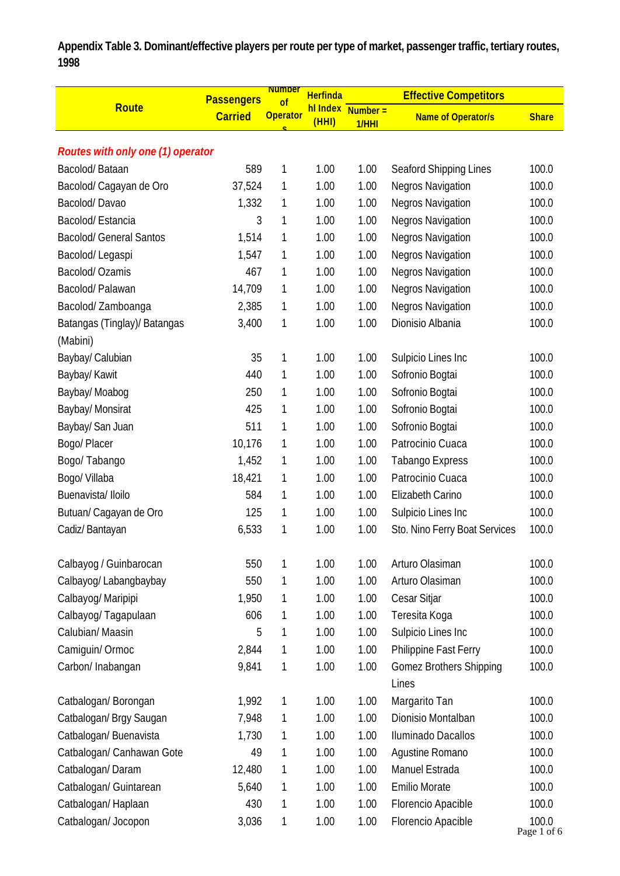**Appendix Table 3. Dominant/effective players per route per type of market, passenger traffic, tertiary routes, 1998**

|                                   | <b>Passengers</b> | <b>Number</b><br>of | <b>Herfinda</b> |                   | <b>Effective Competitors</b>   |                      |
|-----------------------------------|-------------------|---------------------|-----------------|-------------------|--------------------------------|----------------------|
| Route                             | <b>Carried</b>    | <b>Operator</b>     | (HHI)           | hl Index Number = | <b>Name of Operator/s</b>      | <b>Share</b>         |
|                                   |                   |                     |                 | 1/HHI             |                                |                      |
| Routes with only one (1) operator |                   |                     |                 |                   |                                |                      |
| Bacolod/Bataan                    | 589               | 1                   | 1.00            | 1.00              | Seaford Shipping Lines         | 100.0                |
| Bacolod/ Cagayan de Oro           | 37,524            | 1                   | 1.00            | 1.00              | <b>Negros Navigation</b>       | 100.0                |
| Bacolod/Davao                     | 1,332             | 1                   | 1.00            | 1.00              | <b>Negros Navigation</b>       | 100.0                |
| Bacolod/Estancia                  | 3                 | 1                   | 1.00            | 1.00              | <b>Negros Navigation</b>       | 100.0                |
| <b>Bacolod/ General Santos</b>    | 1,514             | 1                   | 1.00            | 1.00              | <b>Negros Navigation</b>       | 100.0                |
| Bacolod/Legaspi                   | 1,547             | 1                   | 1.00            | 1.00              | <b>Negros Navigation</b>       | 100.0                |
| Bacolod/ Ozamis                   | 467               | 1                   | 1.00            | 1.00              | <b>Negros Navigation</b>       | 100.0                |
| Bacolod/Palawan                   | 14,709            | 1                   | 1.00            | 1.00              | <b>Negros Navigation</b>       | 100.0                |
| Bacolod/Zamboanga                 | 2,385             | 1                   | 1.00            | 1.00              | <b>Negros Navigation</b>       | 100.0                |
| Batangas (Tinglay)/ Batangas      | 3,400             | 1                   | 1.00            | 1.00              | Dionisio Albania               | 100.0                |
| (Mabini)                          |                   |                     |                 |                   |                                |                      |
| Baybay/ Calubian                  | 35                | 1                   | 1.00            | 1.00              | Sulpicio Lines Inc             | 100.0                |
| Baybay/ Kawit                     | 440               | 1                   | 1.00            | 1.00              | Sofronio Bogtai                | 100.0                |
| Baybay/ Moabog                    | 250               | 1                   | 1.00            | 1.00              | Sofronio Bogtai                | 100.0                |
| Baybay/ Monsirat                  | 425               | 1                   | 1.00            | 1.00              | Sofronio Bogtai                | 100.0                |
| Baybay/ San Juan                  | 511               | 1                   | 1.00            | 1.00              | Sofronio Bogtai                | 100.0                |
| Bogo/ Placer                      | 10,176            | 1                   | 1.00            | 1.00              | Patrocinio Cuaca               | 100.0                |
| Bogo/ Tabango                     | 1,452             | 1                   | 1.00            | 1.00              | <b>Tabango Express</b>         | 100.0                |
| Bogo/ Villaba                     | 18,421            | 1                   | 1.00            | 1.00              | Patrocinio Cuaca               | 100.0                |
| Buenavista/ Iloilo                | 584               | 1                   | 1.00            | 1.00              | Elizabeth Carino               | 100.0                |
| Butuan/ Cagayan de Oro            | 125               | 1                   | 1.00            | 1.00              | Sulpicio Lines Inc             | 100.0                |
| Cadiz/Bantayan                    | 6,533             | 1                   | 1.00            | 1.00              | Sto. Nino Ferry Boat Services  | 100.0                |
| Calbayog / Guinbarocan            | 550               | 1                   | 1.00            | 1.00              | Arturo Olasiman                | 100.0                |
| Calbayog/ Labangbaybay            | 550               | 1                   | 1.00            | 1.00              | Arturo Olasiman                | 100.0                |
| Calbayog/ Maripipi                | 1,950             | 1                   | 1.00            | 1.00              | Cesar Sitjar                   | 100.0                |
| Calbayog/ Tagapulaan              | 606               | 1                   | 1.00            | 1.00              | Teresita Koga                  | 100.0                |
| Calubian/Maasin                   | 5                 | 1                   | 1.00            | 1.00              | Sulpicio Lines Inc             | 100.0                |
| Camiguin/Ormoc                    | 2,844             | 1                   | 1.00            | 1.00              | Philippine Fast Ferry          | 100.0                |
| Carbon/ Inabangan                 | 9,841             | 1                   | 1.00            | 1.00              | <b>Gomez Brothers Shipping</b> | 100.0                |
|                                   |                   |                     |                 |                   | Lines                          |                      |
| Catbalogan/ Borongan              | 1,992             | 1                   | 1.00            | 1.00              | Margarito Tan                  | 100.0                |
| Catbalogan/ Brgy Saugan           | 7,948             | 1                   | 1.00            | 1.00              | Dionisio Montalban             | 100.0                |
| Catbalogan/ Buenavista            | 1,730             | 1                   | 1.00            | 1.00              | Iluminado Dacallos             | 100.0                |
| Catbalogan/ Canhawan Gote         | 49                | 1                   | 1.00            | 1.00              | Agustine Romano                | 100.0                |
| Catbalogan/Daram                  | 12,480            | 1                   | 1.00            | 1.00              | Manuel Estrada                 | 100.0                |
| Catbalogan/ Guintarean            | 5,640             | 1                   | 1.00            | 1.00              | <b>Emilio Morate</b>           | 100.0                |
| Catbalogan/Haplaan                | 430               | 1                   | 1.00            | 1.00              | Florencio Apacible             | 100.0                |
| Catbalogan/ Jocopon               | 3,036             | 1                   | 1.00            | 1.00              | Florencio Apacible             | 100.0<br>Page 1 of 6 |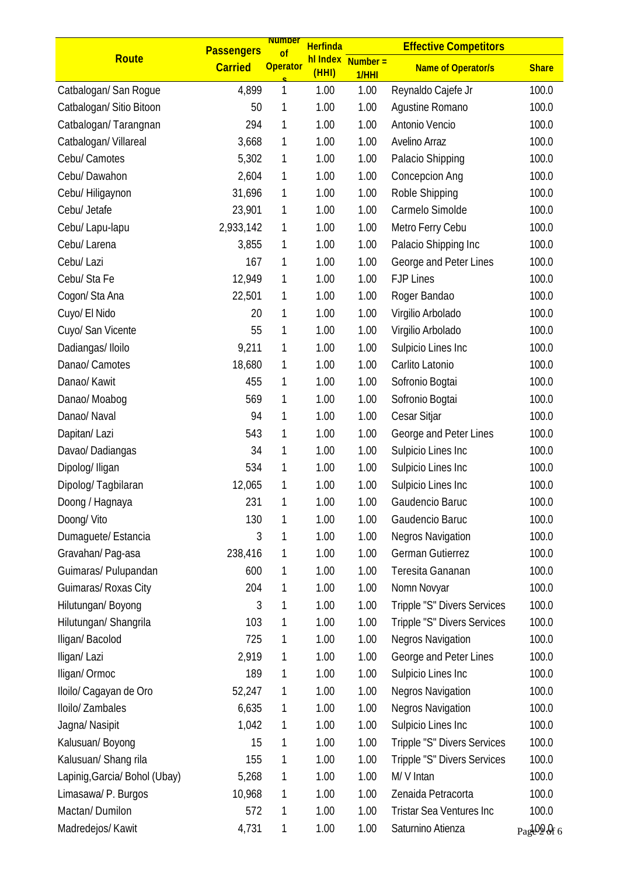|                               | <b>Passengers</b> | <b>Number</b><br>of | <b>Herfinda</b>   |                     | <b>Effective Competitors</b>    |              |
|-------------------------------|-------------------|---------------------|-------------------|---------------------|---------------------------------|--------------|
| Route                         | <b>Carried</b>    | <b>Operator</b>     | hl Index<br>(HHI) | $Number =$<br>1/HHI | <b>Name of Operator/s</b>       | <b>Share</b> |
| Catbalogan/ San Rogue         | 4,899             | 1                   | 1.00              | 1.00                | Reynaldo Cajefe Jr              | 100.0        |
| Catbalogan/ Sitio Bitoon      | 50                | 1                   | 1.00              | 1.00                | Aqustine Romano                 | 100.0        |
| Catbalogan/Tarangnan          | 294               | 1                   | 1.00              | 1.00                | Antonio Vencio                  | 100.0        |
| Catbalogan/ Villareal         | 3,668             | 1                   | 1.00              | 1.00                | Avelino Arraz                   | 100.0        |
| Cebu/ Camotes                 | 5,302             | 1                   | 1.00              | 1.00                | Palacio Shipping                | 100.0        |
| Cebu/Dawahon                  | 2,604             | 1                   | 1.00              | 1.00                | Concepcion Ang                  | 100.0        |
| Cebu/ Hiligaynon              | 31,696            | 1                   | 1.00              | 1.00                | Roble Shipping                  | 100.0        |
| Cebul Jetafe                  | 23,901            | 1                   | 1.00              | 1.00                | Carmelo Simolde                 | 100.0        |
| Cebu/ Lapu-lapu               | 2,933,142         | 1                   | 1.00              | 1.00                | Metro Ferry Cebu                | 100.0        |
| Cebu/ Larena                  | 3,855             | 1                   | 1.00              | 1.00                | Palacio Shipping Inc            | 100.0        |
| Cebu/ Lazi                    | 167               | 1                   | 1.00              | 1.00                | George and Peter Lines          | 100.0        |
| Cebu/ Sta Fe                  | 12,949            | 1                   | 1.00              | 1.00                | <b>FJP Lines</b>                | 100.0        |
| Cogon/ Sta Ana                | 22,501            | 1                   | 1.00              | 1.00                | Roger Bandao                    | 100.0        |
| Cuyo/ El Nido                 | 20                | 1                   | 1.00              | 1.00                | Virgilio Arbolado               | 100.0        |
| Cuyo/ San Vicente             | 55                | 1                   | 1.00              | 1.00                | Virgilio Arbolado               | 100.0        |
| Dadiangas/Iloilo              | 9,211             | 1                   | 1.00              | 1.00                | Sulpicio Lines Inc              | 100.0        |
| Danao/ Camotes                | 18,680            | 1                   | 1.00              | 1.00                | Carlito Latonio                 | 100.0        |
| Danao/ Kawit                  | 455               | 1                   | 1.00              | 1.00                | Sofronio Bogtai                 | 100.0        |
| Danao/ Moabog                 | 569               | 1                   | 1.00              | 1.00                | Sofronio Bogtai                 | 100.0        |
| Danao/ Naval                  | 94                | 1                   | 1.00              | 1.00                | Cesar Sitjar                    | 100.0        |
| Dapitan/Lazi                  | 543               | 1                   | 1.00              | 1.00                | George and Peter Lines          | 100.0        |
| Davao/Dadiangas               | 34                | 1                   | 1.00              | 1.00                | Sulpicio Lines Inc              | 100.0        |
| Dipolog/ Iligan               | 534               | 1                   | 1.00              | 1.00                | Sulpicio Lines Inc              | 100.0        |
| Dipolog/Tagbilaran            | 12,065            | 1                   | 1.00              | 1.00                | Sulpicio Lines Inc              | 100.0        |
| Doong / Hagnaya               | 231               | 1                   | 1.00              | 1.00                | Gaudencio Baruc                 | 100.0        |
| Doong/ Vito                   | 130               | 1                   | 1.00              | 1.00                | Gaudencio Baruc                 | 100.0        |
| Dumaguete/ Estancia           | 3                 | 1                   | 1.00              | 1.00                | Negros Navigation               | 100.0        |
| Gravahan/Pag-asa              | 238,416           | 1                   | 1.00              | 1.00                | German Gutierrez                | 100.0        |
| Guimaras/ Pulupandan          | 600               | 1                   | 1.00              | 1.00                | Teresita Gananan                | 100.0        |
| Guimaras/ Roxas City          | 204               | 1                   | 1.00              | 1.00                | Nomn Novyar                     | 100.0        |
| Hilutungan/ Boyong            | 3                 | 1                   | 1.00              | 1.00                | Tripple "S" Divers Services     | 100.0        |
| Hilutungan/ Shangrila         | 103               | 1                   | 1.00              | 1.00                | Tripple "S" Divers Services     | 100.0        |
| Iligan/Bacolod                | 725               | 1                   | 1.00              | 1.00                | <b>Negros Navigation</b>        | 100.0        |
| Iligan/Lazi                   | 2,919             | 1                   | 1.00              | 1.00                | George and Peter Lines          | 100.0        |
| Iligan/Ormoc                  | 189               | 1                   | 1.00              | 1.00                | Sulpicio Lines Inc              | 100.0        |
| Iloilo/ Cagayan de Oro        | 52,247            | 1                   | 1.00              | 1.00                | <b>Negros Navigation</b>        | 100.0        |
| Iloilo/Zambales               | 6,635             | 1                   | 1.00              | 1.00                | <b>Negros Navigation</b>        | 100.0        |
| Jagna/ Nasipit                | 1,042             | 1                   | 1.00              | 1.00                | Sulpicio Lines Inc              | 100.0        |
| Kalusuan/ Boyong              | 15                | 1                   | 1.00              | 1.00                | Tripple "S" Divers Services     | 100.0        |
| Kalusuan/ Shang rila          | 155               | 1                   | 1.00              | 1.00                | Tripple "S" Divers Services     | 100.0        |
| Lapinig, Garcia/ Bohol (Ubay) | 5,268             | 1                   | 1.00              | 1.00                | M/V Intan                       | 100.0        |
| Limasawa/ P. Burgos           | 10,968            | 1                   | 1.00              | 1.00                | Zenaida Petracorta              | 100.0        |
| Mactan/Dumilon                | 572               | 1                   | 1.00              | 1.00                | <b>Tristar Sea Ventures Inc</b> | 100.0        |
| Madredejos/ Kawit             | 4,731             | 1                   | 1.00              | 1.00                | Saturnino Atienza               | Page Of 6    |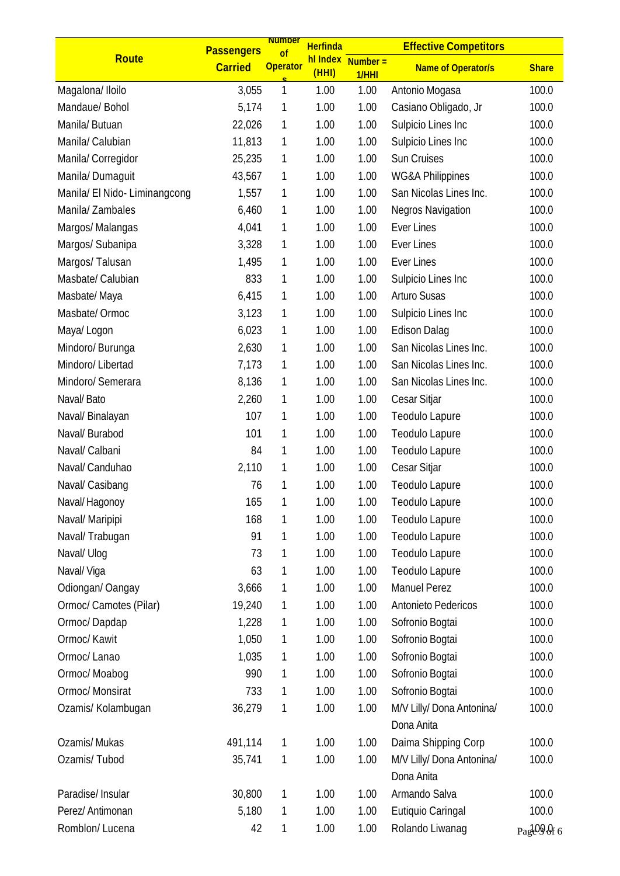|                               | <b>Passengers</b> | <b>Number</b><br>of | <b>Herfinda</b> |                               | <b>Effective Competitors</b>            |              |
|-------------------------------|-------------------|---------------------|-----------------|-------------------------------|-----------------------------------------|--------------|
| <b>Route</b>                  | <b>Carried</b>    | <b>Operator</b>     | (HHI)           | $h$ l Index Number =<br>1/HHI | <b>Name of Operator/s</b>               | <b>Share</b> |
| Magalona/ Iloilo              | 3,055             | 1                   | 1.00            | 1.00                          | Antonio Mogasa                          | 100.0        |
| Mandaue/ Bohol                | 5,174             | 1                   | 1.00            | 1.00                          | Casiano Obligado, Jr                    | 100.0        |
| Manila/ Butuan                | 22,026            | 1                   | 1.00            | 1.00                          | Sulpicio Lines Inc                      | 100.0        |
| Manila/ Calubian              | 11,813            | 1                   | 1.00            | 1.00                          | Sulpicio Lines Inc                      | 100.0        |
| Manila/ Corregidor            | 25,235            | 1                   | 1.00            | 1.00                          | Sun Cruises                             | 100.0        |
| Manila/Dumaguit               | 43,567            | 1                   | 1.00            | 1.00                          | <b>WG&amp;A Philippines</b>             | 100.0        |
| Manila/ El Nido- Liminangcong | 1,557             | 1                   | 1.00            | 1.00                          | San Nicolas Lines Inc.                  | 100.0        |
| Manila/Zambales               | 6,460             | 1                   | 1.00            | 1.00                          | Negros Navigation                       | 100.0        |
| Margos/ Malangas              | 4,041             | 1                   | 1.00            | 1.00                          | <b>Ever Lines</b>                       | 100.0        |
| Margos/ Subanipa              | 3,328             | 1                   | 1.00            | 1.00                          | Ever Lines                              | 100.0        |
| Margos/ Talusan               | 1,495             | 1                   | 1.00            | 1.00                          | <b>Ever Lines</b>                       | 100.0        |
| Masbate/ Calubian             | 833               | 1                   | 1.00            | 1.00                          | Sulpicio Lines Inc                      | 100.0        |
| Masbate/Maya                  | 6,415             | 1                   | 1.00            | 1.00                          | <b>Arturo Susas</b>                     | 100.0        |
| Masbate/ Ormoc                | 3,123             | 1                   | 1.00            | 1.00                          | Sulpicio Lines Inc                      | 100.0        |
| Maya/ Logon                   | 6,023             | 1                   | 1.00            | 1.00                          | <b>Edison Dalag</b>                     | 100.0        |
| Mindoro/ Burunga              | 2,630             | 1                   | 1.00            | 1.00                          | San Nicolas Lines Inc.                  | 100.0        |
| Mindoro/ Libertad             | 7,173             | 1                   | 1.00            | 1.00                          | San Nicolas Lines Inc.                  | 100.0        |
| Mindoro/ Semerara             | 8,136             | 1                   | 1.00            | 1.00                          | San Nicolas Lines Inc.                  | 100.0        |
| Naval/Bato                    | 2,260             | 1                   | 1.00            | 1.00                          | Cesar Sitjar                            | 100.0        |
| Naval/ Binalayan              | 107               | 1                   | 1.00            | 1.00                          | Teodulo Lapure                          | 100.0        |
| Naval/ Burabod                | 101               | 1                   | 1.00            | 1.00                          | Teodulo Lapure                          | 100.0        |
| Naval/ Calbani                | 84                | 1                   | 1.00            | 1.00                          | Teodulo Lapure                          | 100.0        |
| Naval/ Canduhao               | 2,110             | 1                   | 1.00            | 1.00                          | Cesar Sitjar                            | 100.0        |
| Naval/ Casibang               | 76                | 1                   | 1.00            | 1.00                          | Teodulo Lapure                          | 100.0        |
| Naval/Hagonoy                 | 165               | 1                   | 1.00            | 1.00                          | Teodulo Lapure                          | 100.0        |
| Naval/ Maripipi               | 168               | 1                   | 1.00            | 1.00                          | Teodulo Lapure                          | 100.0        |
| Naval/ Trabugan               | 91                | 1                   | 1.00            | 1.00                          | Teodulo Lapure                          | 100.0        |
| Naval/ Ulog                   | 73                | 1                   | 1.00            | 1.00                          | Teodulo Lapure                          | 100.0        |
| Naval/ Viga                   | 63                | 1                   | 1.00            | 1.00                          | <b>Teodulo Lapure</b>                   | 100.0        |
| Odiongan/ Oangay              | 3,666             | 1                   | 1.00            | 1.00                          | <b>Manuel Perez</b>                     | 100.0        |
| Ormoc/ Camotes (Pilar)        | 19,240            | 1                   | 1.00            | 1.00                          | Antonieto Pedericos                     | 100.0        |
| Ormoc/Dapdap                  | 1,228             | 1                   | 1.00            | 1.00                          | Sofronio Bogtai                         | 100.0        |
| Ormoc/ Kawit                  | 1,050             | 1                   | 1.00            | 1.00                          | Sofronio Bogtai                         | 100.0        |
| Ormoc/ Lanao                  | 1,035             | 1                   | 1.00            | 1.00                          | Sofronio Bogtai                         | 100.0        |
| Ormoc/Moabog                  | 990               | 1                   | 1.00            | 1.00                          | Sofronio Bogtai                         | 100.0        |
| Ormoc/ Monsirat               | 733               | 1                   | 1.00            | 1.00                          | Sofronio Bogtai                         | 100.0        |
| Ozamis/ Kolambugan            | 36,279            | 1                   | 1.00            | 1.00                          | M/V Lilly/ Dona Antonina/<br>Dona Anita | 100.0        |
| Ozamis/Mukas                  | 491,114           | 1                   | 1.00            | 1.00                          | Daima Shipping Corp                     | 100.0        |
| Ozamis/Tubod                  | 35,741            | 1                   | 1.00            | 1.00                          | M/V Lilly/ Dona Antonina/<br>Dona Anita | 100.0        |
| Paradise/ Insular             | 30,800            | 1                   | 1.00            | 1.00                          | Armando Salva                           | 100.0        |
| Perez/ Antimonan              | 5,180             | 1                   | 1.00            | 1.00                          | Eutiquio Caringal                       | 100.0        |
| Romblon/Lucena                | 42                | 1                   | 1.00            | 1.00                          | Rolando Liwanag                         | PageOOf 6    |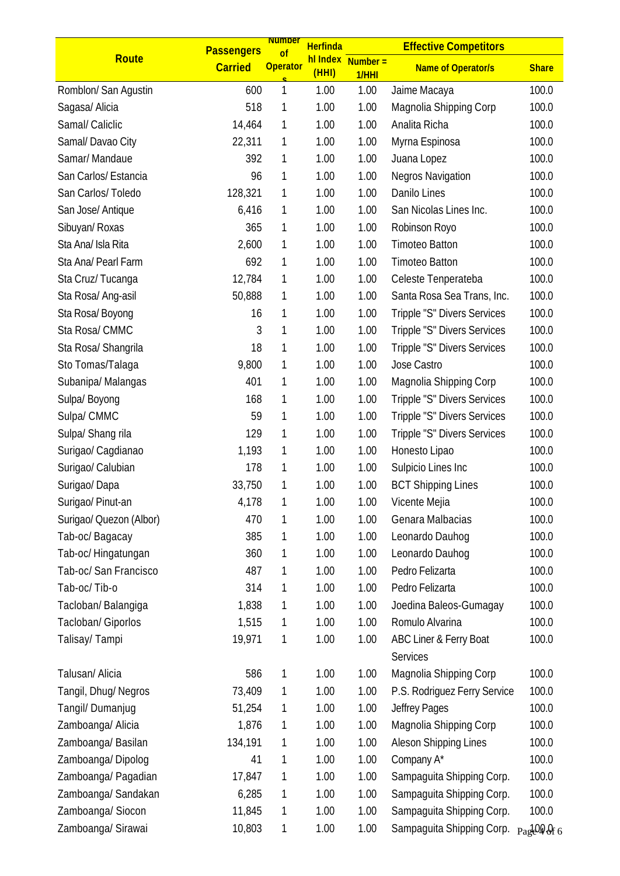|                         | <b>Passengers</b> | <b>Number</b><br><sub>of</sub> | <b>Herfinda</b>   |                    | <b>Effective Competitors</b> |              |
|-------------------------|-------------------|--------------------------------|-------------------|--------------------|------------------------------|--------------|
| Route                   | <b>Carried</b>    | <b>Operator</b>                | hl Index<br>(HHI) | $Number =$<br>1/HH | <b>Name of Operator/s</b>    | <b>Share</b> |
| Romblon/ San Agustin    | 600               | 1                              | 1.00              | 1.00               | Jaime Macaya                 | 100.0        |
| Sagasa/ Alicia          | 518               | 1                              | 1.00              | 1.00               | Magnolia Shipping Corp       | 100.0        |
| Samal/ Caliclic         | 14,464            | 1                              | 1.00              | 1.00               | Analita Richa                | 100.0        |
| Samal/Davao City        | 22,311            | 1                              | 1.00              | 1.00               | Myrna Espinosa               | 100.0        |
| Samar/Mandaue           | 392               | 1                              | 1.00              | 1.00               | Juana Lopez                  | 100.0        |
| San Carlos/ Estancia    | 96                | 1                              | 1.00              | 1.00               | Negros Navigation            | 100.0        |
| San Carlos/Toledo       | 128,321           | 1                              | 1.00              | 1.00               | Danilo Lines                 | 100.0        |
| San Jose/ Antique       | 6,416             | 1                              | 1.00              | 1.00               | San Nicolas Lines Inc.       | 100.0        |
| Sibuyan/ Roxas          | 365               | 1                              | 1.00              | 1.00               | Robinson Royo                | 100.0        |
| Sta Ana/ Isla Rita      | 2,600             | 1                              | 1.00              | 1.00               | <b>Timoteo Batton</b>        | 100.0        |
| Sta Ana/ Pearl Farm     | 692               | 1                              | 1.00              | 1.00               | <b>Timoteo Batton</b>        | 100.0        |
| Sta Cruz/Tucanga        | 12,784            | 1                              | 1.00              | 1.00               | Celeste Tenperateba          | 100.0        |
| Sta Rosa/ Ang-asil      | 50,888            | 1                              | 1.00              | 1.00               | Santa Rosa Sea Trans, Inc.   | 100.0        |
| Sta Rosa/Boyong         | 16                | 1                              | 1.00              | 1.00               | Tripple "S" Divers Services  | 100.0        |
| Sta Rosa/CMMC           | 3                 | 1                              | 1.00              | 1.00               | Tripple "S" Divers Services  | 100.0        |
| Sta Rosa/ Shangrila     | 18                | 1                              | 1.00              | 1.00               | Tripple "S" Divers Services  | 100.0        |
| Sto Tomas/Talaga        | 9,800             | 1                              | 1.00              | 1.00               | Jose Castro                  | 100.0        |
| Subanipa/Malangas       | 401               | 1                              | 1.00              | 1.00               | Magnolia Shipping Corp       | 100.0        |
| Sulpa/ Boyong           | 168               | 1                              | 1.00              | 1.00               | Tripple "S" Divers Services  | 100.0        |
| Sulpa/ CMMC             | 59                | 1                              | 1.00              | 1.00               | Tripple "S" Divers Services  | 100.0        |
| Sulpa/ Shang rila       | 129               | 1                              | 1.00              | 1.00               | Tripple "S" Divers Services  | 100.0        |
| Surigao/ Cagdianao      | 1,193             | 1                              | 1.00              | 1.00               | Honesto Lipao                | 100.0        |
| Surigao/ Calubian       | 178               | 1                              | 1.00              | 1.00               | Sulpicio Lines Inc           | 100.0        |
| Surigao/Dapa            | 33,750            | 1                              | 1.00              | 1.00               | <b>BCT Shipping Lines</b>    | 100.0        |
| Surigao/ Pinut-an       | 4,178             | 1                              | 1.00              | 1.00               | Vicente Mejia                | 100.0        |
| Surigao/ Quezon (Albor) | 470               | 1                              | 1.00              | 1.00               | Genara Malbacias             | 100.0        |
| Tab-oc/Bagacay          | 385               | 1                              | 1.00              | 1.00               | Leonardo Dauhog              | 100.0        |
| Tab-oc/ Hingatungan     | 360               | 1                              | 1.00              | 1.00               | Leonardo Dauhoq              | 100.0        |
| Tab-oc/ San Francisco   | 487               | 1                              | 1.00              | 1.00               | Pedro Felizarta              | 100.0        |
| Tab-oc/Tib-o            | 314               | 1                              | 1.00              | 1.00               | Pedro Felizarta              | 100.0        |
| Tacloban/Balangiga      | 1,838             | 1                              | 1.00              | 1.00               | Joedina Baleos-Gumagay       | 100.0        |
| Tacloban/ Giporlos      | 1,515             | 1                              | 1.00              | 1.00               | Romulo Alvarina              | 100.0        |
| Talisay/ Tampi          | 19,971            | 1                              | 1.00              | 1.00               | ABC Liner & Ferry Boat       | 100.0        |
|                         |                   |                                |                   |                    | Services                     |              |
| Talusan/ Alicia         | 586               | 1                              | 1.00              | 1.00               | Magnolia Shipping Corp       | 100.0        |
| Tangil, Dhug/ Negros    | 73,409            | 1                              | 1.00              | 1.00               | P.S. Rodriguez Ferry Service | 100.0        |
| Tangil/ Dumanjug        | 51,254            | 1                              | 1.00              | 1.00               | Jeffrey Pages                | 100.0        |
| Zamboanga/ Alicia       | 1,876             | 1                              | 1.00              | 1.00               | Magnolia Shipping Corp       | 100.0        |
| Zamboanga/ Basilan      | 134,191           | 1                              | 1.00              | 1.00               | Aleson Shipping Lines        | 100.0        |
| Zamboanga/Dipolog       | 41                | 1                              | 1.00              | 1.00               | Company A*                   | 100.0        |
| Zamboanga/ Pagadian     | 17,847            | 1                              | 1.00              | 1.00               | Sampaguita Shipping Corp.    | 100.0        |
| Zamboanga/ Sandakan     | 6,285             | 1                              | 1.00              | 1.00               | Sampaguita Shipping Corp.    | 100.0        |
| Zamboanga/ Siocon       | 11,845            | 1                              | 1.00              | 1.00               | Sampaguita Shipping Corp.    | 100.0        |
| Zamboanga/ Sirawai      | 10,803            | 1                              | 1.00              | 1.00               | Sampaguita Shipping Corp.    | Page Of 6    |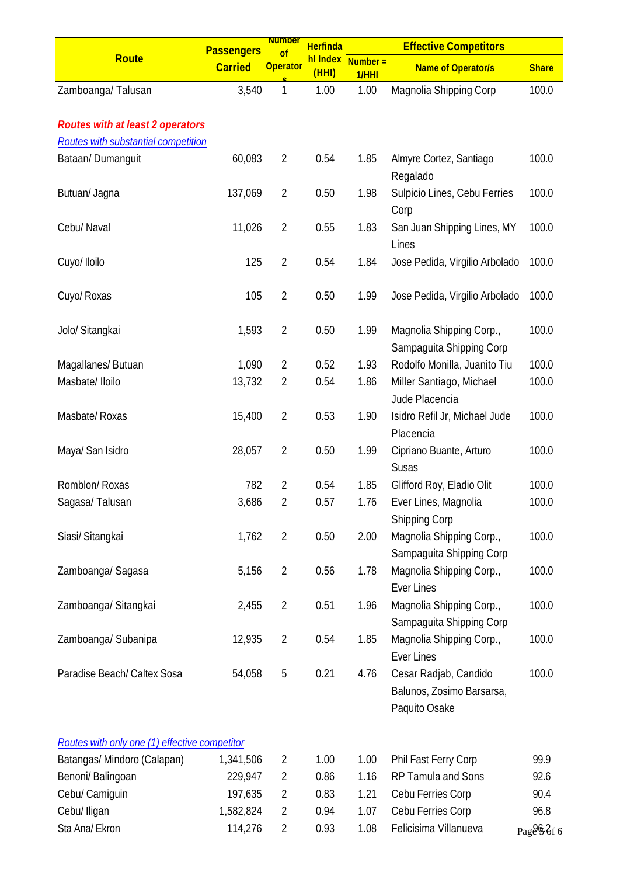|                                               | <b>Passengers</b> | <b>Number</b><br>$\overline{of}$ | <b>Herfinda</b> |                            | <b>Effective Competitors</b>                                        |              |
|-----------------------------------------------|-------------------|----------------------------------|-----------------|----------------------------|---------------------------------------------------------------------|--------------|
| <b>Route</b>                                  | <b>Carried</b>    | <b>Operator</b>                  | (HHI)           | hl Index Number =<br>1/HHI | <b>Name of Operator/s</b>                                           | <b>Share</b> |
| Zamboanga/Talusan                             | 3,540             | 1                                | 1.00            | 1.00                       | Magnolia Shipping Corp                                              | 100.0        |
| <b>Routes with at least 2 operators</b>       |                   |                                  |                 |                            |                                                                     |              |
| Routes with substantial competition           |                   |                                  |                 |                            |                                                                     |              |
| Bataan/Dumanguit                              | 60,083            | $\overline{2}$                   | 0.54            | 1.85                       | Almyre Cortez, Santiago<br>Regalado                                 | 100.0        |
| Butuan/ Jagna                                 | 137,069           | $\overline{2}$                   | 0.50            | 1.98                       | Sulpicio Lines, Cebu Ferries<br>Corp                                | 100.0        |
| Cebu/ Naval                                   | 11,026            | $\overline{2}$                   | 0.55            | 1.83                       | San Juan Shipping Lines, MY<br>Lines                                | 100.0        |
| Cuyo/ Iloilo                                  | 125               | $\overline{2}$                   | 0.54            | 1.84                       | Jose Pedida, Virgilio Arbolado                                      | 100.0        |
| Cuyo/ Roxas                                   | 105               | $\overline{2}$                   | 0.50            | 1.99                       | Jose Pedida, Virgilio Arbolado                                      | 100.0        |
| Jolo/ Sitangkai                               | 1,593             | $\overline{2}$                   | 0.50            | 1.99                       | Magnolia Shipping Corp.,<br>Sampaguita Shipping Corp                | 100.0        |
| Magallanes/ Butuan                            | 1,090             | $\overline{2}$                   | 0.52            | 1.93                       | Rodolfo Monilla, Juanito Tiu                                        | 100.0        |
| Masbate/ Iloilo                               | 13,732            | 2                                | 0.54            | 1.86                       | Miller Santiago, Michael<br>Jude Placencia                          | 100.0        |
| Masbate/ Roxas                                | 15,400            | $\overline{2}$                   | 0.53            | 1.90                       | Isidro Refil Jr, Michael Jude<br>Placencia                          | 100.0        |
| Maya/ San Isidro                              | 28,057            | $\overline{2}$                   | 0.50            | 1.99                       | Cipriano Buante, Arturo<br><b>Susas</b>                             | 100.0        |
| Romblon/ Roxas                                | 782               | $\overline{2}$                   | 0.54            | 1.85                       | Glifford Roy, Eladio Olit                                           | 100.0        |
| Sagasa/Talusan                                | 3,686             | 2                                | 0.57            | 1.76                       | Ever Lines, Magnolia<br><b>Shipping Corp</b>                        | 100.0        |
| Siasi/ Sitangkai                              | 1,762             | $\overline{2}$                   | 0.50            | 2.00                       | Magnolia Shipping Corp.,<br>Sampaguita Shipping Corp                | 100.0        |
| Zamboanga/ Sagasa                             | 5,156             | $\overline{2}$                   | 0.56            | 1.78                       | Magnolia Shipping Corp.,<br><b>Ever Lines</b>                       | 100.0        |
| Zamboanga/ Sitangkai                          | 2,455             | $\overline{2}$                   | 0.51            | 1.96                       | Magnolia Shipping Corp.,<br>Sampaguita Shipping Corp                | 100.0        |
| Zamboanga/ Subanipa                           | 12,935            | $\overline{2}$                   | 0.54            | 1.85                       | Magnolia Shipping Corp.,<br><b>Ever Lines</b>                       | 100.0        |
| Paradise Beach/ Caltex Sosa                   | 54,058            | 5                                | 0.21            | 4.76                       | Cesar Radjab, Candido<br>Balunos, Zosimo Barsarsa,<br>Paquito Osake | 100.0        |
| Routes with only one (1) effective competitor |                   |                                  |                 |                            |                                                                     |              |
| Batangas/ Mindoro (Calapan)                   | 1,341,506         | 2                                | 1.00            | 1.00                       | Phil Fast Ferry Corp                                                | 99.9         |
| Benoni/ Balingoan                             | 229,947           | $\overline{2}$                   | 0.86            | 1.16                       | RP Tamula and Sons                                                  | 92.6         |
| Cebu/ Camiguin                                | 197,635           | 2                                | 0.83            | 1.21                       | Cebu Ferries Corp                                                   | 90.4         |
| Cebu/ Iligan                                  | 1,582,824         | 2                                | 0.94            | 1.07                       | Cebu Ferries Corp                                                   | 96.8         |
| Sta Ana/ Ekron                                | 114,276           | $\overline{2}$                   | 0.93            | 1.08                       | Felicisima Villanueva                                               | Page 9. 3f 6 |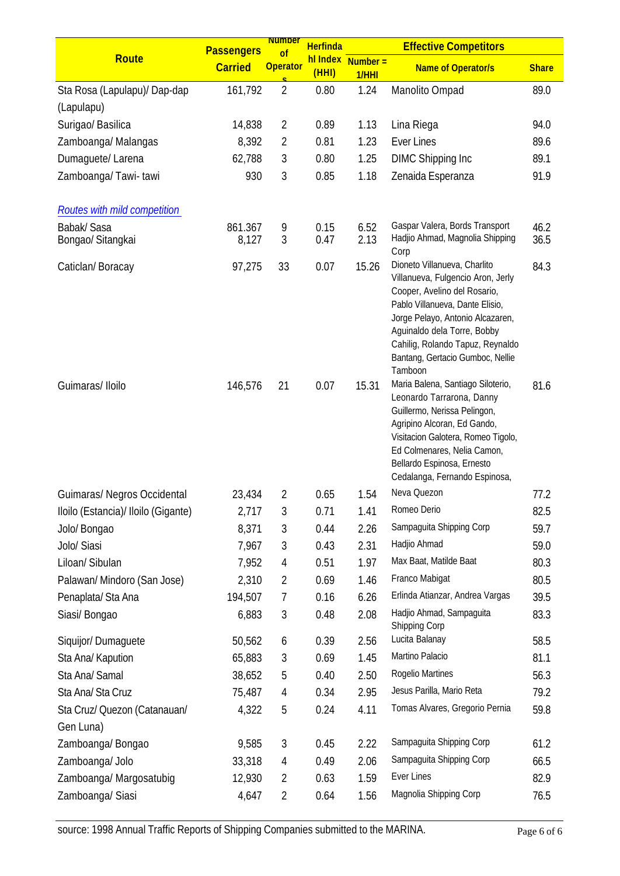|                                            | <b>Passengers</b> | <b>Number</b><br>of | <b>Herfinda</b>   |                     | <b>Effective Competitors</b>                                                                                                                                                                                                                                                               |              |
|--------------------------------------------|-------------------|---------------------|-------------------|---------------------|--------------------------------------------------------------------------------------------------------------------------------------------------------------------------------------------------------------------------------------------------------------------------------------------|--------------|
| Route                                      | <b>Carried</b>    | <b>Operator</b>     | hl Index<br>(HHI) | $Number =$<br>1/HHI | <b>Name of Operator/s</b>                                                                                                                                                                                                                                                                  | <b>Share</b> |
| Sta Rosa (Lapulapu)/ Dap-dap<br>(Lapulapu) | 161,792           | $\overline{2}$      | 0.80              | 1.24                | Manolito Ompad                                                                                                                                                                                                                                                                             | 89.0         |
| Surigao/ Basilica                          | 14,838            | 2                   | 0.89              | 1.13                | Lina Riega                                                                                                                                                                                                                                                                                 | 94.0         |
| Zamboanga/Malangas                         | 8,392             | $\overline{2}$      | 0.81              | 1.23                | <b>Ever Lines</b>                                                                                                                                                                                                                                                                          | 89.6         |
| Dumaguete/ Larena                          | 62,788            | 3                   | 0.80              | 1.25                | <b>DIMC Shipping Inc</b>                                                                                                                                                                                                                                                                   | 89.1         |
| Zamboanga/Tawi-tawi                        | 930               | 3                   | 0.85              | 1.18                | Zenaida Esperanza                                                                                                                                                                                                                                                                          | 91.9         |
| <b>Routes with mild competition</b>        |                   |                     |                   |                     |                                                                                                                                                                                                                                                                                            |              |
| <b>Babak/Sasa</b>                          | 861.367           | 9                   | 0.15              | 6.52                | Gaspar Valera, Bords Transport                                                                                                                                                                                                                                                             | 46.2         |
| Bongao/ Sitangkai                          | 8,127             | 3                   | 0.47              | 2.13                | Hadjio Ahmad, Magnolia Shipping<br>Corp                                                                                                                                                                                                                                                    | 36.5         |
| Caticlan/Boracay                           | 97,275            | 33                  | 0.07              | 15.26               | Dioneto Villanueva, Charlito<br>Villanueva, Fulgencio Aron, Jerly<br>Cooper, Avelino del Rosario,<br>Pablo Villanueva, Dante Elisio,<br>Jorge Pelayo, Antonio Alcazaren,<br>Aguinaldo dela Torre, Bobby<br>Cahilig, Rolando Tapuz, Reynaldo<br>Bantang, Gertacio Gumboc, Nellie<br>Tamboon | 84.3         |
| Guimaras/Iloilo                            | 146,576           | 21                  | 0.07              | 15.31               | Maria Balena, Santiago Siloterio,<br>Leonardo Tarrarona, Danny<br>Guillermo, Nerissa Pelingon,<br>Agripino Alcoran, Ed Gando,<br>Visitacion Galotera, Romeo Tigolo,<br>Ed Colmenares, Nelia Camon,<br>Bellardo Espinosa, Ernesto<br>Cedalanga, Fernando Espinosa,                          | 81.6         |
| Guimaras/ Negros Occidental                | 23,434            | $\overline{2}$      | 0.65              | 1.54                | Neva Quezon                                                                                                                                                                                                                                                                                | 77.2         |
| Iloilo (Estancia)/ Iloilo (Gigante)        | 2,717             | 3                   | 0.71              | 1.41                | Romeo Derio                                                                                                                                                                                                                                                                                | 82.5         |
| Jolo/ Bongao                               | 8,371             | 3                   | 0.44              | 2.26                | Sampaguita Shipping Corp                                                                                                                                                                                                                                                                   | 59.7         |
| Jolo/ Siasi                                | 7,967             | 3                   | 0.43              | 2.31                | Hadjio Ahmad                                                                                                                                                                                                                                                                               | 59.0         |
| Liloan/ Sibulan                            | 7,952             | 4                   | 0.51              | 1.97                | Max Baat, Matilde Baat                                                                                                                                                                                                                                                                     | 80.3         |
| Palawan/ Mindoro (San Jose)                | 2,310             | $\overline{2}$      | 0.69              | 1.46                | Franco Mabigat                                                                                                                                                                                                                                                                             | 80.5         |
| Penaplata/Sta Ana                          | 194,507           | 7                   | 0.16              | 6.26                | Erlinda Atianzar, Andrea Vargas                                                                                                                                                                                                                                                            | 39.5         |
| Siasi/ Bongao                              | 6,883             | 3                   | 0.48              | 2.08                | Hadjio Ahmad, Sampaguita<br>Shipping Corp                                                                                                                                                                                                                                                  | 83.3         |
| Siquijor/Dumaguete                         | 50,562            | 6                   | 0.39              | 2.56                | Lucita Balanay                                                                                                                                                                                                                                                                             | 58.5         |
| Sta Ana/ Kapution                          | 65,883            | 3                   | 0.69              | 1.45                | Martino Palacio                                                                                                                                                                                                                                                                            | 81.1         |
| Sta Ana/ Samal                             | 38,652            | 5                   | 0.40              | 2.50                | Rogelio Martines                                                                                                                                                                                                                                                                           | 56.3         |
| Sta Ana/ Sta Cruz                          | 75,487            | 4                   | 0.34              | 2.95                | Jesus Parilla, Mario Reta                                                                                                                                                                                                                                                                  | 79.2         |
| Sta Cruz/ Quezon (Catanauan/               | 4,322             | 5                   | 0.24              | 4.11                | Tomas Alvares, Gregorio Pernia                                                                                                                                                                                                                                                             | 59.8         |
| Gen Luna)                                  |                   |                     |                   |                     |                                                                                                                                                                                                                                                                                            |              |
| Zamboanga/Bongao                           | 9,585             | 3                   | 0.45              | 2.22                | Sampaguita Shipping Corp                                                                                                                                                                                                                                                                   | 61.2         |
| Zamboanga/ Jolo                            | 33,318            | 4                   | 0.49              | 2.06                | Sampaguita Shipping Corp                                                                                                                                                                                                                                                                   | 66.5         |
| Zamboanga/ Margosatubig                    | 12,930            | $\overline{2}$      | 0.63              | 1.59                | Ever Lines                                                                                                                                                                                                                                                                                 | 82.9         |
| Zamboanga/ Siasi                           | 4,647             | $\overline{2}$      | 0.64              | 1.56                | Magnolia Shipping Corp                                                                                                                                                                                                                                                                     | 76.5         |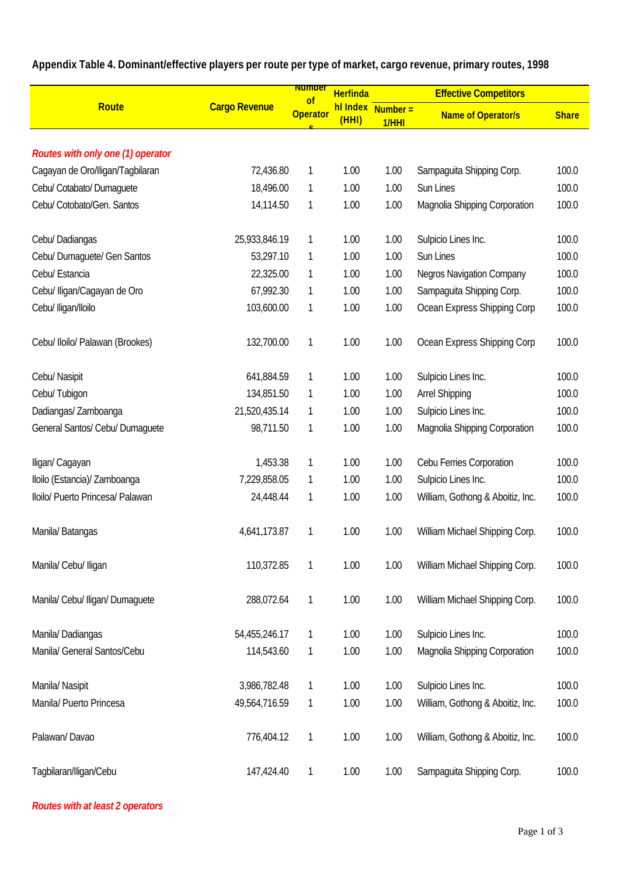|                                   |                      | <b>Number</b><br><b>Herfinda</b><br>$\circ$ f |                   | <b>Effective Competitors</b> |                                  |              |  |
|-----------------------------------|----------------------|-----------------------------------------------|-------------------|------------------------------|----------------------------------|--------------|--|
| <b>Route</b>                      | <b>Cargo Revenue</b> | <b>Operator</b>                               | hl Index<br>(HHI) | $Number =$<br>1/HHI          | <b>Name of Operator/s</b>        | <b>Share</b> |  |
|                                   |                      |                                               |                   |                              |                                  |              |  |
| Routes with only one (1) operator |                      |                                               |                   |                              |                                  |              |  |
| Cagayan de Oro/Iligan/Tagbilaran  | 72,436.80            | 1                                             | 1.00              | 1.00                         | Sampaguita Shipping Corp.        | 100.0        |  |
| Cebu/ Cotabato/ Dumaquete         | 18,496.00            | 1                                             | 1.00              | 1.00                         | Sun Lines                        | 100.0        |  |
| Cebu/ Cotobato/Gen. Santos        | 14,114.50            | 1                                             | 1.00              | 1.00                         | Magnolia Shipping Corporation    | 100.0        |  |
| Cebu/ Dadiangas                   | 25,933,846.19        | 1                                             | 1.00              | 1.00                         | Sulpicio Lines Inc.              | 100.0        |  |
| Cebu/ Dumaguete/ Gen Santos       | 53,297.10            | 1                                             | 1.00              | 1.00                         | Sun Lines                        | 100.0        |  |
| Cebu/ Estancia                    | 22,325.00            | 1                                             | 1.00              | 1.00                         | <b>Negros Navigation Company</b> | 100.0        |  |
| Cebu/ lligan/Cagayan de Oro       | 67,992.30            | $\mathbf{1}$                                  | 1.00              | 1.00                         | Sampaguita Shipping Corp.        | 100.0        |  |
| Cebu/ Iligan/Iloilo               | 103,600.00           | 1                                             | 1.00              | 1.00                         | Ocean Express Shipping Corp      | 100.0        |  |
| Cebu/ Iloilo/ Palawan (Brookes)   | 132,700.00           | 1                                             | 1.00              | 1.00                         | Ocean Express Shipping Corp      | 100.0        |  |
| Cebu/ Nasipit                     | 641,884.59           | 1                                             | 1.00              | 1.00                         | Sulpicio Lines Inc.              | 100.0        |  |
| Cebu/Tubigon                      | 134,851.50           | $\mathbf{1}$                                  | 1.00              | 1.00                         | <b>Arrel Shipping</b>            | 100.0        |  |
| Dadiangas/ Zamboanga              | 21,520,435.14        | 1                                             | 1.00              | 1.00                         | Sulpicio Lines Inc.              | 100.0        |  |
| General Santos/ Cebu/ Dumaguete   | 98,711.50            | 1                                             | 1.00              | 1.00                         | Magnolia Shipping Corporation    | 100.0        |  |
| Iligan/ Cagayan                   | 1,453.38             | 1                                             | 1.00              | 1.00                         | Cebu Ferries Corporation         | 100.0        |  |
| Iloilo (Estancia)/ Zamboanga      | 7,229,858.05         | $\mathbf{1}$                                  | 1.00              | 1.00                         | Sulpicio Lines Inc.              | 100.0        |  |
| Iloilo/ Puerto Princesa/ Palawan  | 24,448.44            | 1                                             | 1.00              | 1.00                         | William, Gothong & Aboitiz, Inc. | 100.0        |  |
| Manila/Batangas                   | 4,641,173.87         | 1                                             | 1.00              | 1.00                         | William Michael Shipping Corp.   | 100.0        |  |
| Manila/ Cebu/ Iligan              | 110,372.85           | 1                                             | 1.00              | 1.00                         | William Michael Shipping Corp.   | 100.0        |  |
| Manila/ Cebu/ Iligan/ Dumaguete   | 288,072.64           | 1                                             | 1.00              | 1.00                         | William Michael Shipping Corp.   | 100.0        |  |
| Manila/Dadiangas                  | 54,455,246.17        | 1                                             | 1.00              | 1.00                         | Sulpicio Lines Inc.              | 100.0        |  |
| Manila/ General Santos/Cebu       | 114,543.60           | $\mathbf{1}$                                  | 1.00              | 1.00                         | Magnolia Shipping Corporation    | 100.0        |  |
| Manila/ Nasipit                   | 3,986,782.48         | $\mathbf{1}$                                  | 1.00              | 1.00                         | Sulpicio Lines Inc.              | 100.0        |  |
| Manila/ Puerto Princesa           | 49,564,716.59        | 1                                             | 1.00              | 1.00                         | William, Gothong & Aboitiz, Inc. | 100.0        |  |
| Palawan/Davao                     | 776,404.12           | 1                                             | 1.00              | 1.00                         | William, Gothong & Aboitiz, Inc. | 100.0        |  |
| Tagbilaran/Iligan/Cebu            | 147,424.40           | 1                                             | 1.00              | 1.00                         | Sampaguita Shipping Corp.        | 100.0        |  |

**Appendix Table 4. Dominant/effective players per route per type of market, cargo revenue, primary routes, 1998**

### *Routes with at least 2 operators*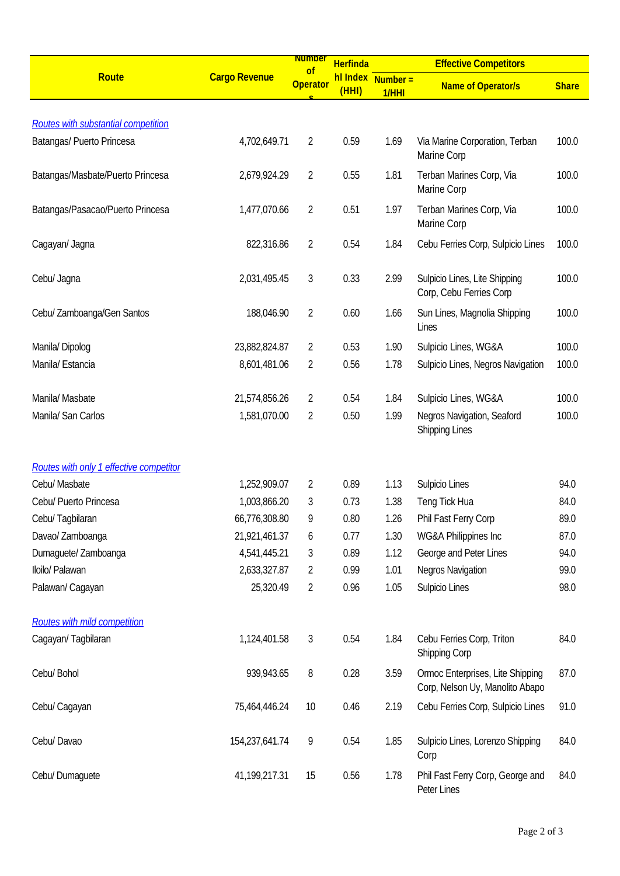|                                            |                      | <b>Number</b>                    | <b>Herfinda</b>   |                     | <b>Effective Competitors</b>                                        |              |
|--------------------------------------------|----------------------|----------------------------------|-------------------|---------------------|---------------------------------------------------------------------|--------------|
| Route                                      | <b>Cargo Revenue</b> | <sub>of</sub><br><b>Operator</b> | hl Index<br>(HHI) | $Number =$<br>1/HHI | <b>Name of Operator/s</b>                                           | <b>Share</b> |
|                                            |                      |                                  |                   |                     |                                                                     |              |
| <b>Routes with substantial competition</b> |                      |                                  |                   |                     |                                                                     |              |
| Batangas/ Puerto Princesa                  | 4,702,649.71         | $\overline{2}$                   | 0.59              | 1.69                | Via Marine Corporation, Terban<br>Marine Corp                       | 100.0        |
| Batangas/Masbate/Puerto Princesa           | 2,679,924.29         | $\overline{2}$                   | 0.55              | 1.81                | Terban Marines Corp, Via<br>Marine Corp                             | 100.0        |
| Batangas/Pasacao/Puerto Princesa           | 1,477,070.66         | $\overline{2}$                   | 0.51              | 1.97                | Terban Marines Corp, Via<br>Marine Corp                             | 100.0        |
| Cagayan/ Jagna                             | 822,316.86           | 2                                | 0.54              | 1.84                | Cebu Ferries Corp, Sulpicio Lines                                   | 100.0        |
| Cebu/ Jagna                                | 2,031,495.45         | 3                                | 0.33              | 2.99                | Sulpicio Lines, Lite Shipping<br>Corp, Cebu Ferries Corp            | 100.0        |
| Cebu/ Zamboanga/Gen Santos                 | 188,046.90           | $\overline{2}$                   | 0.60              | 1.66                | Sun Lines, Magnolia Shipping<br>Lines                               | 100.0        |
| Manila/Dipolog                             | 23,882,824.87        | 2                                | 0.53              | 1.90                | Sulpicio Lines, WG&A                                                | 100.0        |
| Manila/ Estancia                           | 8,601,481.06         | $\overline{2}$                   | 0.56              | 1.78                | Sulpicio Lines, Negros Navigation                                   | 100.0        |
| Manila/ Masbate                            | 21,574,856.26        | 2                                | 0.54              | 1.84                | Sulpicio Lines, WG&A                                                | 100.0        |
| Manila/ San Carlos                         | 1,581,070.00         | 2                                | 0.50              | 1.99                | Negros Navigation, Seaford<br><b>Shipping Lines</b>                 | 100.0        |
| Routes with only 1 effective competitor    |                      |                                  |                   |                     |                                                                     |              |
| Cebu/ Masbate                              | 1,252,909.07         | 2                                | 0.89              | 1.13                | Sulpicio Lines                                                      | 94.0         |
| Cebu/ Puerto Princesa                      | 1,003,866.20         | 3                                | 0.73              | 1.38                | Teng Tick Hua                                                       | 84.0         |
| Cebu/Tagbilaran                            | 66,776,308.80        | 9                                | 0.80              | 1.26                | Phil Fast Ferry Corp                                                | 89.0         |
| Davao/ Zamboanga                           | 21,921,461.37        | 6                                | 0.77              | 1.30                | WG&A Philippines Inc                                                | 87.0         |
| Dumaguete/ Zamboanga                       | 4,541,445.21         | 3                                | 0.89              | 1.12                | George and Peter Lines                                              | 94.0         |
| Iloilo/ Palawan                            | 2,633,327.87         | 2                                | 0.99              | 1.01                | <b>Negros Navigation</b>                                            | 99.0         |
| Palawan/ Cagayan                           | 25,320.49            | $\overline{2}$                   | 0.96              | 1.05                | Sulpicio Lines                                                      | 98.0         |
| <b>Routes with mild competition</b>        |                      |                                  |                   |                     |                                                                     |              |
| Cagayan/Tagbilaran                         | 1,124,401.58         | 3                                | 0.54              | 1.84                | Cebu Ferries Corp, Triton<br>Shipping Corp                          | 84.0         |
| Cebu/ Bohol                                | 939,943.65           | 8                                | 0.28              | 3.59                | Ormoc Enterprises, Lite Shipping<br>Corp, Nelson Uy, Manolito Abapo | 87.0         |
| Cebu/ Cagayan                              | 75,464,446.24        | 10                               | 0.46              | 2.19                | Cebu Ferries Corp, Sulpicio Lines                                   | 91.0         |
| Cebu/ Davao                                | 154,237,641.74       | 9                                | 0.54              | 1.85                | Sulpicio Lines, Lorenzo Shipping<br>Corp                            | 84.0         |
| Cebu/ Dumaguete                            | 41,199,217.31        | 15                               | 0.56              | 1.78                | Phil Fast Ferry Corp, George and<br>Peter Lines                     | 84.0         |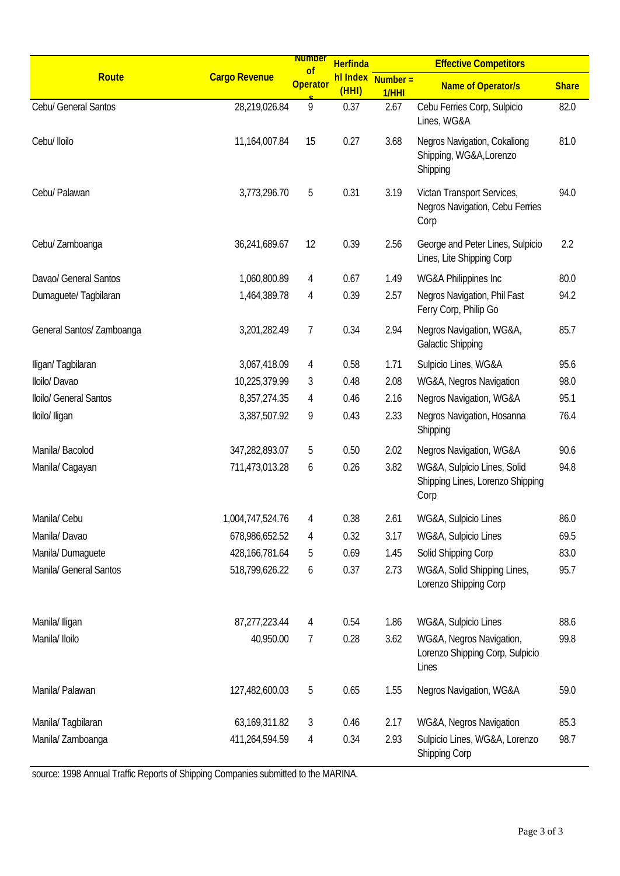|                           |                      | <b>Number</b><br>of | <b>Herfinda</b> |                               | <b>Effective Competitors</b>                                            |              |
|---------------------------|----------------------|---------------------|-----------------|-------------------------------|-------------------------------------------------------------------------|--------------|
| Route                     | <b>Cargo Revenue</b> | <b>Operator</b>     | (HHI)           | $h$ l Index Number =<br>1/HHI | <b>Name of Operator/s</b>                                               | <b>Share</b> |
| Cebu/ General Santos      | 28,219,026.84        | 9                   | 0.37            | 2.67                          | Cebu Ferries Corp, Sulpicio<br>Lines, WG&A                              | 82.0         |
| Cebu/ Iloilo              | 11,164,007.84        | 15                  | 0.27            | 3.68                          | Negros Navigation, Cokaliong<br>Shipping, WG&A, Lorenzo<br>Shipping     | 81.0         |
| Cebu/ Palawan             | 3,773,296.70         | 5                   | 0.31            | 3.19                          | Victan Transport Services,<br>Negros Navigation, Cebu Ferries<br>Corp   | 94.0         |
| Cebu/ Zamboanga           | 36,241,689.67        | 12                  | 0.39            | 2.56                          | George and Peter Lines, Sulpicio<br>Lines, Lite Shipping Corp           | 2.2          |
| Davao/ General Santos     | 1,060,800.89         | 4                   | 0.67            | 1.49                          | WG&A Philippines Inc                                                    | 80.0         |
| Dumaquete/Tagbilaran      | 1,464,389.78         | 4                   | 0.39            | 2.57                          | Negros Navigation, Phil Fast<br>Ferry Corp, Philip Go                   | 94.2         |
| General Santos/ Zamboanga | 3,201,282.49         | 7                   | 0.34            | 2.94                          | Negros Navigation, WG&A,<br><b>Galactic Shipping</b>                    | 85.7         |
| Iligan/Tagbilaran         | 3,067,418.09         | 4                   | 0.58            | 1.71                          | Sulpicio Lines, WG&A                                                    | 95.6         |
| Iloilo/ Davao             | 10,225,379.99        | 3                   | 0.48            | 2.08                          | WG&A, Negros Navigation                                                 | 98.0         |
| Iloilo/ General Santos    | 8, 357, 274. 35      | 4                   | 0.46            | 2.16                          | Negros Navigation, WG&A                                                 | 95.1         |
| Iloilo/ Iligan            | 3,387,507.92         | 9                   | 0.43            | 2.33                          | Negros Navigation, Hosanna<br>Shipping                                  | 76.4         |
| Manila/Bacolod            | 347,282,893.07       | 5                   | 0.50            | 2.02                          | Negros Navigation, WG&A                                                 | 90.6         |
| Manila/ Cagayan           | 711,473,013.28       | 6                   | 0.26            | 3.82                          | WG&A, Sulpicio Lines, Solid<br>Shipping Lines, Lorenzo Shipping<br>Corp | 94.8         |
| Manila/ Cebu              | 1,004,747,524.76     | 4                   | 0.38            | 2.61                          | WG&A, Sulpicio Lines                                                    | 86.0         |
| Manila/Davao              | 678,986,652.52       | 4                   | 0.32            | 3.17                          | WG&A, Sulpicio Lines                                                    | 69.5         |
| Manila/Dumaguete          | 428, 166, 781.64     | 5                   | 0.69            | 1.45                          | Solid Shipping Corp                                                     | 83.0         |
| Manila/ General Santos    | 518,799,626.22       | 6                   | 0.37            | 2.73                          | WG&A, Solid Shipping Lines,<br>Lorenzo Shipping Corp                    | 95.7         |
| Manila/ Iligan            | 87,277,223.44        | 4                   | 0.54            | 1.86                          | WG&A, Sulpicio Lines                                                    | 88.6         |
| Manila/ Iloilo            | 40,950.00            | 7                   | 0.28            | 3.62                          | WG&A, Negros Navigation,<br>Lorenzo Shipping Corp, Sulpicio<br>Lines    | 99.8         |
| Manila/ Palawan           | 127,482,600.03       | 5                   | 0.65            | 1.55                          | Negros Navigation, WG&A                                                 | 59.0         |
| Manila/Tagbilaran         | 63, 169, 311.82      | 3                   | 0.46            | 2.17                          | WG&A, Negros Navigation                                                 | 85.3         |
| Manila/ Zamboanga         | 411,264,594.59       | 4                   | 0.34            | 2.93                          | Sulpicio Lines, WG&A, Lorenzo<br>Shipping Corp                          | 98.7         |

source: 1998 Annual Traffic Reports of Shipping Companies submitted to the MARINA.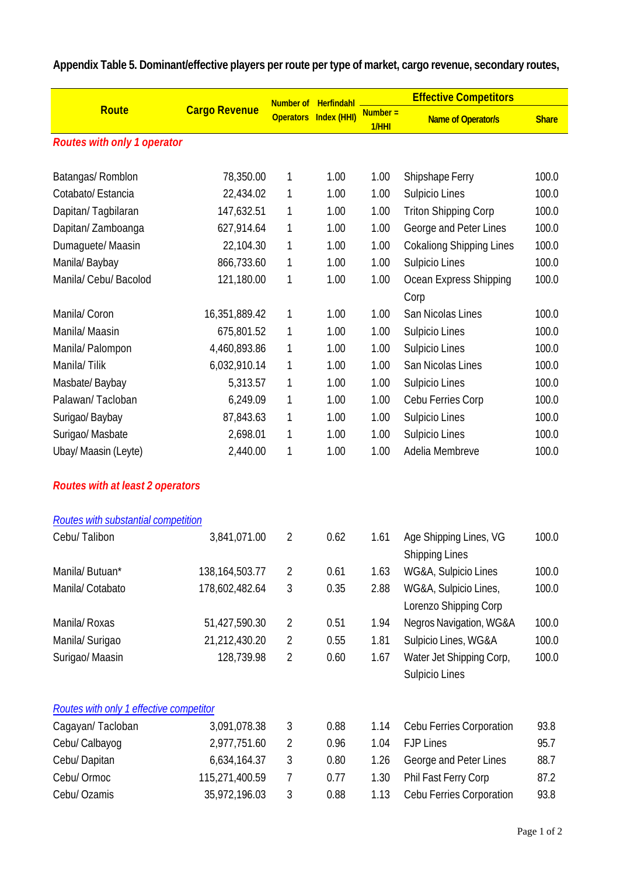| <b>Route</b>                            | <b>Cargo Revenue</b> | Number of      | Herfindahl _                 | $Number =$ | <b>Effective Competitors</b>                    |              |
|-----------------------------------------|----------------------|----------------|------------------------------|------------|-------------------------------------------------|--------------|
|                                         |                      |                | <b>Operators Index (HHI)</b> | 1/HHI      | <b>Name of Operator/s</b>                       | <b>Share</b> |
| <b>Routes with only 1 operator</b>      |                      |                |                              |            |                                                 |              |
|                                         |                      |                |                              |            |                                                 |              |
| Batangas/Romblon                        | 78,350.00            | 1              | 1.00                         | 1.00       | Shipshape Ferry                                 | 100.0        |
| Cotabato/ Estancia                      | 22,434.02            | 1              | 1.00                         | 1.00       | Sulpicio Lines                                  | 100.0        |
| Dapitan/Tagbilaran                      | 147,632.51           | 1              | 1.00                         | 1.00       | <b>Triton Shipping Corp</b>                     | 100.0        |
| Dapitan/Zamboanga                       | 627,914.64           | 1              | 1.00                         | 1.00       | George and Peter Lines                          | 100.0        |
| Dumaguete/ Maasin                       | 22,104.30            | 1              | 1.00                         | 1.00       | <b>Cokaliong Shipping Lines</b>                 | 100.0        |
| Manila/Baybay                           | 866,733.60           | 1              | 1.00                         | 1.00       | Sulpicio Lines                                  | 100.0        |
| Manila/ Cebu/ Bacolod                   | 121,180.00           | 1              | 1.00                         | 1.00       | Ocean Express Shipping<br>Corp                  | 100.0        |
| Manila/Coron                            | 16,351,889.42        | 1              | 1.00                         | 1.00       | San Nicolas Lines                               | 100.0        |
| Manila/Maasin                           | 675,801.52           | 1              | 1.00                         | 1.00       | Sulpicio Lines                                  | 100.0        |
| Manila/ Palompon                        | 4,460,893.86         | 1              | 1.00                         | 1.00       | Sulpicio Lines                                  | 100.0        |
| Manila/Tilik                            | 6,032,910.14         | 1              | 1.00                         | 1.00       | San Nicolas Lines                               | 100.0        |
| Masbate/Baybay                          | 5,313.57             | 1              | 1.00                         | 1.00       | Sulpicio Lines                                  | 100.0        |
| Palawan/Tacloban                        | 6,249.09             | 1              | 1.00                         | 1.00       | Cebu Ferries Corp                               | 100.0        |
| Surigao/ Baybay                         | 87,843.63            | 1              | 1.00                         | 1.00       | Sulpicio Lines                                  | 100.0        |
| Surigao/ Masbate                        | 2,698.01             | 1              | 1.00                         | 1.00       | Sulpicio Lines                                  | 100.0        |
| Ubay/ Maasin (Leyte)                    | 2,440.00             | 1              | 1.00                         | 1.00       | Adelia Membreve                                 | 100.0        |
| <b>Routes with at least 2 operators</b> |                      |                |                              |            |                                                 |              |
| Routes with substantial competition     |                      |                |                              |            |                                                 |              |
| Cebu/Talibon                            | 3,841,071.00         | 2              | 0.62                         | 1.61       | Age Shipping Lines, VG<br><b>Shipping Lines</b> | 100.0        |
| Manila/Butuan*                          | 138, 164, 503. 77    | 2              | 0.61                         | 1.63       | WG&A, Sulpicio Lines                            | 100.0        |
| Manila/ Cotabato                        | 178,602,482.64       | 3              | 0.35                         | 2.88       | WG&A, Sulpicio Lines,<br>Lorenzo Shipping Corp  | 100.0        |
| Manila/ Roxas                           | 51,427,590.30        | $\overline{2}$ | 0.51                         | 1.94       | Negros Navigation, WG&A                         | 100.0        |
| Manila/ Surigao                         | 21,212,430.20        | 2              | 0.55                         | 1.81       | Sulpicio Lines, WG&A                            | 100.0        |
| Surigao/ Maasin                         | 128,739.98           | $\overline{2}$ | 0.60                         | 1.67       | Water Jet Shipping Corp,                        | 100.0        |
|                                         |                      |                |                              |            | Sulpicio Lines                                  |              |
| Routes with only 1 effective competitor |                      |                |                              |            |                                                 |              |
| Cagayan/Tacloban                        | 3,091,078.38         | 3              | 0.88                         | 1.14       | Cebu Ferries Corporation                        | 93.8         |
| Cebu/ Calbayog                          | 2,977,751.60         | $\overline{2}$ | 0.96                         | 1.04       | <b>FJP Lines</b>                                | 95.7         |
| Cebu/Dapitan                            | 6,634,164.37         | 3              | 0.80                         | 1.26       | George and Peter Lines                          | 88.7         |
| Cebu/ Ormoc                             | 115,271,400.59       | 7              | 0.77                         | 1.30       | Phil Fast Ferry Corp                            | 87.2         |
| Cebu/ Ozamis                            | 35,972,196.03        | 3              | 0.88                         | 1.13       | Cebu Ferries Corporation                        | 93.8         |

**Appendix Table 5. Dominant/effective players per route per type of market, cargo revenue, secondary routes,**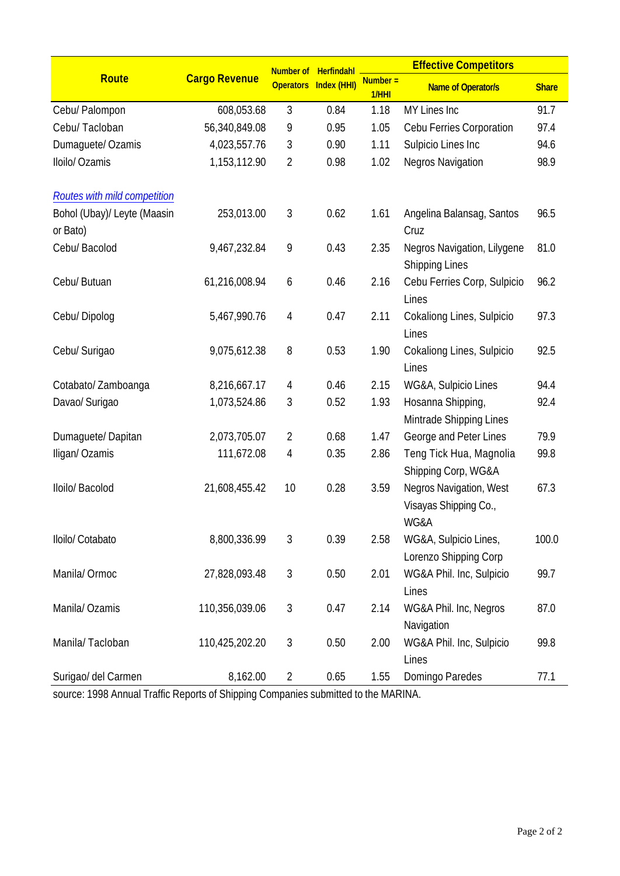|                                         |                      | Number of      | Herfindahl            |                     | <b>Effective Competitors</b>                             |              |  |
|-----------------------------------------|----------------------|----------------|-----------------------|---------------------|----------------------------------------------------------|--------------|--|
| <b>Route</b>                            | <b>Cargo Revenue</b> |                | Operators Index (HHI) | $Number =$<br>1/HHI | <b>Name of Operator/s</b>                                | <b>Share</b> |  |
| Cebu/ Palompon                          | 608,053.68           | 3              | 0.84                  | 1.18                | MY Lines Inc                                             | 91.7         |  |
| Cebu/ Tacloban                          | 56,340,849.08        | 9              | 0.95                  | 1.05                | Cebu Ferries Corporation                                 | 97.4         |  |
| Dumaguete/ Ozamis                       | 4,023,557.76         | 3              | 0.90                  | 1.11                | Sulpicio Lines Inc                                       | 94.6         |  |
| Iloilo/ Ozamis                          | 1,153,112.90         | $\overline{2}$ | 0.98                  | 1.02                | <b>Negros Navigation</b>                                 | 98.9         |  |
| Routes with mild competition            |                      |                |                       |                     |                                                          |              |  |
| Bohol (Ubay)/ Leyte (Maasin<br>or Bato) | 253,013.00           | 3              | 0.62                  | 1.61                | Angelina Balansag, Santos<br>Cruz                        | 96.5         |  |
| Cebu/ Bacolod                           | 9,467,232.84         | 9              | 0.43                  | 2.35                | Negros Navigation, Lilygene<br><b>Shipping Lines</b>     | 81.0         |  |
| Cebu/ Butuan                            | 61,216,008.94        | 6              | 0.46                  | 2.16                | Cebu Ferries Corp, Sulpicio<br>Lines                     | 96.2         |  |
| Cebu/Dipolog                            | 5,467,990.76         | 4              | 0.47                  | 2.11                | Cokaliong Lines, Sulpicio<br>Lines                       | 97.3         |  |
| Cebu/ Surigao                           | 9,075,612.38         | 8              | 0.53                  | 1.90                | Cokaliong Lines, Sulpicio<br>Lines                       | 92.5         |  |
| Cotabato/Zamboanga                      | 8,216,667.17         | 4              | 0.46                  | 2.15                | WG&A, Sulpicio Lines                                     | 94.4         |  |
| Davao/ Surigao                          | 1,073,524.86         | 3              | 0.52                  | 1.93                | Hosanna Shipping,<br>Mintrade Shipping Lines             | 92.4         |  |
| Dumaguete/Dapitan                       | 2,073,705.07         | $\overline{2}$ | 0.68                  | 1.47                | George and Peter Lines                                   | 79.9         |  |
| Iligan/Ozamis                           | 111,672.08           | 4              | 0.35                  | 2.86                | Teng Tick Hua, Magnolia<br>Shipping Corp, WG&A           | 99.8         |  |
| Iloilo/ Bacolod                         | 21,608,455.42        | 10             | 0.28                  | 3.59                | Negros Navigation, West<br>Visayas Shipping Co.,<br>WG&A | 67.3         |  |
| Iloilo/ Cotabato                        | 8,800,336.99         | 3              | 0.39                  | 2.58                | WG&A, Sulpicio Lines,<br>Lorenzo Shipping Corp           | 100.0        |  |
| Manila/Ormoc                            | 27,828,093.48        | $\mathfrak{Z}$ | 0.50                  | 2.01                | WG&A Phil. Inc, Sulpicio<br>Lines                        | 99.7         |  |
| Manila/ Ozamis                          | 110,356,039.06       | $\mathfrak{Z}$ | 0.47                  | 2.14                | WG&A Phil. Inc, Negros<br>Navigation                     | 87.0         |  |
| Manila/Tacloban                         | 110,425,202.20       | $\mathfrak{Z}$ | 0.50                  | 2.00                | WG&A Phil. Inc, Sulpicio<br>Lines                        | 99.8         |  |
| Surigao/ del Carmen                     | 8,162.00             | $\overline{2}$ | 0.65                  | 1.55                | Domingo Paredes                                          | 77.1         |  |

source: 1998 Annual Traffic Reports of Shipping Companies submitted to the MARINA.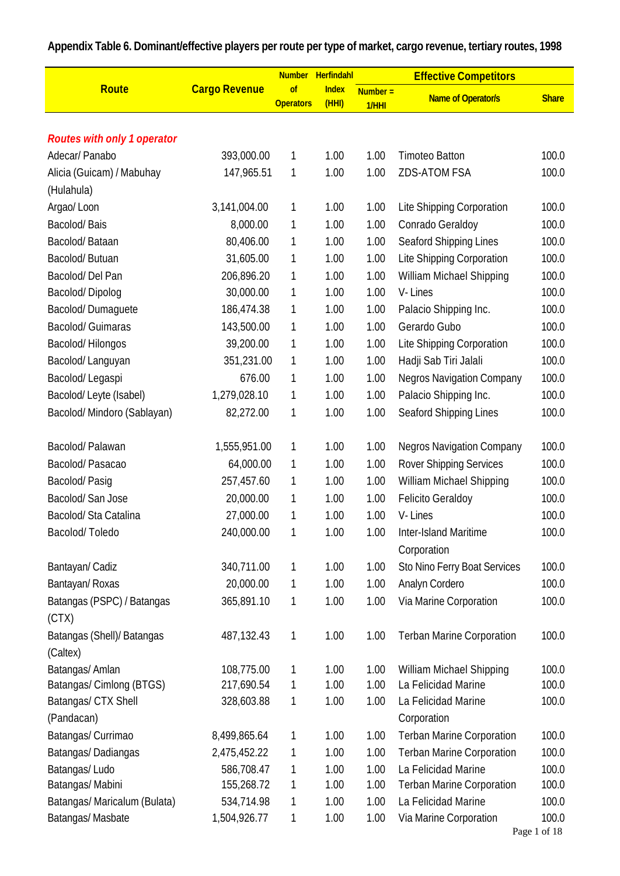|                                     |                      | <b>Number</b>          | Herfindahl            |                     | <b>Effective Competitors</b>     |              |
|-------------------------------------|----------------------|------------------------|-----------------------|---------------------|----------------------------------|--------------|
| <b>Route</b>                        | <b>Cargo Revenue</b> | of<br><b>Operators</b> | <b>Index</b><br>(HHI) | $Number =$<br>1/HHI | <b>Name of Operator/s</b>        | <b>Share</b> |
|                                     |                      |                        |                       |                     |                                  |              |
| <b>Routes with only 1 operator</b>  |                      |                        |                       |                     |                                  |              |
| Adecar/ Panabo                      | 393,000.00           | 1                      | 1.00                  | 1.00                | <b>Timoteo Batton</b>            | 100.0        |
| Alicia (Guicam) / Mabuhay           | 147,965.51           | 1                      | 1.00                  | 1.00                | <b>ZDS-ATOM FSA</b>              | 100.0        |
| (Hulahula)                          |                      |                        |                       |                     |                                  |              |
| Argao/Loon                          | 3,141,004.00         | 1                      | 1.00                  | 1.00                | Lite Shipping Corporation        | 100.0        |
| Bacolod/Bais                        | 8,000.00             | 1                      | 1.00                  | 1.00                | Conrado Geraldoy                 | 100.0        |
| Bacolod/Bataan                      | 80,406.00            | 1                      | 1.00                  | 1.00                | Seaford Shipping Lines           | 100.0        |
| Bacolod/Butuan                      | 31,605.00            | 1                      | 1.00                  | 1.00                | Lite Shipping Corporation        | 100.0        |
| Bacolod/Del Pan                     | 206,896.20           | 1                      | 1.00                  | 1.00                | William Michael Shipping         | 100.0        |
| Bacolod/Dipolog                     | 30,000.00            | 1                      | 1.00                  | 1.00                | V-Lines                          | 100.0        |
| Bacolod/Dumaguete                   | 186,474.38           | 1                      | 1.00                  | 1.00                | Palacio Shipping Inc.            | 100.0        |
| <b>Bacolod/ Guimaras</b>            | 143,500.00           | 1                      | 1.00                  | 1.00                | Gerardo Gubo                     | 100.0        |
| Bacolod/Hilongos                    | 39,200.00            | 1                      | 1.00                  | 1.00                | Lite Shipping Corporation        | 100.0        |
| Bacolod/Languyan                    | 351,231.00           | 1                      | 1.00                  | 1.00                | Hadji Sab Tiri Jalali            | 100.0        |
| Bacolod/Legaspi                     | 676.00               | 1                      | 1.00                  | 1.00                | <b>Negros Navigation Company</b> | 100.0        |
| Bacolod/Leyte (Isabel)              | 1,279,028.10         | 1                      | 1.00                  | 1.00                | Palacio Shipping Inc.            | 100.0        |
| Bacolod/ Mindoro (Sablayan)         | 82,272.00            | 1                      | 1.00                  | 1.00                | Seaford Shipping Lines           | 100.0        |
| Bacolod/Palawan                     | 1,555,951.00         | 1                      | 1.00                  | 1.00                | <b>Negros Navigation Company</b> | 100.0        |
| Bacolod/Pasacao                     | 64,000.00            | 1                      | 1.00                  | 1.00                | <b>Rover Shipping Services</b>   | 100.0        |
| Bacolod/Pasig                       | 257,457.60           | 1                      | 1.00                  | 1.00                | William Michael Shipping         | 100.0        |
| Bacolod/San Jose                    | 20,000.00            | 1                      | 1.00                  | 1.00                | <b>Felicito Geraldoy</b>         | 100.0        |
| Bacolod/Sta Catalina                | 27,000.00            | 1                      | 1.00                  | 1.00                | V-Lines                          | 100.0        |
| Bacolod/Toledo                      | 240,000.00           | 1                      | 1.00                  | 1.00                | Inter-Island Maritime            | 100.0        |
|                                     |                      |                        |                       |                     | Corporation                      |              |
| Bantayan/ Cadiz                     | 340,711.00           | 1                      | 1.00                  | 1.00                | Sto Nino Ferry Boat Services     | 100.0        |
| Bantayan/ Roxas                     | 20,000.00            | 1                      | 1.00                  | 1.00                | Analyn Cordero                   | 100.0        |
| Batangas (PSPC) / Batangas<br>(CTX) | 365,891.10           | 1                      | 1.00                  | 1.00                | Via Marine Corporation           | 100.0        |
| Batangas (Shell)/ Batangas          | 487,132.43           | 1                      | 1.00                  | 1.00                | <b>Terban Marine Corporation</b> | 100.0        |
| (Caltex)                            |                      |                        |                       |                     |                                  |              |
| Batangas/ Amlan                     | 108,775.00           | 1                      | 1.00                  | 1.00                | William Michael Shipping         | 100.0        |
| Batangas/ Cimlong (BTGS)            | 217,690.54           | 1                      | 1.00                  | 1.00                | La Felicidad Marine              | 100.0        |
| Batangas/ CTX Shell                 | 328,603.88           | 1                      | 1.00                  | 1.00                | La Felicidad Marine              | 100.0        |
| (Pandacan)                          |                      |                        |                       |                     | Corporation                      |              |
| Batangas/ Currimao                  | 8,499,865.64         | 1                      | 1.00                  | 1.00                | <b>Terban Marine Corporation</b> | 100.0        |
| Batangas/Dadiangas                  | 2,475,452.22         | 1                      | 1.00                  | 1.00                | <b>Terban Marine Corporation</b> | 100.0        |
| Batangas/Ludo                       | 586,708.47           | 1                      | 1.00                  | 1.00                | La Felicidad Marine              | 100.0        |
| Batangas/ Mabini                    | 155,268.72           | 1                      | 1.00                  | 1.00                | <b>Terban Marine Corporation</b> | 100.0        |
| Batangas/ Maricalum (Bulata)        | 534,714.98           | 1                      | 1.00                  | 1.00                | La Felicidad Marine              | 100.0        |
| Batangas/Masbate                    | 1,504,926.77         | 1                      | 1.00                  | 1.00                | Via Marine Corporation           | 100.0        |

# **Appendix Table 6. Dominant/effective players per route per type of market, cargo revenue, tertiary routes, 1998**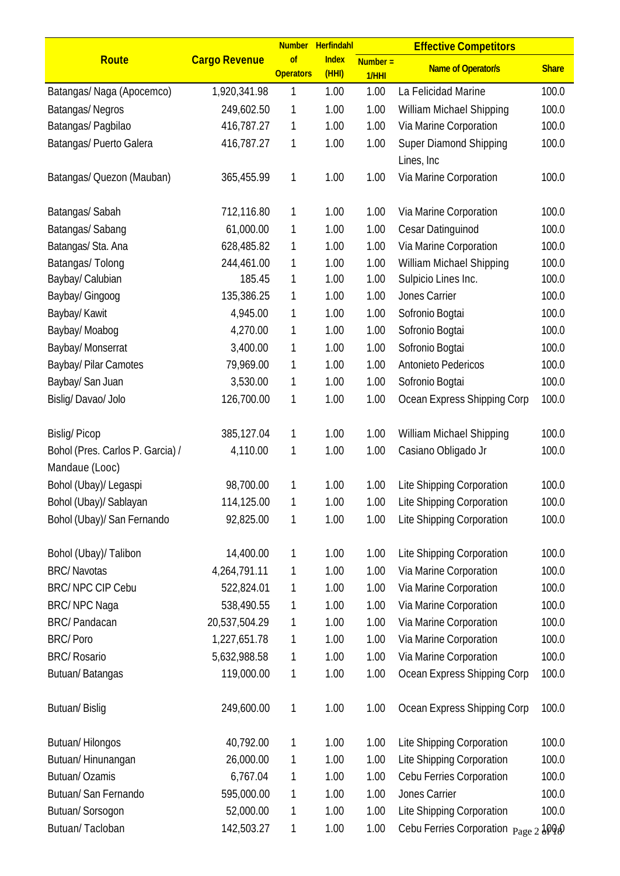|                                  |                      | <b>Number</b>          | Herfindahl           |                     | <b>Effective Competitors</b>         |              |
|----------------------------------|----------------------|------------------------|----------------------|---------------------|--------------------------------------|--------------|
| Route                            | <b>Cargo Revenue</b> | of<br><b>Operators</b> | <b>Index</b><br>(HH) | $Number =$<br>1/HHI | <b>Name of Operator/s</b>            | <b>Share</b> |
| Batangas/ Naga (Apocemco)        | 1,920,341.98         | 1                      | 1.00                 | 1.00                | La Felicidad Marine                  | 100.0        |
| Batangas/Negros                  | 249,602.50           | 1                      | 1.00                 | 1.00                | William Michael Shipping             | 100.0        |
| Batangas/ Pagbilao               | 416,787.27           | 1                      | 1.00                 | 1.00                | Via Marine Corporation               | 100.0        |
| Batangas/ Puerto Galera          | 416,787.27           | 1                      | 1.00                 | 1.00                | Super Diamond Shipping               | 100.0        |
|                                  |                      |                        |                      |                     | Lines, Inc.                          |              |
| Batangas/ Quezon (Mauban)        | 365,455.99           | 1                      | 1.00                 | 1.00                | Via Marine Corporation               | 100.0        |
| Batangas/Sabah                   | 712,116.80           | 1                      | 1.00                 | 1.00                | Via Marine Corporation               | 100.0        |
| Batangas/ Sabang                 | 61,000.00            | 1                      | 1.00                 | 1.00                | Cesar Datinguinod                    | 100.0        |
| Batangas/ Sta. Ana               | 628,485.82           | 1                      | 1.00                 | 1.00                | Via Marine Corporation               | 100.0        |
| Batangas/ Tolong                 | 244,461.00           | 1                      | 1.00                 | 1.00                | William Michael Shipping             | 100.0        |
| Baybay/ Calubian                 | 185.45               | 1                      | 1.00                 | 1.00                | Sulpicio Lines Inc.                  | 100.0        |
| Baybay/ Gingoog                  | 135,386.25           | 1                      | 1.00                 | 1.00                | Jones Carrier                        | 100.0        |
| Baybay/ Kawit                    | 4,945.00             | 1                      | 1.00                 | 1.00                | Sofronio Bogtai                      | 100.0        |
| Baybay/ Moabog                   | 4,270.00             | 1                      | 1.00                 | 1.00                | Sofronio Bogtai                      | 100.0        |
| Baybay/ Monserrat                | 3,400.00             | 1                      | 1.00                 | 1.00                | Sofronio Bogtai                      | 100.0        |
| Baybay/ Pilar Camotes            | 79,969.00            | 1                      | 1.00                 | 1.00                | Antonieto Pedericos                  | 100.0        |
| Baybay/ San Juan                 | 3,530.00             | 1                      | 1.00                 | 1.00                | Sofronio Bogtai                      | 100.0        |
| Bislig/Davao/Jolo                | 126,700.00           | 1                      | 1.00                 | 1.00                | Ocean Express Shipping Corp          | 100.0        |
| <b>Bislig/Picop</b>              | 385,127.04           | 1                      | 1.00                 | 1.00                | William Michael Shipping             | 100.0        |
| Bohol (Pres. Carlos P. Garcia) / | 4,110.00             | 1                      | 1.00                 | 1.00                | Casiano Obligado Jr                  | 100.0        |
| Mandaue (Looc)                   |                      |                        |                      |                     |                                      |              |
| Bohol (Ubay)/ Legaspi            | 98,700.00            | 1                      | 1.00                 | 1.00                | Lite Shipping Corporation            | 100.0        |
| Bohol (Ubay)/ Sablayan           | 114,125.00           | 1                      | 1.00                 | 1.00                | Lite Shipping Corporation            | 100.0        |
| Bohol (Ubay)/ San Fernando       | 92,825.00            | 1                      | 1.00                 | 1.00                | Lite Shipping Corporation            | 100.0        |
| Bohol (Ubay)/ Talibon            | 14,400.00            | 1                      | 1.00                 | 1.00                | Lite Shipping Corporation            | 100.0        |
| <b>BRC/Navotas</b>               | 4,264,791.11         | 1                      | 1.00                 | 1.00                | Via Marine Corporation               | 100.0        |
| <b>BRC/ NPC CIP Cebu</b>         | 522,824.01           | 1                      | 1.00                 | 1.00                | Via Marine Corporation               | 100.0        |
| BRC/NPC Naga                     | 538,490.55           | 1                      | 1.00                 | 1.00                | Via Marine Corporation               | 100.0        |
| <b>BRC/Pandacan</b>              | 20,537,504.29        | 1                      | 1.00                 | 1.00                | Via Marine Corporation               | 100.0        |
| <b>BRC/Poro</b>                  | 1,227,651.78         | 1                      | 1.00                 | 1.00                | Via Marine Corporation               | 100.0        |
| <b>BRC/Rosario</b>               | 5,632,988.58         | 1                      | 1.00                 | 1.00                | Via Marine Corporation               | 100.0        |
| Butuan/Batangas                  | 119,000.00           | 1                      | 1.00                 | 1.00                | Ocean Express Shipping Corp          | 100.0        |
| <b>Butuan/Bislig</b>             | 249,600.00           | 1                      | 1.00                 | 1.00                | Ocean Express Shipping Corp          | 100.0        |
| Butuan/Hilongos                  | 40,792.00            | 1                      | 1.00                 | 1.00                | Lite Shipping Corporation            | 100.0        |
| Butuan/Hinunangan                | 26,000.00            | 1                      | 1.00                 | 1.00                | Lite Shipping Corporation            | 100.0        |
| <b>Butuan/Ozamis</b>             | 6,767.04             | 1                      | 1.00                 | 1.00                | Cebu Ferries Corporation             | 100.0        |
| Butuan/ San Fernando             | 595,000.00           | 1                      | 1.00                 | 1.00                | Jones Carrier                        | 100.0        |
| Butuan/Sorsogon                  | 52,000.00            | 1                      | 1.00                 | 1.00                | Lite Shipping Corporation            | 100.0        |
| Butuan/Tacloban                  | 142,503.27           | 1                      | 1.00                 | 1.00                | Cebu Ferries Corporation Page 2 3000 |              |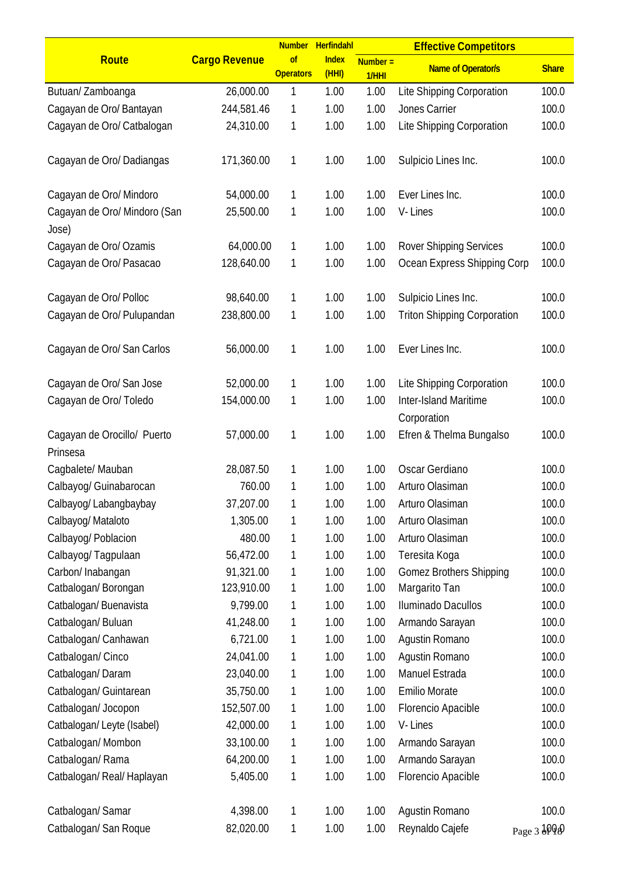|                                       |                      |                        | Number Herfindahl    |                     | <b>Effective Competitors</b>       |              |
|---------------------------------------|----------------------|------------------------|----------------------|---------------------|------------------------------------|--------------|
| Route                                 | <b>Cargo Revenue</b> | of<br><b>Operators</b> | <b>Index</b><br>(HH) | $Number =$<br>1/HHI | <b>Name of Operator/s</b>          | <b>Share</b> |
| Butuan/Zamboanga                      | 26,000.00            | 1                      | 1.00                 | 1.00                | Lite Shipping Corporation          | 100.0        |
| Cagayan de Oro/ Bantayan              | 244,581.46           | 1                      | 1.00                 | 1.00                | Jones Carrier                      | 100.0        |
| Cagayan de Oro/ Catbalogan            | 24,310.00            | 1                      | 1.00                 | 1.00                | Lite Shipping Corporation          | 100.0        |
| Cagayan de Oro/ Dadiangas             | 171,360.00           | 1                      | 1.00                 | 1.00                | Sulpicio Lines Inc.                | 100.0        |
| Cagayan de Oro/ Mindoro               | 54,000.00            | 1                      | 1.00                 | 1.00                | Ever Lines Inc.                    | 100.0        |
| Cagayan de Oro/ Mindoro (San<br>Jose) | 25,500.00            | 1                      | 1.00                 | 1.00                | V-Lines                            | 100.0        |
| Cagayan de Oro/ Ozamis                | 64,000.00            | 1                      | 1.00                 | 1.00                | <b>Rover Shipping Services</b>     | 100.0        |
| Cagayan de Oro/ Pasacao               | 128,640.00           | 1                      | 1.00                 | 1.00                | Ocean Express Shipping Corp        | 100.0        |
| Cagayan de Oro/ Polloc                | 98,640.00            | 1                      | 1.00                 | 1.00                | Sulpicio Lines Inc.                | 100.0        |
| Cagayan de Oro/ Pulupandan            | 238,800.00           | 1                      | 1.00                 | 1.00                | <b>Triton Shipping Corporation</b> | 100.0        |
|                                       |                      |                        |                      |                     |                                    |              |
| Cagayan de Oro/ San Carlos            | 56,000.00            | 1                      | 1.00                 | 1.00                | Ever Lines Inc.                    | 100.0        |
| Cagayan de Oro/ San Jose              | 52,000.00            | 1                      | 1.00                 | 1.00                | Lite Shipping Corporation          | 100.0        |
| Cagayan de Oro/ Toledo                | 154,000.00           | 1                      | 1.00                 | 1.00                | Inter-Island Maritime              | 100.0        |
|                                       |                      |                        |                      |                     | Corporation                        |              |
| Cagayan de Orocillo/ Puerto           | 57,000.00            | 1                      | 1.00                 | 1.00                | Efren & Thelma Bungalso            | 100.0        |
| Prinsesa                              |                      |                        |                      |                     |                                    |              |
| Cagbalete/ Mauban                     | 28,087.50            | 1                      | 1.00                 | 1.00                | Oscar Gerdiano                     | 100.0        |
| Calbayog/ Guinabarocan                | 760.00               | 1                      | 1.00                 | 1.00                | Arturo Olasiman                    | 100.0        |
| Calbayog/ Labangbaybay                | 37,207.00            | 1                      | 1.00                 | 1.00                | Arturo Olasiman                    | 100.0        |
| Calbayog/ Mataloto                    | 1,305.00             | 1                      | 1.00                 | 1.00                | Arturo Olasiman                    | 100.0        |
| Calbayog/ Poblacion                   | 480.00               | 1                      | 1.00                 | 1.00                | Arturo Olasiman                    | 100.0        |
| Calbayog/Tagpulaan                    | 56,472.00            | 1                      | 1.00                 | 1.00                | Teresita Koga                      | 100.0        |
| Carbon/ Inabangan                     | 91,321.00            | 1                      | 1.00                 | 1.00                | <b>Gomez Brothers Shipping</b>     | 100.0        |
| Catbalogan/Borongan                   | 123,910.00           | 1                      | 1.00                 | 1.00                | Margarito Tan                      | 100.0        |
| Catbalogan/ Buenavista                | 9,799.00             | 1                      | 1.00                 | 1.00                | Iluminado Dacullos                 | 100.0        |
| Catbalogan/ Buluan                    | 41,248.00            | 1                      | 1.00                 | 1.00                | Armando Sarayan                    | 100.0        |
| Catbalogan/ Canhawan                  | 6,721.00             | 1                      | 1.00                 | 1.00                | Agustin Romano                     | 100.0        |
| Catbalogan/ Cinco                     | 24,041.00            | 1                      | 1.00                 | 1.00                | Agustin Romano                     | 100.0        |
| Catbalogan/Daram                      | 23,040.00            | 1                      | 1.00                 | 1.00                | Manuel Estrada                     | 100.0        |
| Catbalogan/ Guintarean                | 35,750.00            | 1                      | 1.00                 | 1.00                | <b>Emilio Morate</b>               | 100.0        |
| Catbalogan/ Jocopon                   | 152,507.00           | 1                      | 1.00                 | 1.00                | Florencio Apacible                 | 100.0        |
| Catbalogan/ Leyte (Isabel)            | 42,000.00            | 1                      | 1.00                 | 1.00                | V-Lines                            | 100.0        |
| Catbalogan/Mombon                     | 33,100.00            | 1                      | 1.00                 | 1.00                | Armando Sarayan                    | 100.0        |
| Catbalogan/Rama                       | 64,200.00            | 1                      | 1.00                 | 1.00                | Armando Sarayan                    | 100.0        |
| Catbalogan/ Real/ Haplayan            | 5,405.00             | 1                      | 1.00                 | 1.00                | Florencio Apacible                 | 100.0        |
|                                       |                      |                        |                      |                     |                                    |              |
| Catbalogan/Samar                      | 4,398.00             | 1                      | 1.00                 | 1.00                | Agustin Romano                     | 100.0        |
| Catbalogan/ San Roque                 | 82,020.00            | 1                      | 1.00                 | 1.00                | Reynaldo Cajefe                    | Page 3 JPJD  |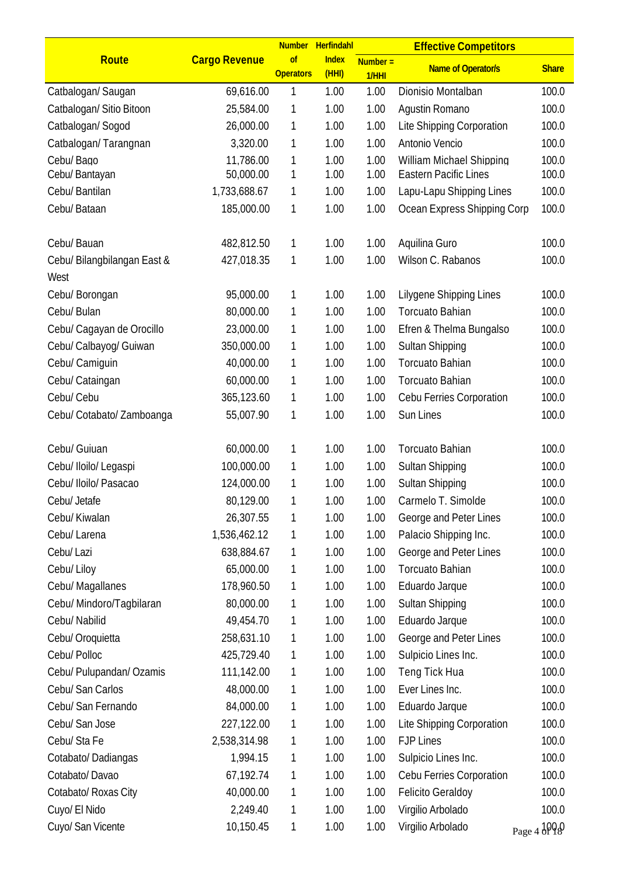|                             |                      |                        | Number Herfindahl     |                     | <b>Effective Competitors</b> |              |
|-----------------------------|----------------------|------------------------|-----------------------|---------------------|------------------------------|--------------|
| Route                       | <b>Cargo Revenue</b> | of<br><b>Operators</b> | <b>Index</b><br>(HHI) | $Number =$<br>1/HHI | <b>Name of Operator/s</b>    | <b>Share</b> |
| Catbalogan/ Saugan          | 69,616.00            | 1                      | 1.00                  | 1.00                | Dionisio Montalban           | 100.0        |
| Catbalogan/ Sitio Bitoon    | 25,584.00            | 1                      | 1.00                  | 1.00                | Agustin Romano               | 100.0        |
| Catbalogan/Sogod            | 26,000.00            | 1                      | 1.00                  | 1.00                | Lite Shipping Corporation    | 100.0        |
| Catbalogan/Tarangnan        | 3,320.00             | 1                      | 1.00                  | 1.00                | Antonio Vencio               | 100.0        |
| Cebu/Bago                   | 11,786.00            | 1                      | 1.00                  | 1.00                | William Michael Shipping     | 100.0        |
| Cebu/ Bantayan              | 50,000.00            | 1                      | 1.00                  | 1.00                | <b>Eastern Pacific Lines</b> | 100.0        |
| Cebu/ Bantilan              | 1,733,688.67         | 1                      | 1.00                  | 1.00                | Lapu-Lapu Shipping Lines     | 100.0        |
| Cebu/ Bataan                | 185,000.00           | 1                      | 1.00                  | 1.00                | Ocean Express Shipping Corp  | 100.0        |
| Cebu/ Bauan                 | 482,812.50           | 1                      | 1.00                  | 1.00                | Aquilina Guro                | 100.0        |
| Cebu/ Bilangbilangan East & | 427,018.35           | 1                      | 1.00                  | 1.00                | Wilson C. Rabanos            | 100.0        |
| West                        |                      |                        |                       |                     |                              |              |
| Cebu/ Borongan              | 95,000.00            | 1                      | 1.00                  | 1.00                | Lilygene Shipping Lines      | 100.0        |
| Cebu/ Bulan                 | 80,000.00            | 1                      | 1.00                  | 1.00                | <b>Torcuato Bahian</b>       | 100.0        |
| Cebu/ Cagayan de Orocillo   | 23,000.00            | 1                      | 1.00                  | 1.00                | Efren & Thelma Bungalso      | 100.0        |
| Cebu/ Calbayog/ Guiwan      | 350,000.00           | 1                      | 1.00                  | 1.00                | Sultan Shipping              | 100.0        |
| Cebu/ Camiguin              | 40,000.00            | 1                      | 1.00                  | 1.00                | Torcuato Bahian              | 100.0        |
| Cebu/ Cataingan             | 60,000.00            | 1                      | 1.00                  | 1.00                | <b>Torcuato Bahian</b>       | 100.0        |
| Cebu/ Cebu                  | 365,123.60           | 1                      | 1.00                  | 1.00                | Cebu Ferries Corporation     | 100.0        |
| Cebu/ Cotabato/ Zamboanga   | 55,007.90            | 1                      | 1.00                  | 1.00                | Sun Lines                    | 100.0        |
| Cebu/ Guiuan                | 60,000.00            | 1                      | 1.00                  | 1.00                | Torcuato Bahian              | 100.0        |
| Cebu/ Iloilo/ Legaspi       | 100,000.00           | 1                      | 1.00                  | 1.00                | Sultan Shipping              | 100.0        |
| Cebu/ Iloilo/ Pasacao       | 124,000.00           | 1                      | 1.00                  | 1.00                | Sultan Shipping              | 100.0        |
| Cebu/ Jetafe                | 80,129.00            | 1                      | 1.00                  | 1.00                | Carmelo T. Simolde           | 100.0        |
| Cebu/ Kiwalan               | 26,307.55            | 1                      | 1.00                  | 1.00                | George and Peter Lines       | 100.0        |
| Cebu/ Larena                | 1,536,462.12         | 1                      | 1.00                  | 1.00                | Palacio Shipping Inc.        | 100.0        |
| Cebu/ Lazi                  | 638,884.67           | 1                      | 1.00                  | 1.00                | George and Peter Lines       | 100.0        |
| Cebu/ Liloy                 | 65,000.00            | 1                      | 1.00                  | 1.00                | <b>Torcuato Bahian</b>       | 100.0        |
| Cebu/ Magallanes            | 178,960.50           | 1                      | 1.00                  | 1.00                | Eduardo Jarque               | 100.0        |
| Cebu/ Mindoro/Tagbilaran    | 80,000.00            | 1                      | 1.00                  | 1.00                | Sultan Shipping              | 100.0        |
| Cebu/ Nabilid               | 49,454.70            | 1                      | 1.00                  | 1.00                | Eduardo Jarque               | 100.0        |
| Cebu/ Oroquietta            | 258,631.10           | 1                      | 1.00                  | 1.00                | George and Peter Lines       | 100.0        |
| Cebu/ Polloc                | 425,729.40           | 1                      | 1.00                  | 1.00                | Sulpicio Lines Inc.          | 100.0        |
| Cebu/ Pulupandan/ Ozamis    | 111,142.00           | 1                      | 1.00                  | 1.00                | Teng Tick Hua                | 100.0        |
| Cebu/ San Carlos            | 48,000.00            | 1                      | 1.00                  | 1.00                | Ever Lines Inc.              | 100.0        |
| Cebu/ San Fernando          | 84,000.00            | 1                      | 1.00                  | 1.00                | Eduardo Jarque               | 100.0        |
| Cebu/ San Jose              | 227,122.00           | 1                      | 1.00                  | 1.00                | Lite Shipping Corporation    | 100.0        |
| Cebu/StaFe                  | 2,538,314.98         | 1                      | 1.00                  | 1.00                | <b>FJP Lines</b>             | 100.0        |
| Cotabato/Dadiangas          | 1,994.15             | 1                      | 1.00                  | 1.00                | Sulpicio Lines Inc.          | 100.0        |
| Cotabato/Davao              | 67,192.74            | 1                      | 1.00                  | 1.00                | Cebu Ferries Corporation     | 100.0        |
| Cotabato/ Roxas City        | 40,000.00            | 1                      | 1.00                  | 1.00                | <b>Felicito Geraldoy</b>     | 100.0        |
| Cuyo/ El Nido               | 2,249.40             | 1                      | 1.00                  | 1.00                | Virgilio Arbolado            | 100.0        |
| Cuyo/ San Vicente           | 10,150.45            | 1                      | 1.00                  | 1.00                | Virgilio Arbolado            | Page 4 1998  |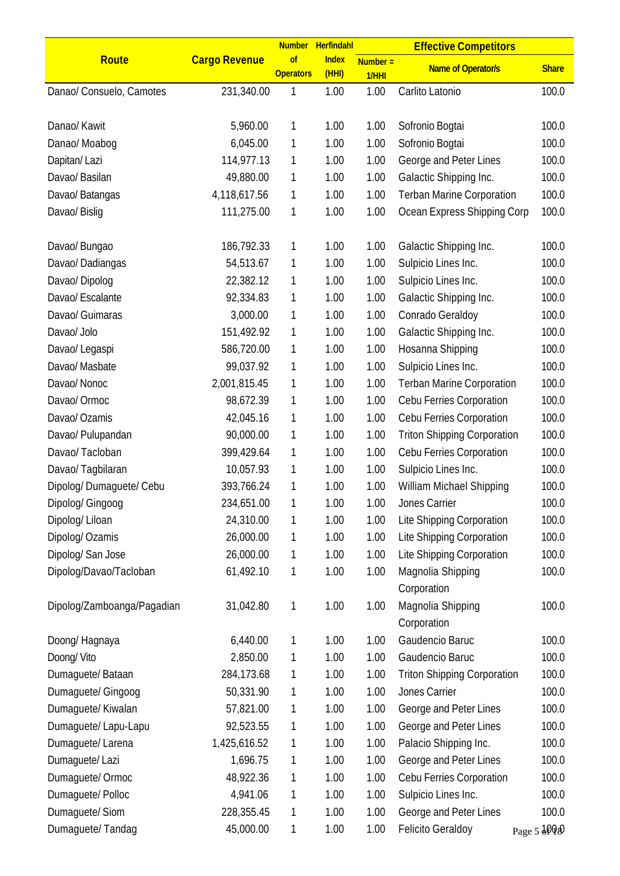|                            |                      |                        | Number Herfindahl     |                     | <b>Effective Competitors</b>       |              |
|----------------------------|----------------------|------------------------|-----------------------|---------------------|------------------------------------|--------------|
| Route                      | <b>Cargo Revenue</b> | of<br><b>Operators</b> | <b>Index</b><br>(HHI) | $Number =$<br>1/HHI | <b>Name of Operator/s</b>          | <b>Share</b> |
| Danao/ Consuelo, Camotes   | 231,340.00           | 1                      | 1.00                  | 1.00                | Carlito Latonio                    | 100.0        |
|                            |                      |                        |                       |                     |                                    |              |
| Danao/ Kawit               | 5,960.00             | 1                      | 1.00                  | 1.00                | Sofronio Bogtai                    | 100.0        |
| Danao/ Moabog              | 6,045.00             | 1                      | 1.00                  | 1.00                | Sofronio Bogtai                    | 100.0        |
| Dapitan/Lazi               | 114,977.13           | 1                      | 1.00                  | 1.00                | George and Peter Lines             | 100.0        |
| Davao/ Basilan             | 49,880.00            | 1                      | 1.00                  | 1.00                | Galactic Shipping Inc.             | 100.0        |
| Davao/ Batangas            | 4,118,617.56         | 1                      | 1.00                  | 1.00                | <b>Terban Marine Corporation</b>   | 100.0        |
| Davao/ Bislig              | 111,275.00           | 1                      | 1.00                  | 1.00                | Ocean Express Shipping Corp        | 100.0        |
|                            |                      |                        |                       |                     |                                    |              |
| Davao/ Bungao              | 186,792.33           | 1                      | 1.00                  | 1.00                | Galactic Shipping Inc.             | 100.0        |
| Davao/Dadiangas            | 54,513.67            | 1                      | 1.00                  | 1.00                | Sulpicio Lines Inc.                | 100.0        |
| Davao/Dipolog              | 22,382.12            | 1                      | 1.00                  | 1.00                | Sulpicio Lines Inc.                | 100.0        |
| Davao/ Escalante           | 92,334.83            | 1                      | 1.00                  | 1.00                | Galactic Shipping Inc.             | 100.0        |
| Davao/ Guimaras            | 3,000.00             | 1                      | 1.00                  | 1.00                | Conrado Geraldoy                   | 100.0        |
| Davao/ Jolo                | 151,492.92           | 1                      | 1.00                  | 1.00                | Galactic Shipping Inc.             | 100.0        |
| Davao/ Legaspi             | 586,720.00           | 1                      | 1.00                  | 1.00                | Hosanna Shipping                   | 100.0        |
| Davao/ Masbate             | 99,037.92            | 1                      | 1.00                  | 1.00                | Sulpicio Lines Inc.                | 100.0        |
| Davao/ Nonoc               | 2,001,815.45         | 1                      | 1.00                  | 1.00                | <b>Terban Marine Corporation</b>   | 100.0        |
| Davao/ Ormoc               | 98,672.39            | 1                      | 1.00                  | 1.00                | Cebu Ferries Corporation           | 100.0        |
| Davao/ Ozamis              | 42,045.16            | 1                      | 1.00                  | 1.00                | Cebu Ferries Corporation           | 100.0        |
| Davao/ Pulupandan          | 90,000.00            | 1                      | 1.00                  | 1.00                | <b>Triton Shipping Corporation</b> | 100.0        |
| Davao/Tacloban             | 399,429.64           | 1                      | 1.00                  | 1.00                | Cebu Ferries Corporation           | 100.0        |
| Davao/Tagbilaran           | 10,057.93            | 1                      | 1.00                  | 1.00                | Sulpicio Lines Inc.                | 100.0        |
| Dipolog/Dumaguete/Cebu     | 393,766.24           | 1                      | 1.00                  | 1.00                | William Michael Shipping           | 100.0        |
| Dipolog/ Gingoog           | 234,651.00           | 1                      | 1.00                  | 1.00                | Jones Carrier                      | 100.0        |
| Dipolog/Liloan             | 24,310.00            | 1                      | 1.00                  | 1.00                | Lite Shipping Corporation          | 100.0        |
| Dipolog/ Ozamis            | 26,000.00            | 1                      | 1.00                  | 1.00                | Lite Shipping Corporation          | 100.0        |
| Dipolog/ San Jose          | 26,000.00            | 1                      | 1.00                  | 1.00                | Lite Shipping Corporation          | 100.0        |
| Dipolog/Davao/Tacloban     | 61,492.10            | 1                      | 1.00                  | 1.00                | Magnolia Shipping                  | 100.0        |
|                            |                      |                        |                       |                     | Corporation                        |              |
| Dipolog/Zamboanga/Pagadian | 31,042.80            | 1                      | 1.00                  | 1.00                | Magnolia Shipping                  | 100.0        |
|                            |                      |                        |                       |                     | Corporation                        |              |
| Doong/ Hagnaya             | 6,440.00             | 1                      | 1.00                  | 1.00                | Gaudencio Baruc                    | 100.0        |
| Doong/Vito                 | 2,850.00             | 1                      | 1.00                  | 1.00                | Gaudencio Baruc                    | 100.0        |
| Dumaguete/Bataan           | 284,173.68           | 1                      | 1.00                  | 1.00                | <b>Triton Shipping Corporation</b> | 100.0        |
| Dumaguete/ Gingoog         | 50,331.90            | 1                      | 1.00                  | 1.00                | Jones Carrier                      | 100.0        |
| Dumaguete/ Kiwalan         | 57,821.00            | 1                      | 1.00                  | 1.00                | George and Peter Lines             | 100.0        |
| Dumaguete/Lapu-Lapu        | 92,523.55            | 1                      | 1.00                  | 1.00                | George and Peter Lines             | 100.0        |
| Dumaguete/ Larena          | 1,425,616.52         | 1                      | 1.00                  | 1.00                | Palacio Shipping Inc.              | 100.0        |
| Dumaguete/Lazi             | 1,696.75             | 1                      | 1.00                  | 1.00                | George and Peter Lines             | 100.0        |
| Dumaguete/Ormoc            | 48,922.36            | 1                      | 1.00                  | 1.00                | Cebu Ferries Corporation           | 100.0        |
| Dumaguete/ Polloc          | 4,941.06             | 1                      | 1.00                  | 1.00                | Sulpicio Lines Inc.                | 100.0        |
| Dumaguete/Siom             | 228,355.45           | 1                      | 1.00                  | 1.00                | George and Peter Lines             | 100.0        |
| Dumaguete/Tandag           | 45,000.00            | 1                      | 1.00                  | 1.00                | <b>Felicito Geraldoy</b>           | Page 5 JPID  |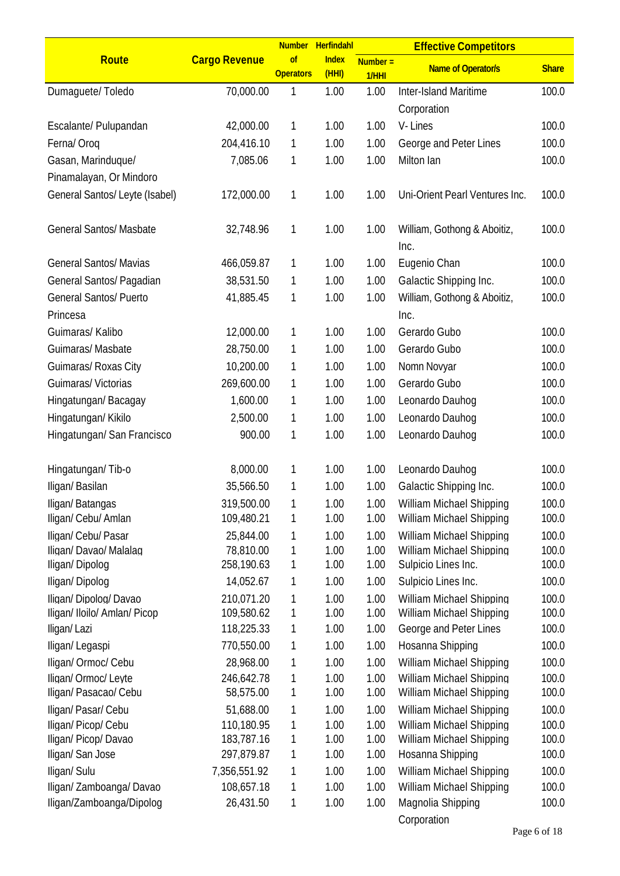|                                             |                          |                        | Number Herfindahl     |                     | <b>Effective Competitors</b>                         |                |
|---------------------------------------------|--------------------------|------------------------|-----------------------|---------------------|------------------------------------------------------|----------------|
| Route                                       | <b>Cargo Revenue</b>     | of<br><b>Operators</b> | <b>Index</b><br>(HHI) | $Number =$<br>1/HHI | <b>Name of Operator/s</b>                            | <b>Share</b>   |
| Dumaguete/Toledo                            | 70,000.00                | 1                      | 1.00                  | 1.00                | Inter-Island Maritime<br>Corporation                 | 100.0          |
| Escalante/ Pulupandan                       | 42,000.00                | 1                      | 1.00                  | 1.00                | V-Lines                                              | 100.0          |
| Ferna/Oroq                                  | 204,416.10               | 1                      | 1.00                  | 1.00                | George and Peter Lines                               | 100.0          |
| Gasan, Marinduque/                          | 7,085.06                 | 1                      | 1.00                  | 1.00                | Milton Ian                                           | 100.0          |
| Pinamalayan, Or Mindoro                     |                          |                        |                       |                     |                                                      |                |
| General Santos/ Leyte (Isabel)              | 172,000.00               | 1                      | 1.00                  | 1.00                | Uni-Orient Pearl Ventures Inc.                       | 100.0          |
| <b>General Santos/ Masbate</b>              | 32,748.96                | 1                      | 1.00                  | 1.00                | William, Gothong & Aboitiz,<br>Inc.                  | 100.0          |
| <b>General Santos/ Mavias</b>               | 466,059.87               | 1                      | 1.00                  | 1.00                | Eugenio Chan                                         | 100.0          |
| General Santos/ Pagadian                    | 38,531.50                | 1                      | 1.00                  | 1.00                | Galactic Shipping Inc.                               | 100.0          |
| <b>General Santos/ Puerto</b>               | 41,885.45                | 1                      | 1.00                  | 1.00                | William, Gothong & Aboitiz,                          | 100.0          |
| Princesa                                    |                          |                        |                       |                     | Inc.                                                 |                |
| Guimaras/ Kalibo                            | 12,000.00                | 1                      | 1.00                  | 1.00                | Gerardo Gubo                                         | 100.0          |
| Guimaras/Masbate                            | 28,750.00                | 1                      | 1.00                  | 1.00                | Gerardo Gubo                                         | 100.0          |
| Guimaras/ Roxas City                        | 10,200.00                | 1                      | 1.00                  | 1.00                | Nomn Novyar                                          | 100.0          |
| Guimaras/Victorias                          | 269,600.00               | 1                      | 1.00                  | 1.00                | Gerardo Gubo                                         | 100.0          |
| Hingatungan/Bacagay                         | 1,600.00                 | 1                      | 1.00                  | 1.00                | Leonardo Dauhog                                      | 100.0          |
| Hingatungan/ Kikilo                         | 2,500.00                 | 1                      | 1.00                  | 1.00                | Leonardo Dauhog                                      | 100.0          |
| Hingatungan/ San Francisco                  | 900.00                   | 1                      | 1.00                  | 1.00                | Leonardo Dauhog                                      | 100.0          |
| Hingatungan/Tib-o                           | 8,000.00                 | 1                      | 1.00                  | 1.00                | Leonardo Dauhog                                      | 100.0          |
| Iligan/Basilan                              | 35,566.50                | 1                      | 1.00                  | 1.00                | Galactic Shipping Inc.                               | 100.0          |
| Iligan/Batangas                             | 319,500.00               | 1                      | 1.00                  | 1.00                | William Michael Shipping                             | 100.0          |
| Iligan/ Cebu/ Amlan                         | 109,480.21               | 1                      | 1.00                  | 1.00                | William Michael Shipping                             | 100.0          |
| Iligan/ Cebu/ Pasar                         | 25,844.00                | 1                      | 1.00                  | 1.00                | William Michael Shipping                             | 100.0          |
| Iligan/ Davao/ Malalag                      | 78,810.00                | 1                      | 1.00                  | 1.00                | William Michael Shipping                             | 100.0          |
| Iligan/Dipolog                              | 258,190.63               | 1                      | 1.00                  | 1.00                | Sulpicio Lines Inc.                                  | 100.0          |
| Iligan/Dipolog                              | 14,052.67                | 1                      | 1.00                  | 1.00                | Sulpicio Lines Inc.                                  | 100.0          |
| Iligan/Dipolog/Davao                        | 210,071.20               | 1                      | 1.00                  | 1.00                | William Michael Shipping                             | 100.0          |
| Iligan/ Iloilo/ Amlan/ Picop<br>Iligan/Lazi | 109,580.62<br>118,225.33 | 1<br>1                 | 1.00<br>1.00          | 1.00<br>1.00        | William Michael Shipping<br>George and Peter Lines   | 100.0<br>100.0 |
|                                             | 770,550.00               | 1                      | 1.00                  | 1.00                | Hosanna Shipping                                     | 100.0          |
| Iligan/Legaspi                              |                          |                        |                       |                     |                                                      |                |
| Iligan/ Ormoc/ Cebu<br>Iligan/ Ormoc/ Leyte | 28,968.00<br>246,642.78  | 1<br>1                 | 1.00<br>1.00          | 1.00<br>1.00        | William Michael Shipping<br>William Michael Shipping | 100.0<br>100.0 |
| Iligan/ Pasacao/ Cebu                       | 58,575.00                | 1                      | 1.00                  | 1.00                | William Michael Shipping                             | 100.0          |
| Iligan/ Pasar/ Cebu                         | 51,688.00                | 1                      | 1.00                  | 1.00                | William Michael Shipping                             | 100.0          |
| Iligan/ Picop/ Cebu                         | 110,180.95               | 1                      | 1.00                  | 1.00                | William Michael Shipping                             | 100.0          |
| Iligan/ Picop/ Davao                        | 183,787.16               | 1                      | 1.00                  | 1.00                | William Michael Shipping                             | 100.0          |
| Iligan/San Jose                             | 297,879.87               | 1                      | 1.00                  | 1.00                | Hosanna Shipping                                     | 100.0          |
| Iligan/ Sulu                                | 7,356,551.92             | 1                      | 1.00                  | 1.00                | William Michael Shipping                             | 100.0          |
| Iligan/ Zamboanga/ Davao                    | 108,657.18               | 1                      | 1.00                  | 1.00                | William Michael Shipping                             | 100.0          |
| lligan/Zamboanga/Dipolog                    | 26,431.50                | 1                      | 1.00                  | 1.00                | Magnolia Shipping<br>Corporation                     | 100.0          |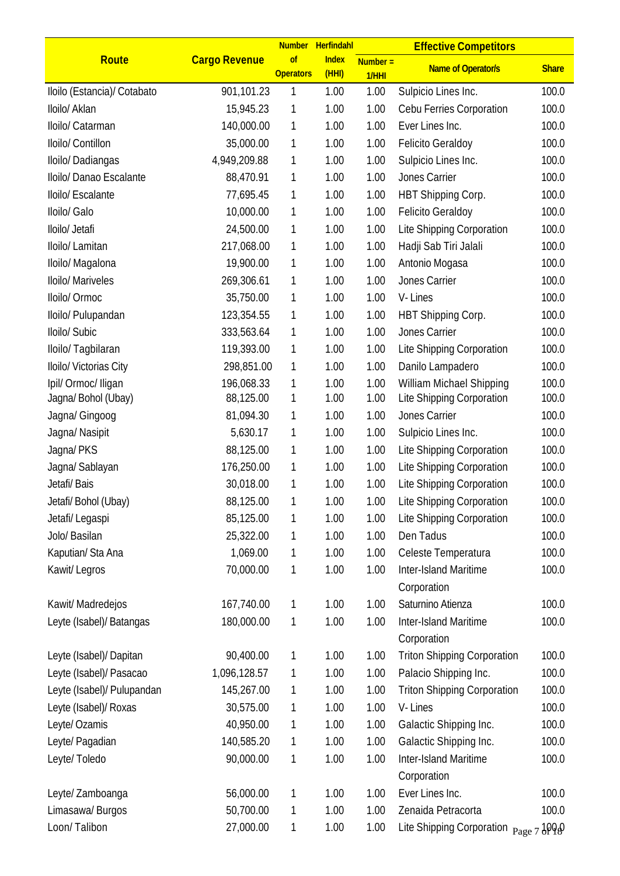|                             |                      |                        | Number Herfindahl     |                     | <b>Effective Competitors</b>          |              |
|-----------------------------|----------------------|------------------------|-----------------------|---------------------|---------------------------------------|--------------|
| Route                       | <b>Cargo Revenue</b> | of<br><b>Operators</b> | <b>Index</b><br>(HHI) | $Number =$<br>1/HHI | <b>Name of Operator/s</b>             | <b>Share</b> |
| Iloilo (Estancia)/ Cotabato | 901,101.23           | 1                      | 1.00                  | 1.00                | Sulpicio Lines Inc.                   | 100.0        |
| Iloilo/ Aklan               | 15,945.23            | 1                      | 1.00                  | 1.00                | Cebu Ferries Corporation              | 100.0        |
| Iloilo/ Catarman            | 140,000.00           | 1                      | 1.00                  | 1.00                | Ever Lines Inc.                       | 100.0        |
| Iloilo/ Contillon           | 35,000.00            | 1                      | 1.00                  | 1.00                | <b>Felicito Geraldoy</b>              | 100.0        |
| Iloilo/Dadiangas            | 4,949,209.88         | 1                      | 1.00                  | 1.00                | Sulpicio Lines Inc.                   | 100.0        |
| Iloilo/ Danao Escalante     | 88,470.91            | 1                      | 1.00                  | 1.00                | Jones Carrier                         | 100.0        |
| Iloilo/ Escalante           | 77,695.45            | 1                      | 1.00                  | 1.00                | HBT Shipping Corp.                    | 100.0        |
| Iloilo/ Galo                | 10,000.00            | 1                      | 1.00                  | 1.00                | <b>Felicito Geraldoy</b>              | 100.0        |
| Iloilo/ Jetafi              | 24,500.00            | 1                      | 1.00                  | 1.00                | Lite Shipping Corporation             | 100.0        |
| Iloilo/ Lamitan             | 217,068.00           | 1                      | 1.00                  | 1.00                | Hadji Sab Tiri Jalali                 | 100.0        |
| Iloilo/ Magalona            | 19,900.00            | 1                      | 1.00                  | 1.00                | Antonio Mogasa                        | 100.0        |
| Iloilo/ Mariveles           | 269,306.61           | 1                      | 1.00                  | 1.00                | Jones Carrier                         | 100.0        |
| Iloilo/ Ormoc               | 35,750.00            | 1                      | 1.00                  | 1.00                | V-Lines                               | 100.0        |
| Iloilo/ Pulupandan          | 123,354.55           | 1                      | 1.00                  | 1.00                | HBT Shipping Corp.                    | 100.0        |
| Iloilo/ Subic               | 333,563.64           | 1                      | 1.00                  | 1.00                | Jones Carrier                         | 100.0        |
| Iloilo/ Tagbilaran          | 119,393.00           | 1                      | 1.00                  | 1.00                | Lite Shipping Corporation             | 100.0        |
| Iloilo/ Victorias City      | 298,851.00           | 1                      | 1.00                  | 1.00                | Danilo Lampadero                      | 100.0        |
| Ipil/ Ormoc/ Iligan         | 196,068.33           | 1                      | 1.00                  | 1.00                | William Michael Shipping              | 100.0        |
| Jagna/ Bohol (Ubay)         | 88,125.00            | 1                      | 1.00                  | 1.00                | Lite Shipping Corporation             | 100.0        |
| Jagna/ Gingoog              | 81,094.30            | 1                      | 1.00                  | 1.00                | Jones Carrier                         | 100.0        |
| Jagna/ Nasipit              | 5,630.17             | 1                      | 1.00                  | 1.00                | Sulpicio Lines Inc.                   | 100.0        |
| Jagna/PKS                   | 88,125.00            | 1                      | 1.00                  | 1.00                | Lite Shipping Corporation             | 100.0        |
| Jagna/ Sablayan             | 176,250.00           | 1                      | 1.00                  | 1.00                | Lite Shipping Corporation             | 100.0        |
| Jetafi/ Bais                | 30,018.00            | 1                      | 1.00                  | 1.00                | Lite Shipping Corporation             | 100.0        |
| Jetafi/ Bohol (Ubay)        | 88,125.00            | $\mathbf{1}$           | 1.00                  | 1.00                | Lite Shipping Corporation             | 100.0        |
| Jetafi/ Legaspi             | 85,125.00            | 1                      | 1.00                  | 1.00                | Lite Shipping Corporation             | 100.0        |
| Jolo/ Basilan               | 25,322.00            | 1                      | 1.00                  | 1.00                | Den Tadus                             | 100.0        |
| Kaputian/ Sta Ana           | 1,069.00             | 1                      | 1.00                  | 1.00                | Celeste Temperatura                   | 100.0        |
| Kawit/ Legros               | 70,000.00            | 1                      | 1.00                  | 1.00                | <b>Inter-Island Maritime</b>          | 100.0        |
|                             |                      |                        |                       |                     | Corporation                           |              |
| Kawit/ Madredejos           | 167,740.00           | 1                      | 1.00                  | 1.00                | Saturnino Atienza                     | 100.0        |
| Leyte (Isabel)/ Batangas    | 180,000.00           | 1                      | 1.00                  | 1.00                | Inter-Island Maritime<br>Corporation  | 100.0        |
| Leyte (Isabel)/ Dapitan     | 90,400.00            | 1                      | 1.00                  | 1.00                | <b>Triton Shipping Corporation</b>    | 100.0        |
| Leyte (Isabel)/ Pasacao     | 1,096,128.57         | 1                      | 1.00                  | 1.00                | Palacio Shipping Inc.                 | 100.0        |
| Leyte (Isabel)/ Pulupandan  | 145,267.00           | 1                      | 1.00                  | 1.00                | <b>Triton Shipping Corporation</b>    | 100.0        |
| Leyte (Isabel)/ Roxas       | 30,575.00            | 1                      | 1.00                  | 1.00                | V-Lines                               | 100.0        |
| Leyte/ Ozamis               | 40,950.00            | 1                      | 1.00                  | 1.00                | Galactic Shipping Inc.                | 100.0        |
| Leyte/ Pagadian             | 140,585.20           | 1                      | 1.00                  | 1.00                | Galactic Shipping Inc.                | 100.0        |
| Leyte/Toledo                | 90,000.00            | 1                      | 1.00                  | 1.00                | <b>Inter-Island Maritime</b>          | 100.0        |
|                             |                      |                        |                       |                     | Corporation                           |              |
| Leyte/ Zamboanga            | 56,000.00            | 1                      | 1.00                  | 1.00                | Ever Lines Inc.                       | 100.0        |
| Limasawa/ Burgos            | 50,700.00            | 1                      | 1.00                  | 1.00                | Zenaida Petracorta                    | 100.0        |
| Loon/Talibon                | 27,000.00            | 1                      | 1.00                  | 1.00                | Lite Shipping Corporation Page 7 3000 |              |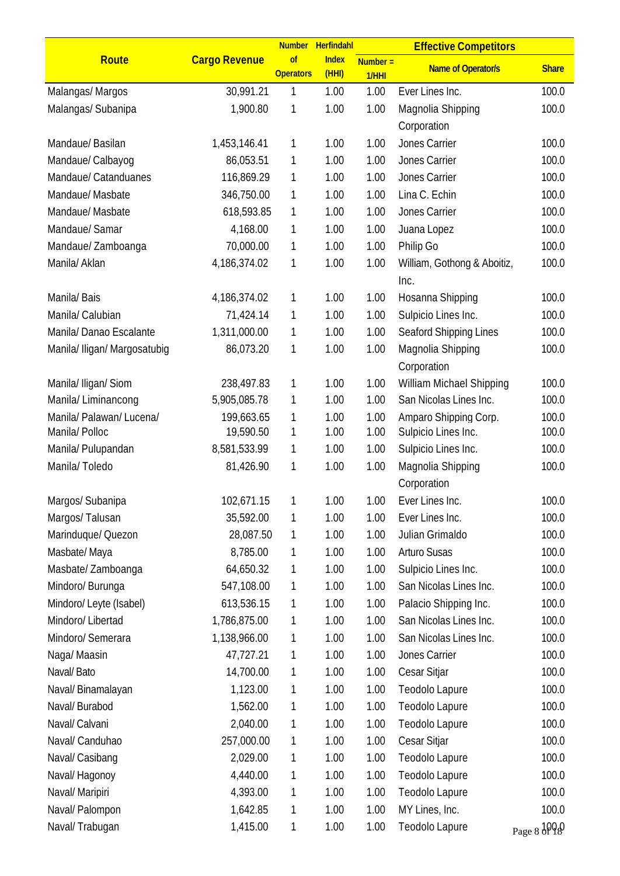|                              |                      | <b>Number</b>          | Herfindahl            |                     | <b>Effective Competitors</b> |              |
|------------------------------|----------------------|------------------------|-----------------------|---------------------|------------------------------|--------------|
| Route                        | <b>Cargo Revenue</b> | of<br><b>Operators</b> | <b>Index</b><br>(HHI) | $Number =$<br>1/HHI | <b>Name of Operator/s</b>    | <b>Share</b> |
| Malangas/Margos              | 30,991.21            | 1                      | 1.00                  | 1.00                | Ever Lines Inc.              | 100.0        |
| Malangas/ Subanipa           | 1,900.80             | 1                      | 1.00                  | 1.00                | Magnolia Shipping            | 100.0        |
|                              |                      |                        |                       |                     | Corporation                  |              |
| Mandaue/Basilan              | 1,453,146.41         | 1                      | 1.00                  | 1.00                | Jones Carrier                | 100.0        |
| Mandaue/ Calbayog            | 86,053.51            | 1                      | 1.00                  | 1.00                | Jones Carrier                | 100.0        |
| Mandaue/ Catanduanes         | 116,869.29           | 1                      | 1.00                  | 1.00                | Jones Carrier                | 100.0        |
| Mandaue/ Masbate             | 346,750.00           | 1                      | 1.00                  | 1.00                | Lina C. Echin                | 100.0        |
| Mandaue/ Masbate             | 618,593.85           | 1                      | 1.00                  | 1.00                | Jones Carrier                | 100.0        |
| Mandaue/ Samar               | 4,168.00             | 1                      | 1.00                  | 1.00                | Juana Lopez                  | 100.0        |
| Mandaue/Zamboanga            | 70,000.00            | 1                      | 1.00                  | 1.00                | Philip Go                    | 100.0        |
| Manila/ Aklan                | 4,186,374.02         | 1                      | 1.00                  | 1.00                | William, Gothong & Aboitiz,  | 100.0        |
|                              |                      |                        |                       |                     | Inc.                         |              |
| Manila/Bais                  | 4,186,374.02         | 1                      | 1.00                  | 1.00                | Hosanna Shipping             | 100.0        |
| Manila/ Calubian             | 71,424.14            | 1                      | 1.00                  | 1.00                | Sulpicio Lines Inc.          | 100.0        |
| Manila/Danao Escalante       | 1,311,000.00         | 1                      | 1.00                  | 1.00                | Seaford Shipping Lines       | 100.0        |
| Manila/ Iligan/ Margosatubig | 86,073.20            | 1                      | 1.00                  | 1.00                | Magnolia Shipping            | 100.0        |
|                              |                      |                        |                       |                     | Corporation                  |              |
| Manila/ Iligan/ Siom         | 238,497.83           | 1                      | 1.00                  | 1.00                | William Michael Shipping     | 100.0        |
| Manila/Liminancong           | 5,905,085.78         | 1                      | 1.00                  | 1.00                | San Nicolas Lines Inc.       | 100.0        |
| Manila/ Palawan/ Lucena/     | 199,663.65           | 1                      | 1.00                  | 1.00                | Amparo Shipping Corp.        | 100.0        |
| Manila/ Polloc               | 19,590.50            | 1                      | 1.00                  | 1.00                | Sulpicio Lines Inc.          | 100.0        |
| Manila/ Pulupandan           | 8,581,533.99         | 1                      | 1.00                  | 1.00                | Sulpicio Lines Inc.          | 100.0        |
| Manila/Toledo                | 81,426.90            | 1                      | 1.00                  | 1.00                | Magnolia Shipping            | 100.0        |
|                              |                      |                        |                       |                     | Corporation                  |              |
| Margos/ Subanipa             | 102,671.15           | 1                      | 1.00                  | 1.00                | Ever Lines Inc.              | 100.0        |
| Margos/Talusan               | 35,592.00            | 1                      | 1.00                  | 1.00                | Ever Lines Inc.              | 100.0        |
| Marinduque/ Quezon           | 28,087.50            | 1                      | 1.00                  | 1.00                | Julian Grimaldo              | 100.0        |
| Masbate/Maya                 | 8,785.00             | 1                      | 1.00                  | 1.00                | <b>Arturo Susas</b>          | 100.0        |
| Masbate/ Zamboanga           | 64,650.32            | 1                      | 1.00                  | 1.00                | Sulpicio Lines Inc.          | 100.0        |
| Mindoro/ Burunga             | 547,108.00           | 1                      | 1.00                  | 1.00                | San Nicolas Lines Inc.       | 100.0        |
| Mindoro/ Leyte (Isabel)      | 613,536.15           | 1                      | 1.00                  | 1.00                | Palacio Shipping Inc.        | 100.0        |
| Mindoro/ Libertad            | 1,786,875.00         | 1                      | 1.00                  | 1.00                | San Nicolas Lines Inc.       | 100.0        |
| Mindoro/ Semerara            | 1,138,966.00         | 1                      | 1.00                  | 1.00                | San Nicolas Lines Inc.       | 100.0        |
| Naga/ Maasin                 | 47,727.21            | 1                      | 1.00                  | 1.00                | Jones Carrier                | 100.0        |
| Naval/Bato                   | 14,700.00            | 1                      | 1.00                  | 1.00                | Cesar Sitjar                 | 100.0        |
| Naval/ Binamalayan           | 1,123.00             | 1                      | 1.00                  | 1.00                | Teodolo Lapure               | 100.0        |
| Naval/ Burabod               | 1,562.00             | 1                      | 1.00                  | 1.00                | Teodolo Lapure               | 100.0        |
| Naval/ Calvani               | 2,040.00             | 1                      | 1.00                  | 1.00                | Teodolo Lapure               | 100.0        |
| Naval/ Canduhao              | 257,000.00           | 1                      | 1.00                  | 1.00                | Cesar Sitjar                 | 100.0        |
| Naval/ Casibang              | 2,029.00             | 1                      | 1.00                  | 1.00                | Teodolo Lapure               | 100.0        |
| Naval/Hagonoy                | 4,440.00             | 1                      | 1.00                  | 1.00                | Teodolo Lapure               | 100.0        |
| Naval/ Maripiri              | 4,393.00             | 1                      | 1.00                  | 1.00                | Teodolo Lapure               | 100.0        |
| Naval/ Palompon              | 1,642.85             | 1                      | 1.00                  | 1.00                | MY Lines, Inc.               | 100.0        |
| Naval/Trabugan               | 1,415.00             | 1                      | 1.00                  | 1.00                | Teodolo Lapure               | Page 8 dpq Q |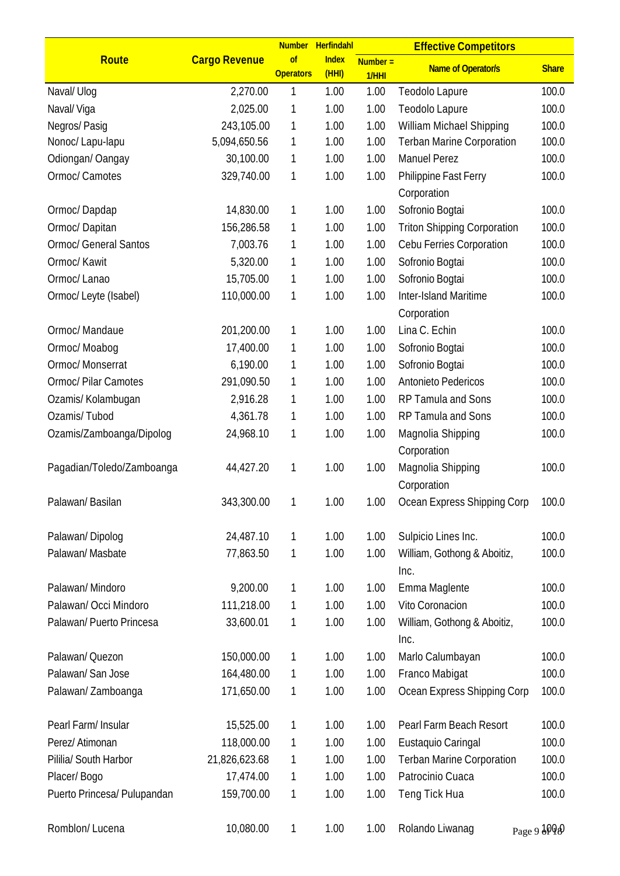|                              |                      | <b>Number</b>          | Herfindahl            |                     | <b>Effective Competitors</b>         |                      |
|------------------------------|----------------------|------------------------|-----------------------|---------------------|--------------------------------------|----------------------|
| Route                        | <b>Cargo Revenue</b> | of<br><b>Operators</b> | <b>Index</b><br>(HHI) | $Number =$<br>1/HHI | <b>Name of Operator/s</b>            | <b>Share</b>         |
| Naval/ Ulog                  | 2,270.00             | 1                      | 1.00                  | 1.00                | Teodolo Lapure                       | 100.0                |
| Naval/Viga                   | 2,025.00             | 1                      | 1.00                  | 1.00                | Teodolo Lapure                       | 100.0                |
| Negros/Pasig                 | 243,105.00           | 1                      | 1.00                  | 1.00                | William Michael Shipping             | 100.0                |
| Nonoc/ Lapu-lapu             | 5,094,650.56         | 1                      | 1.00                  | 1.00                | <b>Terban Marine Corporation</b>     | 100.0                |
| Odiongan/ Oangay             | 30,100.00            | 1                      | 1.00                  | 1.00                | <b>Manuel Perez</b>                  | 100.0                |
| Ormoc/ Camotes               | 329,740.00           | 1                      | 1.00                  | 1.00                | Philippine Fast Ferry<br>Corporation | 100.0                |
| Ormoc/Dapdap                 | 14,830.00            | 1                      | 1.00                  | 1.00                | Sofronio Bogtai                      | 100.0                |
| Ormoc/Dapitan                | 156,286.58           | 1                      | 1.00                  | 1.00                | <b>Triton Shipping Corporation</b>   | 100.0                |
| <b>Ormoc/ General Santos</b> | 7,003.76             | 1                      | 1.00                  | 1.00                | Cebu Ferries Corporation             | 100.0                |
| Ormoc/ Kawit                 | 5,320.00             | 1                      | 1.00                  | 1.00                | Sofronio Bogtai                      | 100.0                |
| Ormoc/ Lanao                 | 15,705.00            | 1                      | 1.00                  | 1.00                | Sofronio Bogtai                      | 100.0                |
| Ormoc/ Leyte (Isabel)        | 110,000.00           | 1                      | 1.00                  | 1.00                | Inter-Island Maritime                | 100.0                |
|                              |                      |                        |                       |                     | Corporation                          |                      |
| Ormoc/ Mandaue               | 201,200.00           | 1                      | 1.00                  | 1.00                | Lina C. Echin                        | 100.0                |
| Ormoc/Moabog                 | 17,400.00            | 1                      | 1.00                  | 1.00                | Sofronio Bogtai                      | 100.0                |
| Ormoc/ Monserrat             | 6,190.00             | 1                      | 1.00                  | 1.00                | Sofronio Bogtai                      | 100.0                |
| <b>Ormoc/ Pilar Camotes</b>  | 291,090.50           | 1                      | 1.00                  | 1.00                | Antonieto Pedericos                  | 100.0                |
| Ozamis/ Kolambugan           | 2,916.28             | 1                      | 1.00                  | 1.00                | RP Tamula and Sons                   | 100.0                |
| Ozamis/Tubod                 | 4,361.78             | 1                      | 1.00                  | 1.00                | RP Tamula and Sons                   | 100.0                |
| Ozamis/Zamboanga/Dipolog     | 24,968.10            | 1                      | 1.00                  | 1.00                | Magnolia Shipping<br>Corporation     | 100.0                |
| Pagadian/Toledo/Zamboanga    | 44,427.20            | 1                      | 1.00                  | 1.00                | Magnolia Shipping<br>Corporation     | 100.0                |
| Palawan/Basilan              | 343,300.00           | 1                      | 1.00                  | 1.00                | Ocean Express Shipping Corp          | 100.0                |
| Palawan/Dipolog              | 24,487.10            | 1                      | 1.00                  | 1.00                | Sulpicio Lines Inc.                  | 100.0                |
| Palawan/Masbate              | 77,863.50            | 1                      | 1.00                  | 1.00                | William, Gothong & Aboitiz,<br>Inc.  | 100.0                |
| Palawan/Mindoro              | 9,200.00             | 1                      | 1.00                  | 1.00                | Emma Maglente                        | 100.0                |
| Palawan/ Occi Mindoro        | 111,218.00           | 1                      | 1.00                  | 1.00                | Vito Coronacion                      | 100.0                |
| Palawan/ Puerto Princesa     | 33,600.01            | 1                      | 1.00                  | 1.00                | William, Gothong & Aboitiz,<br>Inc.  | 100.0                |
| Palawan/ Quezon              | 150,000.00           | 1                      | 1.00                  | 1.00                | Marlo Calumbayan                     | 100.0                |
| Palawan/San Jose             | 164,480.00           | 1                      | 1.00                  | 1.00                | Franco Mabigat                       | 100.0                |
| Palawan/Zamboanga            | 171,650.00           | 1                      | 1.00                  | 1.00                | Ocean Express Shipping Corp          | 100.0                |
| Pearl Farm/ Insular          | 15,525.00            | 1                      | 1.00                  | 1.00                | Pearl Farm Beach Resort              | 100.0                |
| Perez/ Atimonan              | 118,000.00           | 1                      | 1.00                  | 1.00                | Eustaquio Caringal                   | 100.0                |
| Pililia/ South Harbor        | 21,826,623.68        | 1                      | 1.00                  | 1.00                | <b>Terban Marine Corporation</b>     | 100.0                |
| Placer/Bogo                  | 17,474.00            | 1                      | 1.00                  | 1.00                | Patrocinio Cuaca                     | 100.0                |
| Puerto Princesa/ Pulupandan  | 159,700.00           | 1                      | 1.00                  | 1.00                | Teng Tick Hua                        | 100.0                |
| Romblon/Lucena               | 10,080.00            | 1                      | 1.00                  | 1.00                | Rolando Liwanag                      | Page 9 $\frac{1}{9}$ |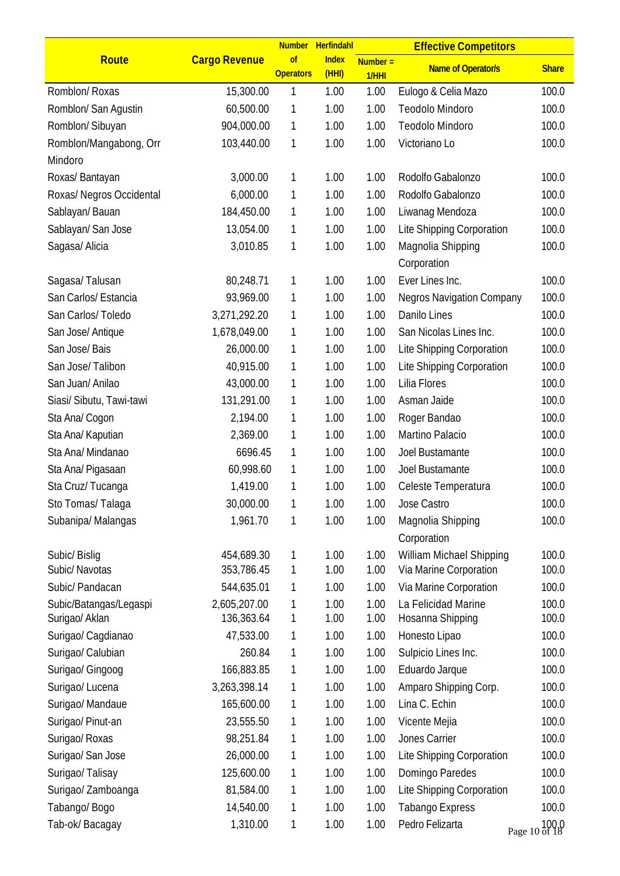|                                          |                            |                        | Number Herfindahl    |                     | <b>Effective Competitors</b>            |                |
|------------------------------------------|----------------------------|------------------------|----------------------|---------------------|-----------------------------------------|----------------|
| Route                                    | <b>Cargo Revenue</b>       | of<br><b>Operators</b> | <b>Index</b><br>(HH) | $Number =$<br>1/HHI | <b>Name of Operator/s</b>               | <b>Share</b>   |
| Romblon/ Roxas                           | 15,300.00                  | 1                      | 1.00                 | 1.00                | Eulogo & Celia Mazo                     | 100.0          |
| Romblon/ San Agustin                     | 60,500.00                  | 1                      | 1.00                 | 1.00                | Teodolo Mindoro                         | 100.0          |
| Romblon/ Sibuyan                         | 904,000.00                 | 1                      | 1.00                 | 1.00                | Teodolo Mindoro                         | 100.0          |
| Romblon/Mangabong, Orr                   | 103,440.00                 | 1                      | 1.00                 | 1.00                | Victoriano Lo                           | 100.0          |
| Mindoro                                  |                            |                        |                      |                     |                                         |                |
| Roxas/ Bantayan                          | 3,000.00                   | 1                      | 1.00                 | 1.00                | Rodolfo Gabalonzo                       | 100.0          |
| Roxas/ Negros Occidental                 | 6,000.00                   | 1                      | 1.00                 | 1.00                | Rodolfo Gabalonzo                       | 100.0          |
| Sablayan/Bauan                           | 184,450.00                 | 1                      | 1.00                 | 1.00                | Liwanag Mendoza                         | 100.0          |
| Sablayan/ San Jose                       | 13,054.00                  | 1                      | 1.00                 | 1.00                | Lite Shipping Corporation               | 100.0          |
| Sagasa/ Alicia                           | 3,010.85                   | 1                      | 1.00                 | 1.00                | Magnolia Shipping<br>Corporation        | 100.0          |
| Sagasa/Talusan                           | 80,248.71                  | 1                      | 1.00                 | 1.00                | Ever Lines Inc.                         | 100.0          |
| San Carlos/ Estancia                     | 93,969.00                  | 1                      | 1.00                 | 1.00                | <b>Negros Navigation Company</b>        | 100.0          |
| San Carlos/Toledo                        | 3,271,292.20               | 1                      | 1.00                 | 1.00                | Danilo Lines                            | 100.0          |
| San Jose/ Antique                        | 1,678,049.00               | 1                      | 1.00                 | 1.00                | San Nicolas Lines Inc.                  | 100.0          |
| San Jose/ Bais                           | 26,000.00                  | 1                      | 1.00                 | 1.00                | Lite Shipping Corporation               | 100.0          |
| San Jose/Talibon                         | 40,915.00                  | 1                      | 1.00                 | 1.00                | Lite Shipping Corporation               | 100.0          |
| San Juan/ Anilao                         | 43,000.00                  | 1                      | 1.00                 | 1.00                | Lilia Flores                            | 100.0          |
| Siasi/ Sibutu, Tawi-tawi                 | 131,291.00                 | 1                      | 1.00                 | 1.00                | Asman Jaide                             | 100.0          |
| Sta Ana/ Cogon                           | 2,194.00                   | 1                      | 1.00                 | 1.00                | Roger Bandao                            | 100.0          |
| Sta Ana/ Kaputian                        | 2,369.00                   | 1                      | 1.00                 | 1.00                | Martino Palacio                         | 100.0          |
| Sta Ana/ Mindanao                        | 6696.45                    | 1                      | 1.00                 | 1.00                | Joel Bustamante                         | 100.0          |
| Sta Ana/ Pigasaan                        | 60,998.60                  | 1                      | 1.00                 | 1.00                | Joel Bustamante                         | 100.0          |
| Sta Cruz/Tucanga                         | 1,419.00                   | 1                      | 1.00                 | 1.00                | Celeste Temperatura                     | 100.0          |
| Sto Tomas/ Talaga                        | 30,000.00                  | 1                      | 1.00                 | 1.00                | Jose Castro                             | 100.0          |
| Subanipa/Malangas                        | 1,961.70                   | 1                      | 1.00                 | 1.00                | Magnolia Shipping<br>Corporation        | 100.0          |
| Subic/Bislig                             | 454,689.30                 | 1                      | 1.00                 | 1.00                | William Michael Shipping                | 100.0          |
| Subic/ Navotas                           | 353,786.45                 | 1                      | 1.00                 | 1.00                | Via Marine Corporation                  | 100.0          |
| Subic/ Pandacan                          | 544,635.01                 | 1                      | 1.00                 | 1.00                | Via Marine Corporation                  | 100.0          |
| Subic/Batangas/Legaspi<br>Surigao/ Aklan | 2,605,207.00<br>136,363.64 | 1<br>1                 | 1.00<br>1.00         | 1.00<br>1.00        | La Felicidad Marine<br>Hosanna Shipping | 100.0<br>100.0 |
| Surigao/ Cagdianao                       | 47,533.00                  | 1                      | 1.00                 | 1.00                | Honesto Lipao                           | 100.0          |
| Surigao/ Calubian                        | 260.84                     | 1                      | 1.00                 | 1.00                | Sulpicio Lines Inc.                     | 100.0          |
| Surigao/ Gingoog                         | 166,883.85                 | 1                      | 1.00                 | 1.00                | Eduardo Jarque                          | 100.0          |
| Surigao/ Lucena                          | 3,263,398.14               | 1                      | 1.00                 | 1.00                | Amparo Shipping Corp.                   | 100.0          |
| Surigao/ Mandaue                         | 165,600.00                 | 1                      | 1.00                 | 1.00                | Lina C. Echin                           | 100.0          |
| Surigao/ Pinut-an                        | 23,555.50                  | 1                      | 1.00                 | 1.00                | Vicente Mejia                           | 100.0          |
| Surigao/ Roxas                           | 98,251.84                  | 1                      | 1.00                 | 1.00                | Jones Carrier                           | 100.0          |
| Surigao/ San Jose                        | 26,000.00                  | 1                      | 1.00                 | 1.00                | Lite Shipping Corporation               | 100.0          |
| Surigao/Talisay                          | 125,600.00                 | 1                      | 1.00                 | 1.00                | Domingo Paredes                         | 100.0          |
| Surigao/ Zamboanga                       | 81,584.00                  | 1                      | 1.00                 | 1.00                | Lite Shipping Corporation               | 100.0          |
| Tabango/Bogo                             | 14,540.00                  | 1                      | 1.00                 | 1.00                | <b>Tabango Express</b>                  | 100.0          |
| Tab-ok/Bacagay                           | 1,310.00                   | 1                      | 1.00                 | 1.00                | Pedro Felizarta                         | Page 10 of 18  |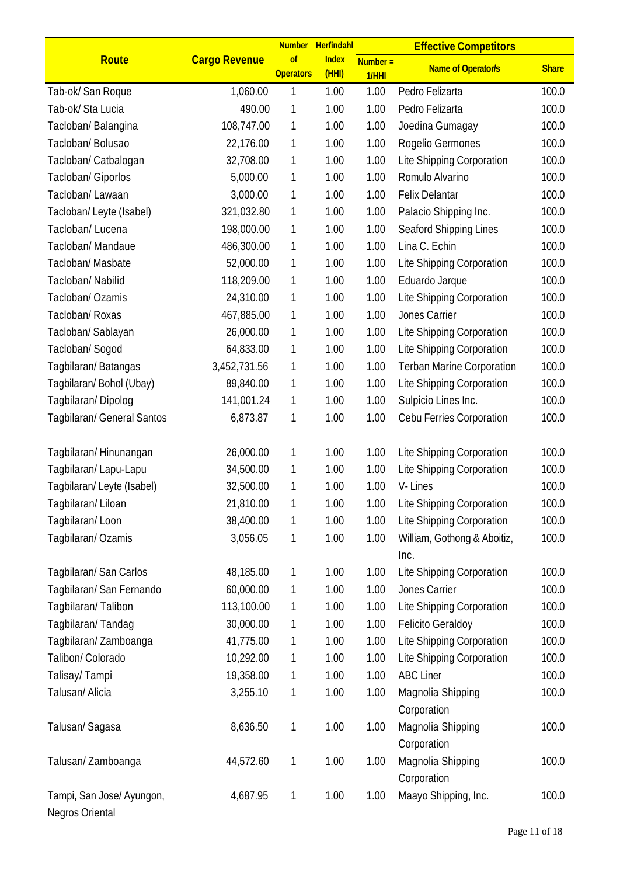|                                              |                      |                        | Number Herfindahl     |                     | <b>Effective Competitors</b>        |              |
|----------------------------------------------|----------------------|------------------------|-----------------------|---------------------|-------------------------------------|--------------|
| Route                                        | <b>Cargo Revenue</b> | of<br><b>Operators</b> | <b>Index</b><br>(HHI) | $Number =$<br>1/HHI | <b>Name of Operator/s</b>           | <b>Share</b> |
| Tab-ok/San Roque                             | 1,060.00             | 1                      | 1.00                  | 1.00                | Pedro Felizarta                     | 100.0        |
| Tab-ok/Sta Lucia                             | 490.00               | 1                      | 1.00                  | 1.00                | Pedro Felizarta                     | 100.0        |
| Tacloban/ Balangina                          | 108,747.00           | 1                      | 1.00                  | 1.00                | Joedina Gumagay                     | 100.0        |
| Tacloban/ Bolusao                            | 22,176.00            | 1                      | 1.00                  | 1.00                | Rogelio Germones                    | 100.0        |
| Tacloban/ Catbalogan                         | 32,708.00            | 1                      | 1.00                  | 1.00                | Lite Shipping Corporation           | 100.0        |
| Tacloban/ Giporlos                           | 5,000.00             | 1                      | 1.00                  | 1.00                | Romulo Alvarino                     | 100.0        |
| Tacloban/Lawaan                              | 3,000.00             | 1                      | 1.00                  | 1.00                | <b>Felix Delantar</b>               | 100.0        |
| Tacloban/ Leyte (Isabel)                     | 321,032.80           | 1                      | 1.00                  | 1.00                | Palacio Shipping Inc.               | 100.0        |
| Tacloban/ Lucena                             | 198,000.00           | 1                      | 1.00                  | 1.00                | Seaford Shipping Lines              | 100.0        |
| Tacloban/ Mandaue                            | 486,300.00           | 1                      | 1.00                  | 1.00                | Lina C. Echin                       | 100.0        |
| Tacloban/ Masbate                            | 52,000.00            | 1                      | 1.00                  | 1.00                | Lite Shipping Corporation           | 100.0        |
| Tacloban/ Nabilid                            | 118,209.00           | 1                      | 1.00                  | 1.00                | Eduardo Jarque                      | 100.0        |
| Tacloban/ Ozamis                             | 24,310.00            | 1                      | 1.00                  | 1.00                | Lite Shipping Corporation           | 100.0        |
| Tacloban/ Roxas                              | 467,885.00           | 1                      | 1.00                  | 1.00                | Jones Carrier                       | 100.0        |
| Tacloban/ Sablayan                           | 26,000.00            | 1                      | 1.00                  | 1.00                | Lite Shipping Corporation           | 100.0        |
| Tacloban/ Sogod                              | 64,833.00            | 1                      | 1.00                  | 1.00                | Lite Shipping Corporation           | 100.0        |
| Tagbilaran/Batangas                          | 3,452,731.56         | 1                      | 1.00                  | 1.00                | <b>Terban Marine Corporation</b>    | 100.0        |
| Tagbilaran/Bohol (Ubay)                      | 89,840.00            | 1                      | 1.00                  | 1.00                | Lite Shipping Corporation           | 100.0        |
| Tagbilaran/Dipolog                           | 141,001.24           | 1                      | 1.00                  | 1.00                | Sulpicio Lines Inc.                 | 100.0        |
| Tagbilaran/ General Santos                   | 6,873.87             | 1                      | 1.00                  | 1.00                | Cebu Ferries Corporation            | 100.0        |
| Tagbilaran/Hinunangan                        | 26,000.00            | 1                      | 1.00                  | 1.00                | Lite Shipping Corporation           | 100.0        |
| Tagbilaran/Lapu-Lapu                         | 34,500.00            | 1                      | 1.00                  | 1.00                | Lite Shipping Corporation           | 100.0        |
| Tagbilaran/Leyte (Isabel)                    | 32,500.00            | 1                      | 1.00                  | 1.00                | V-Lines                             | 100.0        |
| Tagbilaran/Liloan                            | 21,810.00            | 1                      | 1.00                  | 1.00                | Lite Shipping Corporation           | 100.0        |
| Tagbilaran/Loon                              | 38,400.00            | 1                      | 1.00                  | 1.00                | Lite Shipping Corporation           | 100.0        |
| Tagbilaran/Ozamis                            | 3,056.05             | 1                      | 1.00                  | 1.00                | William, Gothong & Aboitiz,<br>Inc. | 100.0        |
| Tagbilaran/ San Carlos                       | 48,185.00            | 1                      | 1.00                  | 1.00                | Lite Shipping Corporation           | 100.0        |
| Tagbilaran/ San Fernando                     | 60,000.00            | 1                      | 1.00                  | 1.00                | Jones Carrier                       | 100.0        |
| Tagbilaran/Talibon                           | 113,100.00           | 1                      | 1.00                  | 1.00                | Lite Shipping Corporation           | 100.0        |
| Tagbilaran/Tandag                            | 30,000.00            | 1                      | 1.00                  | 1.00                | <b>Felicito Geraldoy</b>            | 100.0        |
| Tagbilaran/Zamboanga                         | 41,775.00            | 1                      | 1.00                  | 1.00                | Lite Shipping Corporation           | 100.0        |
| Talibon/ Colorado                            | 10,292.00            | 1                      | 1.00                  | 1.00                | Lite Shipping Corporation           | 100.0        |
| Talisay/Tampi                                | 19,358.00            | 1                      | 1.00                  | 1.00                | <b>ABC Liner</b>                    | 100.0        |
| Talusan/ Alicia                              | 3,255.10             | 1                      | 1.00                  | 1.00                |                                     | 100.0        |
|                                              |                      |                        |                       |                     | Magnolia Shipping<br>Corporation    |              |
| Talusan/Sagasa                               | 8,636.50             | 1                      | 1.00                  | 1.00                | Magnolia Shipping<br>Corporation    | 100.0        |
| Talusan/Zamboanga                            | 44,572.60            | 1                      | 1.00                  | 1.00                | Magnolia Shipping<br>Corporation    | 100.0        |
| Tampi, San Jose/ Ayungon,<br>Negros Oriental | 4,687.95             | 1                      | 1.00                  | 1.00                | Maayo Shipping, Inc.                | 100.0        |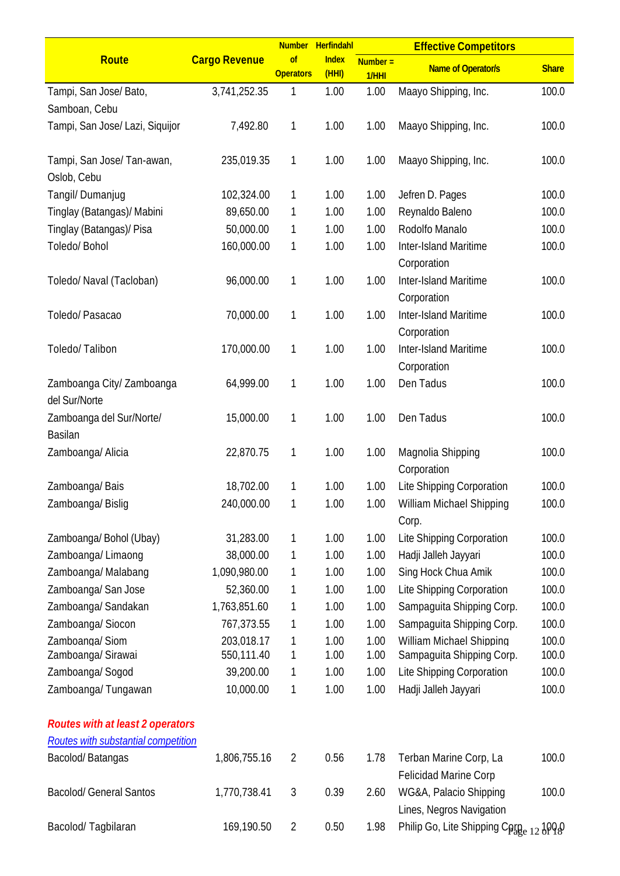|                                            |                          |                        | Number Herfindahl     |                    | <b>Effective Competitors</b>                          |                |
|--------------------------------------------|--------------------------|------------------------|-----------------------|--------------------|-------------------------------------------------------|----------------|
| Route                                      | <b>Cargo Revenue</b>     | of<br><b>Operators</b> | <b>Index</b><br>(HHI) | $Number =$<br>1/HH | <b>Name of Operator/s</b>                             | <b>Share</b>   |
| Tampi, San Jose/ Bato,                     | 3,741,252.35             | 1                      | 1.00                  | 1.00               | Maayo Shipping, Inc.                                  | 100.0          |
| Samboan, Cebu                              |                          |                        |                       |                    |                                                       |                |
| Tampi, San Jose/ Lazi, Siquijor            | 7,492.80                 | 1                      | 1.00                  | 1.00               | Maayo Shipping, Inc.                                  | 100.0          |
| Tampi, San Jose/ Tan-awan,<br>Oslob, Cebu  | 235,019.35               | 1                      | 1.00                  | 1.00               | Maayo Shipping, Inc.                                  | 100.0          |
| Tangil/ Dumanjug                           | 102,324.00               | 1                      | 1.00                  | 1.00               | Jefren D. Pages                                       | 100.0          |
| Tinglay (Batangas)/ Mabini                 | 89,650.00                | 1                      | 1.00                  | 1.00               | Reynaldo Baleno                                       | 100.0          |
| Tinglay (Batangas)/ Pisa                   | 50,000.00                | 1                      | 1.00                  | 1.00               | Rodolfo Manalo                                        | 100.0          |
| Toledo/ Bohol                              | 160,000.00               | 1                      | 1.00                  | 1.00               | Inter-Island Maritime<br>Corporation                  | 100.0          |
| Toledo/ Naval (Tacloban)                   | 96,000.00                | 1                      | 1.00                  | 1.00               | <b>Inter-Island Maritime</b><br>Corporation           | 100.0          |
| Toledo/ Pasacao                            | 70,000.00                | 1                      | 1.00                  | 1.00               | Inter-Island Maritime<br>Corporation                  | 100.0          |
| Toledo/Talibon                             | 170,000.00               | 1                      | 1.00                  | 1.00               | Inter-Island Maritime<br>Corporation                  | 100.0          |
| Zamboanga City/ Zamboanga<br>del Sur/Norte | 64,999.00                | 1                      | 1.00                  | 1.00               | Den Tadus                                             | 100.0          |
| Zamboanga del Sur/Norte/<br>Basilan        | 15,000.00                | 1                      | 1.00                  | 1.00               | Den Tadus                                             | 100.0          |
| Zamboanga/ Alicia                          | 22,870.75                | 1                      | 1.00                  | 1.00               | Magnolia Shipping<br>Corporation                      | 100.0          |
| Zamboanga/Bais                             | 18,702.00                | 1                      | 1.00                  | 1.00               | Lite Shipping Corporation                             | 100.0          |
| Zamboanga/Bislig                           | 240,000.00               | 1                      | 1.00                  | 1.00               | <b>William Michael Shipping</b><br>Corp.              | 100.0          |
| Zamboanga/ Bohol (Ubay)                    | 31,283.00                | 1                      | 1.00                  | 1.00               | Lite Shipping Corporation                             | 100.0          |
| Zamboanga/Limaong                          | 38,000.00                | 1                      | 1.00                  | 1.00               | Hadji Jalleh Jayyari                                  | 100.0          |
| Zamboanga/ Malabang                        | 1,090,980.00             | 1                      | 1.00                  | 1.00               | Sing Hock Chua Amik                                   | 100.0          |
| Zamboanga/ San Jose                        | 52,360.00                | 1                      | 1.00                  | 1.00               | Lite Shipping Corporation                             | 100.0          |
| Zamboanga/ Sandakan                        | 1,763,851.60             | 1                      | 1.00                  | 1.00               | Sampaquita Shipping Corp.                             | 100.0          |
| Zamboanga/Siocon                           | 767,373.55               | 1                      | 1.00                  | 1.00               | Sampaquita Shipping Corp.                             | 100.0          |
| Zamboanga/Siom<br>Zamboanga/ Sirawai       | 203,018.17<br>550,111.40 | 1<br>1                 | 1.00<br>1.00          | 1.00<br>1.00       | William Michael Shipping<br>Sampaguita Shipping Corp. | 100.0<br>100.0 |
| Zamboanga/Sogod                            | 39,200.00                | 1                      | 1.00                  | 1.00               | Lite Shipping Corporation                             | 100.0          |
| Zamboanga/Tungawan                         | 10,000.00                | 1                      | 1.00                  | 1.00               | Hadji Jalleh Jayyari                                  | 100.0          |
| <b>Routes with at least 2 operators</b>    |                          |                        |                       |                    |                                                       |                |
| Routes with substantial competition        |                          |                        |                       |                    |                                                       |                |
| Bacolod/Batangas                           | 1,806,755.16             | $\overline{2}$         | 0.56                  | 1.78               | Terban Marine Corp, La<br>Felicidad Marine Corp       | 100.0          |
| <b>Bacolod/ General Santos</b>             | 1,770,738.41             | $\mathfrak{Z}$         | 0.39                  | 2.60               | WG&A, Palacio Shipping<br>Lines, Negros Navigation    | 100.0          |
| Bacolod/Tagbilaran                         | 169,190.50               | $\overline{2}$         | 0.50                  | 1.98               | Philip Go, Lite Shipping Conge 12 3000                |                |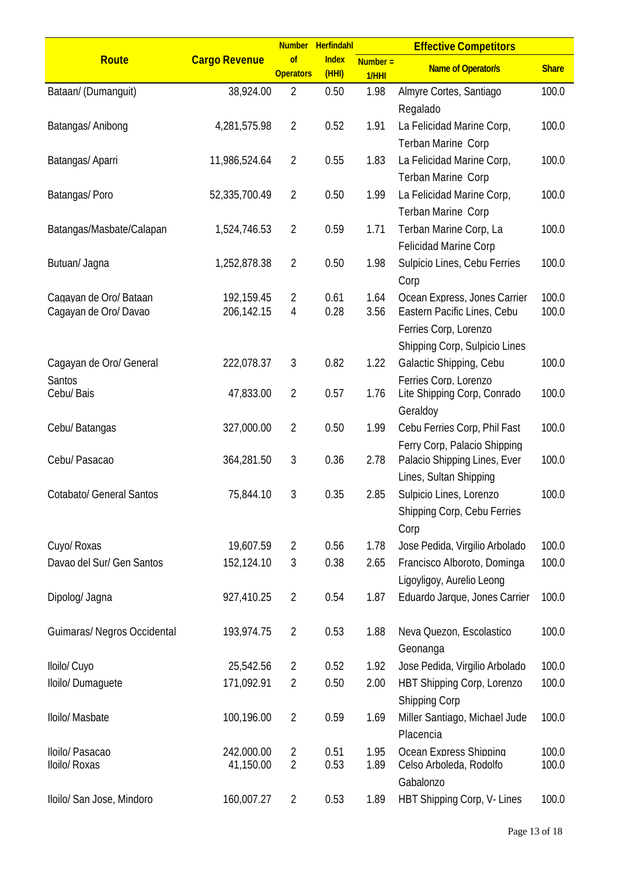|                                                 |                          | <b>Number</b>                    | <b>Herfindahl</b>     |                    | <b>Effective Competitors</b>                                                                                          |                |
|-------------------------------------------------|--------------------------|----------------------------------|-----------------------|--------------------|-----------------------------------------------------------------------------------------------------------------------|----------------|
| <b>Route</b>                                    | <b>Cargo Revenue</b>     | of<br><b>Operators</b>           | <b>Index</b><br>(HHI) | $Number =$<br>1/HH | <b>Name of Operator/s</b>                                                                                             | <b>Share</b>   |
| Bataan/ (Dumanguit)                             | 38,924.00                | $\overline{2}$                   | 0.50                  | 1.98               | Almyre Cortes, Santiago<br>Regalado                                                                                   | 100.0          |
| Batangas/ Anibong                               | 4,281,575.98             | $\overline{2}$                   | 0.52                  | 1.91               | La Felicidad Marine Corp,<br>Terban Marine Corp                                                                       | 100.0          |
| Batangas/ Aparri                                | 11,986,524.64            | $\overline{2}$                   | 0.55                  | 1.83               | La Felicidad Marine Corp,<br>Terban Marine Corp                                                                       | 100.0          |
| Batangas/Poro                                   | 52,335,700.49            | $\overline{2}$                   | 0.50                  | 1.99               | La Felicidad Marine Corp,<br>Terban Marine Corp                                                                       | 100.0          |
| Batangas/Masbate/Calapan                        | 1,524,746.53             | $\overline{2}$                   | 0.59                  | 1.71               | Terban Marine Corp, La<br>Felicidad Marine Corp                                                                       | 100.0          |
| Butuan/ Jagna                                   | 1,252,878.38             | $\overline{2}$                   | 0.50                  | 1.98               | Sulpicio Lines, Cebu Ferries<br>Corp                                                                                  | 100.0          |
| Cagayan de Oro/ Bataan<br>Cagayan de Oro/ Davao | 192,159.45<br>206,142.15 | $\overline{2}$<br>4              | 0.61<br>0.28          | 1.64<br>3.56       | Ocean Express, Jones Carrier<br>Eastern Pacific Lines, Cebu<br>Ferries Corp, Lorenzo<br>Shipping Corp, Sulpicio Lines | 100.0<br>100.0 |
| Cagayan de Oro/ General                         | 222,078.37               | 3                                | 0.82                  | 1.22               | Galactic Shipping, Cebu                                                                                               | 100.0          |
| Santos<br>Cebu/ Bais                            | 47,833.00                | $\overline{2}$                   | 0.57                  | 1.76               | Ferries Corp. Lorenzo<br>Lite Shipping Corp, Conrado<br>Geraldoy                                                      | 100.0          |
| Cebu/ Batangas                                  | 327,000.00               | $\overline{2}$                   | 0.50                  | 1.99               | Cebu Ferries Corp, Phil Fast<br>Ferry Corp, Palacio Shipping                                                          | 100.0          |
| Cebu/ Pasacao                                   | 364,281.50               | 3                                | 0.36                  | 2.78               | Palacio Shipping Lines, Ever<br>Lines, Sultan Shipping                                                                | 100.0          |
| <b>Cotabato/ General Santos</b>                 | 75,844.10                | 3                                | 0.35                  | 2.85               | Sulpicio Lines, Lorenzo<br>Shipping Corp, Cebu Ferries<br>Corp                                                        | 100.0          |
| Cuyo/ Roxas                                     | 19,607.59                | $\overline{2}$                   | 0.56                  | 1.78               | Jose Pedida, Virgilio Arbolado                                                                                        | 100.0          |
| Davao del Sur/ Gen Santos                       | 152,124.10               | 3                                | 0.38                  | 2.65               | Francisco Alboroto, Dominga<br>Ligoyligoy, Aurelio Leong                                                              | 100.0          |
| Dipolog/ Jagna                                  | 927,410.25               | $\overline{2}$                   | 0.54                  | 1.87               | Eduardo Jarque, Jones Carrier                                                                                         | 100.0          |
| Guimaras/ Negros Occidental                     | 193,974.75               | $\overline{2}$                   | 0.53                  | 1.88               | Neva Quezon, Escolastico<br>Geonanga                                                                                  | 100.0          |
| Iloilo/ Cuyo                                    | 25,542.56                | $\overline{2}$                   | 0.52                  | 1.92               | Jose Pedida, Virgilio Arbolado                                                                                        | 100.0          |
| Iloilo/Dumaguete                                | 171,092.91               | $\overline{2}$                   | 0.50                  | 2.00               | HBT Shipping Corp, Lorenzo<br><b>Shipping Corp</b>                                                                    | 100.0          |
| Iloilo/ Masbate                                 | 100,196.00               | $\overline{2}$                   | 0.59                  | 1.69               | Miller Santiago, Michael Jude<br>Placencia                                                                            | 100.0          |
| Iloilo/ Pasacao<br>Iloilo/ Roxas                | 242.000.00<br>41,150.00  | $\overline{2}$<br>$\overline{2}$ | 0.51<br>0.53          | 1.95<br>1.89       | Ocean Express Shipping<br>Celso Arboleda, Rodolfo<br>Gabalonzo                                                        | 100.0<br>100.0 |
| Iloilo/ San Jose, Mindoro                       | 160,007.27               | $\overline{2}$                   | 0.53                  | 1.89               | HBT Shipping Corp, V- Lines                                                                                           | 100.0          |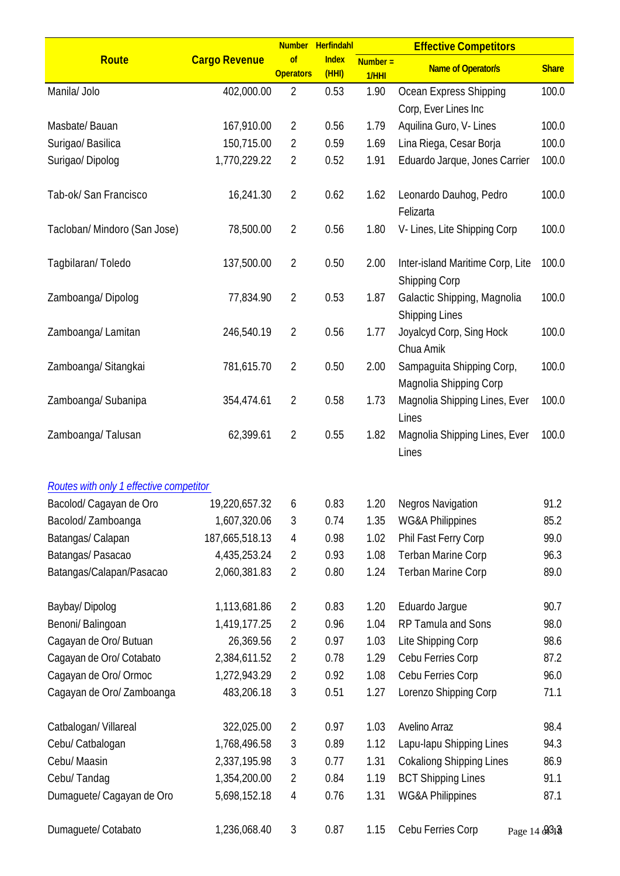|                                         |                      | <b>Number</b>          | Herfindahl           |                     | <b>Effective Competitors</b>                             |              |
|-----------------------------------------|----------------------|------------------------|----------------------|---------------------|----------------------------------------------------------|--------------|
| <b>Route</b>                            | <b>Cargo Revenue</b> | of<br><b>Operators</b> | <b>Index</b><br>(HH) | $Number =$<br>1/HHI | <b>Name of Operator/s</b>                                | <b>Share</b> |
| Manila/ Jolo                            | 402,000.00           | $\overline{2}$         | 0.53                 | 1.90                | Ocean Express Shipping                                   | 100.0        |
|                                         |                      |                        |                      |                     | Corp, Ever Lines Inc                                     |              |
| Masbate/Bauan                           | 167,910.00           | $\overline{2}$         | 0.56                 | 1.79                | Aquilina Guro, V- Lines                                  | 100.0        |
| Surigao/ Basilica                       | 150,715.00           | 2                      | 0.59                 | 1.69                | Lina Riega, Cesar Borja                                  | 100.0        |
| Surigao/Dipolog                         | 1,770,229.22         | $\overline{2}$         | 0.52                 | 1.91                | Eduardo Jarque, Jones Carrier                            | 100.0        |
| Tab-ok/ San Francisco                   | 16,241.30            | $\overline{2}$         | 0.62                 | 1.62                | Leonardo Dauhog, Pedro<br>Felizarta                      | 100.0        |
| Tacloban/ Mindoro (San Jose)            | 78,500.00            | $\overline{2}$         | 0.56                 | 1.80                | V-Lines, Lite Shipping Corp                              | 100.0        |
| Tagbilaran/Toledo                       | 137,500.00           | $\overline{2}$         | 0.50                 | 2.00                | Inter-island Maritime Corp, Lite<br><b>Shipping Corp</b> | 100.0        |
| Zamboanga/Dipolog                       | 77,834.90            | $\overline{2}$         | 0.53                 | 1.87                | Galactic Shipping, Magnolia<br><b>Shipping Lines</b>     | 100.0        |
| Zamboanga/Lamitan                       | 246,540.19           | $\overline{2}$         | 0.56                 | 1.77                | Joyalcyd Corp, Sing Hock<br>Chua Amik                    | 100.0        |
| Zamboanga/Sitangkai                     | 781,615.70           | $\overline{2}$         | 0.50                 | 2.00                | Sampaguita Shipping Corp,<br>Magnolia Shipping Corp      | 100.0        |
| Zamboanga/Subanipa                      | 354,474.61           | $\overline{2}$         | 0.58                 | 1.73                | Magnolia Shipping Lines, Ever<br>Lines                   | 100.0        |
| Zamboanga/Talusan                       | 62,399.61            | $\overline{2}$         | 0.55                 | 1.82                | Magnolia Shipping Lines, Ever<br>Lines                   | 100.0        |
| Routes with only 1 effective competitor |                      |                        |                      |                     |                                                          |              |
| Bacolod/ Cagayan de Oro                 | 19,220,657.32        | 6                      | 0.83                 | 1.20                | <b>Negros Navigation</b>                                 | 91.2         |
| Bacolod/Zamboanga                       | 1,607,320.06         | 3                      | 0.74                 | 1.35                | <b>WG&amp;A Philippines</b>                              | 85.2         |
| Batangas/ Calapan                       | 187,665,518.13       | 4                      | 0.98                 | 1.02                | Phil Fast Ferry Corp                                     | 99.0         |
| Batangas/ Pasacao                       | 4,435,253.24         | 2                      | 0.93                 | 1.08                | <b>Terban Marine Corp</b>                                | 96.3         |
| Batangas/Calapan/Pasacao                | 2,060,381.83         | 2                      | 0.80                 | 1.24                | <b>Terban Marine Corp</b>                                | 89.0         |
| Baybay/Dipolog                          | 1,113,681.86         | 2                      | 0.83                 | 1.20                | Eduardo Jargue                                           | 90.7         |
| Benoni/ Balingoan                       | 1,419,177.25         | 2                      | 0.96                 | 1.04                | RP Tamula and Sons                                       | 98.0         |
| Cagayan de Oro/ Butuan                  | 26,369.56            | $\overline{2}$         | 0.97                 | 1.03                | Lite Shipping Corp                                       | 98.6         |
|                                         | 2,384,611.52         | $\overline{2}$         | 0.78                 | 1.29                |                                                          | 87.2         |
| Cagayan de Oro/ Cotabato                |                      |                        |                      |                     | Cebu Ferries Corp                                        |              |
| Cagayan de Oro/ Ormoc                   | 1,272,943.29         | 2                      | 0.92                 | 1.08                | Cebu Ferries Corp                                        | 96.0         |
| Cagayan de Oro/ Zamboanga               | 483,206.18           | 3                      | 0.51                 | 1.27                | Lorenzo Shipping Corp                                    | 71.1         |
| Catbalogan/ Villareal                   | 322,025.00           | $\overline{2}$         | 0.97                 | 1.03                | Avelino Arraz                                            | 98.4         |
| Cebu/ Catbalogan                        | 1,768,496.58         | 3                      | 0.89                 | 1.12                | Lapu-lapu Shipping Lines                                 | 94.3         |
| Cebu/ Maasin                            | 2,337,195.98         | 3                      | 0.77                 | 1.31                | <b>Cokaliong Shipping Lines</b>                          | 86.9         |
| Cebu/Tandag                             | 1,354,200.00         | $\overline{2}$         | 0.84                 | 1.19                | <b>BCT Shipping Lines</b>                                | 91.1         |
| Dumaguete/ Cagayan de Oro               | 5,698,152.18         | 4                      | 0.76                 | 1.31                | WG&A Philippines                                         | 87.1         |
| Dumaguete/ Cotabato                     | 1,236,068.40         | $\mathfrak{Z}$         | 0.87                 | 1.15                | Cebu Ferries Corp                                        | Page 14 8318 |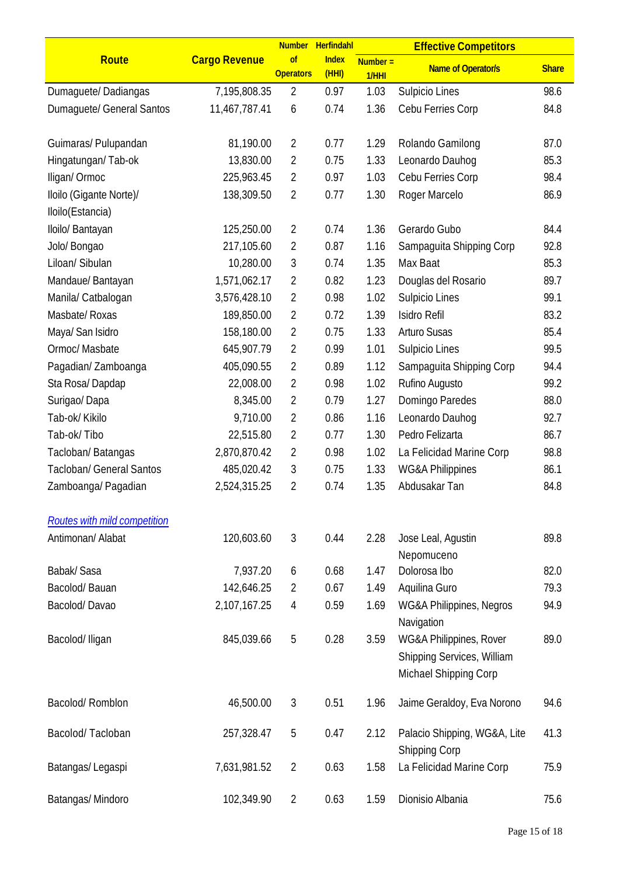|                                             |                      | <b>Number</b>          | Herfindahl            |                     | <b>Effective Competitors</b>                                                   |              |
|---------------------------------------------|----------------------|------------------------|-----------------------|---------------------|--------------------------------------------------------------------------------|--------------|
| <b>Route</b>                                | <b>Cargo Revenue</b> | of<br><b>Operators</b> | <b>Index</b><br>(HHI) | $Number =$<br>1/HHI | <b>Name of Operator/s</b>                                                      | <b>Share</b> |
| Dumaguete/Dadiangas                         | 7,195,808.35         | $\overline{2}$         | 0.97                  | 1.03                | Sulpicio Lines                                                                 | 98.6         |
| Dumaguete/ General Santos                   | 11,467,787.41        | 6                      | 0.74                  | 1.36                | Cebu Ferries Corp                                                              | 84.8         |
| Guimaras/ Pulupandan                        | 81,190.00            | 2                      | 0.77                  | 1.29                | Rolando Gamilong                                                               | 87.0         |
| Hingatungan/Tab-ok                          | 13,830.00            | 2                      | 0.75                  | 1.33                | Leonardo Dauhog                                                                | 85.3         |
| Iligan/Ormoc                                | 225,963.45           | 2                      | 0.97                  | 1.03                | Cebu Ferries Corp                                                              | 98.4         |
| Iloilo (Gigante Norte)/<br>Iloilo(Estancia) | 138,309.50           | 2                      | 0.77                  | 1.30                | Roger Marcelo                                                                  | 86.9         |
| Iloilo/ Bantayan                            | 125,250.00           | $\overline{2}$         | 0.74                  | 1.36                | Gerardo Gubo                                                                   | 84.4         |
| Jolo/ Bongao                                | 217,105.60           | 2                      | 0.87                  | 1.16                | Sampaguita Shipping Corp                                                       | 92.8         |
| Liloan/ Sibulan                             | 10,280.00            | 3                      | 0.74                  | 1.35                | Max Baat                                                                       | 85.3         |
| Mandaue/ Bantayan                           | 1,571,062.17         | 2                      | 0.82                  | 1.23                | Douglas del Rosario                                                            | 89.7         |
| Manila/ Catbalogan                          | 3,576,428.10         | $\overline{2}$         | 0.98                  | 1.02                | Sulpicio Lines                                                                 | 99.1         |
| Masbate/ Roxas                              | 189,850.00           | $\overline{2}$         | 0.72                  | 1.39                | Isidro Refil                                                                   | 83.2         |
| Maya/ San Isidro                            | 158,180.00           | $\overline{2}$         | 0.75                  | 1.33                | <b>Arturo Susas</b>                                                            | 85.4         |
| Ormoc/ Masbate                              | 645,907.79           | $\overline{2}$         | 0.99                  | 1.01                | Sulpicio Lines                                                                 | 99.5         |
| Pagadian/Zamboanga                          | 405,090.55           | 2                      | 0.89                  | 1.12                | Sampaguita Shipping Corp                                                       | 94.4         |
| Sta Rosa/Dapdap                             | 22,008.00            | $\overline{2}$         | 0.98                  | 1.02                | Rufino Augusto                                                                 | 99.2         |
| Surigao/Dapa                                | 8,345.00             | $\overline{2}$         | 0.79                  | 1.27                | Domingo Paredes                                                                | 88.0         |
| Tab-ok/ Kikilo                              | 9,710.00             | 2                      | 0.86                  | 1.16                | Leonardo Dauhog                                                                | 92.7         |
| Tab-ok/Tibo                                 | 22,515.80            | 2                      | 0.77                  | 1.30                | Pedro Felizarta                                                                | 86.7         |
| Tacloban/Batangas                           | 2,870,870.42         | 2                      | 0.98                  | 1.02                | La Felicidad Marine Corp                                                       | 98.8         |
| <b>Tacloban/ General Santos</b>             | 485,020.42           | 3                      | 0.75                  | 1.33                | <b>WG&amp;A Philippines</b>                                                    | 86.1         |
| Zamboanga/ Pagadian                         | 2,524,315.25         | $\overline{2}$         | 0.74                  | 1.35                | Abdusakar Tan                                                                  | 84.8         |
| Routes with mild competition                |                      |                        |                       |                     |                                                                                |              |
| Antimonan/ Alabat                           | 120,603.60           | 3                      | 0.44                  | 2.28                | Jose Leal, Agustin<br>Nepomuceno                                               | 89.8         |
| Babak/ Sasa                                 | 7,937.20             | 6                      | 0.68                  | 1.47                | Dolorosa Ibo                                                                   | 82.0         |
| Bacolod/Bauan                               | 142,646.25           | $\overline{2}$         | 0.67                  | 1.49                | Aquilina Guro                                                                  | 79.3         |
| Bacolod/Davao                               | 2,107,167.25         | 4                      | 0.59                  | 1.69                | WG&A Philippines, Negros<br>Navigation                                         | 94.9         |
| Bacolod/Iligan                              | 845,039.66           | 5                      | 0.28                  | 3.59                | WG&A Philippines, Rover<br>Shipping Services, William<br>Michael Shipping Corp | 89.0         |
| Bacolod/Romblon                             | 46,500.00            | $\mathfrak{Z}$         | 0.51                  | 1.96                | Jaime Geraldoy, Eva Norono                                                     | 94.6         |
| Bacolod/Tacloban                            | 257,328.47           | 5                      | 0.47                  | 2.12                | Palacio Shipping, WG&A, Lite<br><b>Shipping Corp</b>                           | 41.3         |
| Batangas/Legaspi                            | 7,631,981.52         | $\overline{2}$         | 0.63                  | 1.58                | La Felicidad Marine Corp                                                       | 75.9         |
| Batangas/Mindoro                            | 102,349.90           | $\overline{2}$         | 0.63                  | 1.59                | Dionisio Albania                                                               | 75.6         |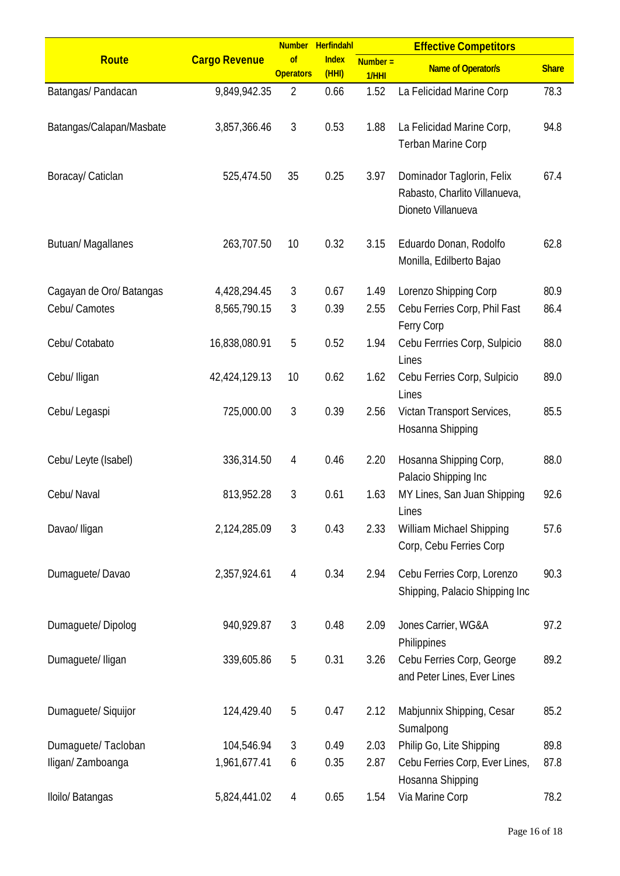| <b>Share</b>                                                     |
|------------------------------------------------------------------|
| 78.3                                                             |
|                                                                  |
| 94.8                                                             |
|                                                                  |
|                                                                  |
| 67.4                                                             |
|                                                                  |
|                                                                  |
| 62.8                                                             |
|                                                                  |
|                                                                  |
| 80.9                                                             |
| 86.4                                                             |
|                                                                  |
| 88.0                                                             |
| 89.0                                                             |
|                                                                  |
| 85.5                                                             |
|                                                                  |
|                                                                  |
| 88.0                                                             |
| 92.6                                                             |
|                                                                  |
| 57.6                                                             |
|                                                                  |
|                                                                  |
| 90.3                                                             |
|                                                                  |
| 97.2                                                             |
|                                                                  |
| 89.2                                                             |
|                                                                  |
|                                                                  |
| 85.2                                                             |
| 89.8                                                             |
| 87.8                                                             |
|                                                                  |
| 78.2                                                             |
| Shipping, Palacio Shipping Inc<br>Cebu Ferries Corp, Ever Lines, |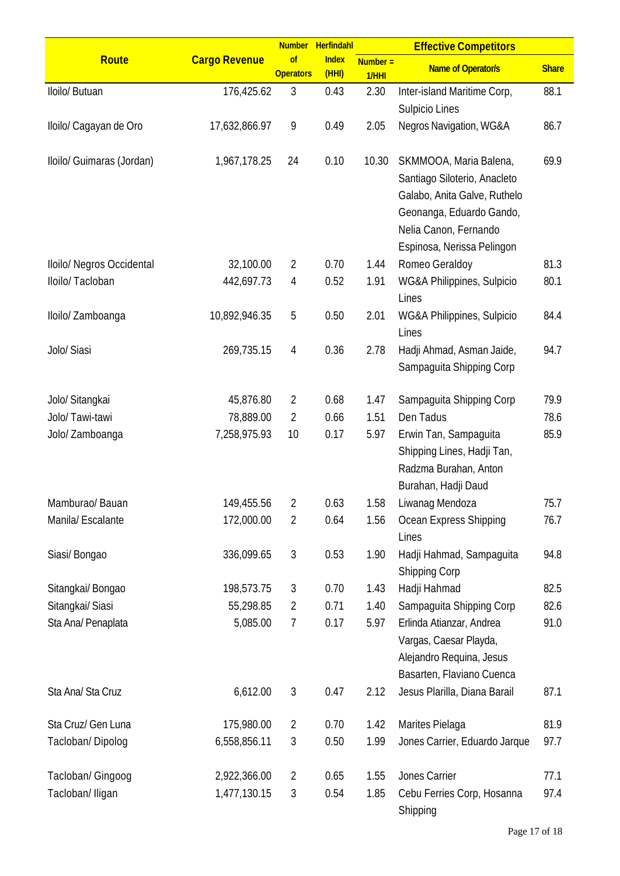|                           |                      |                        | Number Herfindahl     |                     | <b>Effective Competitors</b>                                                                                                                                              |              |
|---------------------------|----------------------|------------------------|-----------------------|---------------------|---------------------------------------------------------------------------------------------------------------------------------------------------------------------------|--------------|
| <b>Route</b>              | <b>Cargo Revenue</b> | of<br><b>Operators</b> | <b>Index</b><br>(HHI) | $Number =$<br>1/HHI | <b>Name of Operator/s</b>                                                                                                                                                 | <b>Share</b> |
| Iloilo/ Butuan            | 176,425.62           | 3                      | 0.43                  | 2.30                | Inter-island Maritime Corp,<br>Sulpicio Lines                                                                                                                             | 88.1         |
| Iloilo/ Cagayan de Oro    | 17,632,866.97        | 9                      | 0.49                  | 2.05                | Negros Navigation, WG&A                                                                                                                                                   | 86.7         |
| Iloilo/ Guimaras (Jordan) | 1,967,178.25         | 24                     | 0.10                  | 10.30               | SKMMOOA, Maria Balena,<br>Santiago Siloterio, Anacleto<br>Galabo, Anita Galve, Ruthelo<br>Geonanga, Eduardo Gando,<br>Nelia Canon, Fernando<br>Espinosa, Nerissa Pelingon | 69.9         |
| Iloilo/ Negros Occidental | 32,100.00            | $\overline{2}$         | 0.70                  | 1.44                | Romeo Geraldoy                                                                                                                                                            | 81.3         |
| Iloilo/ Tacloban          | 442,697.73           | 4                      | 0.52                  | 1.91                | WG&A Philippines, Sulpicio<br>Lines                                                                                                                                       | 80.1         |
| Iloilo/ Zamboanga         | 10,892,946.35        | 5                      | 0.50                  | 2.01                | WG&A Philippines, Sulpicio<br>Lines                                                                                                                                       | 84.4         |
| Jolo/ Siasi               | 269,735.15           | 4                      | 0.36                  | 2.78                | Hadji Ahmad, Asman Jaide,<br>Sampaguita Shipping Corp                                                                                                                     | 94.7         |
| Jolo/ Sitangkai           | 45,876.80            | 2                      | 0.68                  | 1.47                | Sampaguita Shipping Corp                                                                                                                                                  | 79.9         |
| Jolo/Tawi-tawi            | 78,889.00            | 2                      | 0.66                  | 1.51                | Den Tadus                                                                                                                                                                 | 78.6         |
| Jolo/ Zamboanga           | 7,258,975.93         | 10                     | 0.17                  | 5.97                | Erwin Tan, Sampaguita<br>Shipping Lines, Hadji Tan,<br>Radzma Burahan, Anton<br>Burahan, Hadji Daud                                                                       | 85.9         |
| Mamburao/Bauan            | 149,455.56           | 2                      | 0.63                  | 1.58                | Liwanag Mendoza                                                                                                                                                           | 75.7         |
| Manila/ Escalante         | 172,000.00           | 2                      | 0.64                  | 1.56                | Ocean Express Shipping<br>Lines                                                                                                                                           | 76.7         |
| Siasi/Bongao              | 336,099.65           | $\sqrt{3}$             | 0.53                  | 1.90                | Hadji Hahmad, Sampaguita<br><b>Shipping Corp</b>                                                                                                                          | 94.8         |
| Sitangkai/ Bongao         | 198,573.75           | 3                      | 0.70                  | 1.43                | Hadji Hahmad                                                                                                                                                              | 82.5         |
| Sitangkai/ Siasi          | 55,298.85            | 2                      | 0.71                  | 1.40                | Sampaguita Shipping Corp                                                                                                                                                  | 82.6         |
| Sta Ana/ Penaplata        | 5,085.00             | 7                      | 0.17                  | 5.97                | Erlinda Atianzar, Andrea<br>Vargas, Caesar Playda,<br>Alejandro Requina, Jesus<br>Basarten, Flaviano Cuenca                                                               | 91.0         |
| Sta Ana/ Sta Cruz         | 6,612.00             | $\mathfrak{Z}$         | 0.47                  | 2.12                | Jesus Plarilla, Diana Barail                                                                                                                                              | 87.1         |
| Sta Cruz/ Gen Luna        | 175,980.00           | 2                      | 0.70                  | 1.42                | Marites Pielaga                                                                                                                                                           | 81.9         |
| Tacloban/Dipolog          | 6,558,856.11         | 3                      | 0.50                  | 1.99                | Jones Carrier, Eduardo Jarque                                                                                                                                             | 97.7         |
| Tacloban/ Gingoog         | 2,922,366.00         | 2                      | 0.65                  | 1.55                | Jones Carrier                                                                                                                                                             | 77.1         |
| Tacloban/ Iligan          | 1,477,130.15         | 3                      | 0.54                  | 1.85                | Cebu Ferries Corp, Hosanna<br>Shipping                                                                                                                                    | 97.4         |